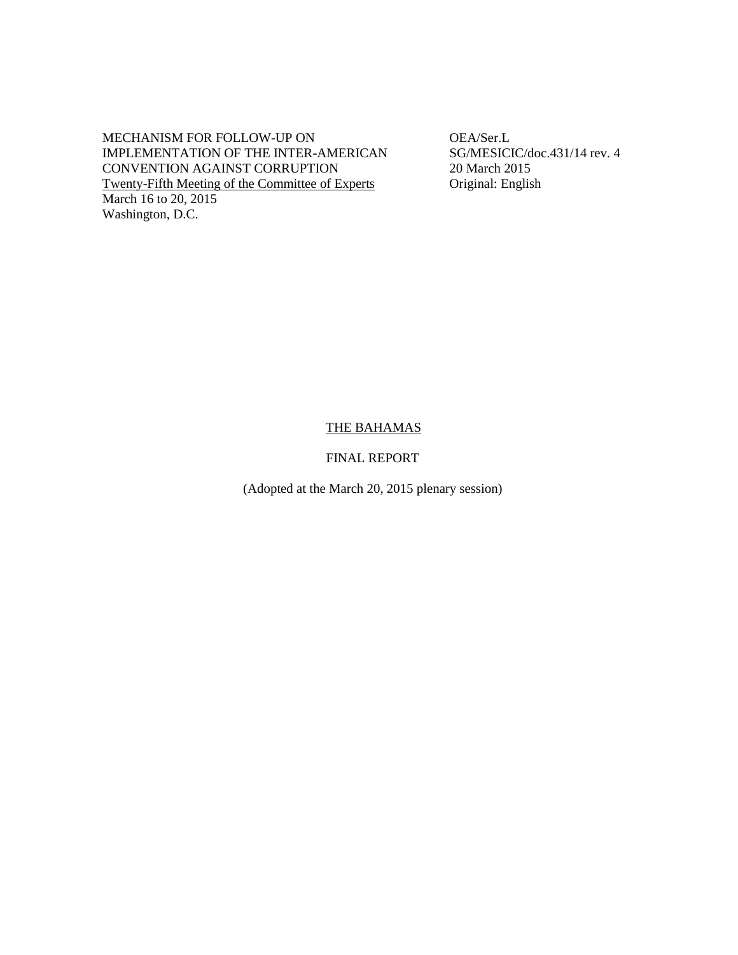MECHANISM FOR FOLLOW-UP ON OEA/Ser.L<br>
IMPLEMENTATION OF THE INTER-AMERICAN SG/MESICIC/doc.431/14 rev. 4 IMPLEMENTATION OF THE INTER-AMERICAN CONVENTION AGAINST CORRUPTION 20 March 2015 Twenty-Fifth Meeting of the Committee of Experts Original: English March 16 to 20, 2015 Washington, D.C.

## THE BAHAMAS

FINAL REPORT

(Adopted at the March 20, 2015 plenary session)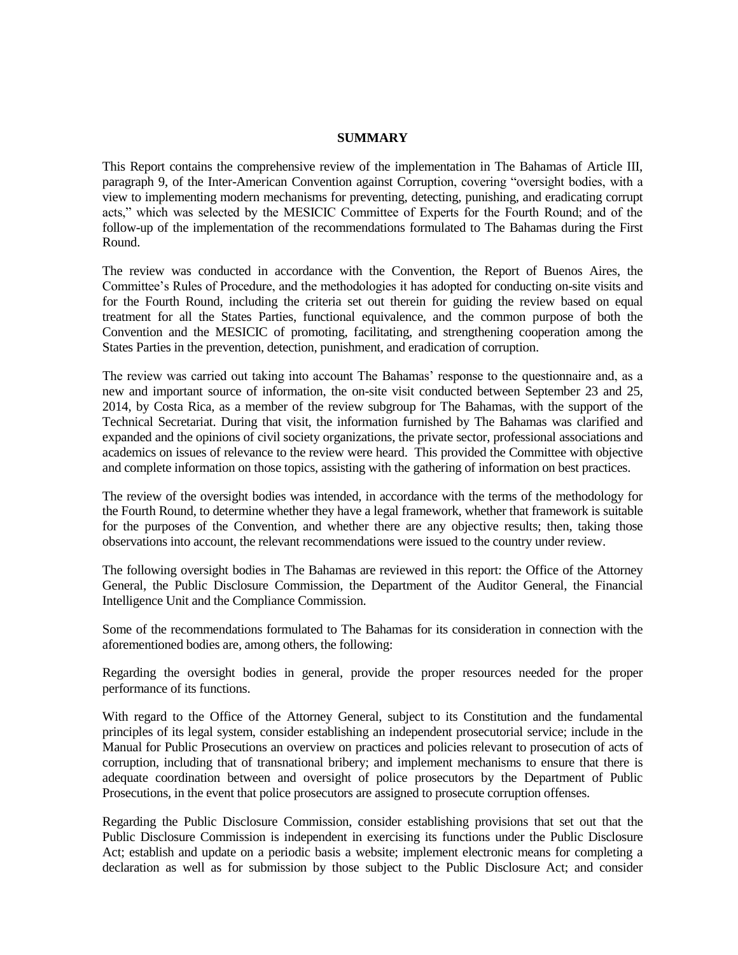#### **SUMMARY**

This Report contains the comprehensive review of the implementation in The Bahamas of Article III, paragraph 9, of the Inter-American Convention against Corruption, covering "oversight bodies, with a view to implementing modern mechanisms for preventing, detecting, punishing, and eradicating corrupt acts," which was selected by the MESICIC Committee of Experts for the Fourth Round; and of the follow-up of the implementation of the recommendations formulated to The Bahamas during the First Round.

The review was conducted in accordance with the Convention, the Report of Buenos Aires, the Committee's Rules of Procedure, and the methodologies it has adopted for conducting on-site visits and for the Fourth Round, including the criteria set out therein for guiding the review based on equal treatment for all the States Parties, functional equivalence, and the common purpose of both the Convention and the MESICIC of promoting, facilitating, and strengthening cooperation among the States Parties in the prevention, detection, punishment, and eradication of corruption.

The review was carried out taking into account The Bahamas' response to the questionnaire and, as a new and important source of information, the on-site visit conducted between September 23 and 25, 2014, by Costa Rica, as a member of the review subgroup for The Bahamas, with the support of the Technical Secretariat. During that visit, the information furnished by The Bahamas was clarified and expanded and the opinions of civil society organizations, the private sector, professional associations and academics on issues of relevance to the review were heard. This provided the Committee with objective and complete information on those topics, assisting with the gathering of information on best practices.

The review of the oversight bodies was intended, in accordance with the terms of the methodology for the Fourth Round, to determine whether they have a legal framework, whether that framework is suitable for the purposes of the Convention, and whether there are any objective results; then, taking those observations into account, the relevant recommendations were issued to the country under review.

The following oversight bodies in The Bahamas are reviewed in this report: the Office of the Attorney General, the Public Disclosure Commission, the Department of the Auditor General, the Financial Intelligence Unit and the Compliance Commission.

Some of the recommendations formulated to The Bahamas for its consideration in connection with the aforementioned bodies are, among others, the following:

Regarding the oversight bodies in general, provide the proper resources needed for the proper performance of its functions.

With regard to the Office of the Attorney General, subject to its Constitution and the fundamental principles of its legal system, consider establishing an independent prosecutorial service; include in the Manual for Public Prosecutions an overview on practices and policies relevant to prosecution of acts of corruption, including that of transnational bribery; and implement mechanisms to ensure that there is adequate coordination between and oversight of police prosecutors by the Department of Public Prosecutions, in the event that police prosecutors are assigned to prosecute corruption offenses.

Regarding the Public Disclosure Commission, consider establishing provisions that set out that the Public Disclosure Commission is independent in exercising its functions under the Public Disclosure Act; establish and update on a periodic basis a website; implement electronic means for completing a declaration as well as for submission by those subject to the Public Disclosure Act; and consider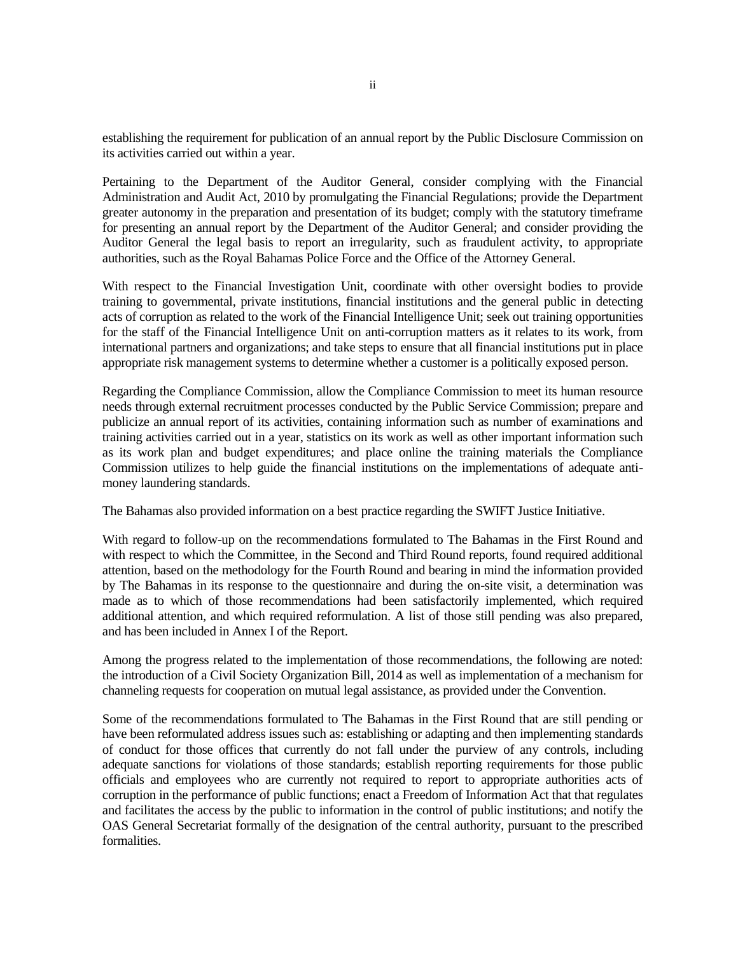establishing the requirement for publication of an annual report by the Public Disclosure Commission on its activities carried out within a year.

Pertaining to the Department of the Auditor General, consider complying with the Financial Administration and Audit Act, 2010 by promulgating the Financial Regulations; provide the Department greater autonomy in the preparation and presentation of its budget; comply with the statutory timeframe for presenting an annual report by the Department of the Auditor General; and consider providing the Auditor General the legal basis to report an irregularity, such as fraudulent activity, to appropriate authorities, such as the Royal Bahamas Police Force and the Office of the Attorney General.

With respect to the Financial Investigation Unit, coordinate with other oversight bodies to provide training to governmental, private institutions, financial institutions and the general public in detecting acts of corruption as related to the work of the Financial Intelligence Unit; seek out training opportunities for the staff of the Financial Intelligence Unit on anti-corruption matters as it relates to its work, from international partners and organizations; and take steps to ensure that all financial institutions put in place appropriate risk management systems to determine whether a customer is a politically exposed person.

Regarding the Compliance Commission, allow the Compliance Commission to meet its human resource needs through external recruitment processes conducted by the Public Service Commission; prepare and publicize an annual report of its activities, containing information such as number of examinations and training activities carried out in a year, statistics on its work as well as other important information such as its work plan and budget expenditures; and place online the training materials the Compliance Commission utilizes to help guide the financial institutions on the implementations of adequate antimoney laundering standards.

The Bahamas also provided information on a best practice regarding the SWIFT Justice Initiative.

With regard to follow-up on the recommendations formulated to The Bahamas in the First Round and with respect to which the Committee, in the Second and Third Round reports, found required additional attention, based on the methodology for the Fourth Round and bearing in mind the information provided by The Bahamas in its response to the questionnaire and during the on-site visit, a determination was made as to which of those recommendations had been satisfactorily implemented, which required additional attention, and which required reformulation. A list of those still pending was also prepared, and has been included in Annex I of the Report.

Among the progress related to the implementation of those recommendations, the following are noted: the introduction of a Civil Society Organization Bill, 2014 as well as implementation of a mechanism for channeling requests for cooperation on mutual legal assistance, as provided under the Convention.

Some of the recommendations formulated to The Bahamas in the First Round that are still pending or have been reformulated address issues such as: establishing or adapting and then implementing standards of conduct for those offices that currently do not fall under the purview of any controls, including adequate sanctions for violations of those standards; establish reporting requirements for those public officials and employees who are currently not required to report to appropriate authorities acts of corruption in the performance of public functions; enact a Freedom of Information Act that that regulates and facilitates the access by the public to information in the control of public institutions; and notify the OAS General Secretariat formally of the designation of the central authority, pursuant to the prescribed formalities.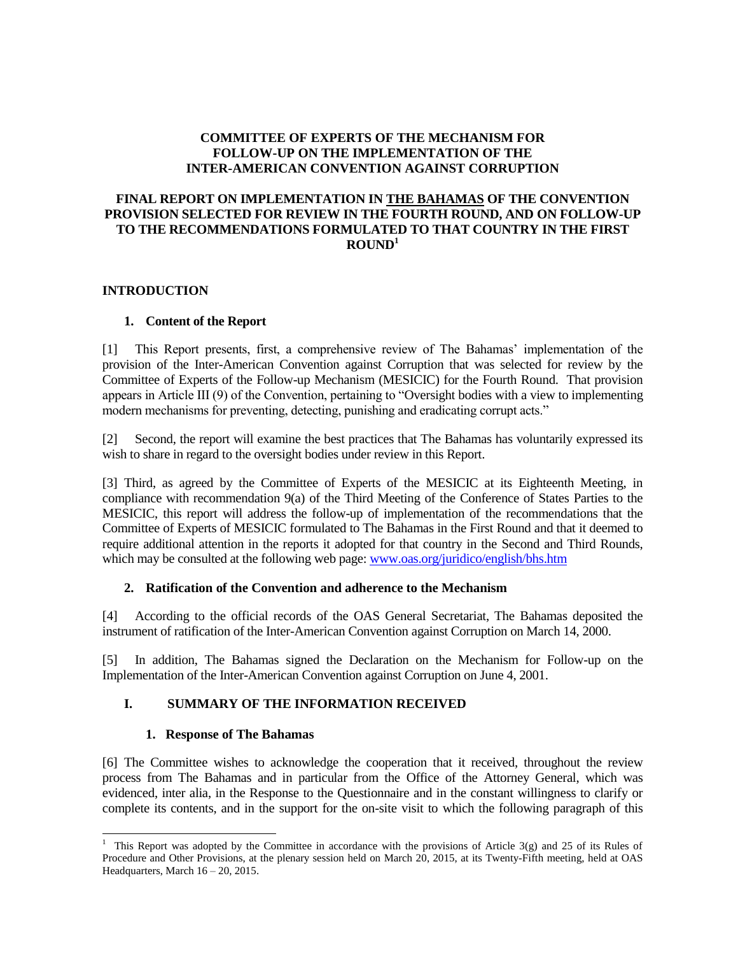## **COMMITTEE OF EXPERTS OF THE MECHANISM FOR FOLLOW-UP ON THE IMPLEMENTATION OF THE INTER-AMERICAN CONVENTION AGAINST CORRUPTION**

# **FINAL REPORT ON IMPLEMENTATION IN THE BAHAMAS OF THE CONVENTION PROVISION SELECTED FOR REVIEW IN THE FOURTH ROUND, AND ON FOLLOW-UP TO THE RECOMMENDATIONS FORMULATED TO THAT COUNTRY IN THE FIRST**   $\text{ROUND}^1$

## **INTRODUCTION**

# **1. Content of the Report**

[1] This Report presents, first, a comprehensive review of The Bahamas' implementation of the provision of the Inter-American Convention against Corruption that was selected for review by the Committee of Experts of the Follow-up Mechanism (MESICIC) for the Fourth Round. That provision appears in Article III (9) of the Convention, pertaining to "Oversight bodies with a view to implementing modern mechanisms for preventing, detecting, punishing and eradicating corrupt acts."

[2] Second, the report will examine the best practices that The Bahamas has voluntarily expressed its wish to share in regard to the oversight bodies under review in this Report.

[3] Third, as agreed by the Committee of Experts of the MESICIC at its Eighteenth Meeting, in compliance with recommendation 9(a) of the Third Meeting of the Conference of States Parties to the MESICIC, this report will address the follow-up of implementation of the recommendations that the Committee of Experts of MESICIC formulated to The Bahamas in the First Round and that it deemed to require additional attention in the reports it adopted for that country in the Second and Third Rounds, which may be consulted at the following web page: www.oas.org/juridico/english/bhs.htm

# **2. Ratification of the Convention and adherence to the Mechanism**

[4] According to the official records of the OAS General Secretariat, The Bahamas deposited the instrument of ratification of the Inter-American Convention against Corruption on March 14, 2000.

[5] In addition, The Bahamas signed the Declaration on the Mechanism for Follow-up on the Implementation of the Inter-American Convention against Corruption on June 4, 2001.

# **I. SUMMARY OF THE INFORMATION RECEIVED**

### **1. Response of The Bahamas**

l

[6] The Committee wishes to acknowledge the cooperation that it received, throughout the review process from The Bahamas and in particular from the Office of the Attorney General, which was evidenced, inter alia, in the Response to the Questionnaire and in the constant willingness to clarify or complete its contents, and in the support for the on-site visit to which the following paragraph of this

<sup>&</sup>lt;sup>1</sup> This Report was adopted by the Committee in accordance with the provisions of Article 3(g) and 25 of its Rules of Procedure and Other Provisions, at the plenary session held on March 20, 2015, at its Twenty-Fifth meeting, held at OAS Headquarters, March 16 – 20, 2015.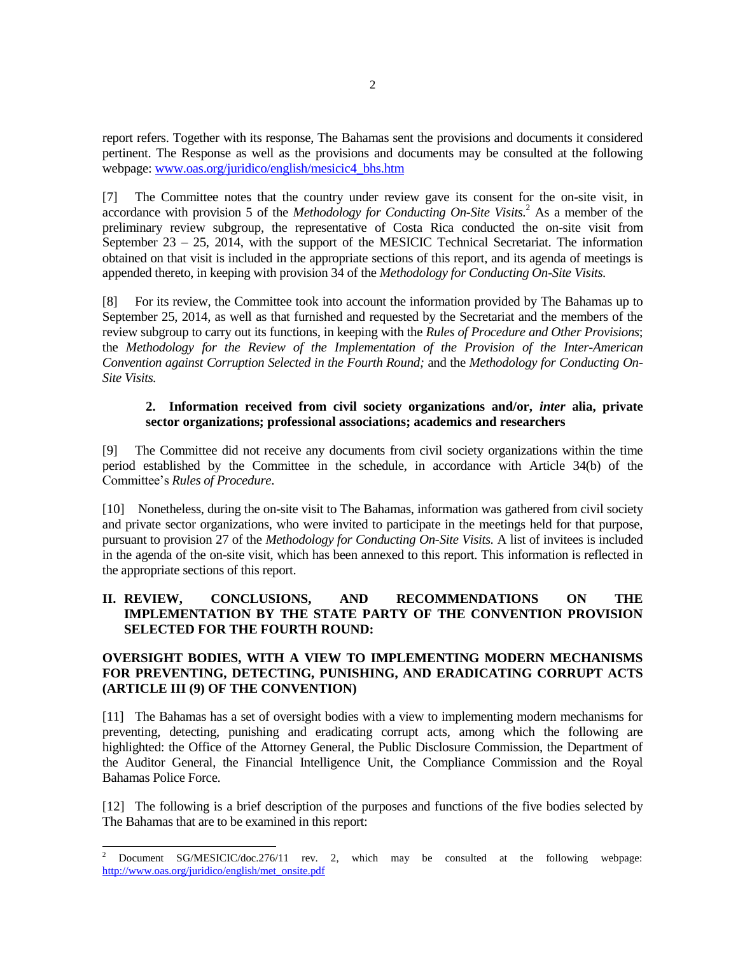report refers. Together with its response, The Bahamas sent the provisions and documents it considered pertinent. The Response as well as the provisions and documents may be consulted at the following webpage[: www.oas.org/juridico/english/mesicic4\\_bhs.htm](http://www.oas.org/juridico/english/mesicic4_bhs.htm) 

[7] The Committee notes that the country under review gave its consent for the on-site visit, in accordance with provision 5 of the *Methodology for Conducting On-Site Visits.*<sup>2</sup> As a member of the preliminary review subgroup, the representative of Costa Rica conducted the on-site visit from September 23 – 25, 2014, with the support of the MESICIC Technical Secretariat. The information obtained on that visit is included in the appropriate sections of this report, and its agenda of meetings is appended thereto, in keeping with provision 34 of the *Methodology for Conducting On-Site Visits.*

[8] For its review, the Committee took into account the information provided by The Bahamas up to September 25, 2014, as well as that furnished and requested by the Secretariat and the members of the review subgroup to carry out its functions, in keeping with the *Rules of Procedure and Other Provisions*; the *Methodology for the Review of the Implementation of the Provision of the Inter-American Convention against Corruption Selected in the Fourth Round;* and the *Methodology for Conducting On-Site Visits.*

## **2. Information received from civil society organizations and/or,** *inter* **alia, private sector organizations; professional associations; academics and researchers**

[9] The Committee did not receive any documents from civil society organizations within the time period established by the Committee in the schedule, in accordance with Article 34(b) of the Committee's *Rules of Procedure*.

[10] Nonetheless, during the on-site visit to The Bahamas, information was gathered from civil society and private sector organizations, who were invited to participate in the meetings held for that purpose, pursuant to provision 27 of the *Methodology for Conducting On-Site Visits.* A list of invitees is included in the agenda of the on-site visit, which has been annexed to this report. This information is reflected in the appropriate sections of this report.

# **II. REVIEW, CONCLUSIONS, AND RECOMMENDATIONS ON THE IMPLEMENTATION BY THE STATE PARTY OF THE CONVENTION PROVISION SELECTED FOR THE FOURTH ROUND:**

# **OVERSIGHT BODIES, WITH A VIEW TO IMPLEMENTING MODERN MECHANISMS FOR PREVENTING, DETECTING, PUNISHING, AND ERADICATING CORRUPT ACTS (ARTICLE III (9) OF THE CONVENTION)**

[11] The Bahamas has a set of oversight bodies with a view to implementing modern mechanisms for preventing, detecting, punishing and eradicating corrupt acts, among which the following are highlighted: the Office of the Attorney General, the Public Disclosure Commission, the Department of the Auditor General, the Financial Intelligence Unit, the Compliance Commission and the Royal Bahamas Police Force.

[12] The following is a brief description of the purposes and functions of the five bodies selected by The Bahamas that are to be examined in this report:

 $\overline{2}$ <sup>2</sup> Document SG/MESICIC/doc.276/11 rev. 2, which may be consulted at the following webpage: [http://www.oas.org/juridico/english/met\\_onsite.pdf](http://www.oas.org/juridico/english/met_onsite.pdf)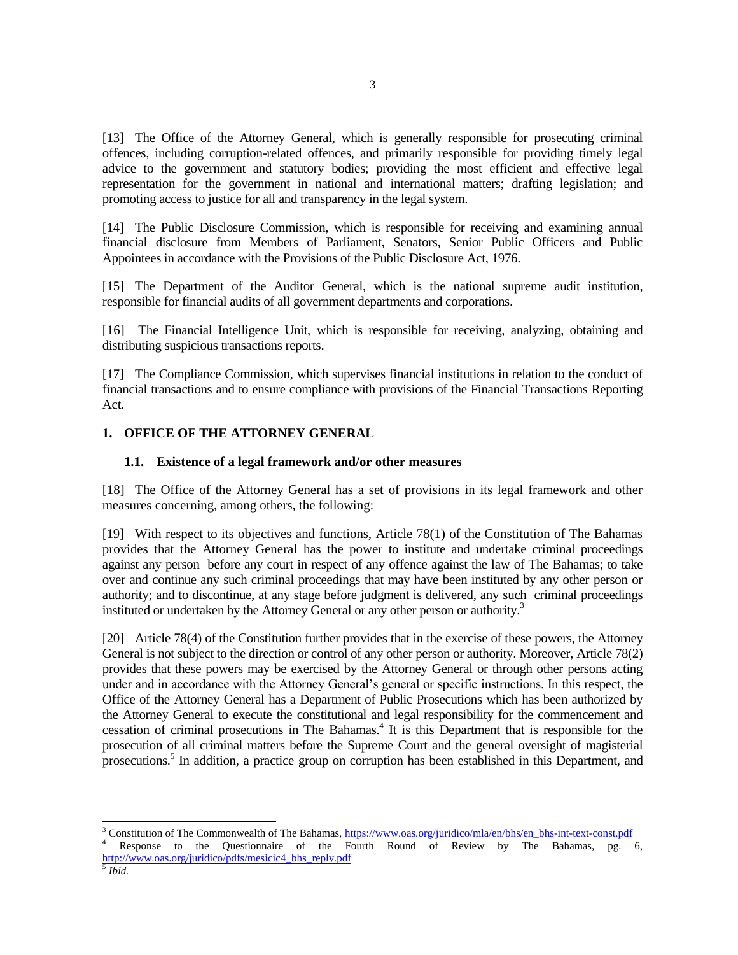[13] The Office of the Attorney General, which is generally responsible for prosecuting criminal offences, including corruption-related offences, and primarily responsible for providing timely legal advice to the government and statutory bodies; providing the most efficient and effective legal representation for the government in national and international matters; drafting legislation; and promoting access to justice for all and transparency in the legal system.

[14] The Public Disclosure Commission, which is responsible for receiving and examining annual financial disclosure from Members of Parliament, Senators, Senior Public Officers and Public Appointees in accordance with the Provisions of the Public Disclosure Act, 1976.

[15] The Department of the Auditor General, which is the national supreme audit institution, responsible for financial audits of all government departments and corporations.

[16] The Financial Intelligence Unit, which is responsible for receiving, analyzing, obtaining and distributing suspicious transactions reports.

[17] The Compliance Commission, which supervises financial institutions in relation to the conduct of financial transactions and to ensure compliance with provisions of the Financial Transactions Reporting Act.

### **1. OFFICE OF THE ATTORNEY GENERAL**

#### **1.1. Existence of a legal framework and/or other measures**

[18] The Office of the Attorney General has a set of provisions in its legal framework and other measures concerning, among others, the following:

[19] With respect to its objectives and functions, Article 78(1) of the Constitution of The Bahamas provides that the Attorney General has the power to institute and undertake criminal proceedings against any person before any court in respect of any offence against the law of The Bahamas; to take over and continue any such criminal proceedings that may have been instituted by any other person or authority; and to discontinue, at any stage before judgment is delivered, any such criminal proceedings instituted or undertaken by the Attorney General or any other person or authority.<sup>3</sup>

[20] Article 78(4) of the Constitution further provides that in the exercise of these powers, the Attorney General is not subject to the direction or control of any other person or authority. Moreover, Article 78(2) provides that these powers may be exercised by the Attorney General or through other persons acting under and in accordance with the Attorney General's general or specific instructions. In this respect, the Office of the Attorney General has a Department of Public Prosecutions which has been authorized by the Attorney General to execute the constitutional and legal responsibility for the commencement and cessation of criminal prosecutions in The Bahamas.<sup>4</sup> It is this Department that is responsible for the prosecution of all criminal matters before the Supreme Court and the general oversight of magisterial prosecutions.<sup>5</sup> In addition, a practice group on corruption has been established in this Department, and

l <sup>3</sup> Constitution of The Commonwealth of The Bahamas, https://www.oas.org/juridico/mla/en/bhs/en\_bhs-int-text-const.pdf

Response to the Questionnaire of the Fourth Round of Review by The Bahamas, pg. 6, [http://www.oas.org/juridico/pdfs/mesicic4\\_bhs\\_reply.pdf](http://www.oas.org/juridico/pdfs/mesicic4_bhs_reply.pdf)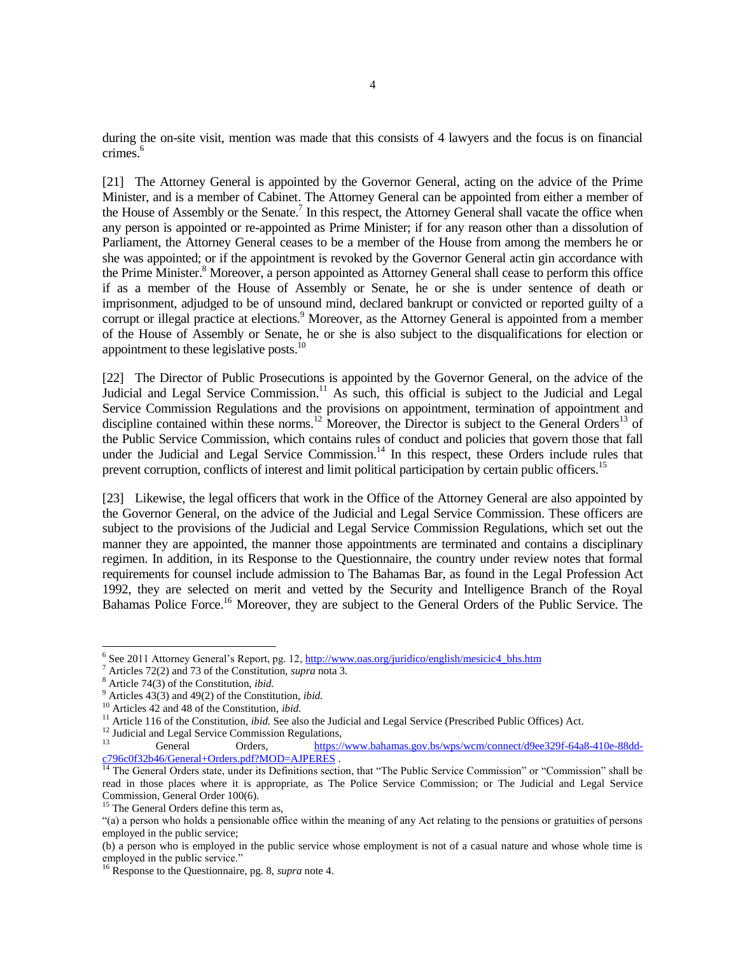during the on-site visit, mention was made that this consists of 4 lawyers and the focus is on financial crimes.<sup>6</sup>

[21] The Attorney General is appointed by the Governor General, acting on the advice of the Prime Minister, and is a member of Cabinet. The Attorney General can be appointed from either a member of the House of Assembly or the Senate.<sup>7</sup> In this respect, the Attorney General shall vacate the office when any person is appointed or re-appointed as Prime Minister; if for any reason other than a dissolution of Parliament, the Attorney General ceases to be a member of the House from among the members he or she was appointed; or if the appointment is revoked by the Governor General actin gin accordance with the Prime Minister.<sup>8</sup> Moreover, a person appointed as Attorney General shall cease to perform this office if as a member of the House of Assembly or Senate, he or she is under sentence of death or imprisonment, adjudged to be of unsound mind, declared bankrupt or convicted or reported guilty of a corrupt or illegal practice at elections.<sup>9</sup> Moreover, as the Attorney General is appointed from a member of the House of Assembly or Senate, he or she is also subject to the disqualifications for election or appointment to these legislative posts. $10<sup>10</sup>$ 

[22] The Director of Public Prosecutions is appointed by the Governor General, on the advice of the Judicial and Legal Service Commission.<sup>11</sup> As such, this official is subject to the Judicial and Legal Service Commission Regulations and the provisions on appointment, termination of appointment and discipline contained within these norms.<sup>12</sup> Moreover, the Director is subject to the General Orders<sup>13</sup> of the Public Service Commission, which contains rules of conduct and policies that govern those that fall under the Judicial and Legal Service Commission.<sup>14</sup> In this respect, these Orders include rules that prevent corruption, conflicts of interest and limit political participation by certain public officers.<sup>15</sup>

[23] Likewise, the legal officers that work in the Office of the Attorney General are also appointed by the Governor General, on the advice of the Judicial and Legal Service Commission. These officers are subject to the provisions of the Judicial and Legal Service Commission Regulations, which set out the manner they are appointed, the manner those appointments are terminated and contains a disciplinary regimen. In addition, in its Response to the Questionnaire, the country under review notes that formal requirements for counsel include admission to The Bahamas Bar, as found in the Legal Profession Act 1992, they are selected on merit and vetted by the Security and Intelligence Branch of the Royal Bahamas Police Force.<sup>16</sup> Moreover, they are subject to the General Orders of the Public Service. The

<sup>&</sup>lt;sup>6</sup> See 2011 Attorney General's Report, pg. 12[, http://www.oas.org/juridico/english/mesicic4\\_bhs.htm](http://www.oas.org/juridico/english/mesicic4_bhs.htm)

<sup>7</sup> Articles 72(2) and 73 of the Constitution, *supra* nota 3*.*

<sup>8</sup> Article 74(3) of the Constitution, *ibid.*

<sup>9</sup> Articles 43(3) and 49(2) of the Constitution, *ibid.*

<sup>10</sup> Articles 42 and 48 of the Constitution, *ibid.*

<sup>&</sup>lt;sup>11</sup> Article 116 of the Constitution, *ibid.* See also the Judicial and Legal Service (Prescribed Public Offices) Act.

 $12 \text{ I}$  Judicial and Legal Service Commission Regulations,

<sup>13</sup> General Orders, [https://www.bahamas.gov.bs/wps/wcm/connect/d9ee329f-64a8-410e-88dd](https://www.bahamas.gov.bs/wps/wcm/connect/d9ee329f-64a8-410e-88dd-c796c0f32b46/General+Orders.pdf?MOD=AJPERES)[c796c0f32b46/General+Orders.pdf?MOD=AJPERES](https://www.bahamas.gov.bs/wps/wcm/connect/d9ee329f-64a8-410e-88dd-c796c0f32b46/General+Orders.pdf?MOD=AJPERES) .

<sup>&</sup>lt;sup>14</sup> The General Orders state, under its Definitions section, that "The Public Service Commission" or "Commission" shall be read in those places where it is appropriate, as The Police Service Commission; or The Judicial and Legal Service Commission, General Order 100(6).

<sup>&</sup>lt;sup>15</sup> The General Orders define this term as,

<sup>&</sup>quot;(a) a person who holds a pensionable office within the meaning of any Act relating to the pensions or gratuities of persons employed in the public service;

<sup>(</sup>b) a person who is employed in the public service whose employment is not of a casual nature and whose whole time is employed in the public service."

<sup>16</sup> Response to the Questionnaire, pg. 8, *supra* note 4.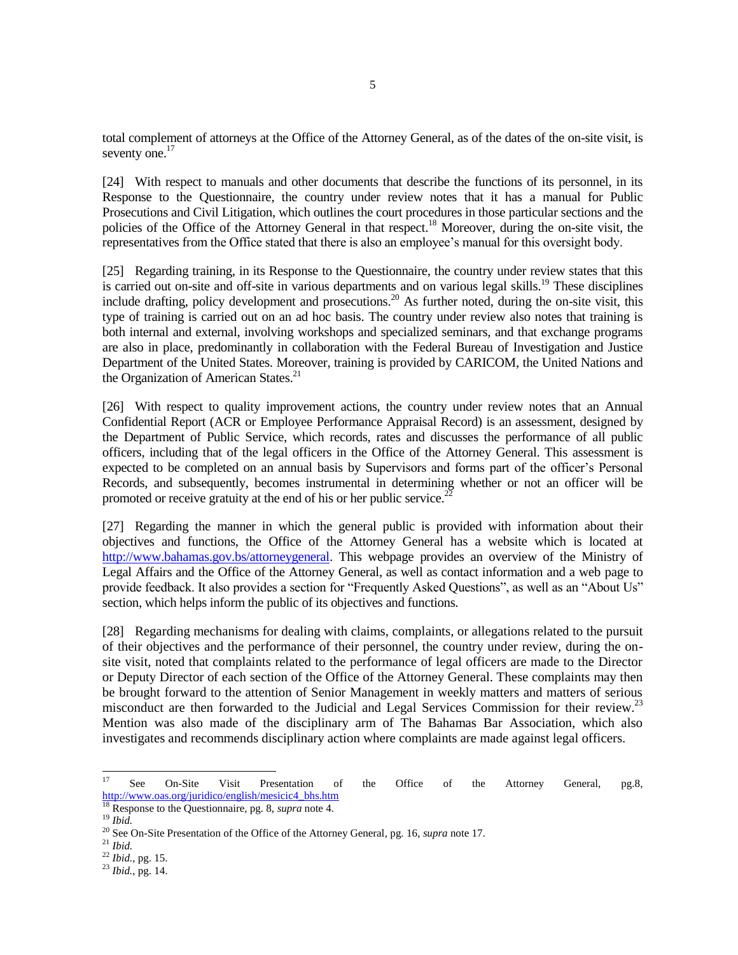total complement of attorneys at the Office of the Attorney General, as of the dates of the on-site visit, is seventy one.<sup>17</sup>

[24] With respect to manuals and other documents that describe the functions of its personnel, in its Response to the Questionnaire, the country under review notes that it has a manual for Public Prosecutions and Civil Litigation, which outlines the court procedures in those particular sections and the policies of the Office of the Attorney General in that respect.<sup>18</sup> Moreover, during the on-site visit, the representatives from the Office stated that there is also an employee's manual for this oversight body.

[25] Regarding training, in its Response to the Questionnaire, the country under review states that this is carried out on-site and off-site in various departments and on various legal skills.<sup>19</sup> These disciplines include drafting, policy development and prosecutions.<sup>20</sup> As further noted, during the on-site visit, this type of training is carried out on an ad hoc basis. The country under review also notes that training is both internal and external, involving workshops and specialized seminars, and that exchange programs are also in place, predominantly in collaboration with the Federal Bureau of Investigation and Justice Department of the United States. Moreover, training is provided by CARICOM, the United Nations and the Organization of American States.<sup>21</sup>

[26] With respect to quality improvement actions, the country under review notes that an Annual Confidential Report (ACR or Employee Performance Appraisal Record) is an assessment, designed by the Department of Public Service, which records, rates and discusses the performance of all public officers, including that of the legal officers in the Office of the Attorney General. This assessment is expected to be completed on an annual basis by Supervisors and forms part of the officer's Personal Records, and subsequently, becomes instrumental in determining whether or not an officer will be promoted or receive gratuity at the end of his or her public service.<sup>2</sup>

[27] Regarding the manner in which the general public is provided with information about their objectives and functions, the Office of the Attorney General has a website which is located at http://www.bahamas.gov.bs/attorneygeneral. This webpage provides an overview of the Ministry of Legal Affairs and the Office of the Attorney General, as well as contact information and a web page to provide feedback. It also provides a section for "Frequently Asked Questions", as well as an "About Us" section, which helps inform the public of its objectives and functions*.*

[28] Regarding mechanisms for dealing with claims, complaints, or allegations related to the pursuit of their objectives and the performance of their personnel, the country under review, during the onsite visit, noted that complaints related to the performance of legal officers are made to the Director or Deputy Director of each section of the Office of the Attorney General. These complaints may then be brought forward to the attention of Senior Management in weekly matters and matters of serious misconduct are then forwarded to the Judicial and Legal Services Commission for their review.<sup>23</sup> Mention was also made of the disciplinary arm of The Bahamas Bar Association, which also investigates and recommends disciplinary action where complaints are made against legal officers.

<sup>17</sup> <sup>17</sup> See On-Site Visit Presentation of the Office of the Attorney General, pg.8, [http://www.oas.org/juridico/english/mesicic4\\_bhs.htm](http://www.oas.org/juridico/english/mesicic4_bhs.htm)

<sup>18</sup> Response to the Questionnaire, pg. 8, *supra* note 4.

<sup>19</sup> *Ibid.*

<sup>20</sup> See On-Site Presentation of the Office of the Attorney General, pg. 16, *supra* note 17.

<sup>21</sup> *Ibid.*

<sup>22</sup> *Ibid.*, pg. 15.

<sup>23</sup> *Ibid.*, pg. 14.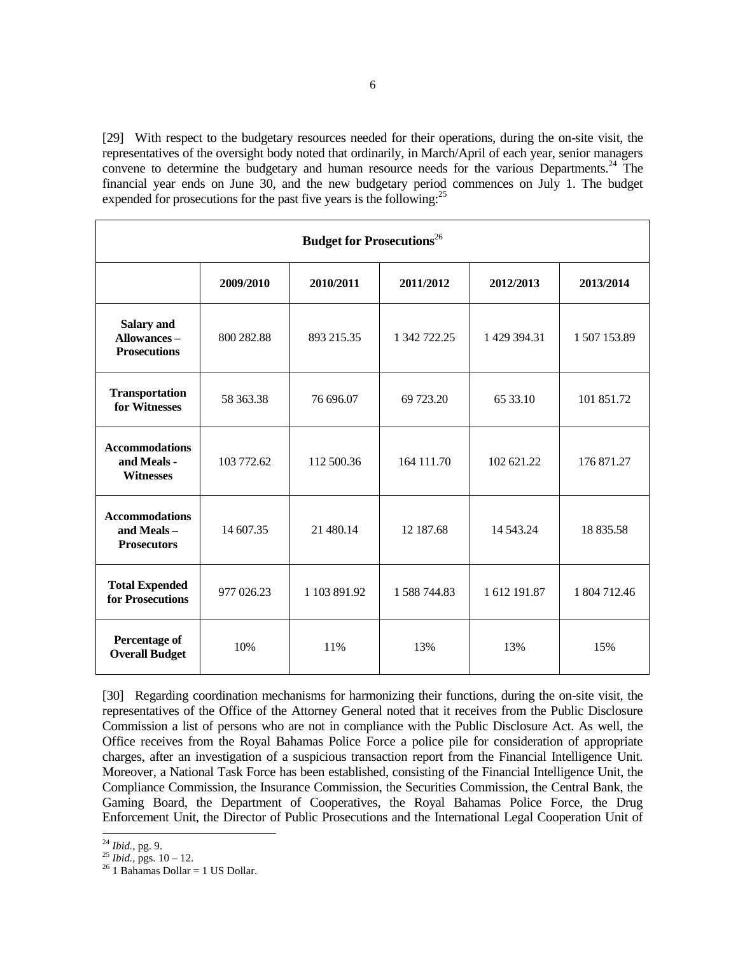[29] With respect to the budgetary resources needed for their operations, during the on-site visit, the representatives of the oversight body noted that ordinarily, in March/April of each year, senior managers convene to determine the budgetary and human resource needs for the various Departments.<sup>24</sup> The financial year ends on June 30, and the new budgetary period commences on July 1. The budget expended for prosecutions for the past five years is the following:<sup>25</sup>

| <b>Budget for Prosecutions</b> <sup>26</sup>              |            |              |              |              |              |  |
|-----------------------------------------------------------|------------|--------------|--------------|--------------|--------------|--|
|                                                           | 2009/2010  | 2010/2011    | 2011/2012    | 2012/2013    | 2013/2014    |  |
| <b>Salary and</b><br>Allowances-<br><b>Prosecutions</b>   | 800 282.88 | 893 215.35   | 1 342 722.25 | 1 429 394.31 | 1507153.89   |  |
| <b>Transportation</b><br>for Witnesses                    | 58 363.38  | 76 696.07    | 69 723.20    | 65 33.10     | 101 851.72   |  |
| <b>Accommodations</b><br>and Meals -<br><b>Witnesses</b>  | 103 772.62 | 112 500.36   | 164 111.70   | 102 621.22   | 176 871.27   |  |
| <b>Accommodations</b><br>and Meals-<br><b>Prosecutors</b> | 14 607.35  | 21 480.14    | 12 187.68    | 14 543.24    | 18 835.58    |  |
| <b>Total Expended</b><br>for Prosecutions                 | 977 026.23 | 1 103 891.92 | 1588744.83   | 1 612 191.87 | 1 804 712.46 |  |
| Percentage of<br><b>Overall Budget</b>                    | 10%        | 11%          | 13%          | 13%          | 15%          |  |

[30] Regarding coordination mechanisms for harmonizing their functions, during the on-site visit, the representatives of the Office of the Attorney General noted that it receives from the Public Disclosure Commission a list of persons who are not in compliance with the Public Disclosure Act. As well, the Office receives from the Royal Bahamas Police Force a police pile for consideration of appropriate charges, after an investigation of a suspicious transaction report from the Financial Intelligence Unit. Moreover, a National Task Force has been established, consisting of the Financial Intelligence Unit, the Compliance Commission, the Insurance Commission, the Securities Commission, the Central Bank, the Gaming Board, the Department of Cooperatives, the Royal Bahamas Police Force, the Drug Enforcement Unit, the Director of Public Prosecutions and the International Legal Cooperation Unit of

<sup>24</sup> *Ibid.*, pg. 9.

 $^{25}$  *Ibid.*, pgs.  $10 - 12$ .

 $^{26}$  1 Bahamas Dollar = 1 US Dollar.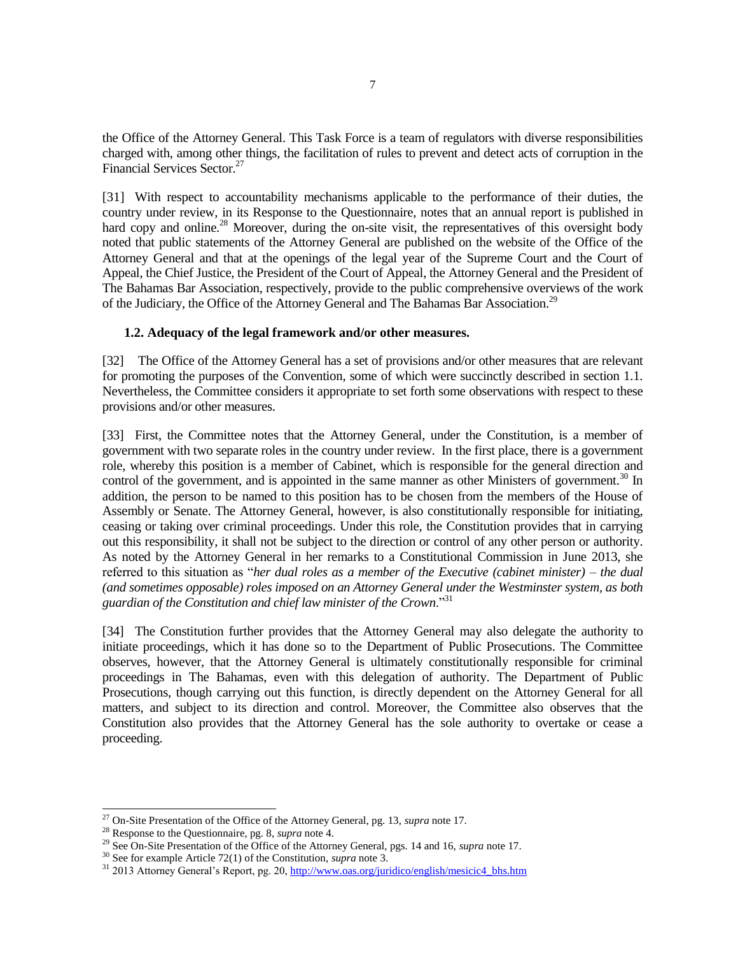the Office of the Attorney General. This Task Force is a team of regulators with diverse responsibilities charged with, among other things, the facilitation of rules to prevent and detect acts of corruption in the Financial Services Sector.<sup>27</sup>

[31] With respect to accountability mechanisms applicable to the performance of their duties, the country under review, in its Response to the Questionnaire, notes that an annual report is published in hard copy and online.<sup>28</sup> Moreover, during the on-site visit, the representatives of this oversight body noted that public statements of the Attorney General are published on the website of the Office of the Attorney General and that at the openings of the legal year of the Supreme Court and the Court of Appeal, the Chief Justice, the President of the Court of Appeal, the Attorney General and the President of The Bahamas Bar Association, respectively, provide to the public comprehensive overviews of the work of the Judiciary, the Office of the Attorney General and The Bahamas Bar Association.<sup>29</sup>

### **1.2. Adequacy of the legal framework and/or other measures.**

[32] The Office of the Attorney General has a set of provisions and/or other measures that are relevant for promoting the purposes of the Convention, some of which were succinctly described in section 1.1. Nevertheless, the Committee considers it appropriate to set forth some observations with respect to these provisions and/or other measures.

[33] First, the Committee notes that the Attorney General, under the Constitution, is a member of government with two separate roles in the country under review. In the first place, there is a government role, whereby this position is a member of Cabinet, which is responsible for the general direction and control of the government, and is appointed in the same manner as other Ministers of government.<sup>30</sup> In addition, the person to be named to this position has to be chosen from the members of the House of Assembly or Senate. The Attorney General, however, is also constitutionally responsible for initiating, ceasing or taking over criminal proceedings. Under this role, the Constitution provides that in carrying out this responsibility, it shall not be subject to the direction or control of any other person or authority. As noted by the Attorney General in her remarks to a Constitutional Commission in June 2013, she referred to this situation as "*her dual roles as a member of the Executive (cabinet minister) – the dual (and sometimes opposable) roles imposed on an Attorney General under the Westminster system, as both guardian of the Constitution and chief law minister of the Crown*."<sup>31</sup>

[34] The Constitution further provides that the Attorney General may also delegate the authority to initiate proceedings, which it has done so to the Department of Public Prosecutions. The Committee observes, however, that the Attorney General is ultimately constitutionally responsible for criminal proceedings in The Bahamas, even with this delegation of authority. The Department of Public Prosecutions, though carrying out this function, is directly dependent on the Attorney General for all matters, and subject to its direction and control. Moreover, the Committee also observes that the Constitution also provides that the Attorney General has the sole authority to overtake or cease a proceeding.

<sup>27</sup> On-Site Presentation of the Office of the Attorney General, pg. 13, *supra* note 17.

<sup>28</sup> Response to the Questionnaire, pg. 8, *supra* note 4.

<sup>29</sup> See On-Site Presentation of the Office of the Attorney General, pgs. 14 and 16, *supra* note 17.

<sup>30</sup> See for example Article 72(1) of the Constitution, *supra* note 3.

<sup>&</sup>lt;sup>31</sup> 2013 Attorney General's Report, pg. 20, [http://www.oas.org/juridico/english/mesicic4\\_bhs.htm](http://www.oas.org/juridico/english/mesicic4_bhs.htm)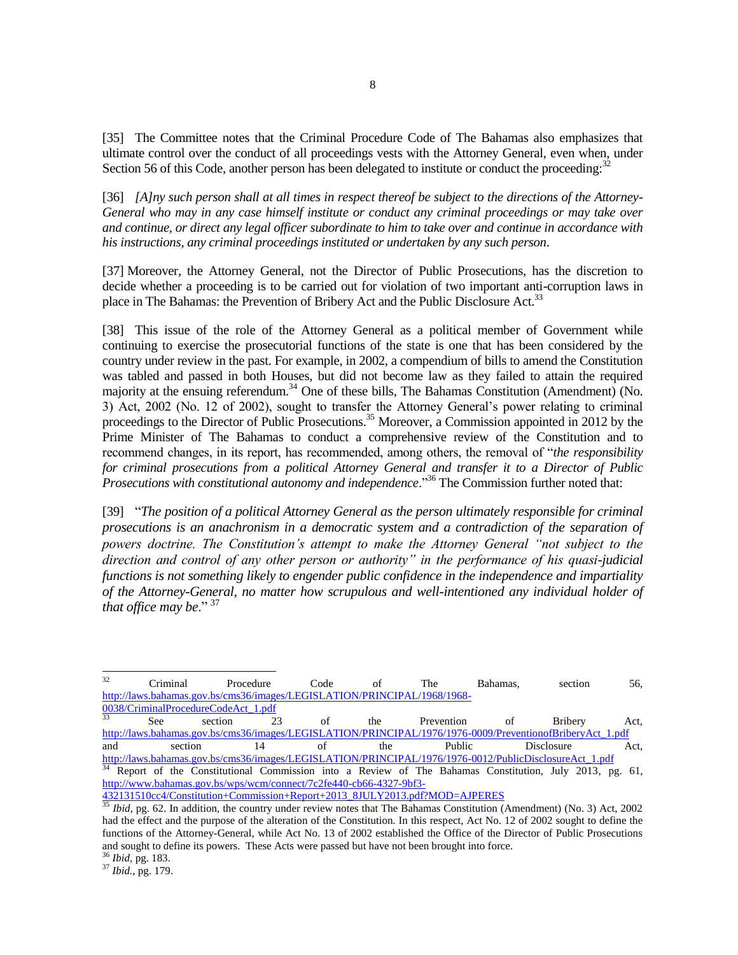[35] The Committee notes that the Criminal Procedure Code of The Bahamas also emphasizes that ultimate control over the conduct of all proceedings vests with the Attorney General, even when, under Section 56 of this Code, another person has been delegated to institute or conduct the proceeding:<sup>32</sup>

[36] *[A]ny such person shall at all times in respect thereof be subject to the directions of the Attorney-General who may in any case himself institute or conduct any criminal proceedings or may take over and continue, or direct any legal officer subordinate to him to take over and continue in accordance with his instructions, any criminal proceedings instituted or undertaken by any such person*.

[37] Moreover, the Attorney General, not the Director of Public Prosecutions, has the discretion to decide whether a proceeding is to be carried out for violation of two important anti-corruption laws in place in The Bahamas: the Prevention of Bribery Act and the Public Disclosure Act.<sup>33</sup>

[38] This issue of the role of the Attorney General as a political member of Government while continuing to exercise the prosecutorial functions of the state is one that has been considered by the country under review in the past. For example, in 2002, a compendium of bills to amend the Constitution was tabled and passed in both Houses, but did not become law as they failed to attain the required majority at the ensuing referendum.<sup>34</sup> One of these bills, The Bahamas Constitution (Amendment) (No. 3) Act, 2002 (No. 12 of 2002), sought to transfer the Attorney General's power relating to criminal proceedings to the Director of Public Prosecutions.<sup>35</sup> Moreover, a Commission appointed in 2012 by the Prime Minister of The Bahamas to conduct a comprehensive review of the Constitution and to recommend changes, in its report, has recommended, among others, the removal of "*the responsibility for criminal prosecutions from a political Attorney General and transfer it to a Director of Public Prosecutions with constitutional autonomy and independence*."<sup>36</sup> The Commission further noted that:

[39] "*The position of a political Attorney General as the person ultimately responsible for criminal prosecutions is an anachronism in a democratic system and a contradiction of the separation of powers doctrine. The Constitution's attempt to make the Attorney General "not subject to the direction and control of any other person or authority" in the performance of his quasi-judicial functions is not something likely to engender public confidence in the independence and impartiality of the Attorney-General, no matter how scrupulous and well-intentioned any individual holder of that office may be*." <sup>37</sup>

 $32$ <sup>32</sup> Criminal Procedure Code of The Bahamas, section 56, [http://laws.bahamas.gov.bs/cms36/images/LEGISLATION/PRINCIPAL/1968/1968-](http://laws.bahamas.gov.bs/cms36/images/LEGISLATION/PRINCIPAL/1968/1968-0038/CriminalProcedureCodeAct_1.pdf) [0038/CriminalProcedureCodeAct\\_1.pdf](http://laws.bahamas.gov.bs/cms36/images/LEGISLATION/PRINCIPAL/1968/1968-0038/CriminalProcedureCodeAct_1.pdf)

| 33  | See     | section |  | the | Prevention                                                                                                | ΩŤ | <b>Bribery</b> | Act. |
|-----|---------|---------|--|-----|-----------------------------------------------------------------------------------------------------------|----|----------------|------|
|     |         |         |  |     | http://laws.bahamas.gov.bs/cms36/images/LEGISLATION/PRINCIPAL/1976/1976-0009/PreventionofBriberyAct 1.pdf |    |                |      |
| and | section |         |  | the | <b>Public</b>                                                                                             |    | Disclosure     | Act. |
|     |         |         |  |     | http://laws.bahamas.gov.bs/cms36/images/LEGISLATION/PRINCIPAL/1976/1976-0012/PublicDisclosureAct 1.pdf    |    |                |      |

<sup>34</sup> Report of the Constitutional Commission into a Review of The Bahamas Constitution, July 2013, pg. 61, [http://www.bahamas.gov.bs/wps/wcm/connect/7c2fe440-cb66-4327-9bf3-](http://www.bahamas.gov.bs/wps/wcm/connect/7c2fe440-cb66-4327-9bf3-432131510cc4/Constitution+Commission+Report+2013_8JULY2013.pdf?MOD=AJPERES)

[432131510cc4/Constitution+Commission+Report+2013\\_8JULY2013.pdf?MOD=AJPERES](http://www.bahamas.gov.bs/wps/wcm/connect/7c2fe440-cb66-4327-9bf3-432131510cc4/Constitution+Commission+Report+2013_8JULY2013.pdf?MOD=AJPERES)

<sup>36</sup> *Ibid,* pg. 183.

<sup>37</sup> *Ibid.*, pg. 179.

<sup>&</sup>lt;sup>35</sup> *Ibid*, pg. 62. In addition, the country under review notes that The Bahamas Constitution (Amendment) (No. 3) Act, 2002 had the effect and the purpose of the alteration of the Constitution. In this respect, Act No. 12 of 2002 sought to define the functions of the Attorney-General, while Act No. 13 of 2002 established the Office of the Director of Public Prosecutions and sought to define its powers. These Acts were passed but have not been brought into force.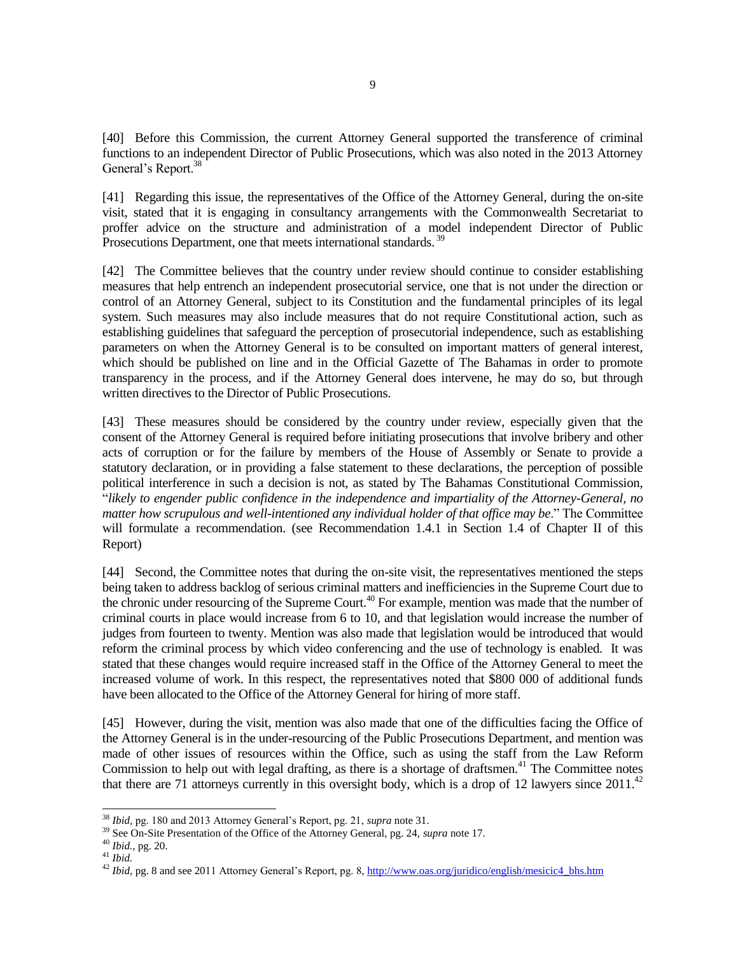[40] Before this Commission, the current Attorney General supported the transference of criminal functions to an independent Director of Public Prosecutions, which was also noted in the 2013 Attorney General's Report.<sup>38</sup>

[41] Regarding this issue, the representatives of the Office of the Attorney General, during the on-site visit, stated that it is engaging in consultancy arrangements with the Commonwealth Secretariat to proffer advice on the structure and administration of a model independent Director of Public Prosecutions Department, one that meets international standards.<sup>39</sup>

[42] The Committee believes that the country under review should continue to consider establishing measures that help entrench an independent prosecutorial service, one that is not under the direction or control of an Attorney General, subject to its Constitution and the fundamental principles of its legal system. Such measures may also include measures that do not require Constitutional action, such as establishing guidelines that safeguard the perception of prosecutorial independence, such as establishing parameters on when the Attorney General is to be consulted on important matters of general interest, which should be published on line and in the Official Gazette of The Bahamas in order to promote transparency in the process, and if the Attorney General does intervene, he may do so, but through written directives to the Director of Public Prosecutions.

[43] These measures should be considered by the country under review, especially given that the consent of the Attorney General is required before initiating prosecutions that involve bribery and other acts of corruption or for the failure by members of the House of Assembly or Senate to provide a statutory declaration, or in providing a false statement to these declarations, the perception of possible political interference in such a decision is not, as stated by The Bahamas Constitutional Commission, "*likely to engender public confidence in the independence and impartiality of the Attorney-General, no matter how scrupulous and well-intentioned any individual holder of that office may be*." The Committee will formulate a recommendation. (see Recommendation 1.4.1 in Section 1.4 of Chapter II of this Report)

[44] Second, the Committee notes that during the on-site visit, the representatives mentioned the steps being taken to address backlog of serious criminal matters and inefficiencies in the Supreme Court due to the chronic under resourcing of the Supreme Court.<sup>40</sup> For example, mention was made that the number of criminal courts in place would increase from 6 to 10, and that legislation would increase the number of judges from fourteen to twenty. Mention was also made that legislation would be introduced that would reform the criminal process by which video conferencing and the use of technology is enabled. It was stated that these changes would require increased staff in the Office of the Attorney General to meet the increased volume of work. In this respect, the representatives noted that \$800 000 of additional funds have been allocated to the Office of the Attorney General for hiring of more staff.

[45] However, during the visit, mention was also made that one of the difficulties facing the Office of the Attorney General is in the under-resourcing of the Public Prosecutions Department, and mention was made of other issues of resources within the Office, such as using the staff from the Law Reform Commission to help out with legal drafting, as there is a shortage of draftsmen.<sup>41</sup> The Committee notes that there are 71 attorneys currently in this oversight body, which is a drop of 12 lawyers since  $2011.^{42}$ 

<sup>38</sup> *Ibid,* pg. 180 and 2013 Attorney General's Report, pg. 21, *supra* note 31.

<sup>&</sup>lt;sup>39</sup> See On-Site Presentation of the Office of the Attorney General, pg. 24, *supra* note 17.

<sup>40</sup> *Ibid.*, pg. 20.

<sup>41</sup> *Ibid.*

<sup>42</sup> *Ibid,* pg. 8 and see 2011 Attorney General's Report, pg. 8[, http://www.oas.org/juridico/english/mesicic4\\_bhs.htm](http://www.oas.org/juridico/english/mesicic4_bhs.htm)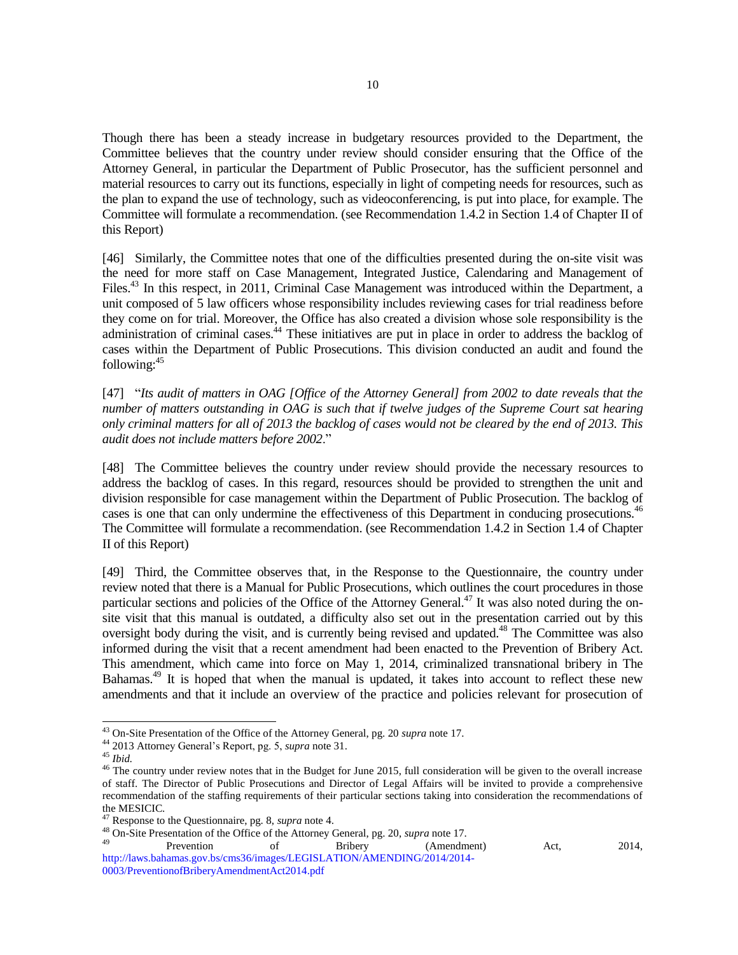Though there has been a steady increase in budgetary resources provided to the Department, the Committee believes that the country under review should consider ensuring that the Office of the Attorney General, in particular the Department of Public Prosecutor, has the sufficient personnel and material resources to carry out its functions, especially in light of competing needs for resources, such as the plan to expand the use of technology, such as videoconferencing, is put into place, for example. The Committee will formulate a recommendation. (see Recommendation 1.4.2 in Section 1.4 of Chapter II of this Report)

[46] Similarly, the Committee notes that one of the difficulties presented during the on-site visit was the need for more staff on Case Management, Integrated Justice, Calendaring and Management of Files.<sup>43</sup> In this respect, in 2011, Criminal Case Management was introduced within the Department, a unit composed of 5 law officers whose responsibility includes reviewing cases for trial readiness before they come on for trial. Moreover, the Office has also created a division whose sole responsibility is the administration of criminal cases.<sup>44</sup> These initiatives are put in place in order to address the backlog of cases within the Department of Public Prosecutions. This division conducted an audit and found the following:<sup>45</sup>

[47] "*Its audit of matters in OAG [Office of the Attorney General] from 2002 to date reveals that the number of matters outstanding in OAG is such that if twelve judges of the Supreme Court sat hearing only criminal matters for all of 2013 the backlog of cases would not be cleared by the end of 2013. This audit does not include matters before 2002*."

[48] The Committee believes the country under review should provide the necessary resources to address the backlog of cases. In this regard, resources should be provided to strengthen the unit and division responsible for case management within the Department of Public Prosecution. The backlog of cases is one that can only undermine the effectiveness of this Department in conducing prosecutions.<sup>46</sup> The Committee will formulate a recommendation. (see Recommendation 1.4.2 in Section 1.4 of Chapter II of this Report)

[49] Third, the Committee observes that, in the Response to the Questionnaire, the country under review noted that there is a Manual for Public Prosecutions, which outlines the court procedures in those particular sections and policies of the Office of the Attorney General.<sup>47</sup> It was also noted during the onsite visit that this manual is outdated, a difficulty also set out in the presentation carried out by this oversight body during the visit, and is currently being revised and updated.<sup>48</sup> The Committee was also informed during the visit that a recent amendment had been enacted to the Prevention of Bribery Act. This amendment, which came into force on May 1, 2014, criminalized transnational bribery in The Bahamas.<sup>49</sup> It is hoped that when the manual is updated, it takes into account to reflect these new amendments and that it include an overview of the practice and policies relevant for prosecution of

l

<sup>49</sup> Prevention of Bribery (Amendment) Act, 2014, [http://laws.bahamas.gov.bs/cms36/images/LEGISLATION/AMENDING/2014/2014-](http://laws.bahamas.gov.bs/cms36/images/LEGISLATION/AMENDING/2014/2014-0003/PreventionofBriberyAmendmentAct2014.pdf) [0003/PreventionofBriberyAmendmentAct2014.pdf](http://laws.bahamas.gov.bs/cms36/images/LEGISLATION/AMENDING/2014/2014-0003/PreventionofBriberyAmendmentAct2014.pdf)

<sup>43</sup> On-Site Presentation of the Office of the Attorney General, pg. 20 *supra* note 17.

<sup>44</sup> 2013 Attorney General's Report, pg. 5, *supra* note 31.

<sup>45</sup> *Ibid.*

<sup>&</sup>lt;sup>46</sup> The country under review notes that in the Budget for June 2015, full consideration will be given to the overall increase of staff. The Director of Public Prosecutions and Director of Legal Affairs will be invited to provide a comprehensive recommendation of the staffing requirements of their particular sections taking into consideration the recommendations of the MESICIC.

<sup>47</sup> Response to the Questionnaire, pg. 8, *supra* note 4.

<sup>48</sup> On-Site Presentation of the Office of the Attorney General, pg. 20, *supra* note 17.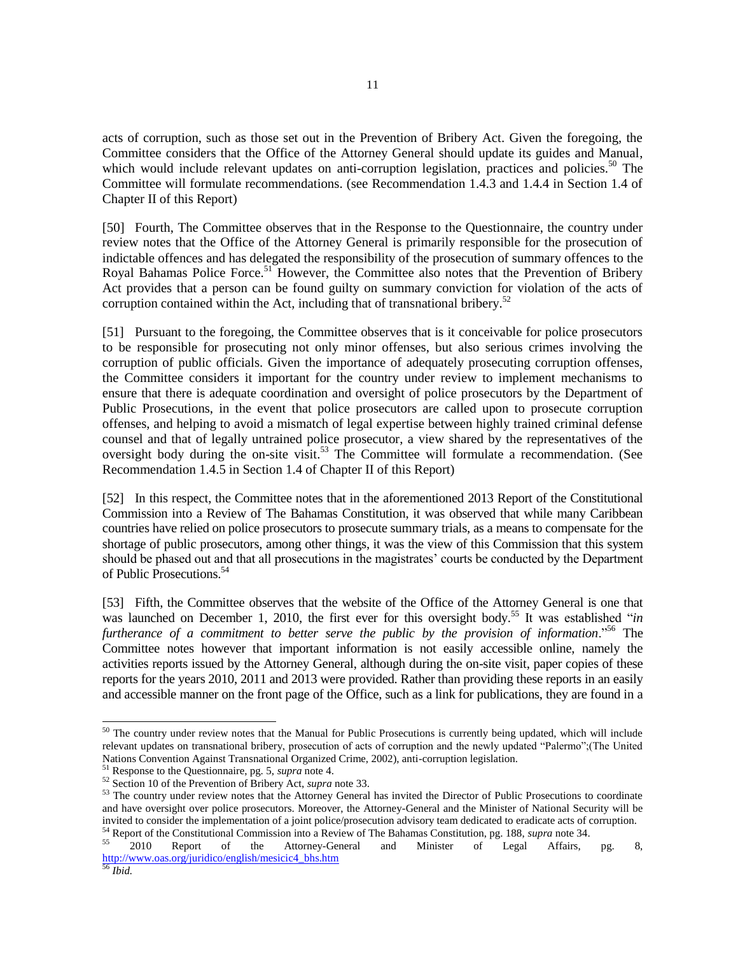acts of corruption, such as those set out in the Prevention of Bribery Act. Given the foregoing, the Committee considers that the Office of the Attorney General should update its guides and Manual, which would include relevant updates on anti-corruption legislation, practices and policies.<sup>50</sup> The Committee will formulate recommendations. (see Recommendation 1.4.3 and 1.4.4 in Section 1.4 of Chapter II of this Report)

[50] Fourth, The Committee observes that in the Response to the Questionnaire, the country under review notes that the Office of the Attorney General is primarily responsible for the prosecution of indictable offences and has delegated the responsibility of the prosecution of summary offences to the Royal Bahamas Police Force.<sup>51</sup> However, the Committee also notes that the Prevention of Bribery Act provides that a person can be found guilty on summary conviction for violation of the acts of corruption contained within the Act, including that of transnational bribery.<sup>52</sup>

[51] Pursuant to the foregoing, the Committee observes that is it conceivable for police prosecutors to be responsible for prosecuting not only minor offenses, but also serious crimes involving the corruption of public officials. Given the importance of adequately prosecuting corruption offenses, the Committee considers it important for the country under review to implement mechanisms to ensure that there is adequate coordination and oversight of police prosecutors by the Department of Public Prosecutions, in the event that police prosecutors are called upon to prosecute corruption offenses, and helping to avoid a mismatch of legal expertise between highly trained criminal defense counsel and that of legally untrained police prosecutor, a view shared by the representatives of the oversight body during the on-site visit.<sup>53</sup> The Committee will formulate a recommendation. (See Recommendation 1.4.5 in Section 1.4 of Chapter II of this Report)

[52] In this respect, the Committee notes that in the aforementioned 2013 Report of the Constitutional Commission into a Review of The Bahamas Constitution, it was observed that while many Caribbean countries have relied on police prosecutors to prosecute summary trials, as a means to compensate for the shortage of public prosecutors, among other things, it was the view of this Commission that this system should be phased out and that all prosecutions in the magistrates' courts be conducted by the Department of Public Prosecutions.<sup>54</sup>

[53] Fifth, the Committee observes that the website of the Office of the Attorney General is one that was launched on December 1, 2010, the first ever for this oversight body.<sup>55</sup> It was established "*in furtherance of a commitment to better serve the public by the provision of information*."<sup>56</sup> The Committee notes however that important information is not easily accessible online, namely the activities reports issued by the Attorney General, although during the on-site visit, paper copies of these reports for the years 2010, 2011 and 2013 were provided. Rather than providing these reports in an easily and accessible manner on the front page of the Office, such as a link for publications, they are found in a

 $50$  The country under review notes that the Manual for Public Prosecutions is currently being updated, which will include relevant updates on transnational bribery, prosecution of acts of corruption and the newly updated "Palermo";(The United Nations Convention Against Transnational Organized Crime, 2002), anti-corruption legislation.

<sup>51</sup> Response to the Questionnaire, pg. 5, *supra* note 4.

<sup>52</sup> Section 10 of the Prevention of Bribery Act, *supra* note 33.

<sup>&</sup>lt;sup>53</sup> The country under review notes that the Attorney General has invited the Director of Public Prosecutions to coordinate and have oversight over police prosecutors. Moreover, the Attorney-General and the Minister of National Security will be invited to consider the implementation of a joint police/prosecution advisory team dedicated to eradicate acts of corruption.

<sup>54</sup> Report of the Constitutional Commission into a Review of The Bahamas Constitution, pg. 188, *supra* note 34. <sup>55</sup> 2010 Report of the Attorney-General and Minister of Legal Affairs, pg. 8, [http://www.oas.org/juridico/english/mesicic4\\_bhs.htm](http://www.oas.org/juridico/english/mesicic4_bhs.htm)

<sup>56</sup> *Ibid.*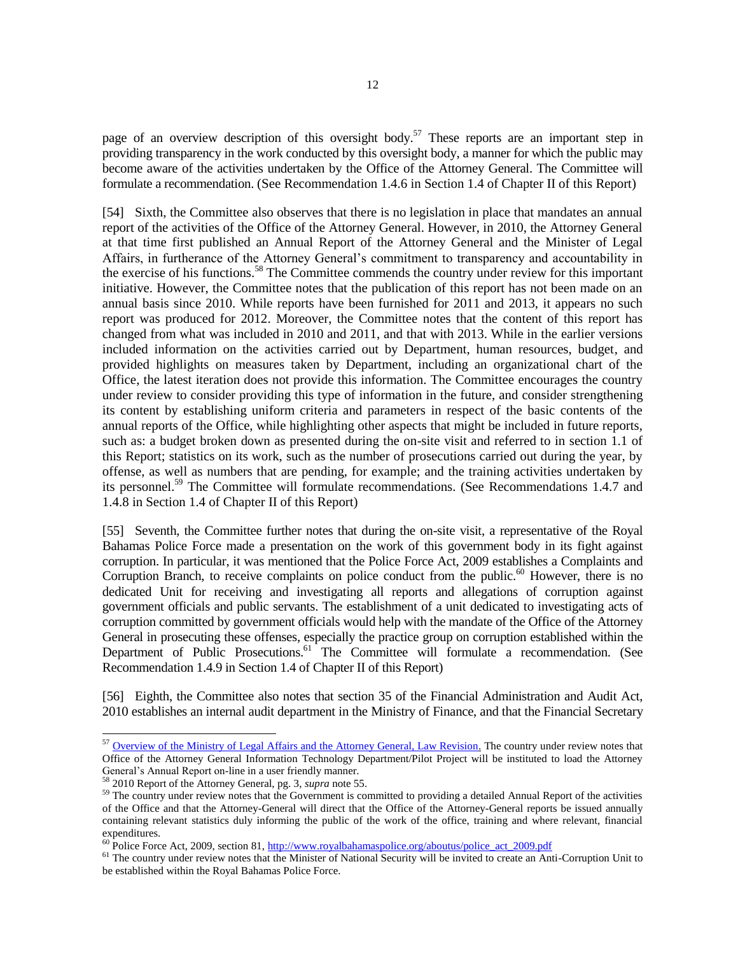page of an overview description of this oversight body.<sup>57</sup> These reports are an important step in providing transparency in the work conducted by this oversight body, a manner for which the public may become aware of the activities undertaken by the Office of the Attorney General. The Committee will formulate a recommendation. (See Recommendation 1.4.6 in Section 1.4 of Chapter II of this Report)

[54] Sixth, the Committee also observes that there is no legislation in place that mandates an annual report of the activities of the Office of the Attorney General. However, in 2010, the Attorney General at that time first published an Annual Report of the Attorney General and the Minister of Legal Affairs, in furtherance of the Attorney General's commitment to transparency and accountability in the exercise of his functions.<sup>58</sup> The Committee commends the country under review for this important initiative. However, the Committee notes that the publication of this report has not been made on an annual basis since 2010. While reports have been furnished for 2011 and 2013, it appears no such report was produced for 2012. Moreover, the Committee notes that the content of this report has changed from what was included in 2010 and 2011, and that with 2013. While in the earlier versions included information on the activities carried out by Department, human resources, budget, and provided highlights on measures taken by Department, including an organizational chart of the Office, the latest iteration does not provide this information. The Committee encourages the country under review to consider providing this type of information in the future, and consider strengthening its content by establishing uniform criteria and parameters in respect of the basic contents of the annual reports of the Office, while highlighting other aspects that might be included in future reports, such as: a budget broken down as presented during the on-site visit and referred to in section 1.1 of this Report; statistics on its work, such as the number of prosecutions carried out during the year, by offense, as well as numbers that are pending, for example; and the training activities undertaken by its personnel.<sup>59</sup> The Committee will formulate recommendations. (See Recommendations 1.4.7 and 1.4.8 in Section 1.4 of Chapter II of this Report)

[55] Seventh, the Committee further notes that during the on-site visit, a representative of the Royal Bahamas Police Force made a presentation on the work of this government body in its fight against corruption. In particular, it was mentioned that the Police Force Act, 2009 establishes a Complaints and Corruption Branch, to receive complaints on police conduct from the public.<sup>60</sup> However, there is no dedicated Unit for receiving and investigating all reports and allegations of corruption against government officials and public servants. The establishment of a unit dedicated to investigating acts of corruption committed by government officials would help with the mandate of the Office of the Attorney General in prosecuting these offenses, especially the practice group on corruption established within the Department of Public Prosecutions.<sup>61</sup> The Committee will formulate a recommendation. (See Recommendation 1.4.9 in Section 1.4 of Chapter II of this Report)

[56] Eighth, the Committee also notes that section 35 of the Financial Administration and Audit Act, 2010 establishes an internal audit department in the Ministry of Finance, and that the Financial Secretary

 $57$  [Overview of the Ministry of Legal Affairs and the Attorney General, Law Revision.](https://www.bahamas.gov.bs/wps/portal/public/About%20Us/Overview%20of%20the%20Ministry%20of%20Legal%20Affairs%20and%20the%20Attorney%20General/!ut/p/b1/vZTJcptAEIafxQ9gMwwIhuOAZPZ950KBQAjEFi1sTx-5kkMudi6Ju09d_VV_Vf-hiYSIiKTPprrK7vXQZ-3HnDApJZq6LdBIRwzNAZn0DHl_sCiRYomQiKSYXva0Xr3LXipUjwbnUVDUjsG0WkMexIh_iGcDj2LUUYhjArPg0mJFj6XpI5WO5SZbu6lLp-vuDAUbjXfSCPhCVevJUvLRagfHRKmrMDyqM7Gj_QnFeSWoLtyq5MhtKI0V7B2OifyY47r36AevqlZEFW4VG4E3upspig6GlVz0WFKzexLumlsvJqoSlEX3cC-vzTa25epNJp9Va6cdehlGHFvz1I08zfbLM4T4GQL4pDD4e0bJLwSIOsZPxITeByKQjOrvgErTv4EvFPETYD-9QLKER0SATt1mHeXtsjnN5mj6JpPGYTTJa6Dr_uYZfmvq98RwLzsdND7UwVlxfbAZm2EZRW4VgePzWAilZbS-FrraNwtVifluIfXfhSqknkKN0gwkkFAF3y2E_1yoEEmdd2_zsXsDbzSgGBohloEkhIgGLBGMMcPlN33ey87JsSfpPK6sYEe14osdvjChfc3HcNi_yvv3MLUSJ5LsCcgt5aTaHMdp5Lguh2cpCCsOIvm4lD8EqWAOeHTmftA7-eKCBfD1_sgLiC3lM8RmoaFyanbouGpZgreyNRn8uN6o3SkzpZI_kdAfJi2Y78ES9Ir9XM0QusauTG_eaakvzw-Td8Nljbnqdj-003VsBrOXwX6-vjrBslPDpqI43t2mPeudIh56QpxHqRA2wjIZt9l5JTnMWsiqRZpj3JPIs1pAGNLQlcTYTRrjIPKPpir88vITc98hnw!!/dl4/d5/L2dBISEvZ0FBIS9nQSEh/) The country under review notes that Office of the Attorney General Information Technology Department/Pilot Project will be instituted to load the Attorney General's Annual Report on-line in a user friendly manner.

<sup>58</sup> 2010 Report of the Attorney General, pg. 3, *supra* note 55.

<sup>&</sup>lt;sup>59</sup> The country under review notes that the Government is committed to providing a detailed Annual Report of the activities of the Office and that the Attorney-General will direct that the Office of the Attorney-General reports be issued annually containing relevant statistics duly informing the public of the work of the office, training and where relevant, financial expenditures.

 $^{60}$  Police Force Act, 2009, section 81, [http://www.royalbahamaspolice.org/aboutus/police\\_act\\_2009.pdf](http://www.royalbahamaspolice.org/aboutus/police_act_2009.pdf)

<sup>&</sup>lt;sup>61</sup> The country under review notes that the Minister of National Security will be invited to create an Anti-Corruption Unit to be established within the Royal Bahamas Police Force.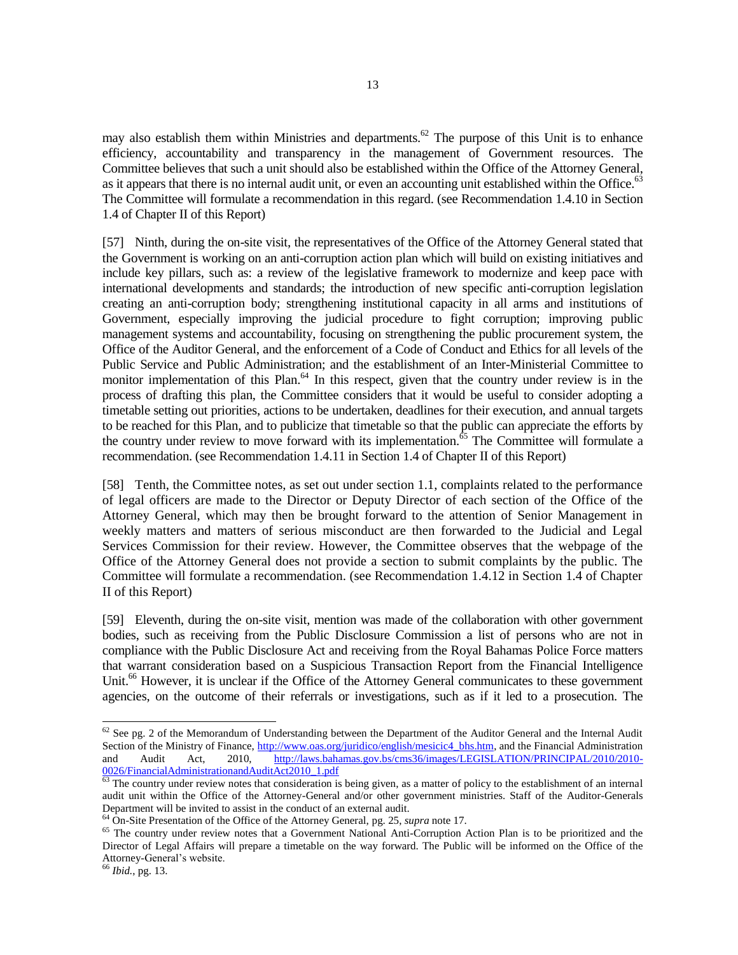may also establish them within Ministries and departments.<sup>62</sup> The purpose of this Unit is to enhance efficiency, accountability and transparency in the management of Government resources. The Committee believes that such a unit should also be established within the Office of the Attorney General, as it appears that there is no internal audit unit, or even an accounting unit established within the Office.<sup>63</sup> The Committee will formulate a recommendation in this regard. (see Recommendation 1.4.10 in Section 1.4 of Chapter II of this Report)

[57] Ninth, during the on-site visit, the representatives of the Office of the Attorney General stated that the Government is working on an anti-corruption action plan which will build on existing initiatives and include key pillars, such as: a review of the legislative framework to modernize and keep pace with international developments and standards; the introduction of new specific anti-corruption legislation creating an anti-corruption body; strengthening institutional capacity in all arms and institutions of Government, especially improving the judicial procedure to fight corruption; improving public management systems and accountability, focusing on strengthening the public procurement system, the Office of the Auditor General, and the enforcement of a Code of Conduct and Ethics for all levels of the Public Service and Public Administration; and the establishment of an Inter-Ministerial Committee to monitor implementation of this Plan.<sup>64</sup> In this respect, given that the country under review is in the process of drafting this plan, the Committee considers that it would be useful to consider adopting a timetable setting out priorities, actions to be undertaken, deadlines for their execution, and annual targets to be reached for this Plan, and to publicize that timetable so that the public can appreciate the efforts by the country under review to move forward with its implementation. $65$  The Committee will formulate a recommendation. (see Recommendation 1.4.11 in Section 1.4 of Chapter II of this Report)

[58] Tenth, the Committee notes, as set out under section 1.1, complaints related to the performance of legal officers are made to the Director or Deputy Director of each section of the Office of the Attorney General, which may then be brought forward to the attention of Senior Management in weekly matters and matters of serious misconduct are then forwarded to the Judicial and Legal Services Commission for their review. However, the Committee observes that the webpage of the Office of the Attorney General does not provide a section to submit complaints by the public. The Committee will formulate a recommendation. (see Recommendation 1.4.12 in Section 1.4 of Chapter II of this Report)

[59] Eleventh, during the on-site visit, mention was made of the collaboration with other government bodies, such as receiving from the Public Disclosure Commission a list of persons who are not in compliance with the Public Disclosure Act and receiving from the Royal Bahamas Police Force matters that warrant consideration based on a Suspicious Transaction Report from the Financial Intelligence Unit.<sup>66</sup> However, it is unclear if the Office of the Attorney General communicates to these government agencies, on the outcome of their referrals or investigations, such as if it led to a prosecution. The

 $62$  See pg. 2 of the Memorandum of Understanding between the Department of the Auditor General and the Internal Audit Section of the Ministry of Finance[, http://www.oas.org/juridico/english/mesicic4\\_bhs.htm,](http://www.oas.org/juridico/english/mesicic4_bhs.htm) and the Financial Administration and Audit Act, 2010, [http://laws.bahamas.gov.bs/cms36/images/LEGISLATION/PRINCIPAL/2010/2010-](http://laws.bahamas.gov.bs/cms36/images/LEGISLATION/PRINCIPAL/2010/2010-0026/FinancialAdministrationandAuditAct2010_1.pdf) [0026/FinancialAdministrationandAuditAct2010\\_1.pdf](http://laws.bahamas.gov.bs/cms36/images/LEGISLATION/PRINCIPAL/2010/2010-0026/FinancialAdministrationandAuditAct2010_1.pdf)

 $\frac{63}{63}$  The country under review notes that consideration is being given, as a matter of policy to the establishment of an internal audit unit within the Office of the Attorney-General and/or other government ministries. Staff of the Auditor-Generals Department will be invited to assist in the conduct of an external audit.

<sup>64</sup> On-Site Presentation of the Office of the Attorney General, pg. 25, *supra* note 17.

<sup>&</sup>lt;sup>65</sup> The country under review notes that a Government National Anti-Corruption Action Plan is to be prioritized and the Director of Legal Affairs will prepare a timetable on the way forward. The Public will be informed on the Office of the Attorney-General's website.

<sup>66</sup> *Ibid.*, pg. 13.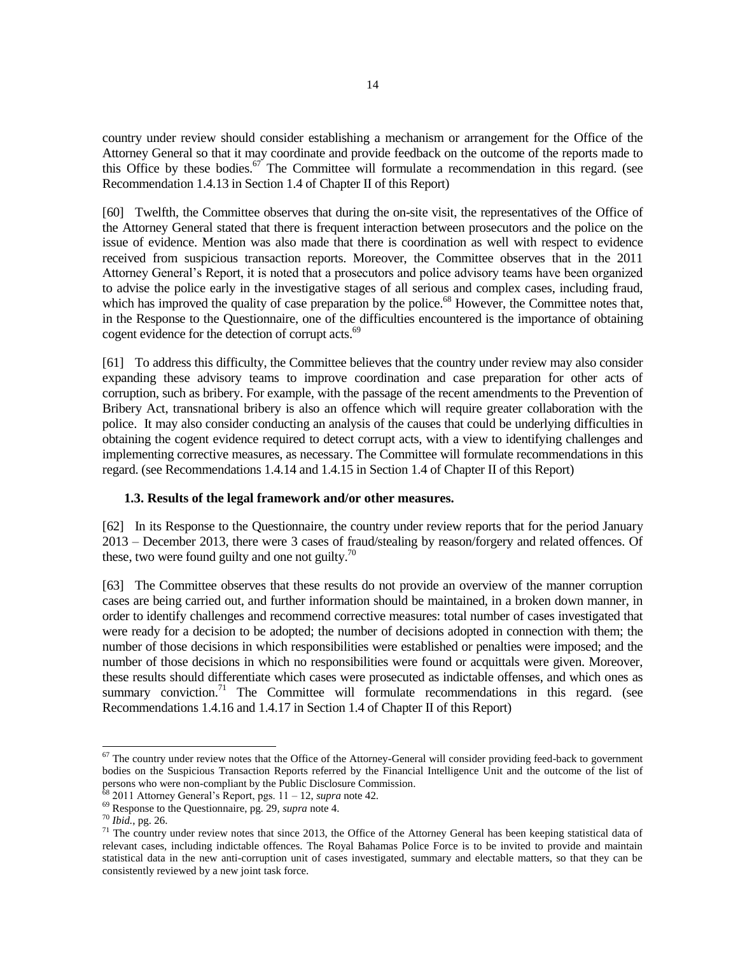country under review should consider establishing a mechanism or arrangement for the Office of the Attorney General so that it may coordinate and provide feedback on the outcome of the reports made to this Office by these bodies.<sup>67</sup> The Committee will formulate a recommendation in this regard. (see Recommendation 1.4.13 in Section 1.4 of Chapter II of this Report)

[60] Twelfth, the Committee observes that during the on-site visit, the representatives of the Office of the Attorney General stated that there is frequent interaction between prosecutors and the police on the issue of evidence. Mention was also made that there is coordination as well with respect to evidence received from suspicious transaction reports. Moreover, the Committee observes that in the 2011 Attorney General's Report, it is noted that a prosecutors and police advisory teams have been organized to advise the police early in the investigative stages of all serious and complex cases, including fraud, which has improved the quality of case preparation by the police.<sup>68</sup> However, the Committee notes that, in the Response to the Questionnaire, one of the difficulties encountered is the importance of obtaining cogent evidence for the detection of corrupt acts.<sup>69</sup>

[61] To address this difficulty, the Committee believes that the country under review may also consider expanding these advisory teams to improve coordination and case preparation for other acts of corruption, such as bribery. For example, with the passage of the recent amendments to the Prevention of Bribery Act, transnational bribery is also an offence which will require greater collaboration with the police. It may also consider conducting an analysis of the causes that could be underlying difficulties in obtaining the cogent evidence required to detect corrupt acts, with a view to identifying challenges and implementing corrective measures, as necessary. The Committee will formulate recommendations in this regard. (see Recommendations 1.4.14 and 1.4.15 in Section 1.4 of Chapter II of this Report)

### **1.3. Results of the legal framework and/or other measures.**

[62] In its Response to the Questionnaire, the country under review reports that for the period January 2013 – December 2013, there were 3 cases of fraud/stealing by reason/forgery and related offences. Of these, two were found guilty and one not guilty.<sup>70</sup>

[63] The Committee observes that these results do not provide an overview of the manner corruption cases are being carried out, and further information should be maintained, in a broken down manner, in order to identify challenges and recommend corrective measures: total number of cases investigated that were ready for a decision to be adopted; the number of decisions adopted in connection with them; the number of those decisions in which responsibilities were established or penalties were imposed; and the number of those decisions in which no responsibilities were found or acquittals were given. Moreover, these results should differentiate which cases were prosecuted as indictable offenses, and which ones as summary conviction.<sup>71</sup> The Committee will formulate recommendations in this regard. (see Recommendations 1.4.16 and 1.4.17 in Section 1.4 of Chapter II of this Report)

 $67$  The country under review notes that the Office of the Attorney-General will consider providing feed-back to government bodies on the Suspicious Transaction Reports referred by the Financial Intelligence Unit and the outcome of the list of persons who were non-compliant by the Public Disclosure Commission.

<sup>68</sup> 2011 Attorney General's Report, pgs. 11 – 12, *supra* note 42.

<sup>69</sup> Response to the Questionnaire, pg. 29, *supra* note 4.

<sup>70</sup> *Ibid.*, pg. 26.

 $71$  The country under review notes that since 2013, the Office of the Attorney General has been keeping statistical data of relevant cases, including indictable offences. The Royal Bahamas Police Force is to be invited to provide and maintain statistical data in the new anti-corruption unit of cases investigated, summary and electable matters, so that they can be consistently reviewed by a new joint task force.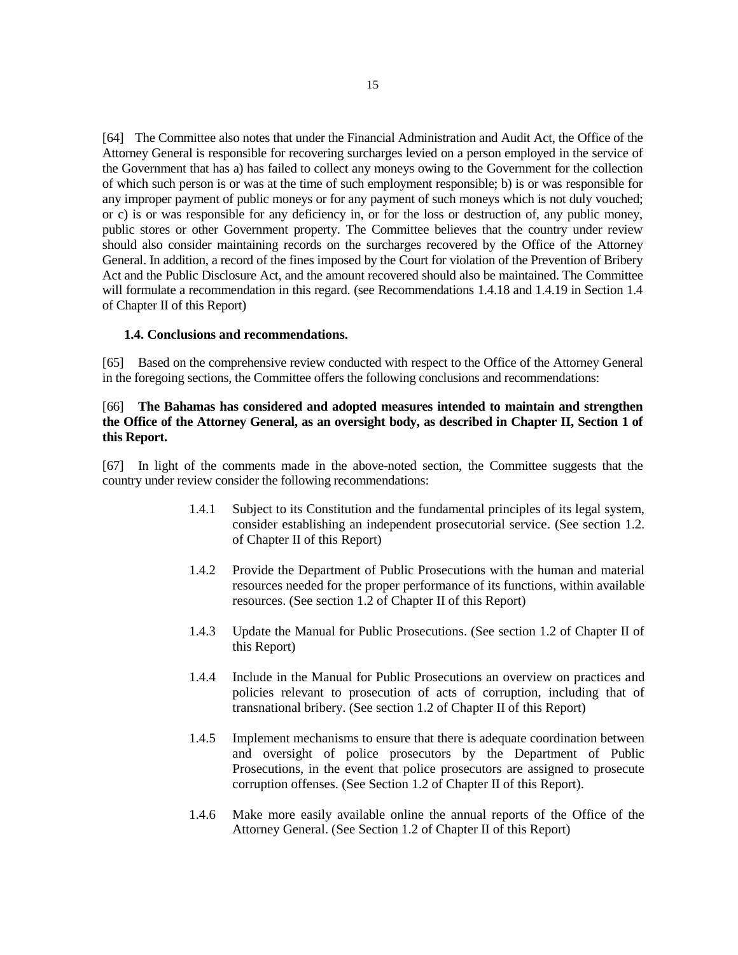[64] The Committee also notes that under the Financial Administration and Audit Act, the Office of the Attorney General is responsible for recovering surcharges levied on a person employed in the service of the Government that has a) has failed to collect any moneys owing to the Government for the collection of which such person is or was at the time of such employment responsible; b) is or was responsible for any improper payment of public moneys or for any payment of such moneys which is not duly vouched; or c) is or was responsible for any deficiency in, or for the loss or destruction of, any public money, public stores or other Government property. The Committee believes that the country under review should also consider maintaining records on the surcharges recovered by the Office of the Attorney General. In addition, a record of the fines imposed by the Court for violation of the Prevention of Bribery Act and the Public Disclosure Act, and the amount recovered should also be maintained. The Committee will formulate a recommendation in this regard. (see Recommendations 1.4.18 and 1.4.19 in Section 1.4 of Chapter II of this Report)

#### **1.4. Conclusions and recommendations.**

[65] Based on the comprehensive review conducted with respect to the Office of the Attorney General in the foregoing sections, the Committee offers the following conclusions and recommendations:

## [66] **The Bahamas has considered and adopted measures intended to maintain and strengthen the Office of the Attorney General, as an oversight body, as described in Chapter II, Section 1 of this Report.**

[67] In light of the comments made in the above-noted section, the Committee suggests that the country under review consider the following recommendations:

- 1.4.1 Subject to its Constitution and the fundamental principles of its legal system, consider establishing an independent prosecutorial service. (See section 1.2. of Chapter II of this Report)
- 1.4.2 Provide the Department of Public Prosecutions with the human and material resources needed for the proper performance of its functions, within available resources. (See section 1.2 of Chapter II of this Report)
- 1.4.3 Update the Manual for Public Prosecutions. (See section 1.2 of Chapter II of this Report)
- 1.4.4 Include in the Manual for Public Prosecutions an overview on practices and policies relevant to prosecution of acts of corruption, including that of transnational bribery. (See section 1.2 of Chapter II of this Report)
- 1.4.5 Implement mechanisms to ensure that there is adequate coordination between and oversight of police prosecutors by the Department of Public Prosecutions, in the event that police prosecutors are assigned to prosecute corruption offenses. (See Section 1.2 of Chapter II of this Report).
- 1.4.6 Make more easily available online the annual reports of the Office of the Attorney General. (See Section 1.2 of Chapter II of this Report)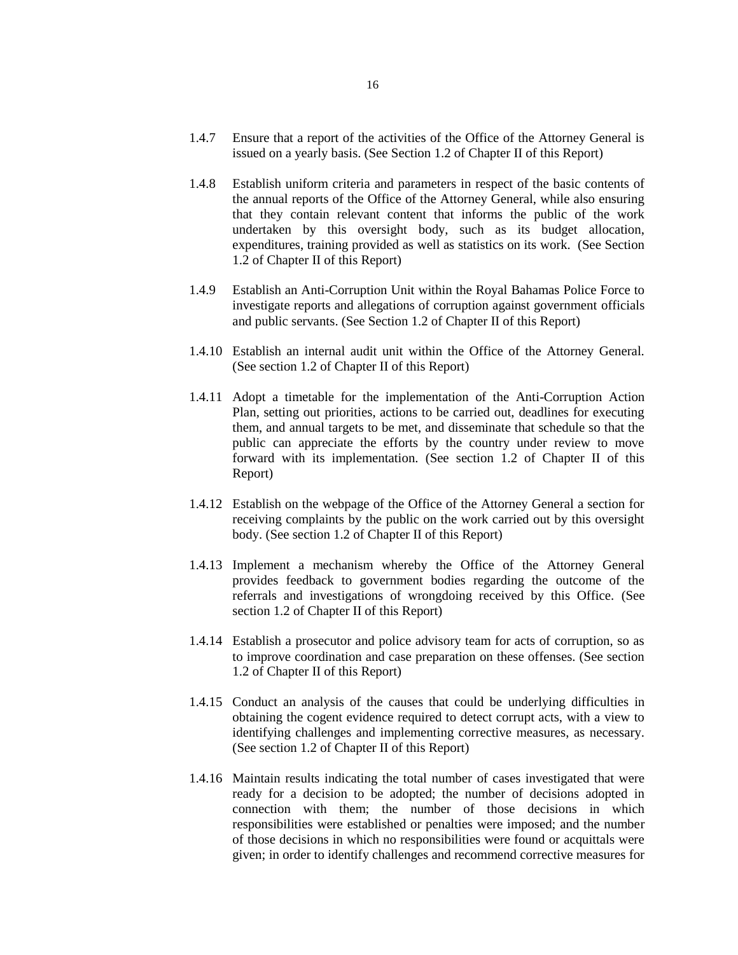- 1.4.7 Ensure that a report of the activities of the Office of the Attorney General is issued on a yearly basis. (See Section 1.2 of Chapter II of this Report)
- 1.4.8 Establish uniform criteria and parameters in respect of the basic contents of the annual reports of the Office of the Attorney General, while also ensuring that they contain relevant content that informs the public of the work undertaken by this oversight body, such as its budget allocation, expenditures, training provided as well as statistics on its work. (See Section 1.2 of Chapter II of this Report)
- 1.4.9 Establish an Anti-Corruption Unit within the Royal Bahamas Police Force to investigate reports and allegations of corruption against government officials and public servants. (See Section 1.2 of Chapter II of this Report)
- 1.4.10 Establish an internal audit unit within the Office of the Attorney General. (See section 1.2 of Chapter II of this Report)
- 1.4.11 Adopt a timetable for the implementation of the Anti-Corruption Action Plan, setting out priorities, actions to be carried out, deadlines for executing them, and annual targets to be met, and disseminate that schedule so that the public can appreciate the efforts by the country under review to move forward with its implementation. (See section 1.2 of Chapter II of this Report)
- 1.4.12 Establish on the webpage of the Office of the Attorney General a section for receiving complaints by the public on the work carried out by this oversight body. (See section 1.2 of Chapter II of this Report)
- 1.4.13 Implement a mechanism whereby the Office of the Attorney General provides feedback to government bodies regarding the outcome of the referrals and investigations of wrongdoing received by this Office. (See section 1.2 of Chapter II of this Report)
- 1.4.14 Establish a prosecutor and police advisory team for acts of corruption, so as to improve coordination and case preparation on these offenses. (See section 1.2 of Chapter II of this Report)
- 1.4.15 Conduct an analysis of the causes that could be underlying difficulties in obtaining the cogent evidence required to detect corrupt acts, with a view to identifying challenges and implementing corrective measures, as necessary. (See section 1.2 of Chapter II of this Report)
- 1.4.16 Maintain results indicating the total number of cases investigated that were ready for a decision to be adopted; the number of decisions adopted in connection with them; the number of those decisions in which responsibilities were established or penalties were imposed; and the number of those decisions in which no responsibilities were found or acquittals were given; in order to identify challenges and recommend corrective measures for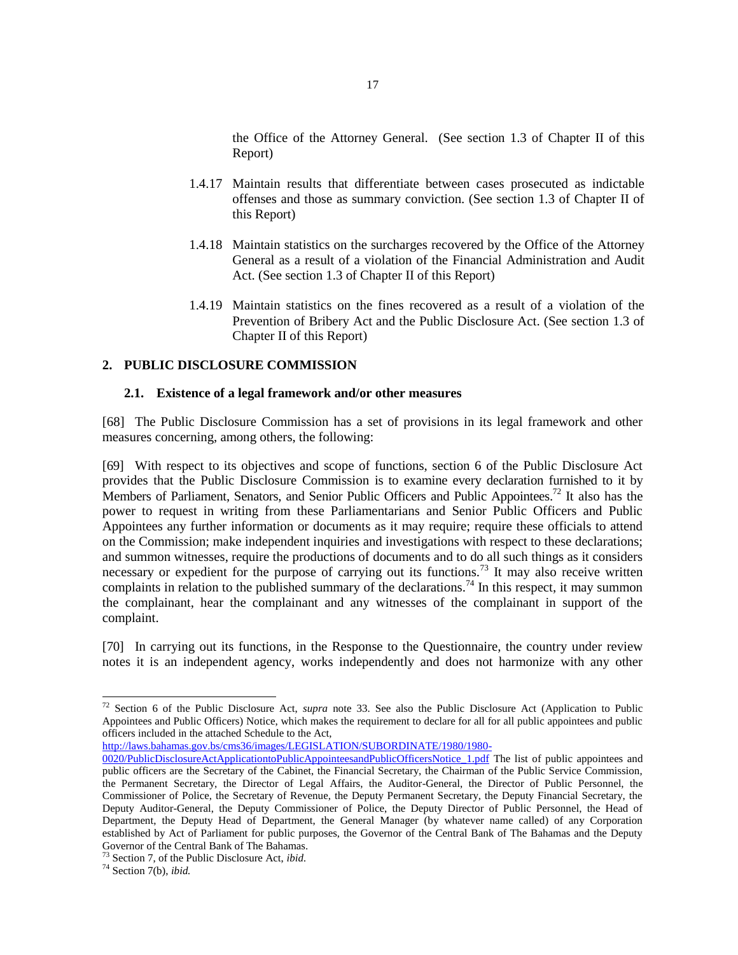the Office of the Attorney General. (See section 1.3 of Chapter II of this Report)

- 1.4.17 Maintain results that differentiate between cases prosecuted as indictable offenses and those as summary conviction. (See section 1.3 of Chapter II of this Report)
- 1.4.18 Maintain statistics on the surcharges recovered by the Office of the Attorney General as a result of a violation of the Financial Administration and Audit Act. (See section 1.3 of Chapter II of this Report)
- 1.4.19 Maintain statistics on the fines recovered as a result of a violation of the Prevention of Bribery Act and the Public Disclosure Act. (See section 1.3 of Chapter II of this Report)

## **2. PUBLIC DISCLOSURE COMMISSION**

#### **2.1. Existence of a legal framework and/or other measures**

[68] The Public Disclosure Commission has a set of provisions in its legal framework and other measures concerning, among others, the following:

[69] With respect to its objectives and scope of functions, section 6 of the Public Disclosure Act provides that the Public Disclosure Commission is to examine every declaration furnished to it by Members of Parliament, Senators, and Senior Public Officers and Public Appointees.<sup>72</sup> It also has the power to request in writing from these Parliamentarians and Senior Public Officers and Public Appointees any further information or documents as it may require; require these officials to attend on the Commission; make independent inquiries and investigations with respect to these declarations; and summon witnesses, require the productions of documents and to do all such things as it considers necessary or expedient for the purpose of carrying out its functions.<sup>73</sup> It may also receive written complaints in relation to the published summary of the declarations.<sup>74</sup> In this respect, it may summon the complainant, hear the complainant and any witnesses of the complainant in support of the complaint.

[70] In carrying out its functions, in the Response to the Questionnaire, the country under review notes it is an independent agency, works independently and does not harmonize with any other

[http://laws.bahamas.gov.bs/cms36/images/LEGISLATION/SUBORDINATE/1980/1980-](http://laws.bahamas.gov.bs/cms36/images/LEGISLATION/SUBORDINATE/1980/1980-0020/PublicDisclosureActApplicationtoPublicAppointeesandPublicOfficersNotice_1.pdf)

<sup>72</sup> Section 6 of the Public Disclosure Act, *supra* note 33. See also the Public Disclosure Act (Application to Public Appointees and Public Officers) Notice, which makes the requirement to declare for all for all public appointees and public officers included in the attached Schedule to the Act,

[<sup>0020/</sup>PublicDisclosureActApplicationtoPublicAppointeesandPublicOfficersNotice\\_1.pdf](http://laws.bahamas.gov.bs/cms36/images/LEGISLATION/SUBORDINATE/1980/1980-0020/PublicDisclosureActApplicationtoPublicAppointeesandPublicOfficersNotice_1.pdf) The list of public appointees and public officers are the Secretary of the Cabinet, the Financial Secretary, the Chairman of the Public Service Commission, the Permanent Secretary, the Director of Legal Affairs, the Auditor-General, the Director of Public Personnel, the Commissioner of Police, the Secretary of Revenue, the Deputy Permanent Secretary, the Deputy Financial Secretary, the Deputy Auditor-General, the Deputy Commissioner of Police, the Deputy Director of Public Personnel, the Head of Department, the Deputy Head of Department, the General Manager (by whatever name called) of any Corporation established by Act of Parliament for public purposes, the Governor of the Central Bank of The Bahamas and the Deputy Governor of the Central Bank of The Bahamas.

<sup>73</sup> Section 7, of the Public Disclosure Act, *ibid.*

<sup>74</sup> Section 7(b), *ibid.*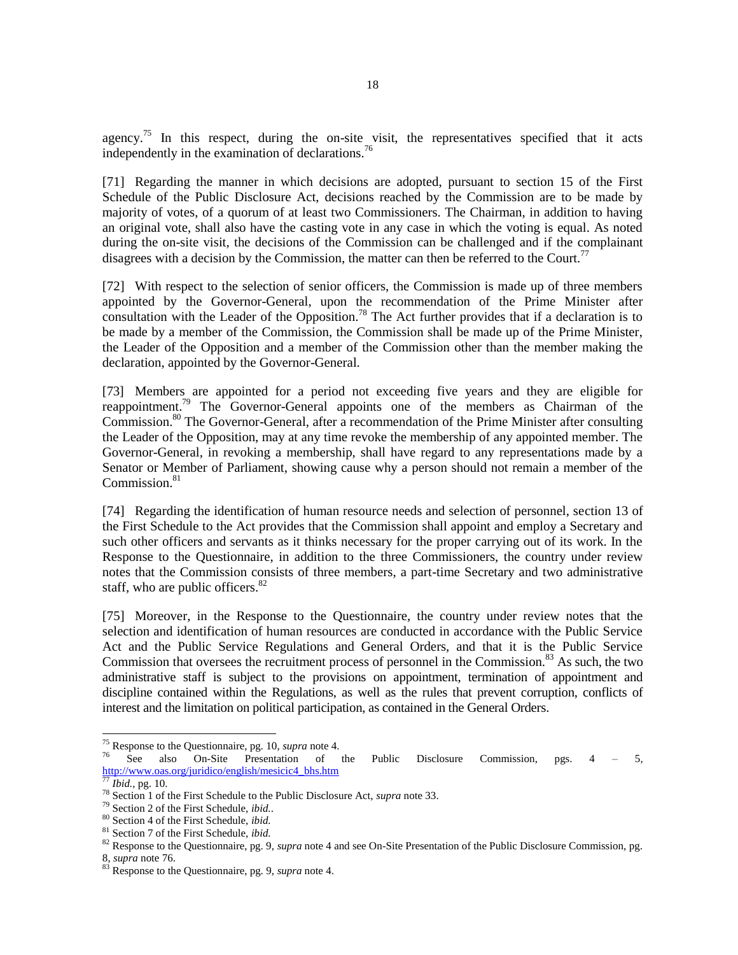agency.<sup>75</sup> In this respect, during the on-site visit, the representatives specified that it acts independently in the examination of declarations.<sup>76</sup>

[71] Regarding the manner in which decisions are adopted, pursuant to section 15 of the First Schedule of the Public Disclosure Act, decisions reached by the Commission are to be made by majority of votes, of a quorum of at least two Commissioners. The Chairman, in addition to having an original vote, shall also have the casting vote in any case in which the voting is equal. As noted during the on-site visit, the decisions of the Commission can be challenged and if the complainant disagrees with a decision by the Commission, the matter can then be referred to the Court.<sup>77</sup>

[72] With respect to the selection of senior officers, the Commission is made up of three members appointed by the Governor-General, upon the recommendation of the Prime Minister after consultation with the Leader of the Opposition.<sup>78</sup> The Act further provides that if a declaration is to be made by a member of the Commission, the Commission shall be made up of the Prime Minister, the Leader of the Opposition and a member of the Commission other than the member making the declaration, appointed by the Governor-General.

[73] Members are appointed for a period not exceeding five years and they are eligible for reappointment.<sup>79</sup> The Governor-General appoints one of the members as Chairman of the Commission.<sup>80</sup> The Governor-General, after a recommendation of the Prime Minister after consulting the Leader of the Opposition, may at any time revoke the membership of any appointed member. The Governor-General, in revoking a membership, shall have regard to any representations made by a Senator or Member of Parliament, showing cause why a person should not remain a member of the Commission.<sup>81</sup>

[74] Regarding the identification of human resource needs and selection of personnel, section 13 of the First Schedule to the Act provides that the Commission shall appoint and employ a Secretary and such other officers and servants as it thinks necessary for the proper carrying out of its work. In the Response to the Questionnaire, in addition to the three Commissioners, the country under review notes that the Commission consists of three members, a part-time Secretary and two administrative staff, who are public officers. $82$ 

[75] Moreover, in the Response to the Questionnaire, the country under review notes that the selection and identification of human resources are conducted in accordance with the Public Service Act and the Public Service Regulations and General Orders, and that it is the Public Service Commission that oversees the recruitment process of personnel in the Commission.<sup>83</sup> As such, the two administrative staff is subject to the provisions on appointment, termination of appointment and discipline contained within the Regulations, as well as the rules that prevent corruption, conflicts of interest and the limitation on political participation, as contained in the General Orders.

<sup>75</sup> Response to the Questionnaire, pg. 10, *supra* note 4.

<sup>76</sup> See also On-Site Presentation of the Public Disclosure Commission, pgs. 4 – 5, [http://www.oas.org/juridico/english/mesicic4\\_bhs.htm](http://www.oas.org/juridico/english/mesicic4_bhs.htm)

 $\frac{1}{77}$ *Ibid.*, pg. 10.

<sup>78</sup> Section 1 of the First Schedule to the Public Disclosure Act, *supra* note 33.

<sup>79</sup> Section 2 of the First Schedule, *ibid.*.

<sup>80</sup> Section 4 of the First Schedule, *ibid.*

<sup>81</sup> Section 7 of the First Schedule, *ibid.*

<sup>82</sup> Response to the Questionnaire, pg. 9, *supra* note 4 and see On-Site Presentation of the Public Disclosure Commission, pg. 8, *supra* note 76.

<sup>83</sup> Response to the Questionnaire, pg. 9, *supra* note 4.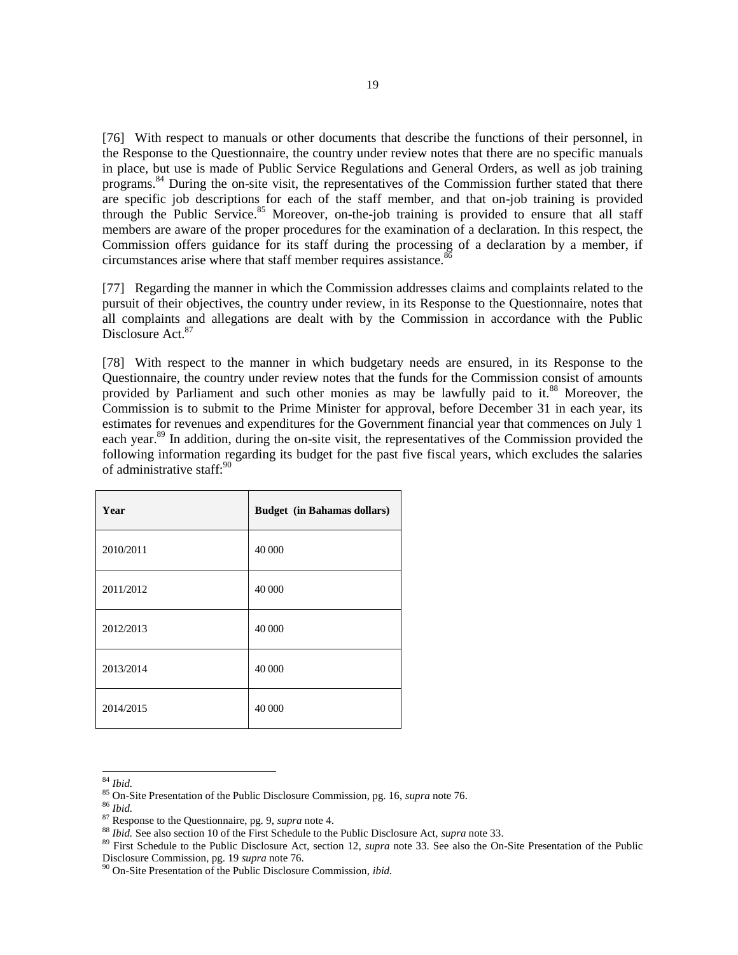[76] With respect to manuals or other documents that describe the functions of their personnel, in the Response to the Questionnaire, the country under review notes that there are no specific manuals in place, but use is made of Public Service Regulations and General Orders, as well as job training programs.<sup>84</sup> During the on-site visit, the representatives of the Commission further stated that there are specific job descriptions for each of the staff member, and that on-job training is provided through the Public Service.<sup>85</sup> Moreover, on-the-job training is provided to ensure that all staff members are aware of the proper procedures for the examination of a declaration. In this respect, the Commission offers guidance for its staff during the processing of a declaration by a member, if circumstances arise where that staff member requires assistance.<sup>86</sup>

[77] Regarding the manner in which the Commission addresses claims and complaints related to the pursuit of their objectives, the country under review, in its Response to the Questionnaire, notes that all complaints and allegations are dealt with by the Commission in accordance with the Public Disclosure Act.<sup>87</sup>

[78] With respect to the manner in which budgetary needs are ensured, in its Response to the Questionnaire, the country under review notes that the funds for the Commission consist of amounts provided by Parliament and such other monies as may be lawfully paid to it.<sup>88</sup> Moreover, the Commission is to submit to the Prime Minister for approval, before December 31 in each year, its estimates for revenues and expenditures for the Government financial year that commences on July 1 each year.<sup>89</sup> In addition, during the on-site visit, the representatives of the Commission provided the following information regarding its budget for the past five fiscal years, which excludes the salaries of administrative staff:<sup>90</sup>

| Year      | <b>Budget</b> (in Bahamas dollars) |
|-----------|------------------------------------|
| 2010/2011 | 40 000                             |
| 2011/2012 | 40 000                             |
| 2012/2013 | 40 000                             |
| 2013/2014 | 40 000                             |
| 2014/2015 | 40 000                             |

l <sup>84</sup> *Ibid.*

<sup>86</sup> *Ibid.*

<sup>85</sup> On-Site Presentation of the Public Disclosure Commission, pg. 16, *supra* note 76.

<sup>87</sup> Response to the Questionnaire, pg. 9, *supra* note 4.

<sup>88</sup> *Ibid.* See also section 10 of the First Schedule to the Public Disclosure Act, *supra* note 33.

<sup>89</sup> First Schedule to the Public Disclosure Act, section 12, *supra* note 33. See also the On-Site Presentation of the Public Disclosure Commission, pg. 19 *supra* note 76.

<sup>90</sup> On-Site Presentation of the Public Disclosure Commission, *ibid.*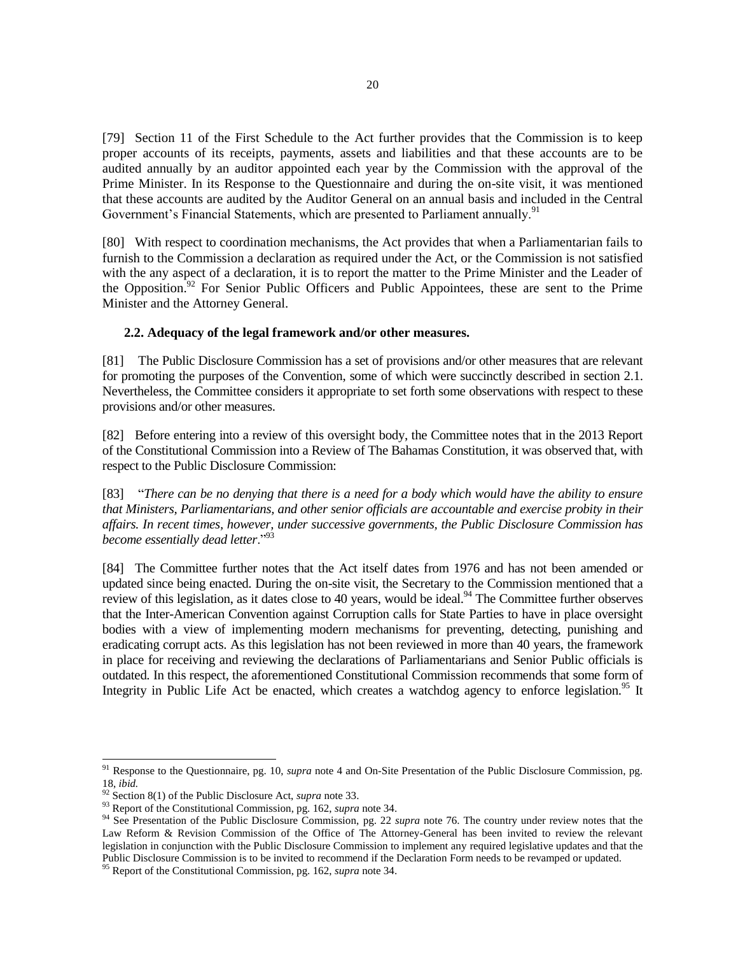[79] Section 11 of the First Schedule to the Act further provides that the Commission is to keep proper accounts of its receipts, payments, assets and liabilities and that these accounts are to be audited annually by an auditor appointed each year by the Commission with the approval of the Prime Minister. In its Response to the Questionnaire and during the on-site visit, it was mentioned that these accounts are audited by the Auditor General on an annual basis and included in the Central Government's Financial Statements, which are presented to Parliament annually.<sup>91</sup>

[80] With respect to coordination mechanisms, the Act provides that when a Parliamentarian fails to furnish to the Commission a declaration as required under the Act, or the Commission is not satisfied with the any aspect of a declaration, it is to report the matter to the Prime Minister and the Leader of the Opposition.<sup>92</sup> For Senior Public Officers and Public Appointees, these are sent to the Prime Minister and the Attorney General.

### **2.2. Adequacy of the legal framework and/or other measures.**

[81] The Public Disclosure Commission has a set of provisions and/or other measures that are relevant for promoting the purposes of the Convention, some of which were succinctly described in section 2.1. Nevertheless, the Committee considers it appropriate to set forth some observations with respect to these provisions and/or other measures.

[82] Before entering into a review of this oversight body, the Committee notes that in the 2013 Report of the Constitutional Commission into a Review of The Bahamas Constitution, it was observed that, with respect to the Public Disclosure Commission:

[83] "*There can be no denying that there is a need for a body which would have the ability to ensure that Ministers, Parliamentarians, and other senior officials are accountable and exercise probity in their affairs. In recent times, however, under successive governments, the Public Disclosure Commission has become essentially dead letter*."<sup>93</sup>

[84] The Committee further notes that the Act itself dates from 1976 and has not been amended or updated since being enacted. During the on-site visit, the Secretary to the Commission mentioned that a review of this legislation, as it dates close to 40 years, would be ideal.<sup>94</sup> The Committee further observes that the Inter-American Convention against Corruption calls for State Parties to have in place oversight bodies with a view of implementing modern mechanisms for preventing, detecting, punishing and eradicating corrupt acts. As this legislation has not been reviewed in more than 40 years, the framework in place for receiving and reviewing the declarations of Parliamentarians and Senior Public officials is outdated. In this respect, the aforementioned Constitutional Commission recommends that some form of Integrity in Public Life Act be enacted, which creates a watchdog agency to enforce legislation.<sup>95</sup> It

<sup>91</sup> Response to the Questionnaire, pg. 10, *supra* note 4 and On-Site Presentation of the Public Disclosure Commission, pg. 18, *ibid.*

<sup>92</sup> Section 8(1) of the Public Disclosure Act, *supra* note 33.

<sup>93</sup> Report of the Constitutional Commission, pg. 162, *supra* note 34.

<sup>94</sup> See Presentation of the Public Disclosure Commission, pg. 22 *supra* note 76. The country under review notes that the Law Reform & Revision Commission of the Office of The Attorney-General has been invited to review the relevant legislation in conjunction with the Public Disclosure Commission to implement any required legislative updates and that the Public Disclosure Commission is to be invited to recommend if the Declaration Form needs to be revamped or updated.

<sup>95</sup> Report of the Constitutional Commission, pg. 162, *supra* note 34.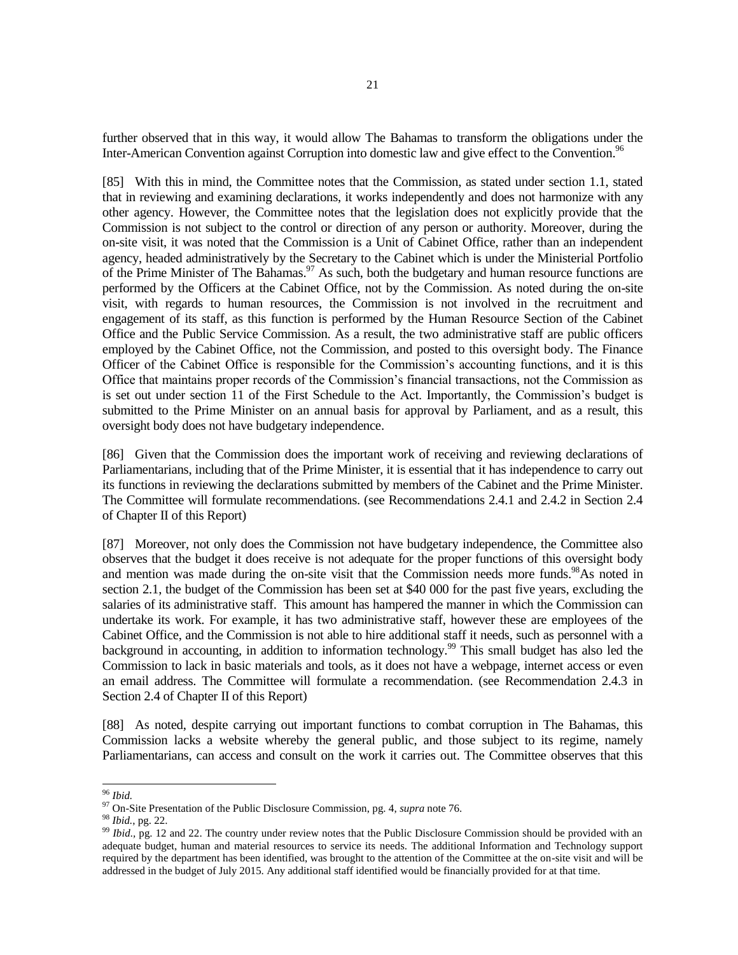further observed that in this way, it would allow The Bahamas to transform the obligations under the Inter-American Convention against Corruption into domestic law and give effect to the Convention.<sup>96</sup>

[85] With this in mind, the Committee notes that the Commission, as stated under section 1.1, stated that in reviewing and examining declarations, it works independently and does not harmonize with any other agency. However, the Committee notes that the legislation does not explicitly provide that the Commission is not subject to the control or direction of any person or authority. Moreover, during the on-site visit, it was noted that the Commission is a Unit of Cabinet Office, rather than an independent agency, headed administratively by the Secretary to the Cabinet which is under the Ministerial Portfolio of the Prime Minister of The Bahamas.<sup>97</sup> As such, both the budgetary and human resource functions are performed by the Officers at the Cabinet Office, not by the Commission. As noted during the on-site visit, with regards to human resources, the Commission is not involved in the recruitment and engagement of its staff, as this function is performed by the Human Resource Section of the Cabinet Office and the Public Service Commission. As a result, the two administrative staff are public officers employed by the Cabinet Office, not the Commission, and posted to this oversight body. The Finance Officer of the Cabinet Office is responsible for the Commission's accounting functions, and it is this Office that maintains proper records of the Commission's financial transactions, not the Commission as is set out under section 11 of the First Schedule to the Act. Importantly, the Commission's budget is submitted to the Prime Minister on an annual basis for approval by Parliament, and as a result, this oversight body does not have budgetary independence.

[86] Given that the Commission does the important work of receiving and reviewing declarations of Parliamentarians, including that of the Prime Minister, it is essential that it has independence to carry out its functions in reviewing the declarations submitted by members of the Cabinet and the Prime Minister. The Committee will formulate recommendations. (see Recommendations 2.4.1 and 2.4.2 in Section 2.4 of Chapter II of this Report)

[87] Moreover, not only does the Commission not have budgetary independence, the Committee also observes that the budget it does receive is not adequate for the proper functions of this oversight body and mention was made during the on-site visit that the Commission needs more funds.<sup>98</sup>As noted in section 2.1, the budget of the Commission has been set at \$40 000 for the past five years, excluding the salaries of its administrative staff. This amount has hampered the manner in which the Commission can undertake its work. For example, it has two administrative staff, however these are employees of the Cabinet Office, and the Commission is not able to hire additional staff it needs, such as personnel with a background in accounting, in addition to information technology.<sup>99</sup> This small budget has also led the Commission to lack in basic materials and tools, as it does not have a webpage, internet access or even an email address. The Committee will formulate a recommendation. (see Recommendation 2.4.3 in Section 2.4 of Chapter II of this Report)

[88] As noted, despite carrying out important functions to combat corruption in The Bahamas, this Commission lacks a website whereby the general public, and those subject to its regime, namely Parliamentarians, can access and consult on the work it carries out. The Committee observes that this

l <sup>96</sup> *Ibid.*

<sup>97</sup> On-Site Presentation of the Public Disclosure Commission, pg. 4, *supra* note 76.

<sup>98</sup> *Ibid.*, pg. 22.

<sup>99</sup> *Ibid.,* pg. 12 and 22. The country under review notes that the Public Disclosure Commission should be provided with an adequate budget, human and material resources to service its needs. The additional Information and Technology support required by the department has been identified, was brought to the attention of the Committee at the on-site visit and will be addressed in the budget of July 2015. Any additional staff identified would be financially provided for at that time.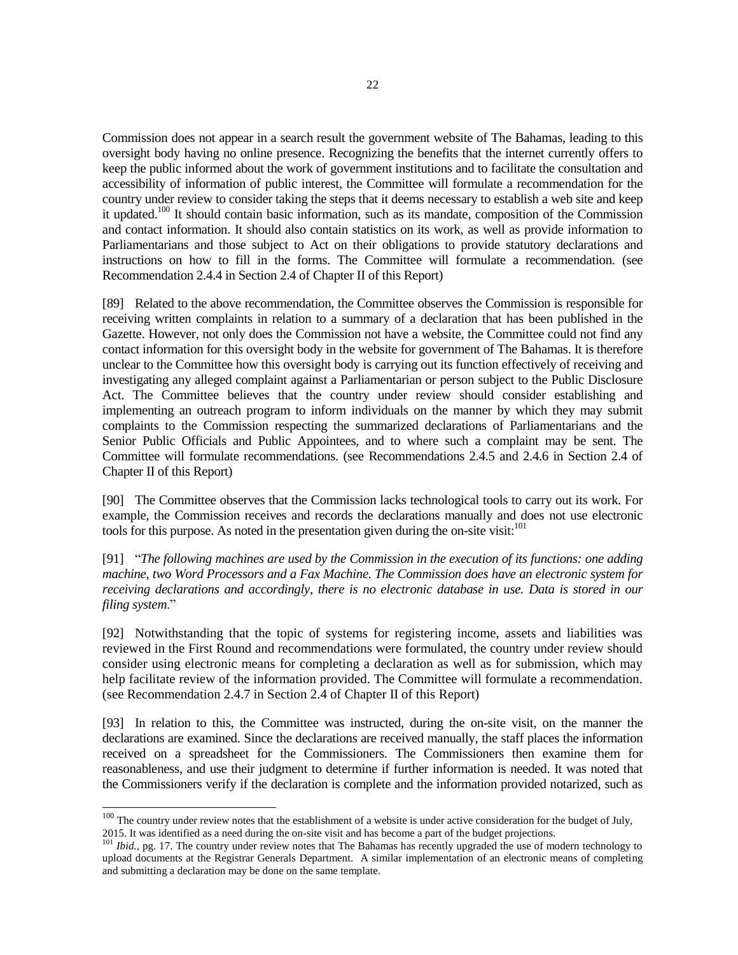Commission does not appear in a search result the government website of The Bahamas, leading to this oversight body having no online presence. Recognizing the benefits that the internet currently offers to keep the public informed about the work of government institutions and to facilitate the consultation and accessibility of information of public interest, the Committee will formulate a recommendation for the country under review to consider taking the steps that it deems necessary to establish a web site and keep it updated.<sup>100</sup> It should contain basic information, such as its mandate, composition of the Commission and contact information. It should also contain statistics on its work, as well as provide information to Parliamentarians and those subject to Act on their obligations to provide statutory declarations and instructions on how to fill in the forms. The Committee will formulate a recommendation. (see Recommendation 2.4.4 in Section 2.4 of Chapter II of this Report)

[89] Related to the above recommendation, the Committee observes the Commission is responsible for receiving written complaints in relation to a summary of a declaration that has been published in the Gazette. However, not only does the Commission not have a website, the Committee could not find any contact information for this oversight body in the website for government of The Bahamas. It is therefore unclear to the Committee how this oversight body is carrying out its function effectively of receiving and investigating any alleged complaint against a Parliamentarian or person subject to the Public Disclosure Act. The Committee believes that the country under review should consider establishing and implementing an outreach program to inform individuals on the manner by which they may submit complaints to the Commission respecting the summarized declarations of Parliamentarians and the Senior Public Officials and Public Appointees, and to where such a complaint may be sent. The Committee will formulate recommendations. (see Recommendations 2.4.5 and 2.4.6 in Section 2.4 of Chapter II of this Report)

[90] The Committee observes that the Commission lacks technological tools to carry out its work. For example, the Commission receives and records the declarations manually and does not use electronic tools for this purpose. As noted in the presentation given during the on-site visit: $101$ 

[91] "*The following machines are used by the Commission in the execution of its functions: one adding machine, two Word Processors and a Fax Machine. The Commission does have an electronic system for receiving declarations and accordingly, there is no electronic database in use. Data is stored in our filing system*."

[92] Notwithstanding that the topic of systems for registering income, assets and liabilities was reviewed in the First Round and recommendations were formulated, the country under review should consider using electronic means for completing a declaration as well as for submission, which may help facilitate review of the information provided. The Committee will formulate a recommendation. (see Recommendation 2.4.7 in Section 2.4 of Chapter II of this Report)

[93] In relation to this, the Committee was instructed, during the on-site visit, on the manner the declarations are examined. Since the declarations are received manually, the staff places the information received on a spreadsheet for the Commissioners. The Commissioners then examine them for reasonableness, and use their judgment to determine if further information is needed. It was noted that the Commissioners verify if the declaration is complete and the information provided notarized, such as

 $100$  The country under review notes that the establishment of a website is under active consideration for the budget of July, 2015. It was identified as a need during the on-site visit and has become a part of the budget projections.

<sup>&</sup>lt;sup>101</sup> *Ibid.*, pg. 17. The country under review notes that The Bahamas has recently upgraded the use of modern technology to upload documents at the Registrar Generals Department. A similar implementation of an electronic means of completing and submitting a declaration may be done on the same template.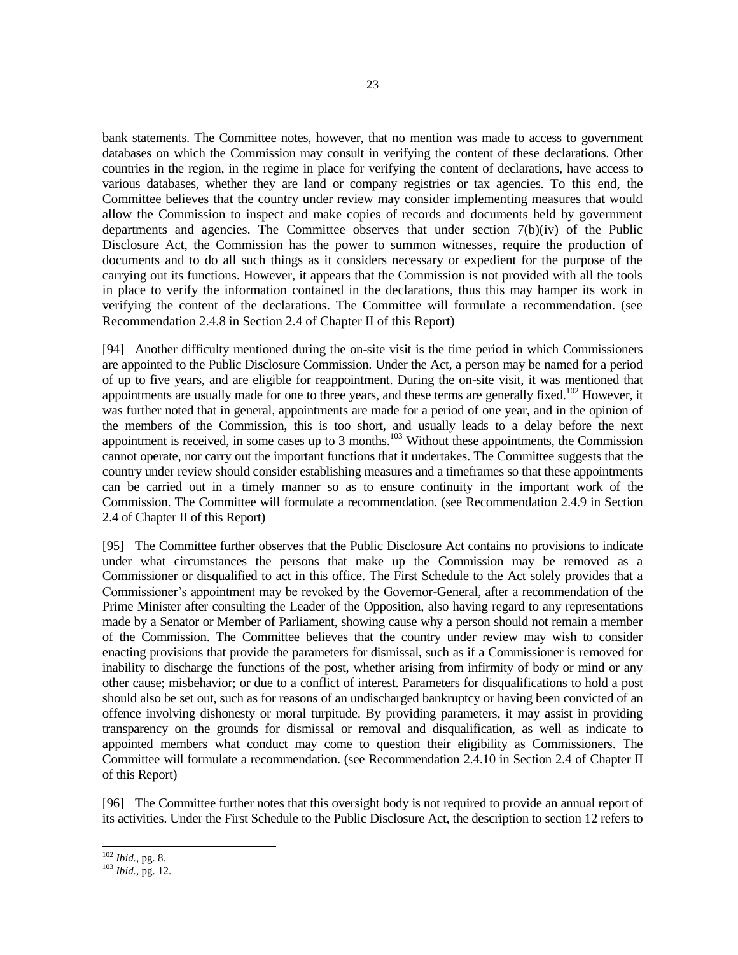bank statements. The Committee notes, however, that no mention was made to access to government databases on which the Commission may consult in verifying the content of these declarations. Other countries in the region, in the regime in place for verifying the content of declarations, have access to various databases, whether they are land or company registries or tax agencies. To this end, the Committee believes that the country under review may consider implementing measures that would allow the Commission to inspect and make copies of records and documents held by government departments and agencies. The Committee observes that under section  $7(b)(iv)$  of the Public Disclosure Act, the Commission has the power to summon witnesses, require the production of documents and to do all such things as it considers necessary or expedient for the purpose of the carrying out its functions. However, it appears that the Commission is not provided with all the tools in place to verify the information contained in the declarations, thus this may hamper its work in verifying the content of the declarations. The Committee will formulate a recommendation. (see Recommendation 2.4.8 in Section 2.4 of Chapter II of this Report)

[94] Another difficulty mentioned during the on-site visit is the time period in which Commissioners are appointed to the Public Disclosure Commission. Under the Act, a person may be named for a period of up to five years, and are eligible for reappointment. During the on-site visit, it was mentioned that appointments are usually made for one to three years, and these terms are generally fixed.<sup>102</sup> However, it was further noted that in general, appointments are made for a period of one year, and in the opinion of the members of the Commission, this is too short, and usually leads to a delay before the next appointment is received, in some cases up to 3 months.<sup>103</sup> Without these appointments, the Commission cannot operate, nor carry out the important functions that it undertakes. The Committee suggests that the country under review should consider establishing measures and a timeframes so that these appointments can be carried out in a timely manner so as to ensure continuity in the important work of the Commission. The Committee will formulate a recommendation. (see Recommendation 2.4.9 in Section 2.4 of Chapter II of this Report)

[95] The Committee further observes that the Public Disclosure Act contains no provisions to indicate under what circumstances the persons that make up the Commission may be removed as a Commissioner or disqualified to act in this office. The First Schedule to the Act solely provides that a Commissioner's appointment may be revoked by the Governor-General, after a recommendation of the Prime Minister after consulting the Leader of the Opposition, also having regard to any representations made by a Senator or Member of Parliament, showing cause why a person should not remain a member of the Commission. The Committee believes that the country under review may wish to consider enacting provisions that provide the parameters for dismissal, such as if a Commissioner is removed for inability to discharge the functions of the post, whether arising from infirmity of body or mind or any other cause; misbehavior; or due to a conflict of interest. Parameters for disqualifications to hold a post should also be set out, such as for reasons of an undischarged bankruptcy or having been convicted of an offence involving dishonesty or moral turpitude. By providing parameters, it may assist in providing transparency on the grounds for dismissal or removal and disqualification, as well as indicate to appointed members what conduct may come to question their eligibility as Commissioners. The Committee will formulate a recommendation. (see Recommendation 2.4.10 in Section 2.4 of Chapter II of this Report)

[96] The Committee further notes that this oversight body is not required to provide an annual report of its activities. Under the First Schedule to the Public Disclosure Act, the description to section 12 refers to

<sup>102</sup> *Ibid.*, pg. 8.

<sup>103</sup> *Ibid.*, pg. 12.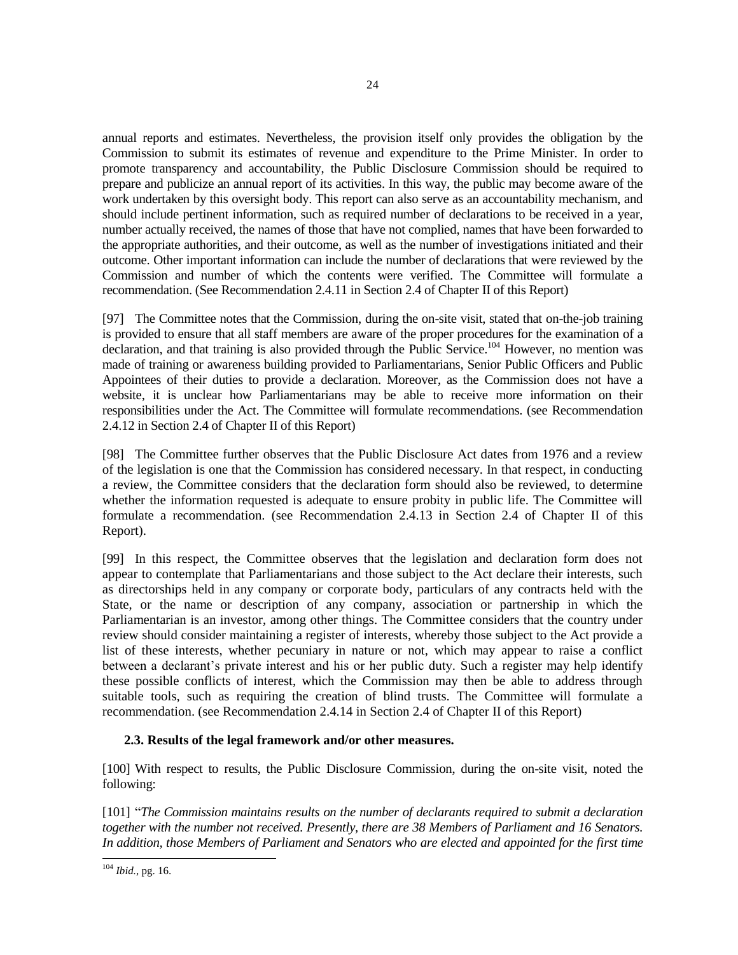annual reports and estimates. Nevertheless, the provision itself only provides the obligation by the Commission to submit its estimates of revenue and expenditure to the Prime Minister. In order to promote transparency and accountability, the Public Disclosure Commission should be required to prepare and publicize an annual report of its activities. In this way, the public may become aware of the work undertaken by this oversight body. This report can also serve as an accountability mechanism, and should include pertinent information, such as required number of declarations to be received in a year, number actually received, the names of those that have not complied, names that have been forwarded to the appropriate authorities, and their outcome, as well as the number of investigations initiated and their outcome. Other important information can include the number of declarations that were reviewed by the Commission and number of which the contents were verified. The Committee will formulate a recommendation. (See Recommendation 2.4.11 in Section 2.4 of Chapter II of this Report)

[97] The Committee notes that the Commission, during the on-site visit, stated that on-the-job training is provided to ensure that all staff members are aware of the proper procedures for the examination of a declaration, and that training is also provided through the Public Service.<sup>104</sup> However, no mention was made of training or awareness building provided to Parliamentarians, Senior Public Officers and Public Appointees of their duties to provide a declaration. Moreover, as the Commission does not have a website, it is unclear how Parliamentarians may be able to receive more information on their responsibilities under the Act. The Committee will formulate recommendations. (see Recommendation 2.4.12 in Section 2.4 of Chapter II of this Report)

[98] The Committee further observes that the Public Disclosure Act dates from 1976 and a review of the legislation is one that the Commission has considered necessary. In that respect, in conducting a review, the Committee considers that the declaration form should also be reviewed, to determine whether the information requested is adequate to ensure probity in public life. The Committee will formulate a recommendation. (see Recommendation 2.4.13 in Section 2.4 of Chapter II of this Report).

[99] In this respect, the Committee observes that the legislation and declaration form does not appear to contemplate that Parliamentarians and those subject to the Act declare their interests, such as directorships held in any company or corporate body, particulars of any contracts held with the State, or the name or description of any company, association or partnership in which the Parliamentarian is an investor, among other things. The Committee considers that the country under review should consider maintaining a register of interests, whereby those subject to the Act provide a list of these interests, whether pecuniary in nature or not, which may appear to raise a conflict between a declarant's private interest and his or her public duty. Such a register may help identify these possible conflicts of interest, which the Commission may then be able to address through suitable tools, such as requiring the creation of blind trusts. The Committee will formulate a recommendation. (see Recommendation 2.4.14 in Section 2.4 of Chapter II of this Report)

# **2.3. Results of the legal framework and/or other measures.**

[100] With respect to results, the Public Disclosure Commission, during the on-site visit, noted the following:

[101] "*The Commission maintains results on the number of declarants required to submit a declaration together with the number not received. Presently, there are 38 Members of Parliament and 16 Senators. In addition, those Members of Parliament and Senators who are elected and appointed for the first time* 

<sup>24</sup>

l <sup>104</sup> *Ibid.*, pg. 16.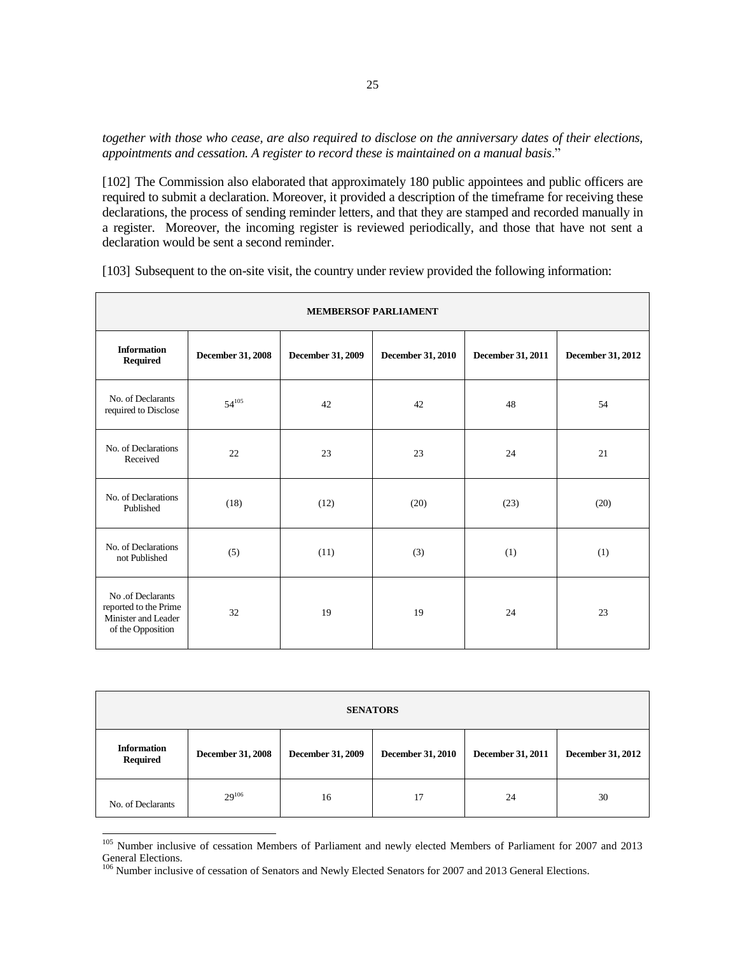*together with those who cease, are also required to disclose on the anniversary dates of their elections, appointments and cessation. A register to record these is maintained on a manual basis*."

[102] The Commission also elaborated that approximately 180 public appointees and public officers are required to submit a declaration. Moreover, it provided a description of the timeframe for receiving these declarations, the process of sending reminder letters, and that they are stamped and recorded manually in a register. Moreover, the incoming register is reviewed periodically, and those that have not sent a declaration would be sent a second reminder.

| <b>MEMBERSOF PARLIAMENT</b>                                                            |                          |                   |                          |                   |                   |
|----------------------------------------------------------------------------------------|--------------------------|-------------------|--------------------------|-------------------|-------------------|
| <b>Information</b><br>Required                                                         | <b>December 31, 2008</b> | December 31, 2009 | <b>December 31, 2010</b> | December 31, 2011 | December 31, 2012 |
| No. of Declarants<br>required to Disclose                                              | $54^{105}$               | 42                | 42                       | 48                | 54                |
| No. of Declarations<br>Received                                                        | 22                       | 23                | 23                       | 24                | 21                |
| No. of Declarations<br>Published                                                       | (18)                     | (12)              | (20)                     | (23)              | (20)              |
| No. of Declarations<br>not Published                                                   | (5)                      | (11)              | (3)                      | (1)               | (1)               |
| No .of Declarants<br>reported to the Prime<br>Minister and Leader<br>of the Opposition | 32                       | 19                | 19                       | 24                | 23                |

[103] Subsequent to the on-site visit, the country under review provided the following information:

| <b>SENATORS</b>                       |                          |                   |                          |                   |                   |
|---------------------------------------|--------------------------|-------------------|--------------------------|-------------------|-------------------|
| <b>Information</b><br><b>Required</b> | <b>December 31, 2008</b> | December 31, 2009 | <b>December 31, 2010</b> | December 31, 2011 | December 31, 2012 |
| No. of Declarants                     | $29^{106}$               | 16                | 17                       | 24                | 30                |

<sup>&</sup>lt;sup>105</sup> Number inclusive of cessation Members of Parliament and newly elected Members of Parliament for 2007 and 2013 General Elections.

<sup>&</sup>lt;sup>106</sup> Number inclusive of cessation of Senators and Newly Elected Senators for 2007 and 2013 General Elections.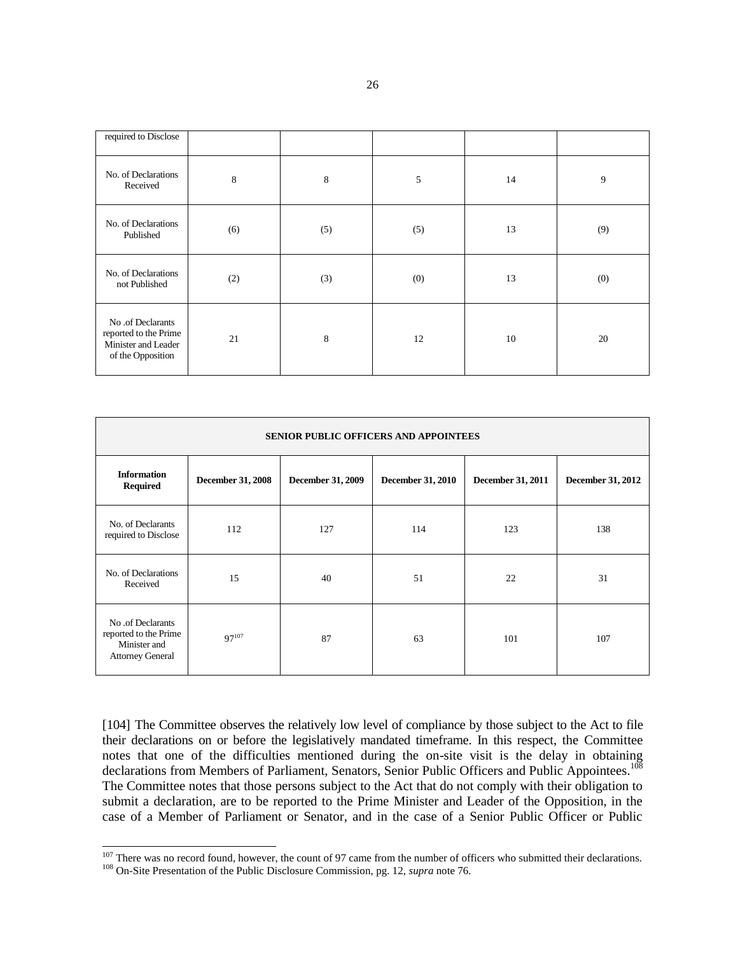| required to Disclose                                                                   |     |     |     |    |     |
|----------------------------------------------------------------------------------------|-----|-----|-----|----|-----|
| No. of Declarations<br>Received                                                        | 8   | 8   | 5   | 14 | 9   |
| No. of Declarations<br>Published                                                       | (6) | (5) | (5) | 13 | (9) |
| No. of Declarations<br>not Published                                                   | (2) | (3) | (0) | 13 | (0) |
| No .of Declarants<br>reported to the Prime<br>Minister and Leader<br>of the Opposition | 21  | 8   | 12  | 10 | 20  |

| <b>SENIOR PUBLIC OFFICERS AND APPOINTEES</b>                                          |                          |                   |                          |                   |                          |
|---------------------------------------------------------------------------------------|--------------------------|-------------------|--------------------------|-------------------|--------------------------|
| <b>Information</b><br><b>Required</b>                                                 | <b>December 31, 2008</b> | December 31, 2009 | <b>December 31, 2010</b> | December 31, 2011 | <b>December 31, 2012</b> |
| No. of Declarants<br>required to Disclose                                             | 112                      | 127               | 114                      | 123               | 138                      |
| No. of Declarations<br>Received                                                       | 15                       | 40                | 51                       | 22                | 31                       |
| No .of Declarants<br>reported to the Prime<br>Minister and<br><b>Attorney General</b> | $97^{107}$               | 87                | 63                       | 101               | 107                      |

[104] The Committee observes the relatively low level of compliance by those subject to the Act to file their declarations on or before the legislatively mandated timeframe. In this respect, the Committee notes that one of the difficulties mentioned during the on-site visit is the delay in obtaining declarations from Members of Parliament, Senators, Senior Public Officers and Public Appointees.<sup>108</sup> The Committee notes that those persons subject to the Act that do not comply with their obligation to submit a declaration, are to be reported to the Prime Minister and Leader of the Opposition, in the case of a Member of Parliament or Senator, and in the case of a Senior Public Officer or Public

 $107$  There was no record found, however, the count of 97 came from the number of officers who submitted their declarations.

<sup>108</sup> On-Site Presentation of the Public Disclosure Commission, pg. 12, *supra* note 76.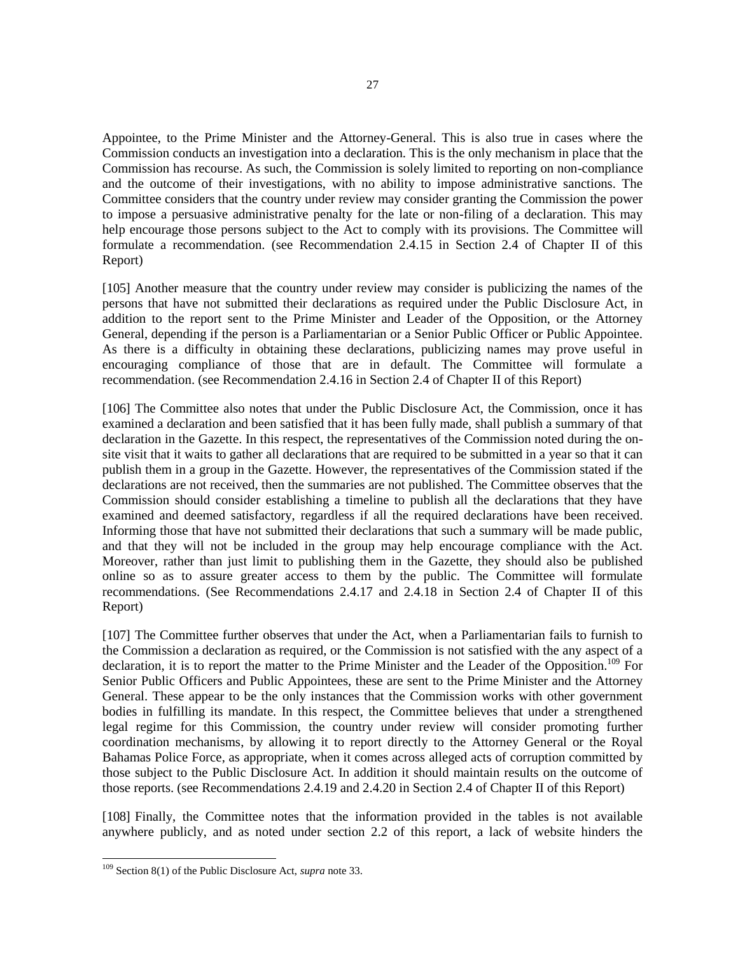Appointee, to the Prime Minister and the Attorney-General. This is also true in cases where the Commission conducts an investigation into a declaration. This is the only mechanism in place that the Commission has recourse. As such, the Commission is solely limited to reporting on non-compliance and the outcome of their investigations, with no ability to impose administrative sanctions. The Committee considers that the country under review may consider granting the Commission the power to impose a persuasive administrative penalty for the late or non-filing of a declaration. This may help encourage those persons subject to the Act to comply with its provisions. The Committee will formulate a recommendation. (see Recommendation 2.4.15 in Section 2.4 of Chapter II of this Report)

[105] Another measure that the country under review may consider is publicizing the names of the persons that have not submitted their declarations as required under the Public Disclosure Act, in addition to the report sent to the Prime Minister and Leader of the Opposition, or the Attorney General, depending if the person is a Parliamentarian or a Senior Public Officer or Public Appointee. As there is a difficulty in obtaining these declarations, publicizing names may prove useful in encouraging compliance of those that are in default. The Committee will formulate a recommendation. (see Recommendation 2.4.16 in Section 2.4 of Chapter II of this Report)

[106] The Committee also notes that under the Public Disclosure Act, the Commission, once it has examined a declaration and been satisfied that it has been fully made, shall publish a summary of that declaration in the Gazette. In this respect, the representatives of the Commission noted during the onsite visit that it waits to gather all declarations that are required to be submitted in a year so that it can publish them in a group in the Gazette. However, the representatives of the Commission stated if the declarations are not received, then the summaries are not published. The Committee observes that the Commission should consider establishing a timeline to publish all the declarations that they have examined and deemed satisfactory, regardless if all the required declarations have been received. Informing those that have not submitted their declarations that such a summary will be made public, and that they will not be included in the group may help encourage compliance with the Act. Moreover, rather than just limit to publishing them in the Gazette, they should also be published online so as to assure greater access to them by the public. The Committee will formulate recommendations. (See Recommendations 2.4.17 and 2.4.18 in Section 2.4 of Chapter II of this Report)

[107] The Committee further observes that under the Act, when a Parliamentarian fails to furnish to the Commission a declaration as required, or the Commission is not satisfied with the any aspect of a declaration, it is to report the matter to the Prime Minister and the Leader of the Opposition.<sup>109</sup> For Senior Public Officers and Public Appointees, these are sent to the Prime Minister and the Attorney General. These appear to be the only instances that the Commission works with other government bodies in fulfilling its mandate. In this respect, the Committee believes that under a strengthened legal regime for this Commission, the country under review will consider promoting further coordination mechanisms, by allowing it to report directly to the Attorney General or the Royal Bahamas Police Force, as appropriate, when it comes across alleged acts of corruption committed by those subject to the Public Disclosure Act. In addition it should maintain results on the outcome of those reports. (see Recommendations 2.4.19 and 2.4.20 in Section 2.4 of Chapter II of this Report)

[108] Finally, the Committee notes that the information provided in the tables is not available anywhere publicly, and as noted under section 2.2 of this report, a lack of website hinders the

<sup>109</sup> Section 8(1) of the Public Disclosure Act, *supra* note 33.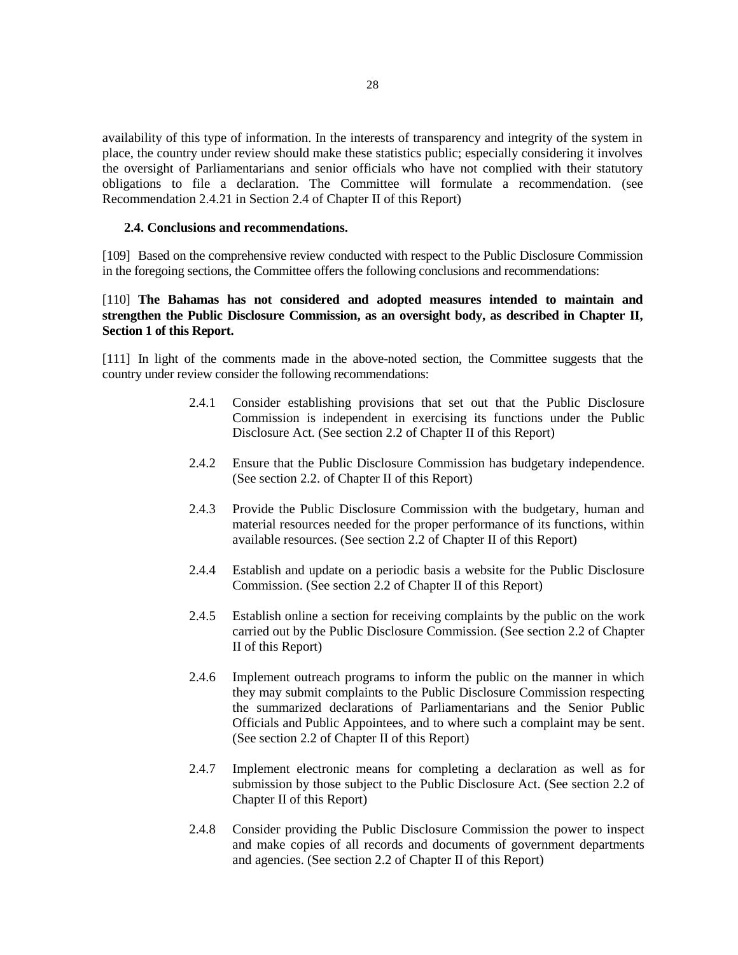availability of this type of information. In the interests of transparency and integrity of the system in place, the country under review should make these statistics public; especially considering it involves the oversight of Parliamentarians and senior officials who have not complied with their statutory obligations to file a declaration. The Committee will formulate a recommendation. (see Recommendation 2.4.21 in Section 2.4 of Chapter II of this Report)

#### **2.4. Conclusions and recommendations.**

[109] Based on the comprehensive review conducted with respect to the Public Disclosure Commission in the foregoing sections, the Committee offers the following conclusions and recommendations:

# [110] **The Bahamas has not considered and adopted measures intended to maintain and strengthen the Public Disclosure Commission, as an oversight body, as described in Chapter II, Section 1 of this Report.**

[111] In light of the comments made in the above-noted section, the Committee suggests that the country under review consider the following recommendations:

- 2.4.1 Consider establishing provisions that set out that the Public Disclosure Commission is independent in exercising its functions under the Public Disclosure Act. (See section 2.2 of Chapter II of this Report)
- 2.4.2 Ensure that the Public Disclosure Commission has budgetary independence. (See section 2.2. of Chapter II of this Report)
- 2.4.3 Provide the Public Disclosure Commission with the budgetary, human and material resources needed for the proper performance of its functions, within available resources. (See section 2.2 of Chapter II of this Report)
- 2.4.4 Establish and update on a periodic basis a website for the Public Disclosure Commission. (See section 2.2 of Chapter II of this Report)
- 2.4.5 Establish online a section for receiving complaints by the public on the work carried out by the Public Disclosure Commission. (See section 2.2 of Chapter II of this Report)
- 2.4.6 Implement outreach programs to inform the public on the manner in which they may submit complaints to the Public Disclosure Commission respecting the summarized declarations of Parliamentarians and the Senior Public Officials and Public Appointees, and to where such a complaint may be sent. (See section 2.2 of Chapter II of this Report)
- 2.4.7 Implement electronic means for completing a declaration as well as for submission by those subject to the Public Disclosure Act. (See section 2.2 of Chapter II of this Report)
- 2.4.8 Consider providing the Public Disclosure Commission the power to inspect and make copies of all records and documents of government departments and agencies. (See section 2.2 of Chapter II of this Report)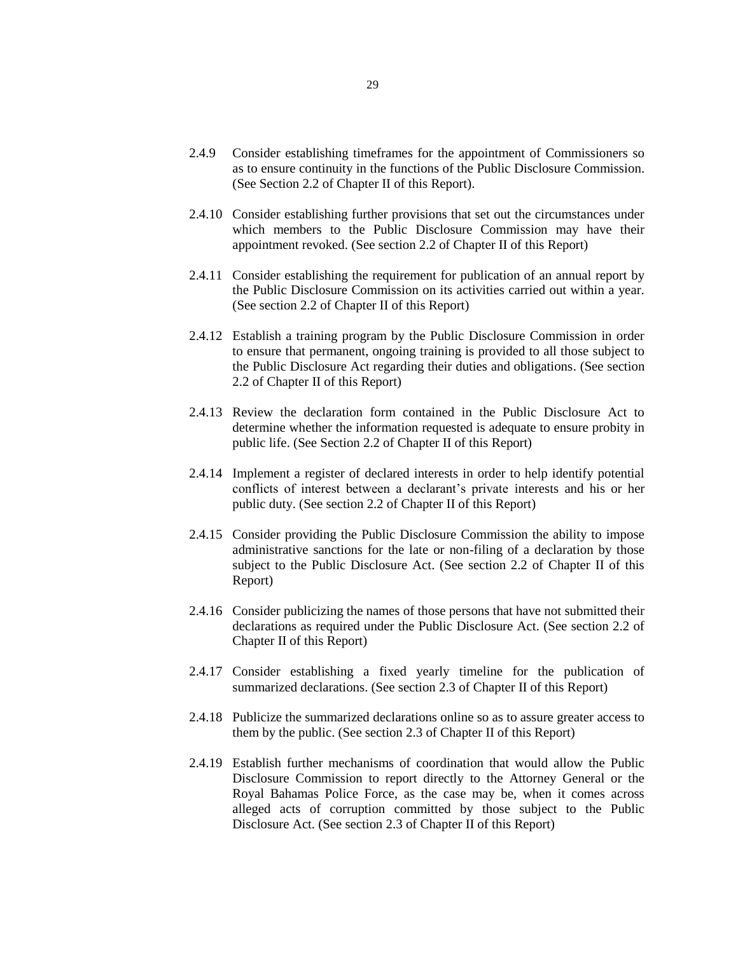- 2.4.9 Consider establishing timeframes for the appointment of Commissioners so as to ensure continuity in the functions of the Public Disclosure Commission. (See Section 2.2 of Chapter II of this Report).
- 2.4.10 Consider establishing further provisions that set out the circumstances under which members to the Public Disclosure Commission may have their appointment revoked. (See section 2.2 of Chapter II of this Report)
- 2.4.11 Consider establishing the requirement for publication of an annual report by the Public Disclosure Commission on its activities carried out within a year. (See section 2.2 of Chapter II of this Report)
- 2.4.12 Establish a training program by the Public Disclosure Commission in order to ensure that permanent, ongoing training is provided to all those subject to the Public Disclosure Act regarding their duties and obligations. (See section 2.2 of Chapter II of this Report)
- 2.4.13 Review the declaration form contained in the Public Disclosure Act to determine whether the information requested is adequate to ensure probity in public life. (See Section 2.2 of Chapter II of this Report)
- 2.4.14 Implement a register of declared interests in order to help identify potential conflicts of interest between a declarant's private interests and his or her public duty. (See section 2.2 of Chapter II of this Report)
- 2.4.15 Consider providing the Public Disclosure Commission the ability to impose administrative sanctions for the late or non-filing of a declaration by those subject to the Public Disclosure Act. (See section 2.2 of Chapter II of this Report)
- 2.4.16 Consider publicizing the names of those persons that have not submitted their declarations as required under the Public Disclosure Act. (See section 2.2 of Chapter II of this Report)
- 2.4.17 Consider establishing a fixed yearly timeline for the publication of summarized declarations. (See section 2.3 of Chapter II of this Report)
- 2.4.18 Publicize the summarized declarations online so as to assure greater access to them by the public. (See section 2.3 of Chapter II of this Report)
- 2.4.19 Establish further mechanisms of coordination that would allow the Public Disclosure Commission to report directly to the Attorney General or the Royal Bahamas Police Force, as the case may be, when it comes across alleged acts of corruption committed by those subject to the Public Disclosure Act. (See section 2.3 of Chapter II of this Report)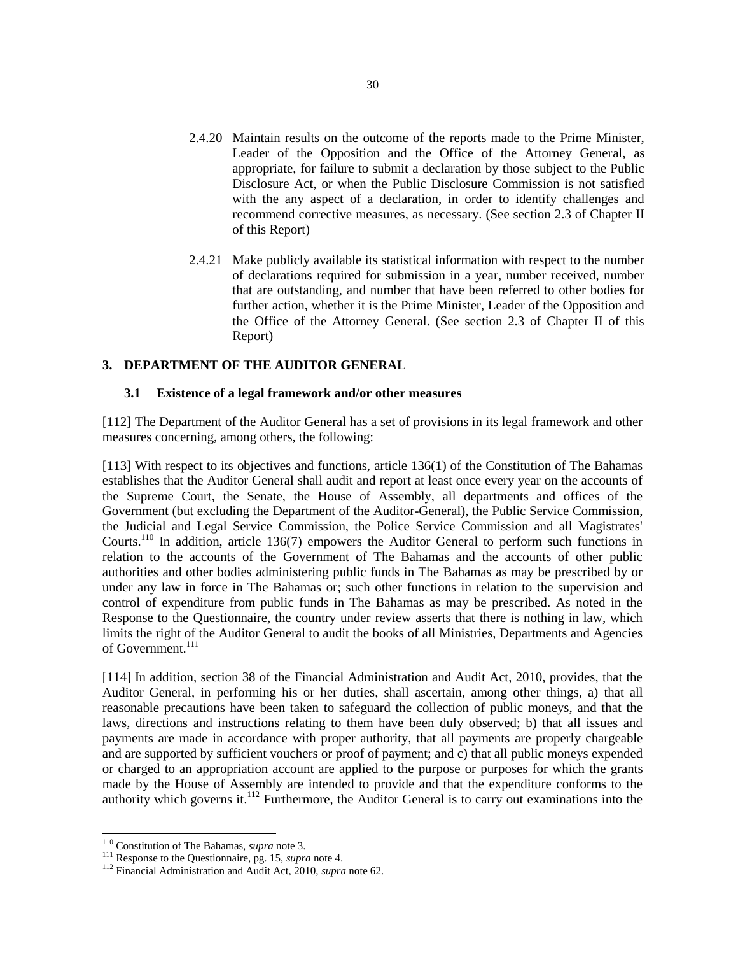- 2.4.20 Maintain results on the outcome of the reports made to the Prime Minister, Leader of the Opposition and the Office of the Attorney General, as appropriate, for failure to submit a declaration by those subject to the Public Disclosure Act, or when the Public Disclosure Commission is not satisfied with the any aspect of a declaration, in order to identify challenges and recommend corrective measures, as necessary. (See section 2.3 of Chapter II of this Report)
- 2.4.21 Make publicly available its statistical information with respect to the number of declarations required for submission in a year, number received, number that are outstanding, and number that have been referred to other bodies for further action, whether it is the Prime Minister, Leader of the Opposition and the Office of the Attorney General. (See section 2.3 of Chapter II of this Report)

## **3. DEPARTMENT OF THE AUDITOR GENERAL**

### **3.1 Existence of a legal framework and/or other measures**

[112] The Department of the Auditor General has a set of provisions in its legal framework and other measures concerning, among others, the following:

[113] With respect to its objectives and functions, article 136(1) of the Constitution of The Bahamas establishes that the Auditor General shall audit and report at least once every year on the accounts of the Supreme Court, the Senate, the House of Assembly, all departments and offices of the Government (but excluding the Department of the Auditor-General), the Public Service Commission, the Judicial and Legal Service Commission, the Police Service Commission and all Magistrates' Courts.<sup>110</sup> In addition, article 136(7) empowers the Auditor General to perform such functions in relation to the accounts of the Government of The Bahamas and the accounts of other public authorities and other bodies administering public funds in The Bahamas as may be prescribed by or under any law in force in The Bahamas or; such other functions in relation to the supervision and control of expenditure from public funds in The Bahamas as may be prescribed. As noted in the Response to the Questionnaire, the country under review asserts that there is nothing in law, which limits the right of the Auditor General to audit the books of all Ministries, Departments and Agencies of Government.<sup>111</sup>

[114] In addition, section 38 of the Financial Administration and Audit Act, 2010, provides, that the Auditor General, in performing his or her duties, shall ascertain, among other things, a) that all reasonable precautions have been taken to safeguard the collection of public moneys, and that the laws, directions and instructions relating to them have been duly observed; b) that all issues and payments are made in accordance with proper authority, that all payments are properly chargeable and are supported by sufficient vouchers or proof of payment; and c) that all public moneys expended or charged to an appropriation account are applied to the purpose or purposes for which the grants made by the House of Assembly are intended to provide and that the expenditure conforms to the authority which governs it.<sup>112</sup> Furthermore, the Auditor General is to carry out examinations into the

<sup>110</sup> Constitution of The Bahamas, *supra* note 3.

<sup>111</sup> Response to the Questionnaire, pg. 15, *supra* note 4.

<sup>112</sup> Financial Administration and Audit Act, 2010, *supra* note 62.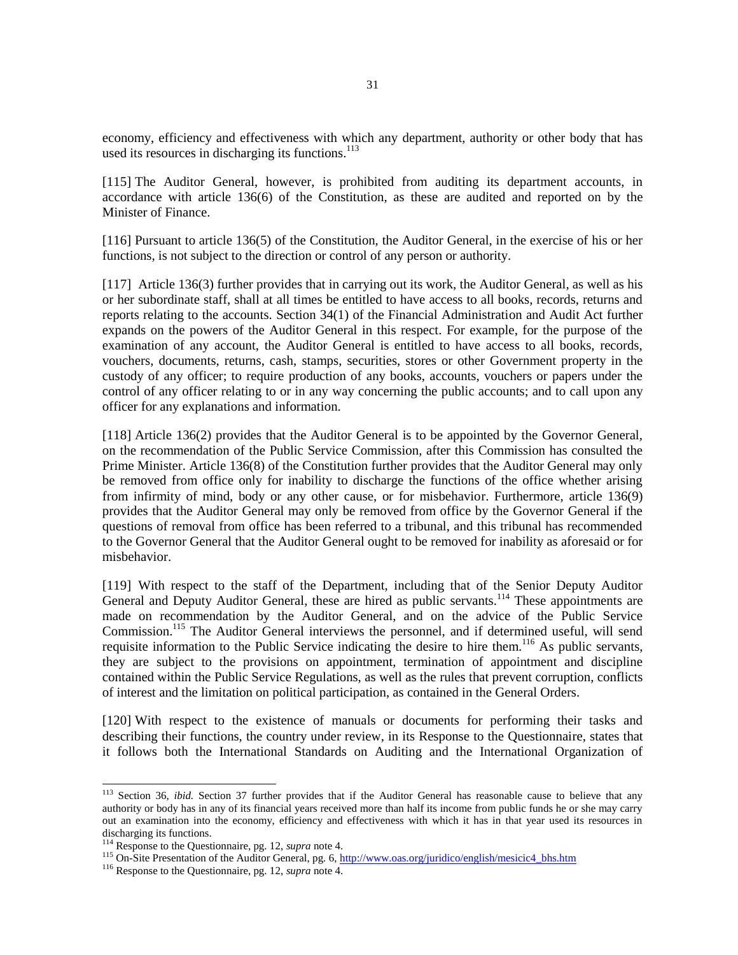economy, efficiency and effectiveness with which any department, authority or other body that has used its resources in discharging its functions.<sup>113</sup>

[115] The Auditor General, however, is prohibited from auditing its department accounts, in accordance with article 136(6) of the Constitution, as these are audited and reported on by the Minister of Finance.

[116] Pursuant to article 136(5) of the Constitution, the Auditor General, in the exercise of his or her functions, is not subject to the direction or control of any person or authority.

[117] Article 136(3) further provides that in carrying out its work, the Auditor General, as well as his or her subordinate staff, shall at all times be entitled to have access to all books, records, returns and reports relating to the accounts. Section 34(1) of the Financial Administration and Audit Act further expands on the powers of the Auditor General in this respect. For example, for the purpose of the examination of any account, the Auditor General is entitled to have access to all books, records, vouchers, documents, returns, cash, stamps, securities, stores or other Government property in the custody of any officer; to require production of any books, accounts, vouchers or papers under the control of any officer relating to or in any way concerning the public accounts; and to call upon any officer for any explanations and information.

[118] Article 136(2) provides that the Auditor General is to be appointed by the Governor General, on the recommendation of the Public Service Commission, after this Commission has consulted the Prime Minister. Article 136(8) of the Constitution further provides that the Auditor General may only be removed from office only for inability to discharge the functions of the office whether arising from infirmity of mind, body or any other cause, or for misbehavior. Furthermore, article 136(9) provides that the Auditor General may only be removed from office by the Governor General if the questions of removal from office has been referred to a tribunal, and this tribunal has recommended to the Governor General that the Auditor General ought to be removed for inability as aforesaid or for misbehavior.

[119] With respect to the staff of the Department, including that of the Senior Deputy Auditor General and Deputy Auditor General, these are hired as public servants.<sup>114</sup> These appointments are made on recommendation by the Auditor General, and on the advice of the Public Service Commission.<sup>115</sup> The Auditor General interviews the personnel, and if determined useful, will send requisite information to the Public Service indicating the desire to hire them.<sup>116</sup> As public servants, they are subject to the provisions on appointment, termination of appointment and discipline contained within the Public Service Regulations, as well as the rules that prevent corruption, conflicts of interest and the limitation on political participation, as contained in the General Orders.

[120] With respect to the existence of manuals or documents for performing their tasks and describing their functions, the country under review, in its Response to the Questionnaire, states that it follows both the International Standards on Auditing and the International Organization of

<sup>&</sup>lt;sup>113</sup> Section 36, *ibid.* Section 37 further provides that if the Auditor General has reasonable cause to believe that any authority or body has in any of its financial years received more than half its income from public funds he or she may carry out an examination into the economy, efficiency and effectiveness with which it has in that year used its resources in discharging its functions.

<sup>114</sup> Response to the Questionnaire, pg. 12, *supra* note 4.

<sup>115</sup> On-Site Presentation of the Auditor General, pg. 6, [http://www.oas.org/juridico/english/mesicic4\\_bhs.htm](http://www.oas.org/juridico/english/mesicic4_bhs.htm) 

<sup>116</sup> Response to the Questionnaire, pg. 12, *supra* note 4.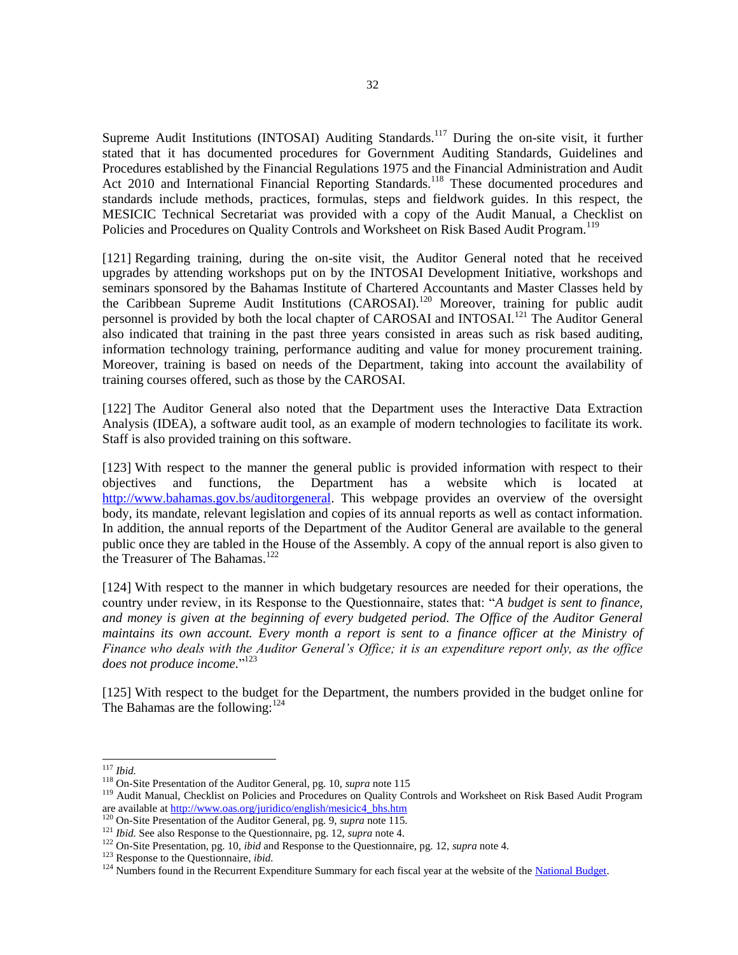Supreme Audit Institutions (INTOSAI) Auditing Standards.<sup>117</sup> During the on-site visit, it further stated that it has documented procedures for Government Auditing Standards, Guidelines and Procedures established by the Financial Regulations 1975 and the Financial Administration and Audit Act 2010 and International Financial Reporting Standards.<sup>118</sup> These documented procedures and standards include methods, practices, formulas, steps and fieldwork guides. In this respect, the MESICIC Technical Secretariat was provided with a copy of the Audit Manual, a Checklist on Policies and Procedures on Quality Controls and Worksheet on Risk Based Audit Program.<sup>119</sup>

[121] Regarding training, during the on-site visit, the Auditor General noted that he received upgrades by attending workshops put on by the INTOSAI Development Initiative, workshops and seminars sponsored by the Bahamas Institute of Chartered Accountants and Master Classes held by the Caribbean Supreme Audit Institutions (CAROSAI).<sup>120</sup> Moreover, training for public audit personnel is provided by both the local chapter of CAROSAI and INTOSAI.<sup>121</sup> The Auditor General also indicated that training in the past three years consisted in areas such as risk based auditing, information technology training, performance auditing and value for money procurement training. Moreover, training is based on needs of the Department, taking into account the availability of training courses offered, such as those by the CAROSAI.

[122] The Auditor General also noted that the Department uses the Interactive Data Extraction Analysis (IDEA), a software audit tool, as an example of modern technologies to facilitate its work. Staff is also provided training on this software.

[123] With respect to the manner the general public is provided information with respect to their objectives and functions, the Department has a website which is located at [http://www.bahamas.gov.bs/auditorgeneral.](http://www.bahamas.gov.bs/auditorgeneral) This webpage provides an overview of the oversight body, its mandate, relevant legislation and copies of its annual reports as well as contact information. In addition, the annual reports of the Department of the Auditor General are available to the general public once they are tabled in the House of the Assembly. A copy of the annual report is also given to the Treasurer of The Bahamas.<sup>122</sup>

[124] With respect to the manner in which budgetary resources are needed for their operations, the country under review, in its Response to the Questionnaire, states that: "*A budget is sent to finance, and money is given at the beginning of every budgeted period. The Office of the Auditor General maintains its own account. Every month a report is sent to a finance officer at the Ministry of Finance who deals with the Auditor General's Office; it is an expenditure report only, as the office does not produce income.*" 123

[125] With respect to the budget for the Department, the numbers provided in the budget online for The Bahamas are the following:<sup>124</sup>

<sup>117</sup> *Ibid.*

<sup>118</sup> On-Site Presentation of the Auditor General, pg. 10, *supra* note 115

<sup>&</sup>lt;sup>119</sup> Audit Manual, Checklist on Policies and Procedures on Quality Controls and Worksheet on Risk Based Audit Program are available at http://www.oas.org/juridico/english/mesicic4\_bhs.htm

<sup>120</sup> On-Site Presentation of the Auditor General, pg. 9, *supra* note 115.

<sup>121</sup> *Ibid.* See also Response to the Questionnaire, pg. 12, *supra* note 4.

<sup>122</sup> On-Site Presentation, pg. 10, *ibid* and Response to the Questionnaire, pg. 12, *supra* note 4.

<sup>123</sup> Response to the Questionnaire, *ibid.*

 $124$  Numbers found in the Recurrent Expenditure Summary for each fiscal year at the website of the [National Budget.](http://www.bahamas.gov.bs/wps/portal/public/National%20Budget/Budget%20Documents/!ut/p/b1/vZTbkppAEIafJQ_A0oMchktERIThDDLcWCKCykFYXXF5-rCppHKo2k0uksxcTfX391_dPdVsyiZs2u7up3J3O13aXf32TsXtDHSiKDwmugAiGJFrKa604hwkTACdAHjnKPCh3uS-6j8Avuh1h3jqFIY4moOxIuYCq3gGK4ndsElIOXlxNUpdi4vOu57LmHbOsrfDl-cTnES9HRjzms-peLctkVmDdAX5NYhyMfENynTrE3Ou8_ayp1Xpab3B4AeU3ezqPsKa2R_vGyGUi7QwHq_Lwh8JveHLdkkOnUCCVAsKnnYeWVSz_JjllwyqvtedfU1V2h-zQ5BJi9PtaqroZtFDczimuueNW0jEF4a2w6dP3-p_v8A_6v97AA-_02_Y9EPkLcMX4KMRfxsST7QpgyPgJRgoFCxXlBGew28spiHbq0tzYOmEST9gYQxTHlD8AHmAbcSGbAL8Nji_dsZYjf4ZBggWBrLHnKBwg4j2HNhRBbac2qTCIzxHA9FuJAidMdSuyLYTN4_9aK6o_qGYtb8aOlwoT4YqEs1IgAD4f22oCw6eGiGFriJwoDvofxvO_mtLddeBf17hT5-G9_7-DNdsesqap2HfPMETlkUkSJiXsQg8jyU2PlNRmLbRoGn-dk2Rde2lzlE82wf7CL1qU76sk5nB7Yuj1Jr-PF7697zdVbo_HzK-VZt2pUfQ188NdPdNjG8kRWejuOiYZmvTn0XGw5KgFMrmsjH4ZbldDbK72lmjdHbOmlDnm1u8L_zF_WXETE6TtQN501iZLeLubi3oQa7dUz6QLSCrfxHUnrMOy3ao7HUtZ5lHdHvJRcqmyvskB97ld17y4IaucXRgNBMNK2XaWl0TRXfTEn2tWCTj96tMwc8woB-F/dl4/d5/L2dBISEvZ0FBIS9nQSEh/)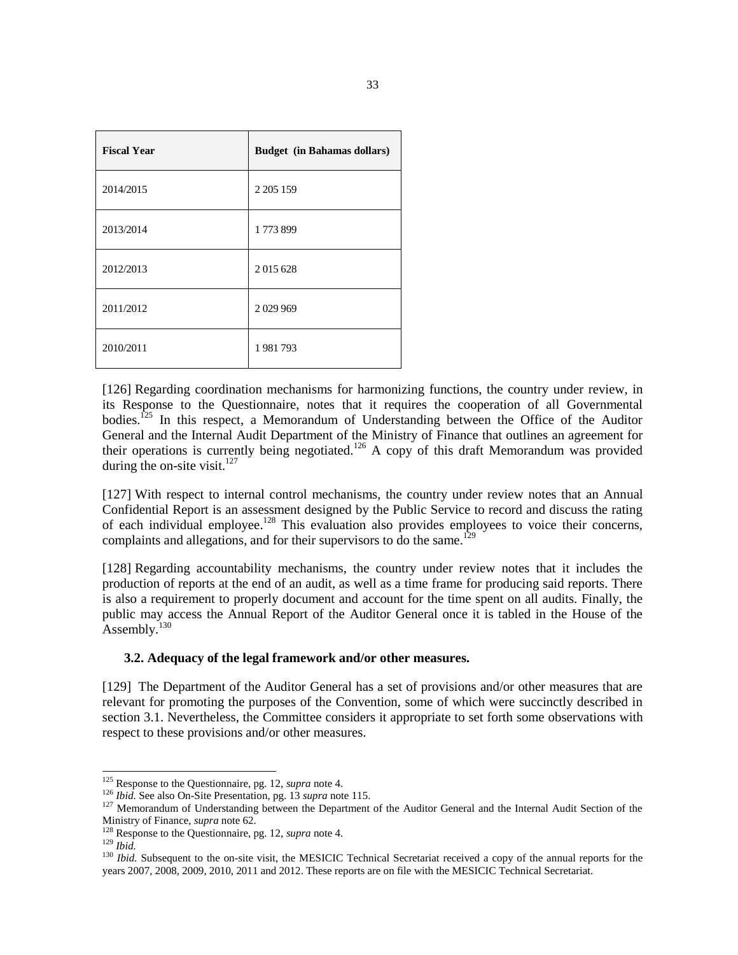| <b>Fiscal Year</b> | <b>Budget</b> (in Bahamas dollars) |
|--------------------|------------------------------------|
| 2014/2015          | 2 2 0 5 1 5 9                      |
| 2013/2014          | 1773899                            |
| 2012/2013          | 2015628                            |
| 2011/2012          | 2029969                            |
| 2010/2011          | 1981793                            |

[126] Regarding coordination mechanisms for harmonizing functions, the country under review, in its Response to the Questionnaire, notes that it requires the cooperation of all Governmental bodies.<sup>125</sup> In this respect, a Memorandum of Understanding between the Office of the Auditor General and the Internal Audit Department of the Ministry of Finance that outlines an agreement for their operations is currently being negotiated.<sup>126</sup> A copy of this draft Memorandum was provided during the on-site visit. $127$ 

[127] With respect to internal control mechanisms, the country under review notes that an Annual Confidential Report is an assessment designed by the Public Service to record and discuss the rating of each individual employee.<sup>128</sup> This evaluation also provides employees to voice their concerns, complaints and allegations, and for their supervisors to do the same.<sup>129</sup>

[128] Regarding accountability mechanisms, the country under review notes that it includes the production of reports at the end of an audit, as well as a time frame for producing said reports. There is also a requirement to properly document and account for the time spent on all audits. Finally, the public may access the Annual Report of the Auditor General once it is tabled in the House of the Assembly.<sup>130</sup>

### **3.2. Adequacy of the legal framework and/or other measures.**

[129] The Department of the Auditor General has a set of provisions and/or other measures that are relevant for promoting the purposes of the Convention, some of which were succinctly described in section 3.1. Nevertheless, the Committee considers it appropriate to set forth some observations with respect to these provisions and/or other measures.

<sup>125</sup> Response to the Questionnaire, pg. 12, *supra* note 4.

<sup>126</sup> *Ibid.* See also On-Site Presentation, pg. 13 *supra* note 115.

<sup>&</sup>lt;sup>127</sup> Memorandum of Understanding between the Department of the Auditor General and the Internal Audit Section of the Ministry of Finance, *supra* note 62.

<sup>128</sup> Response to the Questionnaire, pg. 12, *supra* note 4.

<sup>129</sup> *Ibid.*

<sup>&</sup>lt;sup>130</sup> *Ibid.* Subsequent to the on-site visit, the MESICIC Technical Secretariat received a copy of the annual reports for the years 2007, 2008, 2009, 2010, 2011 and 2012. These reports are on file with the MESICIC Technical Secretariat.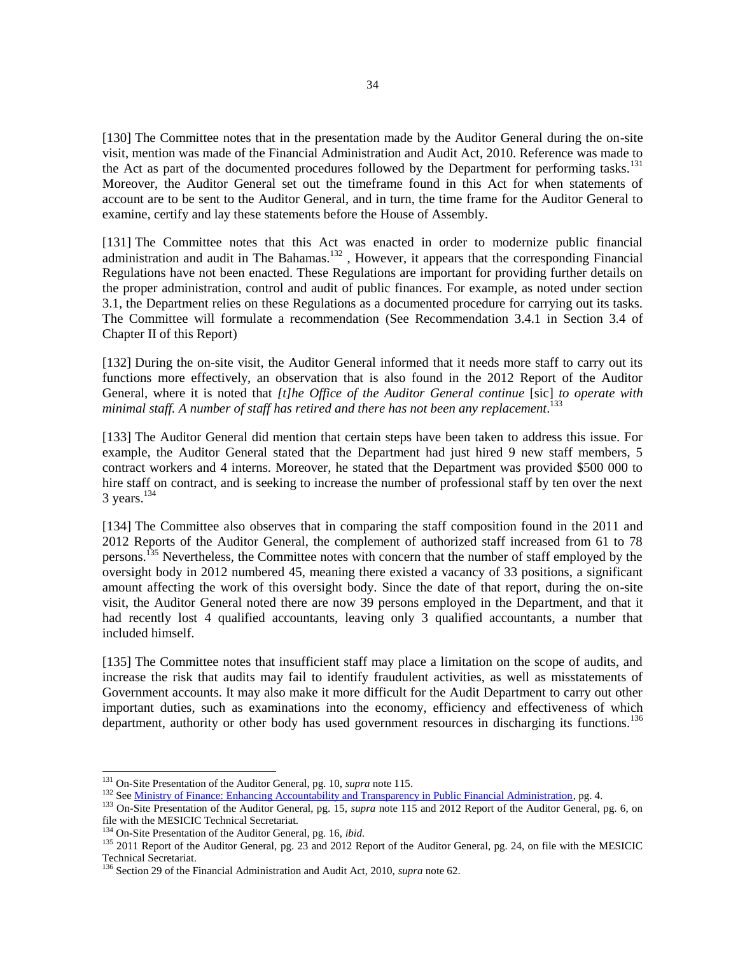[130] The Committee notes that in the presentation made by the Auditor General during the on-site visit, mention was made of the Financial Administration and Audit Act, 2010. Reference was made to the Act as part of the documented procedures followed by the Department for performing tasks.<sup>131</sup> Moreover, the Auditor General set out the timeframe found in this Act for when statements of account are to be sent to the Auditor General, and in turn, the time frame for the Auditor General to examine, certify and lay these statements before the House of Assembly.

[131] The Committee notes that this Act was enacted in order to modernize public financial administration and audit in The Bahamas.<sup>132</sup>, However, it appears that the corresponding Financial Regulations have not been enacted. These Regulations are important for providing further details on the proper administration, control and audit of public finances. For example, as noted under section 3.1, the Department relies on these Regulations as a documented procedure for carrying out its tasks. The Committee will formulate a recommendation (See Recommendation 3.4.1 in Section 3.4 of Chapter II of this Report)

[132] During the on-site visit, the Auditor General informed that it needs more staff to carry out its functions more effectively, an observation that is also found in the 2012 Report of the Auditor General, where it is noted that *[t]he Office of the Auditor General continue* [sic] *to operate with minimal staff. A number of staff has retired and there has not been any replacement*. 133

[133] The Auditor General did mention that certain steps have been taken to address this issue. For example, the Auditor General stated that the Department had just hired 9 new staff members, 5 contract workers and 4 interns. Moreover, he stated that the Department was provided \$500 000 to hire staff on contract, and is seeking to increase the number of professional staff by ten over the next  $3$  years.<sup>134</sup>

[134] The Committee also observes that in comparing the staff composition found in the 2011 and 2012 Reports of the Auditor General, the complement of authorized staff increased from 61 to 78 persons.<sup>135</sup> Nevertheless, the Committee notes with concern that the number of staff employed by the oversight body in 2012 numbered 45, meaning there existed a vacancy of 33 positions, a significant amount affecting the work of this oversight body. Since the date of that report, during the on-site visit, the Auditor General noted there are now 39 persons employed in the Department, and that it had recently lost 4 qualified accountants, leaving only 3 qualified accountants, a number that included himself.

[135] The Committee notes that insufficient staff may place a limitation on the scope of audits, and increase the risk that audits may fail to identify fraudulent activities, as well as misstatements of Government accounts. It may also make it more difficult for the Audit Department to carry out other important duties, such as examinations into the economy, efficiency and effectiveness of which department, authority or other body has used government resources in discharging its functions.<sup>136</sup>

<sup>131</sup> On-Site Presentation of the Auditor General, pg. 10, *supra* note 115.

<sup>&</sup>lt;sup>132</sup> Se[e Ministry of Finance: Enhancing Accountability and Transparency in Public Financial Administration,](https://www.google.com/url?sa=t&rct=j&q=&esrc=s&source=web&cd=1&cad=rja&uact=8&ved=0CB4QFjAA&url=https%3A%2F%2Fwww.bahamas.gov.bs%2Fwps%2Fwcm%2Fconnect%2Feecd2e94-007d-4749-b6e0-ada6e9eda8b2%2FEnhancingAccountabilityAndTransparencyInPublicFinancialAdministration.pdf%3FMOD%3DAJPERES&ei=A8mAVJL6CeH7igL49oHADQ&usg=AFQjCNE8J89iiDyrKaDcAY7r-np-OA0XVA&sig2=1V6KVWCOXl8bn0YEZgd_gA) pg. 4.

<sup>133</sup> On-Site Presentation of the Auditor General, pg. 15, *supra* note 115 and 2012 Report of the Auditor General, pg. 6, on file with the MESICIC Technical Secretariat.

<sup>134</sup> On-Site Presentation of the Auditor General, pg. 16, *ibid.*

<sup>&</sup>lt;sup>135</sup> 2011 Report of the Auditor General, pg. 23 and 2012 Report of the Auditor General, pg. 24, on file with the MESICIC Technical Secretariat.

<sup>136</sup> Section 29 of the Financial Administration and Audit Act, 2010, *supra* note 62.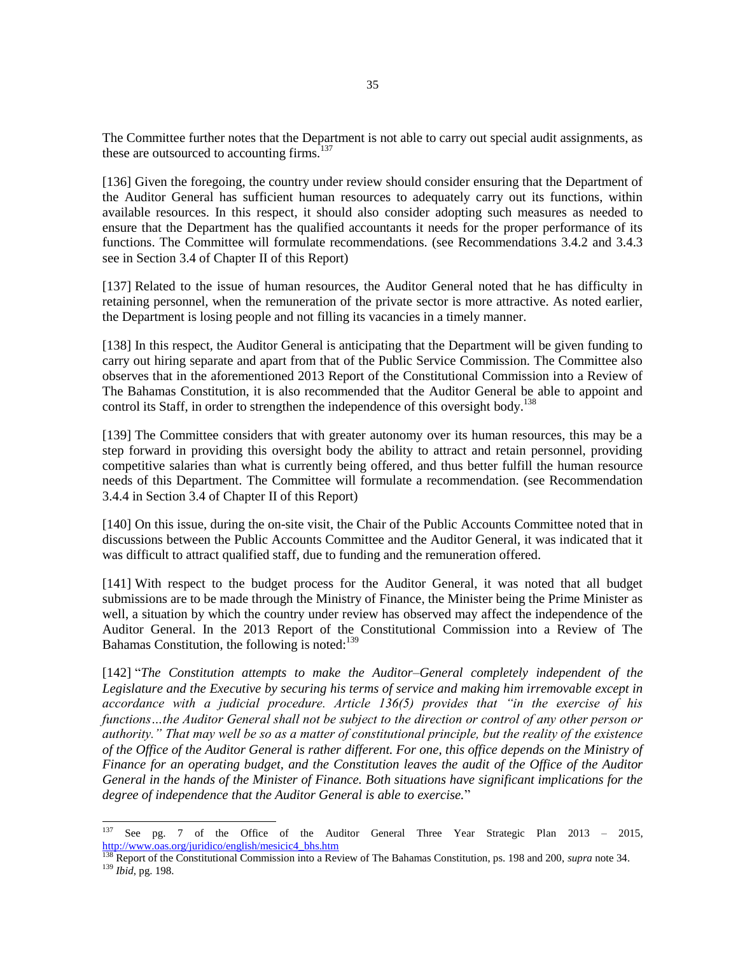The Committee further notes that the Department is not able to carry out special audit assignments, as these are outsourced to accounting firms. $137$ 

[136] Given the foregoing, the country under review should consider ensuring that the Department of the Auditor General has sufficient human resources to adequately carry out its functions, within available resources. In this respect, it should also consider adopting such measures as needed to ensure that the Department has the qualified accountants it needs for the proper performance of its functions. The Committee will formulate recommendations. (see Recommendations 3.4.2 and 3.4.3 see in Section 3.4 of Chapter II of this Report)

[137] Related to the issue of human resources, the Auditor General noted that he has difficulty in retaining personnel, when the remuneration of the private sector is more attractive. As noted earlier, the Department is losing people and not filling its vacancies in a timely manner.

[138] In this respect, the Auditor General is anticipating that the Department will be given funding to carry out hiring separate and apart from that of the Public Service Commission. The Committee also observes that in the aforementioned 2013 Report of the Constitutional Commission into a Review of The Bahamas Constitution, it is also recommended that the Auditor General be able to appoint and control its Staff, in order to strengthen the independence of this oversight body.<sup>138</sup>

[139] The Committee considers that with greater autonomy over its human resources, this may be a step forward in providing this oversight body the ability to attract and retain personnel, providing competitive salaries than what is currently being offered, and thus better fulfill the human resource needs of this Department. The Committee will formulate a recommendation. (see Recommendation 3.4.4 in Section 3.4 of Chapter II of this Report)

[140] On this issue, during the on-site visit, the Chair of the Public Accounts Committee noted that in discussions between the Public Accounts Committee and the Auditor General, it was indicated that it was difficult to attract qualified staff, due to funding and the remuneration offered.

[141] With respect to the budget process for the Auditor General, it was noted that all budget submissions are to be made through the Ministry of Finance, the Minister being the Prime Minister as well, a situation by which the country under review has observed may affect the independence of the Auditor General. In the 2013 Report of the Constitutional Commission into a Review of The Bahamas Constitution, the following is noted: $139$ 

[142] "*The Constitution attempts to make the Auditor–General completely independent of the Legislature and the Executive by securing his terms of service and making him irremovable except in accordance with a judicial procedure. Article 136(5) provides that "in the exercise of his functions…the Auditor General shall not be subject to the direction or control of any other person or authority." That may well be so as a matter of constitutional principle, but the reality of the existence of the Office of the Auditor General is rather different. For one, this office depends on the Ministry of Finance for an operating budget, and the Constitution leaves the audit of the Office of the Auditor General in the hands of the Minister of Finance. Both situations have significant implications for the degree of independence that the Auditor General is able to exercise.*"

<sup>137</sup> See pg. 7 of the Office of the Auditor General Three Year Strategic Plan 2013 – 2015, [http://www.oas.org/juridico/english/mesicic4\\_bhs.htm](http://www.oas.org/juridico/english/mesicic4_bhs.htm)

<sup>138</sup> Report of the Constitutional Commission into a Review of The Bahamas Constitution, ps. 198 and 200, *supra* note 34. <sup>139</sup> *Ibid*, pg. 198.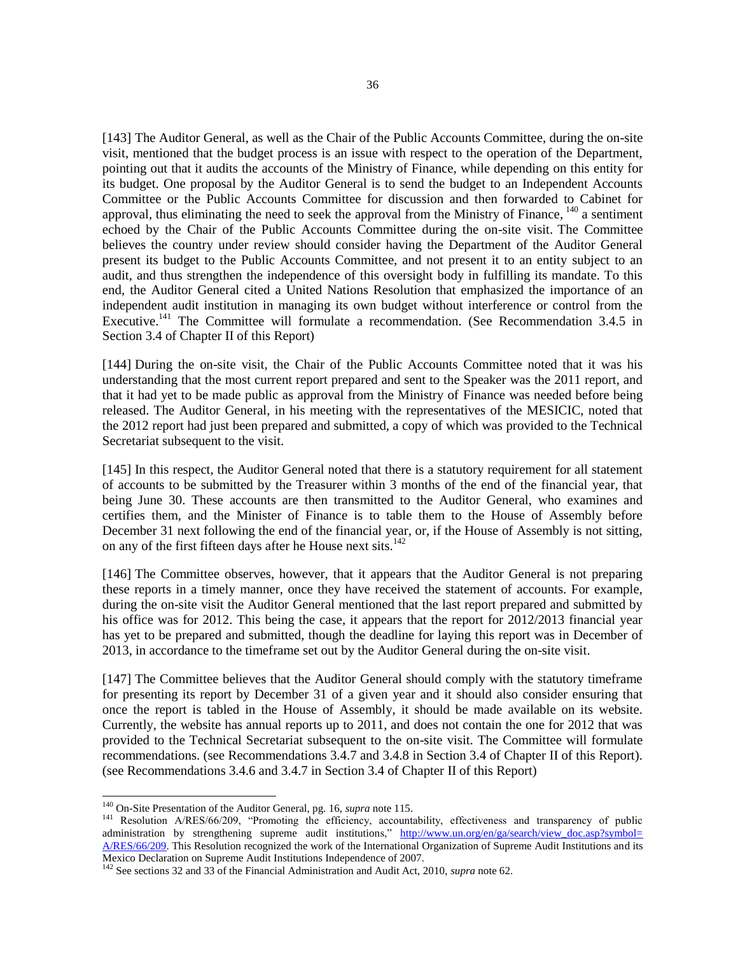[143] The Auditor General, as well as the Chair of the Public Accounts Committee, during the on-site visit, mentioned that the budget process is an issue with respect to the operation of the Department, pointing out that it audits the accounts of the Ministry of Finance, while depending on this entity for its budget. One proposal by the Auditor General is to send the budget to an Independent Accounts Committee or the Public Accounts Committee for discussion and then forwarded to Cabinet for approval, thus eliminating the need to seek the approval from the Ministry of Finance, <sup>140</sup> a sentiment echoed by the Chair of the Public Accounts Committee during the on-site visit. The Committee believes the country under review should consider having the Department of the Auditor General present its budget to the Public Accounts Committee, and not present it to an entity subject to an audit, and thus strengthen the independence of this oversight body in fulfilling its mandate. To this end, the Auditor General cited a United Nations Resolution that emphasized the importance of an independent audit institution in managing its own budget without interference or control from the Executive.<sup>141</sup> The Committee will formulate a recommendation. (See Recommendation 3.4.5 in Section 3.4 of Chapter II of this Report)

[144] During the on-site visit, the Chair of the Public Accounts Committee noted that it was his understanding that the most current report prepared and sent to the Speaker was the 2011 report, and that it had yet to be made public as approval from the Ministry of Finance was needed before being released. The Auditor General, in his meeting with the representatives of the MESICIC, noted that the 2012 report had just been prepared and submitted, a copy of which was provided to the Technical Secretariat subsequent to the visit.

[145] In this respect, the Auditor General noted that there is a statutory requirement for all statement of accounts to be submitted by the Treasurer within 3 months of the end of the financial year, that being June 30. These accounts are then transmitted to the Auditor General, who examines and certifies them, and the Minister of Finance is to table them to the House of Assembly before December 31 next following the end of the financial year, or, if the House of Assembly is not sitting, on any of the first fifteen days after he House next sits.<sup>142</sup>

[146] The Committee observes, however, that it appears that the Auditor General is not preparing these reports in a timely manner, once they have received the statement of accounts. For example, during the on-site visit the Auditor General mentioned that the last report prepared and submitted by his office was for 2012. This being the case, it appears that the report for 2012/2013 financial year has yet to be prepared and submitted, though the deadline for laying this report was in December of 2013, in accordance to the timeframe set out by the Auditor General during the on-site visit.

[147] The Committee believes that the Auditor General should comply with the statutory timeframe for presenting its report by December 31 of a given year and it should also consider ensuring that once the report is tabled in the House of Assembly, it should be made available on its website. Currently, the website has annual reports up to 2011, and does not contain the one for 2012 that was provided to the Technical Secretariat subsequent to the on-site visit. The Committee will formulate recommendations. (see Recommendations 3.4.7 and 3.4.8 in Section 3.4 of Chapter II of this Report). (see Recommendations 3.4.6 and 3.4.7 in Section 3.4 of Chapter II of this Report)

<sup>140</sup> On-Site Presentation of the Auditor General, pg. 16, *supra* note 115.

<sup>&</sup>lt;sup>141</sup> Resolution A/RES/66/209, "Promoting the efficiency, accountability, effectiveness and transparency of public administration by strengthening supreme audit institutions," http://www.un.org/en/ga/search/view\_doc.asp?symbol= [A/RES/66/209.](http://www.un.org/en/ga/search/view_doc.asp?symbol=%20A/RES/66/209) This Resolution recognized the work of the International Organization of Supreme Audit Institutions and its Mexico Declaration on Supreme Audit Institutions Independence of 2007.

<sup>142</sup> See sections 32 and 33 of the Financial Administration and Audit Act, 2010, *supra* note 62.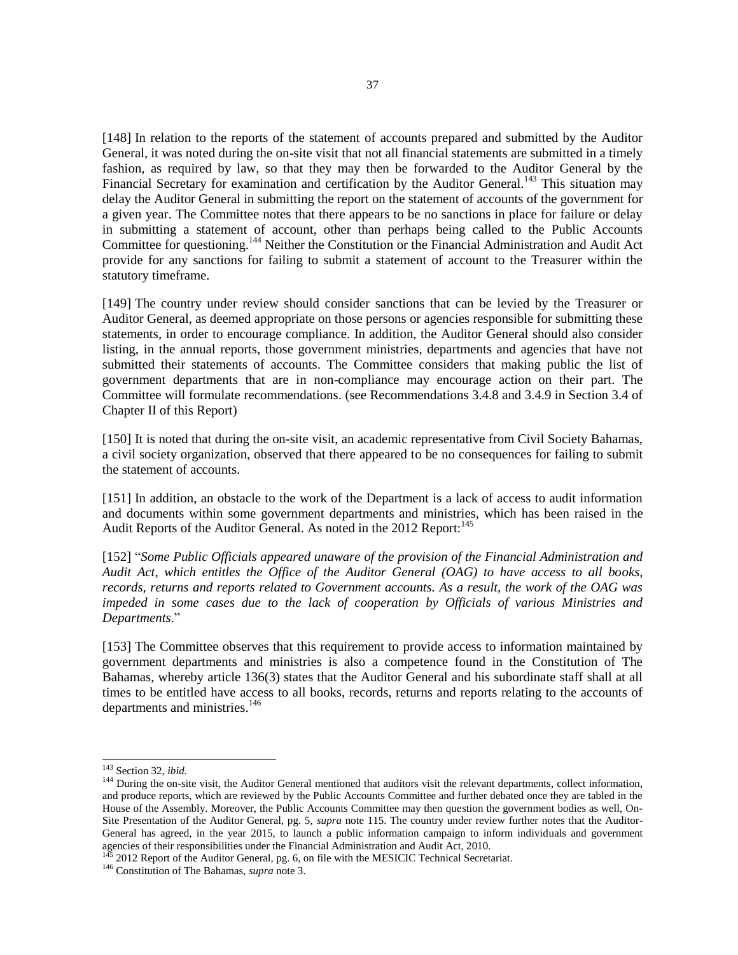[148] In relation to the reports of the statement of accounts prepared and submitted by the Auditor General, it was noted during the on-site visit that not all financial statements are submitted in a timely fashion, as required by law, so that they may then be forwarded to the Auditor General by the Financial Secretary for examination and certification by the Auditor General.<sup>143</sup> This situation may delay the Auditor General in submitting the report on the statement of accounts of the government for a given year. The Committee notes that there appears to be no sanctions in place for failure or delay in submitting a statement of account, other than perhaps being called to the Public Accounts Committee for questioning.<sup>144</sup> Neither the Constitution or the Financial Administration and Audit Act provide for any sanctions for failing to submit a statement of account to the Treasurer within the statutory timeframe.

[149] The country under review should consider sanctions that can be levied by the Treasurer or Auditor General, as deemed appropriate on those persons or agencies responsible for submitting these statements, in order to encourage compliance. In addition, the Auditor General should also consider listing, in the annual reports, those government ministries, departments and agencies that have not submitted their statements of accounts. The Committee considers that making public the list of government departments that are in non-compliance may encourage action on their part. The Committee will formulate recommendations. (see Recommendations 3.4.8 and 3.4.9 in Section 3.4 of Chapter II of this Report)

[150] It is noted that during the on-site visit, an academic representative from Civil Society Bahamas, a civil society organization, observed that there appeared to be no consequences for failing to submit the statement of accounts.

[151] In addition, an obstacle to the work of the Department is a lack of access to audit information and documents within some government departments and ministries, which has been raised in the Audit Reports of the Auditor General. As noted in the 2012 Report:<sup>145</sup>

[152] "*Some Public Officials appeared unaware of the provision of the Financial Administration and Audit Act, which entitles the Office of the Auditor General (OAG) to have access to all books, records, returns and reports related to Government accounts. As a result, the work of the OAG was impeded in some cases due to the lack of cooperation by Officials of various Ministries and Departments*."

[153] The Committee observes that this requirement to provide access to information maintained by government departments and ministries is also a competence found in the Constitution of The Bahamas, whereby article 136(3) states that the Auditor General and his subordinate staff shall at all times to be entitled have access to all books, records, returns and reports relating to the accounts of departments and ministries.<sup>146</sup>

<sup>143</sup> Section 32, *ibid.*

<sup>&</sup>lt;sup>144</sup> During the on-site visit, the Auditor General mentioned that auditors visit the relevant departments, collect information, and produce reports, which are reviewed by the Public Accounts Committee and further debated once they are tabled in the House of the Assembly. Moreover, the Public Accounts Committee may then question the government bodies as well, On-Site Presentation of the Auditor General, pg. 5, *supra* note 115. The country under review further notes that the Auditor-General has agreed, in the year 2015, to launch a public information campaign to inform individuals and government agencies of their responsibilities under the Financial Administration and Audit Act, 2010.

<sup>&</sup>lt;sup>145</sup> 2012 Report of the Auditor General, pg. 6, on file with the MESICIC Technical Secretariat.

<sup>146</sup> Constitution of The Bahamas, *supra* note 3.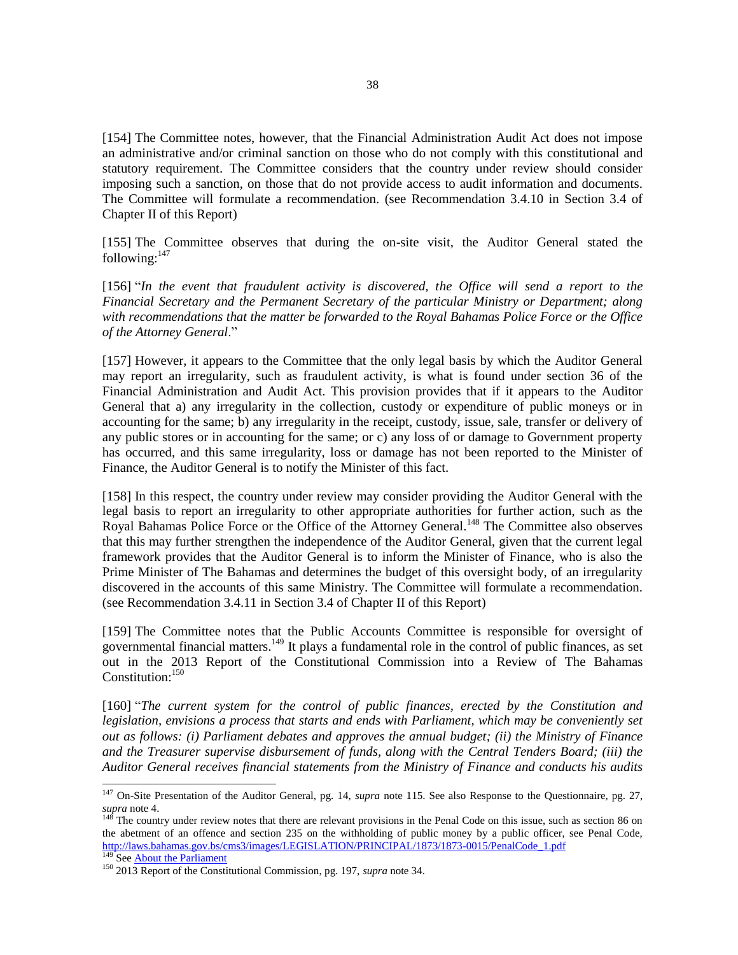[154] The Committee notes, however, that the Financial Administration Audit Act does not impose an administrative and/or criminal sanction on those who do not comply with this constitutional and statutory requirement. The Committee considers that the country under review should consider imposing such a sanction, on those that do not provide access to audit information and documents. The Committee will formulate a recommendation. (see Recommendation 3.4.10 in Section 3.4 of Chapter II of this Report)

[155] The Committee observes that during the on-site visit, the Auditor General stated the following: $147$ 

[156] "*In the event that fraudulent activity is discovered, the Office will send a report to the Financial Secretary and the Permanent Secretary of the particular Ministry or Department; along with recommendations that the matter be forwarded to the Royal Bahamas Police Force or the Office of the Attorney General*."

[157] However, it appears to the Committee that the only legal basis by which the Auditor General may report an irregularity, such as fraudulent activity, is what is found under section 36 of the Financial Administration and Audit Act. This provision provides that if it appears to the Auditor General that a) any irregularity in the collection, custody or expenditure of public moneys or in accounting for the same; b) any irregularity in the receipt, custody, issue, sale, transfer or delivery of any public stores or in accounting for the same; or c) any loss of or damage to Government property has occurred, and this same irregularity, loss or damage has not been reported to the Minister of Finance, the Auditor General is to notify the Minister of this fact.

[158] In this respect, the country under review may consider providing the Auditor General with the legal basis to report an irregularity to other appropriate authorities for further action, such as the Royal Bahamas Police Force or the Office of the Attorney General.<sup>148</sup> The Committee also observes that this may further strengthen the independence of the Auditor General, given that the current legal framework provides that the Auditor General is to inform the Minister of Finance, who is also the Prime Minister of The Bahamas and determines the budget of this oversight body, of an irregularity discovered in the accounts of this same Ministry. The Committee will formulate a recommendation. (see Recommendation 3.4.11 in Section 3.4 of Chapter II of this Report)

[159] The Committee notes that the Public Accounts Committee is responsible for oversight of governmental financial matters.<sup>149</sup> It plays a fundamental role in the control of public finances, as set out in the 2013 Report of the Constitutional Commission into a Review of The Bahamas Constitution:<sup>150</sup>

[160] "*The current system for the control of public finances, erected by the Constitution and legislation, envisions a process that starts and ends with Parliament, which may be conveniently set out as follows: (i) Parliament debates and approves the annual budget; (ii) the Ministry of Finance and the Treasurer supervise disbursement of funds, along with the Central Tenders Board; (iii) the Auditor General receives financial statements from the Ministry of Finance and conducts his audits* 

<sup>147</sup> On-Site Presentation of the Auditor General, pg. 14, *supra* note 115. See also Response to the Questionnaire, pg. 27,  $\frac{21}{148}$  and  $\frac{1}{148}$  and  $\frac{1}{148}$  and  $\frac{1}{148}$  and  $\frac{1}{148}$  and  $\frac{1}{148}$  and  $\frac{1}{148}$  and  $\frac{1}{148}$  and  $\frac{1}{148}$  and  $\frac{1}{148}$  and  $\frac{1}{148}$  and  $\frac{1}{148}$  and  $\frac{1}{148}$  and  $\frac{1}{148}$ 

The country under review notes that there are relevant provisions in the Penal Code on this issue, such as section 86 on the abetment of an offence and section 235 on the withholding of public money by a public officer, see Penal Code, [http://laws.bahamas.gov.bs/cms3/images/LEGISLATION/PRINCIPAL/1873/1873-0015/PenalCode\\_1.pdf](http://laws.bahamas.gov.bs/cms3/images/LEGISLATION/PRINCIPAL/1873/1873-0015/PenalCode_1.pdf) <sup>149</sup> Se[e About the Parliament](http://www.bahamas.gov.bs/wps/portal/public/The%20Government/Legislative/About%20the%20Parliament/!ut/p/b1/vZLbjpswAES_ZT8gizH3R8KdBDuAIcALAhIuIXfCEvL1ZatKbVVttg_d2k-Wzmg0M6YSKmZ5iRYkRmSoiEqO2VtTZbfmdMz27--ETxlgOLLMio7BAR5YwWoprwQTYpqbgHgCwAdHBk_1)

<sup>150</sup> 2013 Report of the Constitutional Commission, pg. 197, *supra* note 34.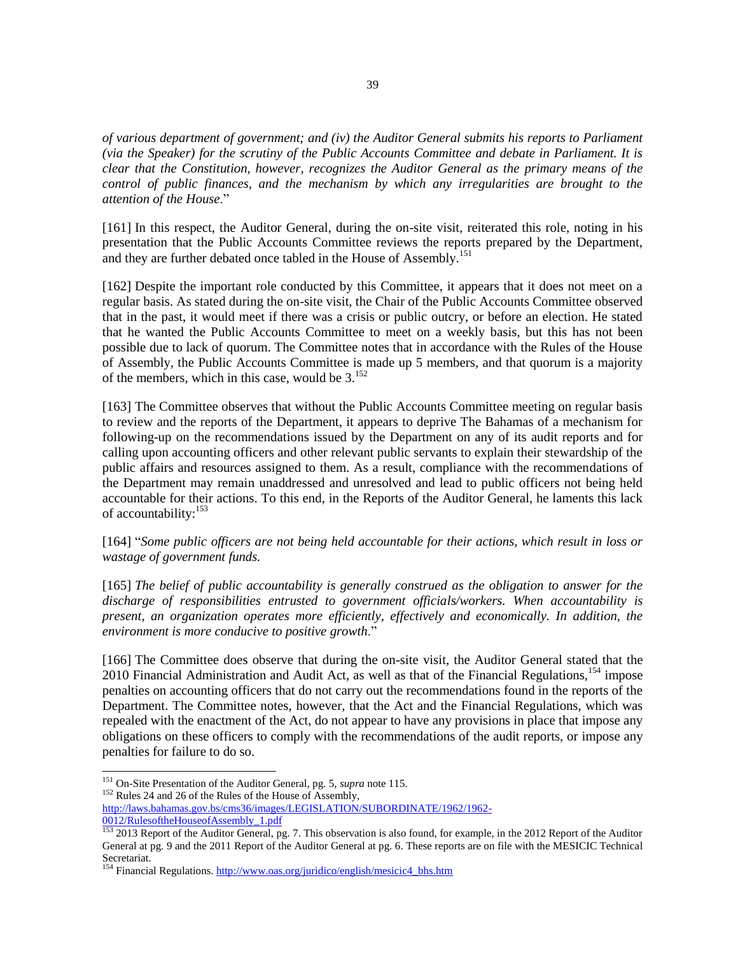*of various department of government; and (iv) the Auditor General submits his reports to Parliament (via the Speaker) for the scrutiny of the Public Accounts Committee and debate in Parliament. It is clear that the Constitution, however, recognizes the Auditor General as the primary means of the control of public finances, and the mechanism by which any irregularities are brought to the attention of the House*."

[161] In this respect, the Auditor General, during the on-site visit, reiterated this role, noting in his presentation that the Public Accounts Committee reviews the reports prepared by the Department, and they are further debated once tabled in the House of Assembly.<sup>151</sup>

[162] Despite the important role conducted by this Committee, it appears that it does not meet on a regular basis. As stated during the on-site visit, the Chair of the Public Accounts Committee observed that in the past, it would meet if there was a crisis or public outcry, or before an election. He stated that he wanted the Public Accounts Committee to meet on a weekly basis, but this has not been possible due to lack of quorum. The Committee notes that in accordance with the Rules of the House of Assembly, the Public Accounts Committee is made up 5 members, and that quorum is a majority of the members, which in this case, would be  $3.152$ 

[163] The Committee observes that without the Public Accounts Committee meeting on regular basis to review and the reports of the Department, it appears to deprive The Bahamas of a mechanism for following-up on the recommendations issued by the Department on any of its audit reports and for calling upon accounting officers and other relevant public servants to explain their stewardship of the public affairs and resources assigned to them. As a result, compliance with the recommendations of the Department may remain unaddressed and unresolved and lead to public officers not being held accountable for their actions. To this end, in the Reports of the Auditor General, he laments this lack of accountability:<sup>153</sup>

[164] "*Some public officers are not being held accountable for their actions, which result in loss or wastage of government funds.*

[165] *The belief of public accountability is generally construed as the obligation to answer for the discharge of responsibilities entrusted to government officials/workers. When accountability is present, an organization operates more efficiently, effectively and economically. In addition, the environment is more conducive to positive growth*."

[166] The Committee does observe that during the on-site visit, the Auditor General stated that the 2010 Financial Administration and Audit Act, as well as that of the Financial Regulations,<sup>154</sup> impose penalties on accounting officers that do not carry out the recommendations found in the reports of the Department. The Committee notes, however, that the Act and the Financial Regulations, which was repealed with the enactment of the Act, do not appear to have any provisions in place that impose any obligations on these officers to comply with the recommendations of the audit reports, or impose any penalties for failure to do so.

<sup>151</sup> On-Site Presentation of the Auditor General, pg. 5, *supra* note 115.

<sup>&</sup>lt;sup>152</sup> Rules 24 and 26 of the Rules of the House of Assembly,

[http://laws.bahamas.gov.bs/cms36/images/LEGISLATION/SUBORDINATE/1962/1962-](http://laws.bahamas.gov.bs/cms36/images/LEGISLATION/SUBORDINATE/1962/1962-0012/RulesoftheHouseofAssembly_1.pdf)

[<sup>0012/</sup>RulesoftheHouseofAssembly\\_1.pdf](http://laws.bahamas.gov.bs/cms36/images/LEGISLATION/SUBORDINATE/1962/1962-0012/RulesoftheHouseofAssembly_1.pdf)

<sup>153 2013</sup> Report of the Auditor General, pg. 7. This observation is also found, for example, in the 2012 Report of the Auditor General at pg. 9 and the 2011 Report of the Auditor General at pg. 6. These reports are on file with the MESICIC Technical Secretariat.

<sup>154</sup> Financial Regulations[. http://www.oas.org/juridico/english/mesicic4\\_bhs.htm](http://www.oas.org/juridico/english/mesicic4_bhs.htm)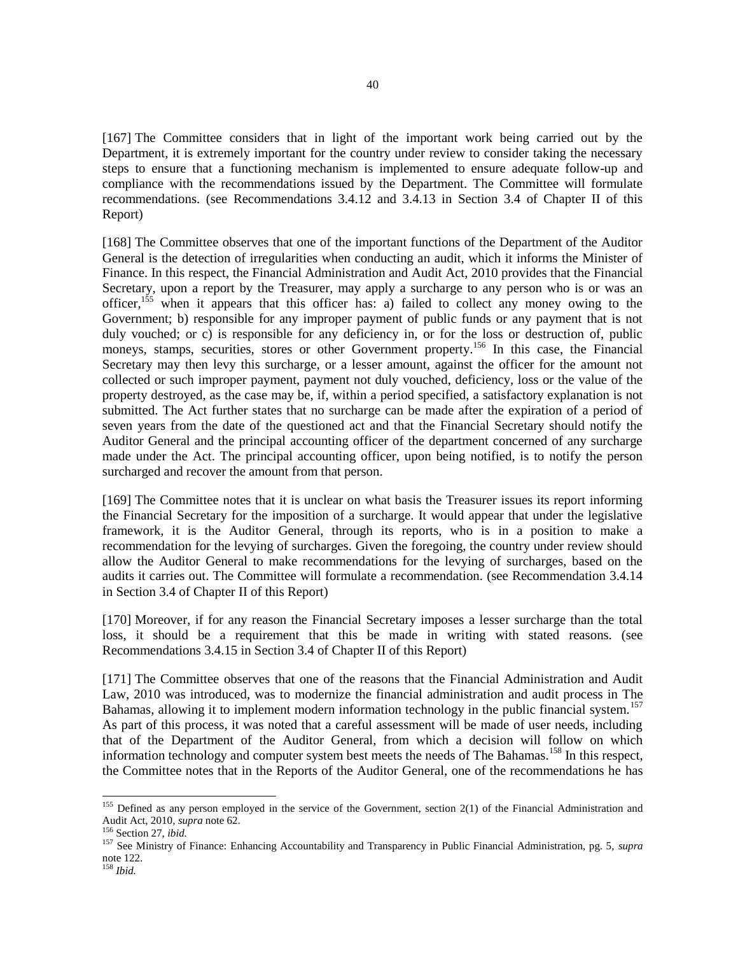[167] The Committee considers that in light of the important work being carried out by the Department, it is extremely important for the country under review to consider taking the necessary steps to ensure that a functioning mechanism is implemented to ensure adequate follow-up and compliance with the recommendations issued by the Department. The Committee will formulate recommendations. (see Recommendations 3.4.12 and 3.4.13 in Section 3.4 of Chapter II of this Report)

[168] The Committee observes that one of the important functions of the Department of the Auditor General is the detection of irregularities when conducting an audit, which it informs the Minister of Finance. In this respect, the Financial Administration and Audit Act, 2010 provides that the Financial Secretary, upon a report by the Treasurer, may apply a surcharge to any person who is or was an officer,<sup>155</sup> when it appears that this officer has: a) failed to collect any money owing to the Government; b) responsible for any improper payment of public funds or any payment that is not duly vouched; or c) is responsible for any deficiency in, or for the loss or destruction of, public moneys, stamps, securities, stores or other Government property.<sup>156</sup> In this case, the Financial Secretary may then levy this surcharge, or a lesser amount, against the officer for the amount not collected or such improper payment, payment not duly vouched, deficiency, loss or the value of the property destroyed, as the case may be, if, within a period specified, a satisfactory explanation is not submitted. The Act further states that no surcharge can be made after the expiration of a period of seven years from the date of the questioned act and that the Financial Secretary should notify the Auditor General and the principal accounting officer of the department concerned of any surcharge made under the Act. The principal accounting officer, upon being notified, is to notify the person surcharged and recover the amount from that person.

[169] The Committee notes that it is unclear on what basis the Treasurer issues its report informing the Financial Secretary for the imposition of a surcharge. It would appear that under the legislative framework, it is the Auditor General, through its reports, who is in a position to make a recommendation for the levying of surcharges. Given the foregoing, the country under review should allow the Auditor General to make recommendations for the levying of surcharges, based on the audits it carries out. The Committee will formulate a recommendation. (see Recommendation 3.4.14 in Section 3.4 of Chapter II of this Report)

[170] Moreover, if for any reason the Financial Secretary imposes a lesser surcharge than the total loss, it should be a requirement that this be made in writing with stated reasons. (see Recommendations 3.4.15 in Section 3.4 of Chapter II of this Report)

[171] The Committee observes that one of the reasons that the Financial Administration and Audit Law, 2010 was introduced, was to modernize the financial administration and audit process in The Bahamas, allowing it to implement modern information technology in the public financial system.<sup>157</sup> As part of this process, it was noted that a careful assessment will be made of user needs, including that of the Department of the Auditor General, from which a decision will follow on which information technology and computer system best meets the needs of The Bahamas.<sup>158</sup> In this respect, the Committee notes that in the Reports of the Auditor General, one of the recommendations he has

 $155$  Defined as any person employed in the service of the Government, section 2(1) of the Financial Administration and Audit Act, 2010, *supra* note 62.

<sup>156</sup> Section 27, *ibid.*

<sup>157</sup> See Ministry of Finance: Enhancing Accountability and Transparency in Public Financial Administration, pg. 5, *supra*  note 122.

<sup>158</sup> *Ibid.*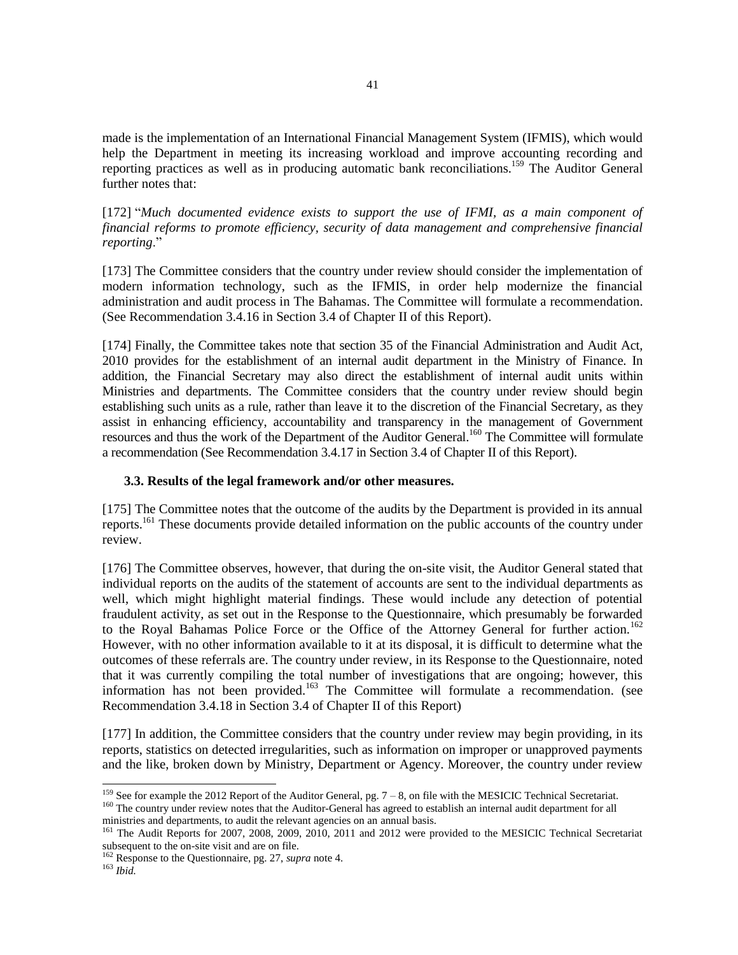made is the implementation of an International Financial Management System (IFMIS), which would help the Department in meeting its increasing workload and improve accounting recording and reporting practices as well as in producing automatic bank reconciliations.<sup>159</sup> The Auditor General further notes that:

[172] "Much documented evidence exists to support the use of IFMI, as a main component of *financial reforms to promote efficiency, security of data management and comprehensive financial reporting*."

[173] The Committee considers that the country under review should consider the implementation of modern information technology, such as the IFMIS, in order help modernize the financial administration and audit process in The Bahamas. The Committee will formulate a recommendation. (See Recommendation 3.4.16 in Section 3.4 of Chapter II of this Report).

[174] Finally, the Committee takes note that section 35 of the Financial Administration and Audit Act, 2010 provides for the establishment of an internal audit department in the Ministry of Finance. In addition, the Financial Secretary may also direct the establishment of internal audit units within Ministries and departments. The Committee considers that the country under review should begin establishing such units as a rule, rather than leave it to the discretion of the Financial Secretary, as they assist in enhancing efficiency, accountability and transparency in the management of Government resources and thus the work of the Department of the Auditor General.<sup>160</sup> The Committee will formulate a recommendation (See Recommendation 3.4.17 in Section 3.4 of Chapter II of this Report).

### **3.3. Results of the legal framework and/or other measures.**

[175] The Committee notes that the outcome of the audits by the Department is provided in its annual reports.<sup>161</sup> These documents provide detailed information on the public accounts of the country under review.

[176] The Committee observes, however, that during the on-site visit, the Auditor General stated that individual reports on the audits of the statement of accounts are sent to the individual departments as well, which might highlight material findings. These would include any detection of potential fraudulent activity, as set out in the Response to the Questionnaire, which presumably be forwarded to the Royal Bahamas Police Force or the Office of the Attorney General for further action.<sup>162</sup> However, with no other information available to it at its disposal, it is difficult to determine what the outcomes of these referrals are. The country under review, in its Response to the Questionnaire, noted that it was currently compiling the total number of investigations that are ongoing; however, this information has not been provided.<sup>163</sup> The Committee will formulate a recommendation. (see Recommendation 3.4.18 in Section 3.4 of Chapter II of this Report)

[177] In addition, the Committee considers that the country under review may begin providing, in its reports, statistics on detected irregularities, such as information on improper or unapproved payments and the like, broken down by Ministry, Department or Agency. Moreover, the country under review

l <sup>159</sup> See for example the 2012 Report of the Auditor General, pg.  $7 - 8$ , on file with the MESICIC Technical Secretariat. <sup>160</sup> The country under review notes that the Auditor-General has agreed to establish an internal audit department for all ministries and departments, to audit the relevant agencies on an annual basis.

<sup>&</sup>lt;sup>161</sup> The Audit Reports for 2007, 2008, 2009, 2010, 2011 and 2012 were provided to the MESICIC Technical Secretariat subsequent to the on-site visit and are on file.

<sup>162</sup> Response to the Questionnaire, pg. 27, *supra* note 4.

<sup>163</sup> *Ibid.*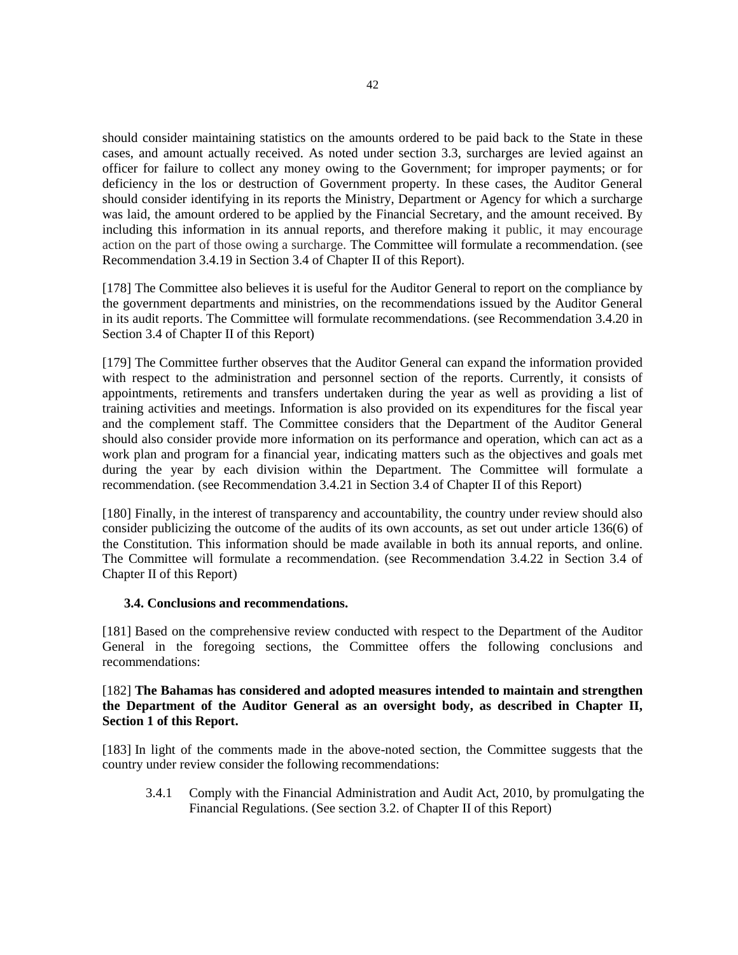should consider maintaining statistics on the amounts ordered to be paid back to the State in these cases, and amount actually received. As noted under section 3.3, surcharges are levied against an officer for failure to collect any money owing to the Government; for improper payments; or for deficiency in the los or destruction of Government property. In these cases, the Auditor General should consider identifying in its reports the Ministry, Department or Agency for which a surcharge was laid, the amount ordered to be applied by the Financial Secretary, and the amount received. By including this information in its annual reports, and therefore making it public, it may encourage action on the part of those owing a surcharge. The Committee will formulate a recommendation. (see Recommendation 3.4.19 in Section 3.4 of Chapter II of this Report).

[178] The Committee also believes it is useful for the Auditor General to report on the compliance by the government departments and ministries, on the recommendations issued by the Auditor General in its audit reports. The Committee will formulate recommendations. (see Recommendation 3.4.20 in Section 3.4 of Chapter II of this Report)

[179] The Committee further observes that the Auditor General can expand the information provided with respect to the administration and personnel section of the reports. Currently, it consists of appointments, retirements and transfers undertaken during the year as well as providing a list of training activities and meetings. Information is also provided on its expenditures for the fiscal year and the complement staff. The Committee considers that the Department of the Auditor General should also consider provide more information on its performance and operation, which can act as a work plan and program for a financial year, indicating matters such as the objectives and goals met during the year by each division within the Department. The Committee will formulate a recommendation. (see Recommendation 3.4.21 in Section 3.4 of Chapter II of this Report)

[180] Finally, in the interest of transparency and accountability, the country under review should also consider publicizing the outcome of the audits of its own accounts, as set out under article 136(6) of the Constitution. This information should be made available in both its annual reports, and online. The Committee will formulate a recommendation. (see Recommendation 3.4.22 in Section 3.4 of Chapter II of this Report)

### **3.4. Conclusions and recommendations.**

[181] Based on the comprehensive review conducted with respect to the Department of the Auditor General in the foregoing sections, the Committee offers the following conclusions and recommendations:

## [182] **The Bahamas has considered and adopted measures intended to maintain and strengthen the Department of the Auditor General as an oversight body, as described in Chapter II, Section 1 of this Report.**

[183] In light of the comments made in the above-noted section, the Committee suggests that the country under review consider the following recommendations:

3.4.1 Comply with the Financial Administration and Audit Act, 2010, by promulgating the Financial Regulations. (See section 3.2. of Chapter II of this Report)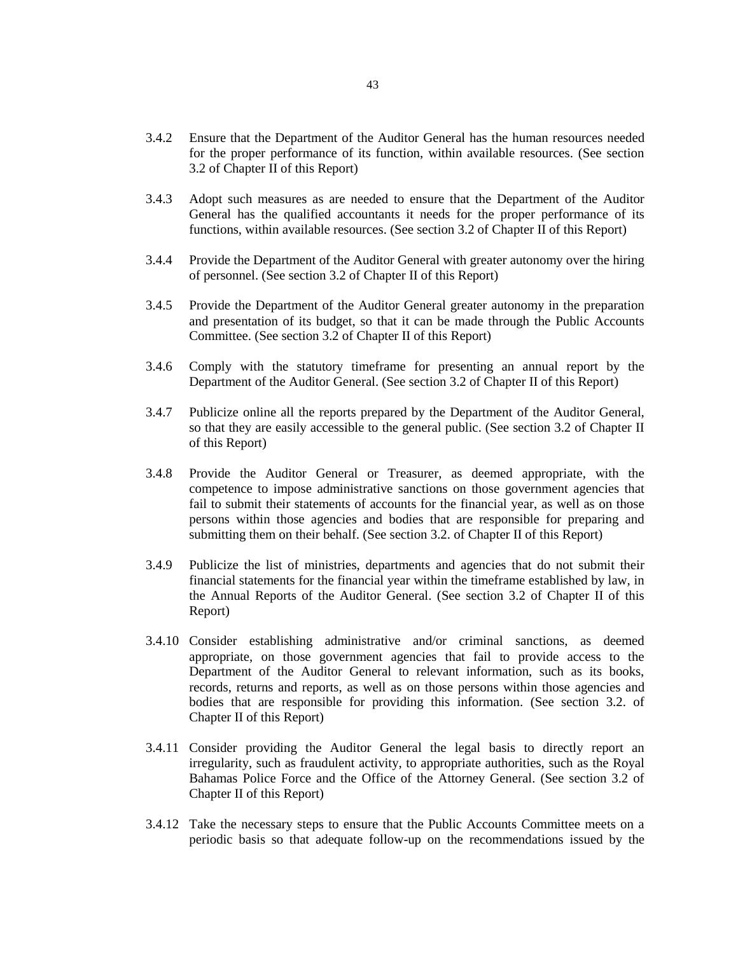- 3.4.2 Ensure that the Department of the Auditor General has the human resources needed for the proper performance of its function, within available resources. (See section 3.2 of Chapter II of this Report)
- 3.4.3 Adopt such measures as are needed to ensure that the Department of the Auditor General has the qualified accountants it needs for the proper performance of its functions, within available resources. (See section 3.2 of Chapter II of this Report)
- 3.4.4 Provide the Department of the Auditor General with greater autonomy over the hiring of personnel. (See section 3.2 of Chapter II of this Report)
- 3.4.5 Provide the Department of the Auditor General greater autonomy in the preparation and presentation of its budget, so that it can be made through the Public Accounts Committee. (See section 3.2 of Chapter II of this Report)
- 3.4.6 Comply with the statutory timeframe for presenting an annual report by the Department of the Auditor General. (See section 3.2 of Chapter II of this Report)
- 3.4.7 Publicize online all the reports prepared by the Department of the Auditor General, so that they are easily accessible to the general public. (See section 3.2 of Chapter II of this Report)
- 3.4.8 Provide the Auditor General or Treasurer, as deemed appropriate, with the competence to impose administrative sanctions on those government agencies that fail to submit their statements of accounts for the financial year, as well as on those persons within those agencies and bodies that are responsible for preparing and submitting them on their behalf. (See section 3.2. of Chapter II of this Report)
- 3.4.9 Publicize the list of ministries, departments and agencies that do not submit their financial statements for the financial year within the timeframe established by law, in the Annual Reports of the Auditor General. (See section 3.2 of Chapter II of this Report)
- 3.4.10 Consider establishing administrative and/or criminal sanctions, as deemed appropriate, on those government agencies that fail to provide access to the Department of the Auditor General to relevant information, such as its books, records, returns and reports, as well as on those persons within those agencies and bodies that are responsible for providing this information. (See section 3.2. of Chapter II of this Report)
- 3.4.11 Consider providing the Auditor General the legal basis to directly report an irregularity, such as fraudulent activity, to appropriate authorities, such as the Royal Bahamas Police Force and the Office of the Attorney General. (See section 3.2 of Chapter II of this Report)
- 3.4.12 Take the necessary steps to ensure that the Public Accounts Committee meets on a periodic basis so that adequate follow-up on the recommendations issued by the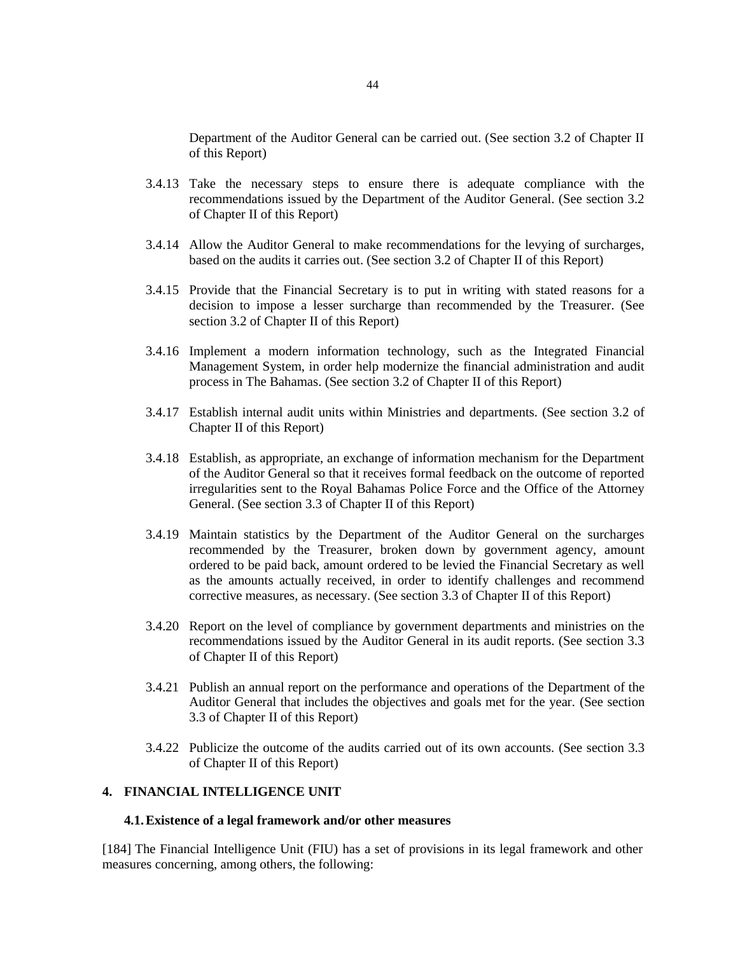Department of the Auditor General can be carried out. (See section 3.2 of Chapter II of this Report)

- 3.4.13 Take the necessary steps to ensure there is adequate compliance with the recommendations issued by the Department of the Auditor General. (See section 3.2 of Chapter II of this Report)
- 3.4.14 Allow the Auditor General to make recommendations for the levying of surcharges, based on the audits it carries out. (See section 3.2 of Chapter II of this Report)
- 3.4.15 Provide that the Financial Secretary is to put in writing with stated reasons for a decision to impose a lesser surcharge than recommended by the Treasurer. (See section 3.2 of Chapter II of this Report)
- 3.4.16 Implement a modern information technology, such as the Integrated Financial Management System, in order help modernize the financial administration and audit process in The Bahamas. (See section 3.2 of Chapter II of this Report)
- 3.4.17 Establish internal audit units within Ministries and departments. (See section 3.2 of Chapter II of this Report)
- 3.4.18 Establish, as appropriate, an exchange of information mechanism for the Department of the Auditor General so that it receives formal feedback on the outcome of reported irregularities sent to the Royal Bahamas Police Force and the Office of the Attorney General. (See section 3.3 of Chapter II of this Report)
- 3.4.19 Maintain statistics by the Department of the Auditor General on the surcharges recommended by the Treasurer, broken down by government agency, amount ordered to be paid back, amount ordered to be levied the Financial Secretary as well as the amounts actually received, in order to identify challenges and recommend corrective measures, as necessary. (See section 3.3 of Chapter II of this Report)
- 3.4.20 Report on the level of compliance by government departments and ministries on the recommendations issued by the Auditor General in its audit reports. (See section 3.3 of Chapter II of this Report)
- 3.4.21 Publish an annual report on the performance and operations of the Department of the Auditor General that includes the objectives and goals met for the year. (See section 3.3 of Chapter II of this Report)
- 3.4.22 Publicize the outcome of the audits carried out of its own accounts. (See section 3.3 of Chapter II of this Report)

# **4. FINANCIAL INTELLIGENCE UNIT**

#### **4.1.Existence of a legal framework and/or other measures**

[184] The Financial Intelligence Unit (FIU) has a set of provisions in its legal framework and other measures concerning, among others, the following: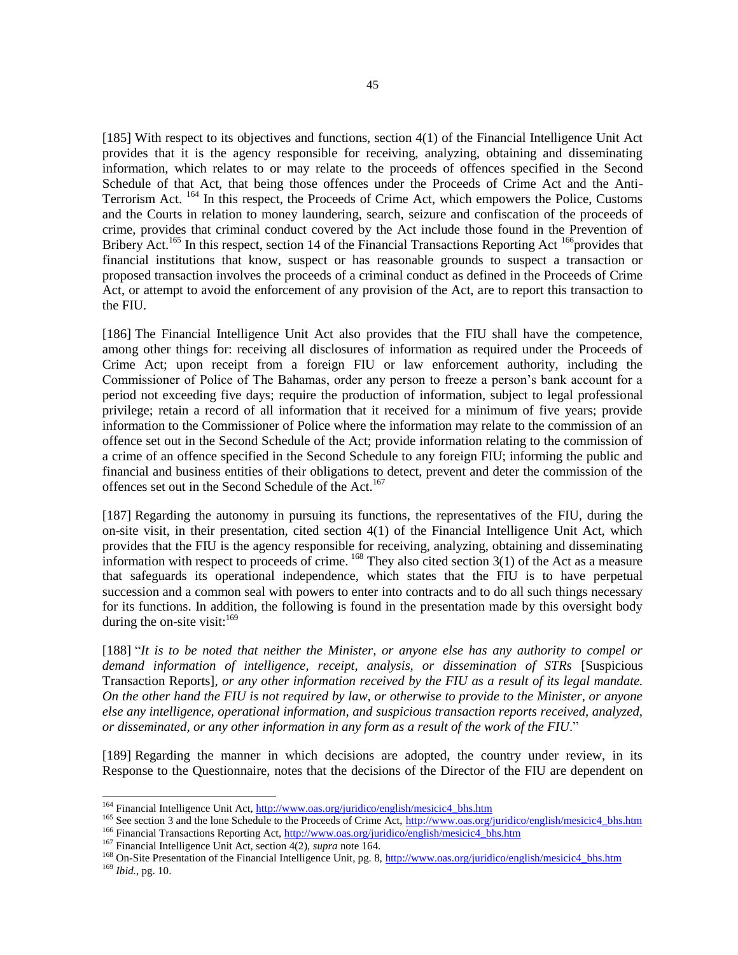[185] With respect to its objectives and functions, section 4(1) of the Financial Intelligence Unit Act provides that it is the agency responsible for receiving, analyzing, obtaining and disseminating information, which relates to or may relate to the proceeds of offences specified in the Second Schedule of that Act, that being those offences under the Proceeds of Crime Act and the Anti-Terrorism Act. <sup>164</sup> In this respect, the Proceeds of Crime Act, which empowers the Police, Customs and the Courts in relation to money laundering, search, seizure and confiscation of the proceeds of crime, provides that criminal conduct covered by the Act include those found in the Prevention of Bribery Act.<sup>165</sup> In this respect, section 14 of the Financial Transactions Reporting Act<sup>166</sup> provides that financial institutions that know, suspect or has reasonable grounds to suspect a transaction or proposed transaction involves the proceeds of a criminal conduct as defined in the Proceeds of Crime Act, or attempt to avoid the enforcement of any provision of the Act, are to report this transaction to the FIU.

[186] The Financial Intelligence Unit Act also provides that the FIU shall have the competence, among other things for: receiving all disclosures of information as required under the Proceeds of Crime Act; upon receipt from a foreign FIU or law enforcement authority, including the Commissioner of Police of The Bahamas, order any person to freeze a person's bank account for a period not exceeding five days; require the production of information, subject to legal professional privilege; retain a record of all information that it received for a minimum of five years; provide information to the Commissioner of Police where the information may relate to the commission of an offence set out in the Second Schedule of the Act; provide information relating to the commission of a crime of an offence specified in the Second Schedule to any foreign FIU; informing the public and financial and business entities of their obligations to detect, prevent and deter the commission of the offences set out in the Second Schedule of the Act.<sup>167</sup>

[187] Regarding the autonomy in pursuing its functions, the representatives of the FIU, during the on-site visit, in their presentation, cited section 4(1) of the Financial Intelligence Unit Act, which provides that the FIU is the agency responsible for receiving, analyzing, obtaining and disseminating information with respect to proceeds of crime. <sup>168</sup> They also cited section 3(1) of the Act as a measure that safeguards its operational independence, which states that the FIU is to have perpetual succession and a common seal with powers to enter into contracts and to do all such things necessary for its functions. In addition, the following is found in the presentation made by this oversight body during the on-site visit: $169$ 

[188] "It is to be noted that neither the Minister, or anyone else has any authority to compel or *demand information of intelligence, receipt, analysis, or dissemination of STRs* [Suspicious Transaction Reports]*, or any other information received by the FIU as a result of its legal mandate. On the other hand the FIU is not required by law, or otherwise to provide to the Minister, or anyone else any intelligence, operational information, and suspicious transaction reports received, analyzed, or disseminated, or any other information in any form as a result of the work of the FIU*."

[189] Regarding the manner in which decisions are adopted, the country under review, in its Response to the Questionnaire, notes that the decisions of the Director of the FIU are dependent on

<sup>&</sup>lt;sup>164</sup> Financial Intelligence Unit Act[, http://www.oas.org/juridico/english/mesicic4\\_bhs.htm](http://www.oas.org/juridico/english/mesicic4_bhs.htm)

<sup>&</sup>lt;sup>165</sup> See section 3 and the lone Schedule to the Proceeds of Crime Act[, http://www.oas.org/juridico/english/mesicic4\\_bhs.htm](http://www.oas.org/juridico/english/mesicic4_bhs.htm) <sup>166</sup> Financial Transactions Reporting Act, [http://www.oas.org/juridico/english/mesicic4\\_bhs.htm](http://www.oas.org/juridico/english/mesicic4_bhs.htm)

<sup>167</sup> Financial Intelligence Unit Act, section 4(2), *supra* note 164.

<sup>&</sup>lt;sup>168</sup> On-Site Presentation of the Financial Intelligence Unit, pg. 8[, http://www.oas.org/juridico/english/mesicic4\\_bhs.htm](http://www.oas.org/juridico/english/mesicic4_bhs.htm) <sup>169</sup> *Ibid.*, pg. 10.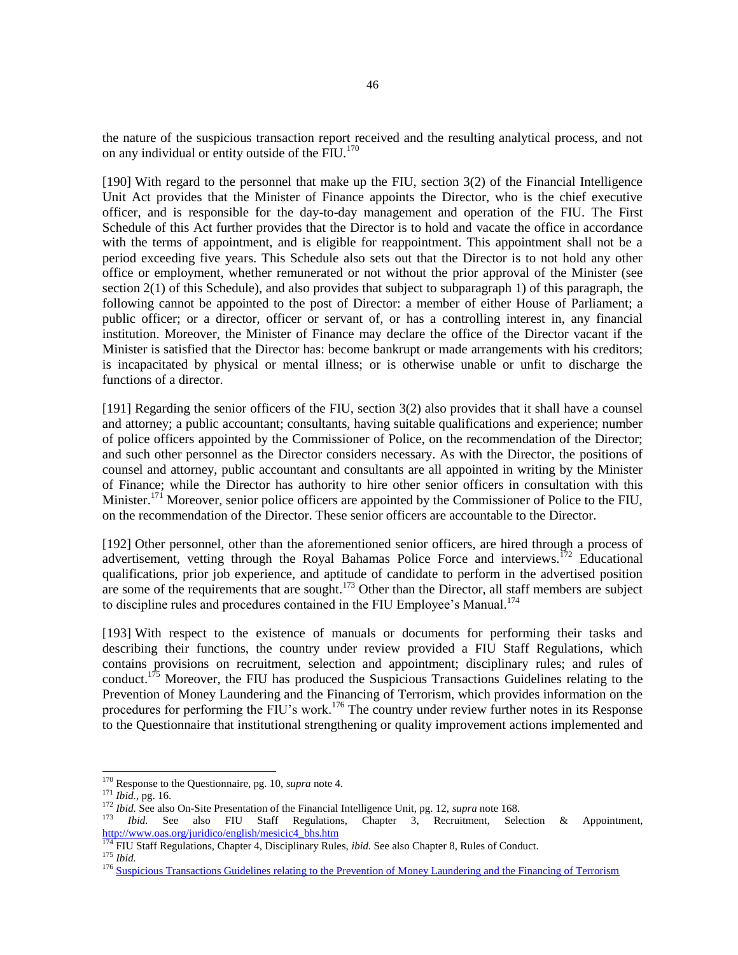the nature of the suspicious transaction report received and the resulting analytical process, and not on any individual or entity outside of the FIU.<sup>170</sup>

[190] With regard to the personnel that make up the FIU, section 3(2) of the Financial Intelligence Unit Act provides that the Minister of Finance appoints the Director, who is the chief executive officer, and is responsible for the day-to-day management and operation of the FIU. The First Schedule of this Act further provides that the Director is to hold and vacate the office in accordance with the terms of appointment, and is eligible for reappointment. This appointment shall not be a period exceeding five years. This Schedule also sets out that the Director is to not hold any other office or employment, whether remunerated or not without the prior approval of the Minister (see section 2(1) of this Schedule), and also provides that subject to subparagraph 1) of this paragraph, the following cannot be appointed to the post of Director: a member of either House of Parliament; a public officer; or a director, officer or servant of, or has a controlling interest in, any financial institution. Moreover, the Minister of Finance may declare the office of the Director vacant if the Minister is satisfied that the Director has: become bankrupt or made arrangements with his creditors; is incapacitated by physical or mental illness; or is otherwise unable or unfit to discharge the functions of a director.

[191] Regarding the senior officers of the FIU, section 3(2) also provides that it shall have a counsel and attorney; a public accountant; consultants, having suitable qualifications and experience; number of police officers appointed by the Commissioner of Police, on the recommendation of the Director; and such other personnel as the Director considers necessary. As with the Director, the positions of counsel and attorney, public accountant and consultants are all appointed in writing by the Minister of Finance; while the Director has authority to hire other senior officers in consultation with this Minister.<sup>171</sup> Moreover, senior police officers are appointed by the Commissioner of Police to the FIU, on the recommendation of the Director. These senior officers are accountable to the Director.

[192] Other personnel, other than the aforementioned senior officers, are hired through a process of advertisement, vetting through the Royal Bahamas Police Force and interviews.<sup>172</sup> Educational qualifications, prior job experience, and aptitude of candidate to perform in the advertised position quantizations, prior you experience, and a part  $173$  Other than the Director, all staff members are subject are some of the requirements that are sought.<sup>173</sup> Other than the Director, all staff members are subject to discipline rules and procedures contained in the FIU Employee's Manual.<sup>174</sup>

[193] With respect to the existence of manuals or documents for performing their tasks and describing their functions, the country under review provided a FIU Staff Regulations, which contains provisions on recruitment, selection and appointment; disciplinary rules; and rules of conduct.<sup>175</sup> Moreover, the FIU has produced the Suspicious Transactions Guidelines relating to the Prevention of Money Laundering and the Financing of Terrorism, which provides information on the procedures for performing the FIU's work.<sup>176</sup> The country under review further notes in its Response to the Questionnaire that institutional strengthening or quality improvement actions implemented and

<sup>170</sup> Response to the Questionnaire, pg. 10, *supra* note 4.

<sup>171</sup> *Ibid.,* pg. 16.

<sup>172</sup> *Ibid.* See also On-Site Presentation of the Financial Intelligence Unit, pg. 12, *supra* note 168.

<sup>173</sup> *Ibid.* See also FIU Staff Regulations, Chapter 3, Recruitment, Selection & Appointment, [http://www.oas.org/juridico/english/mesicic4\\_bhs.htm](http://www.oas.org/juridico/english/mesicic4_bhs.htm)

<sup>174</sup> FIU Staff Regulations, Chapter 4, Disciplinary Rules, *ibid.* See also Chapter 8, Rules of Conduct. <sup>175</sup> *Ibid.*

<sup>&</sup>lt;sup>176</sup> [Suspicious Transactions Guidelines relating to the Prevention of Money Laundering and the Financing of Terrorism](http://www.bahamas.gov.bs/wps/wcm/connect/afbdf181-3ef7-460e-b9c6-71b59b685f74/Suspicious+Transactions+Guidelines+re+AML+%26+TF.pdf?MOD=AJPERES)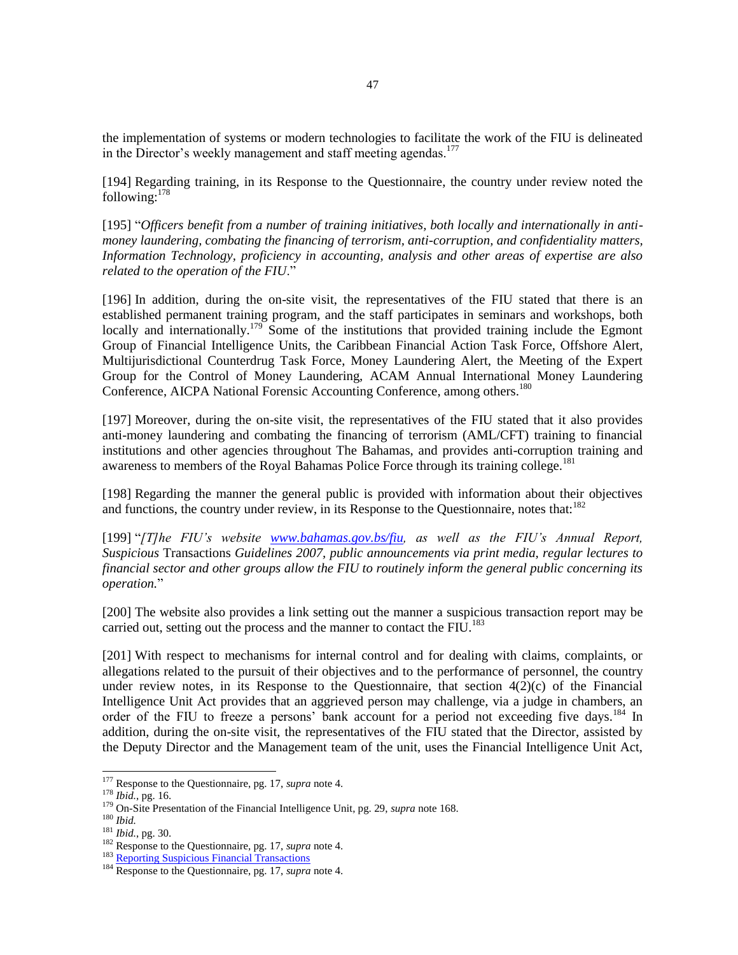the implementation of systems or modern technologies to facilitate the work of the FIU is delineated in the Director's weekly management and staff meeting agendas.<sup>177</sup>

[194] Regarding training, in its Response to the Questionnaire, the country under review noted the following: $178$ 

[195] "Officers benefit from a number of training initiatives, both locally and internationally in anti*money laundering, combating the financing of terrorism, anti-corruption, and confidentiality matters, Information Technology, proficiency in accounting, analysis and other areas of expertise are also related to the operation of the FIU*."

[196] In addition, during the on-site visit, the representatives of the FIU stated that there is an established permanent training program, and the staff participates in seminars and workshops, both locally and internationally.<sup>179</sup> Some of the institutions that provided training include the Egmont Group of Financial Intelligence Units, the Caribbean Financial Action Task Force, Offshore Alert, Multijurisdictional Counterdrug Task Force, Money Laundering Alert, the Meeting of the Expert Group for the Control of Money Laundering, ACAM Annual International Money Laundering Conference, AICPA National Forensic Accounting Conference, among others.<sup>180</sup>

[197] Moreover, during the on-site visit, the representatives of the FIU stated that it also provides anti-money laundering and combating the financing of terrorism (AML/CFT) training to financial institutions and other agencies throughout The Bahamas, and provides anti-corruption training and awareness to members of the Royal Bahamas Police Force through its training college.<sup>181</sup>

[198] Regarding the manner the general public is provided with information about their objectives and functions, the country under review, in its Response to the Questionnaire, notes that:  $182$ 

[199] "*[T]he FIU's website [www.bahamas.gov.bs/fiu,](http://www.bahamas.gov.bs/fiu) as well as the FIU's Annual Report, Suspicious* Transactions *Guidelines 2007, public announcements via print media, regular lectures to financial sector and other groups allow the FIU to routinely inform the general public concerning its operation.*"

[200] The website also provides a link setting out the manner a suspicious transaction report may be carried out, setting out the process and the manner to contact the FIU.<sup>183</sup>

[201] With respect to mechanisms for internal control and for dealing with claims, complaints, or allegations related to the pursuit of their objectives and to the performance of personnel, the country under review notes, in its Response to the Questionnaire, that section  $4(2)(c)$  of the Financial Intelligence Unit Act provides that an aggrieved person may challenge, via a judge in chambers, an order of the FIU to freeze a persons' bank account for a period not exceeding five days.<sup>184</sup> In addition, during the on-site visit, the representatives of the FIU stated that the Director, assisted by the Deputy Director and the Management team of the unit, uses the Financial Intelligence Unit Act,

<sup>177</sup> Response to the Questionnaire, pg. 17, *supra* note 4.

<sup>178</sup> *Ibid.*, pg. 16.

<sup>179</sup> On-Site Presentation of the Financial Intelligence Unit, pg. 29, *supra* note 168.

<sup>180</sup> *Ibid.*

<sup>181</sup> *Ibid.*, pg. 30.

<sup>182</sup> Response to the Questionnaire, pg. 17, *supra* note 4.

<sup>&</sup>lt;sup>183</sup> Reporting [Suspicious Financial Transactions](http://www.bahamas.gov.bs/wps/portal/public/gov/government/services/!ut/p/b1/vVTJjqNKEPyW_gA3VWCgfGQz-75zQSzeWGwwGGy-ftyjlp7mjbp7DjNdeSplpKIiIlVYgkVYcs6m0yEbT5dz1rzdEyolgKgzzBrpIgkoIPuWxli0hCMDPgHxEwA-OAz4dd7EvQ2QIQcp1SeB5kAsxCIphho_6AeeCaf5lGgsG5)

<sup>184</sup> Response to the Questionnaire, pg. 17, *supra* note 4.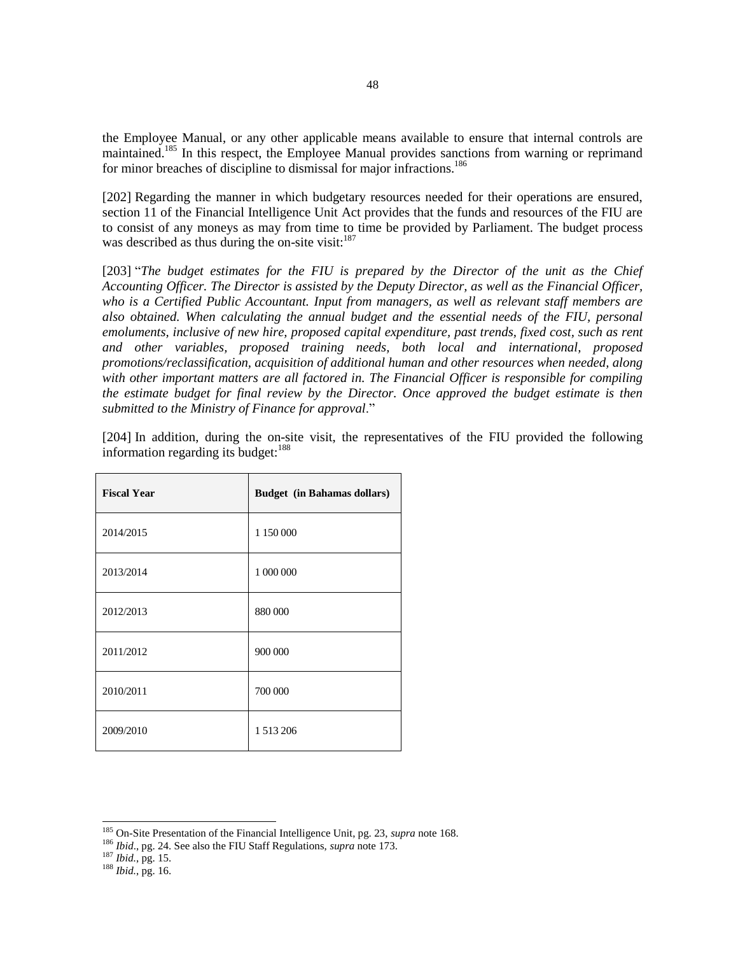the Employee Manual, or any other applicable means available to ensure that internal controls are maintained.<sup>185</sup> In this respect, the Employee Manual provides sanctions from warning or reprimand for minor breaches of discipline to dismissal for major infractions.<sup>186</sup>

[202] Regarding the manner in which budgetary resources needed for their operations are ensured, section 11 of the Financial Intelligence Unit Act provides that the funds and resources of the FIU are to consist of any moneys as may from time to time be provided by Parliament. The budget process was described as thus during the on-site visit: $187$ 

[203] "*The budget estimates for the FIU is prepared by the Director of the unit as the Chief Accounting Officer. The Director is assisted by the Deputy Director, as well as the Financial Officer, who is a Certified Public Accountant. Input from managers, as well as relevant staff members are also obtained. When calculating the annual budget and the essential needs of the FIU, personal emoluments, inclusive of new hire, proposed capital expenditure, past trends, fixed cost, such as rent and other variables, proposed training needs, both local and international, proposed promotions/reclassification, acquisition of additional human and other resources when needed, along with other important matters are all factored in. The Financial Officer is responsible for compiling the estimate budget for final review by the Director. Once approved the budget estimate is then submitted to the Ministry of Finance for approval*."

| <b>Fiscal Year</b> | <b>Budget</b> (in Bahamas dollars) |
|--------------------|------------------------------------|
| 2014/2015          | 1 150 000                          |
| 2013/2014          | 1 000 000                          |
| 2012/2013          | 880 000                            |
| 2011/2012          | 900 000                            |
| 2010/2011          | 700 000                            |
| 2009/2010          | 1513206                            |

[204] In addition, during the on-site visit, the representatives of the FIU provided the following information regarding its budget: $188$ 

<sup>185</sup> On-Site Presentation of the Financial Intelligence Unit, pg. 23, *supra* note 168.

<sup>186</sup> *Ibid*., pg. 24. See also the FIU Staff Regulations, *supra* note 173.

<sup>187</sup> *Ibid.*, pg. 15.

<sup>188</sup> *Ibid.*, pg. 16.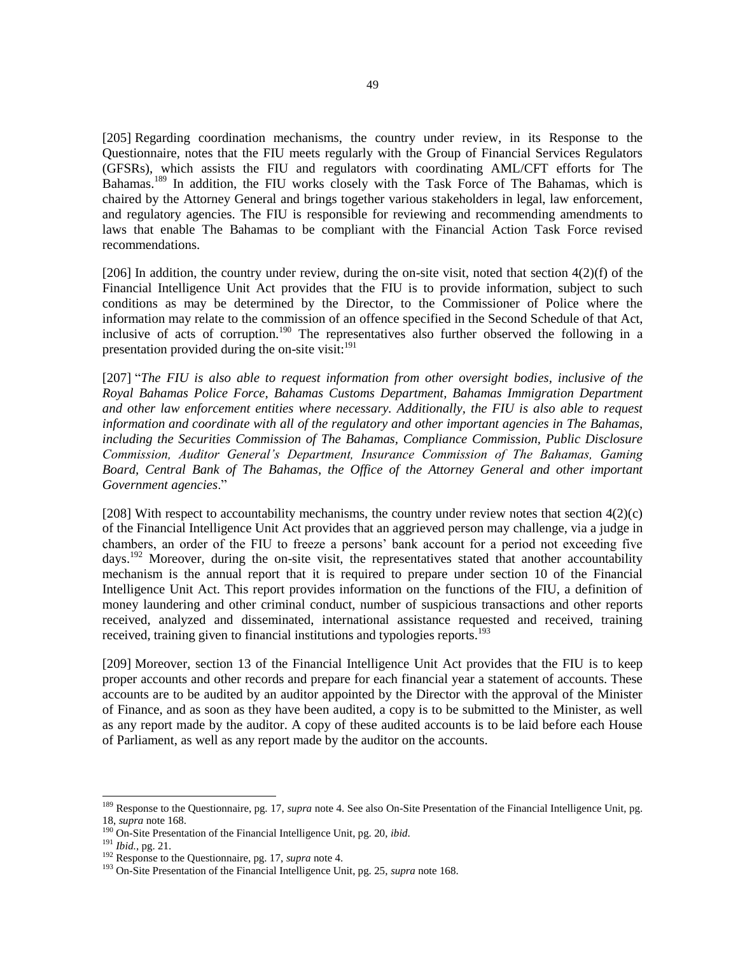[205] Regarding coordination mechanisms, the country under review, in its Response to the Questionnaire, notes that the FIU meets regularly with the Group of Financial Services Regulators (GFSRs), which assists the FIU and regulators with coordinating AML/CFT efforts for The Bahamas.<sup>189</sup> In addition, the FIU works closely with the Task Force of The Bahamas, which is chaired by the Attorney General and brings together various stakeholders in legal, law enforcement, and regulatory agencies. The FIU is responsible for reviewing and recommending amendments to laws that enable The Bahamas to be compliant with the Financial Action Task Force revised recommendations.

[206] In addition, the country under review, during the on-site visit, noted that section  $4(2)(f)$  of the Financial Intelligence Unit Act provides that the FIU is to provide information, subject to such conditions as may be determined by the Director, to the Commissioner of Police where the information may relate to the commission of an offence specified in the Second Schedule of that Act, inclusive of acts of corruption.<sup>190</sup> The representatives also further observed the following in a presentation provided during the on-site visit:  $191$ 

[207] "*The FIU is also able to request information from other oversight bodies, inclusive of the Royal Bahamas Police Force, Bahamas Customs Department, Bahamas Immigration Department and other law enforcement entities where necessary. Additionally, the FIU is also able to request information and coordinate with all of the regulatory and other important agencies in The Bahamas, including the Securities Commission of The Bahamas, Compliance Commission, Public Disclosure Commission, Auditor General's Department, Insurance Commission of The Bahamas, Gaming Board, Central Bank of The Bahamas, the Office of the Attorney General and other important Government agencies*."

[208] With respect to accountability mechanisms, the country under review notes that section  $4(2)(c)$ of the Financial Intelligence Unit Act provides that an aggrieved person may challenge, via a judge in chambers, an order of the FIU to freeze a persons' bank account for a period not exceeding five days.<sup>192</sup> Moreover, during the on-site visit, the representatives stated that another accountability mechanism is the annual report that it is required to prepare under section 10 of the Financial Intelligence Unit Act. This report provides information on the functions of the FIU, a definition of money laundering and other criminal conduct, number of suspicious transactions and other reports received, analyzed and disseminated, international assistance requested and received, training received, training given to financial institutions and typologies reports.<sup>193</sup>

[209] Moreover, section 13 of the Financial Intelligence Unit Act provides that the FIU is to keep proper accounts and other records and prepare for each financial year a statement of accounts. These accounts are to be audited by an auditor appointed by the Director with the approval of the Minister of Finance, and as soon as they have been audited, a copy is to be submitted to the Minister, as well as any report made by the auditor. A copy of these audited accounts is to be laid before each House of Parliament, as well as any report made by the auditor on the accounts.

<sup>189</sup> Response to the Questionnaire, pg. 17, *supra* note 4. See also On-Site Presentation of the Financial Intelligence Unit, pg. 18, *supra* note 168.

<sup>190</sup> On-Site Presentation of the Financial Intelligence Unit, pg. 20, *ibid*.

<sup>191</sup> *Ibid.*, pg. 21.

<sup>192</sup> Response to the Questionnaire, pg. 17, *supra* note 4.

<sup>193</sup> On-Site Presentation of the Financial Intelligence Unit, pg. 25, *supra* note 168.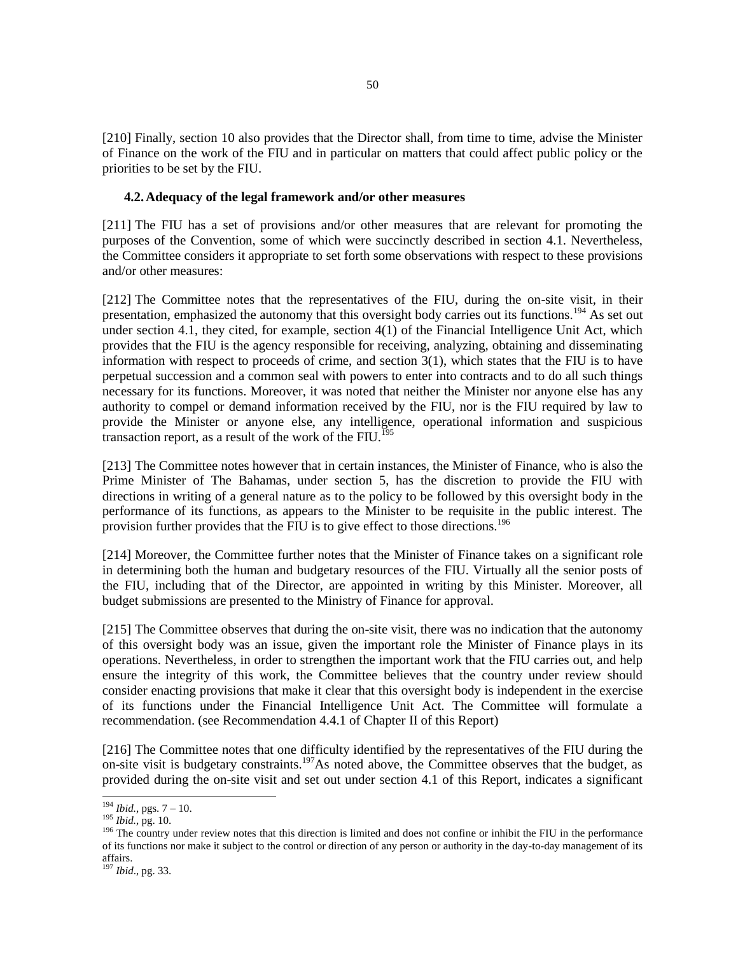[210] Finally, section 10 also provides that the Director shall, from time to time, advise the Minister of Finance on the work of the FIU and in particular on matters that could affect public policy or the priorities to be set by the FIU.

#### **4.2.Adequacy of the legal framework and/or other measures**

[211] The FIU has a set of provisions and/or other measures that are relevant for promoting the purposes of the Convention, some of which were succinctly described in section 4.1. Nevertheless, the Committee considers it appropriate to set forth some observations with respect to these provisions and/or other measures:

[212] The Committee notes that the representatives of the FIU, during the on-site visit, in their presentation, emphasized the autonomy that this oversight body carries out its functions.<sup>194</sup> As set out under section 4.1, they cited, for example, section 4(1) of the Financial Intelligence Unit Act, which provides that the FIU is the agency responsible for receiving, analyzing, obtaining and disseminating information with respect to proceeds of crime, and section 3(1), which states that the FIU is to have perpetual succession and a common seal with powers to enter into contracts and to do all such things necessary for its functions. Moreover, it was noted that neither the Minister nor anyone else has any authority to compel or demand information received by the FIU, nor is the FIU required by law to provide the Minister or anyone else, any intelligence, operational information and suspicious transaction report, as a result of the work of the  $\text{FIU}.^{195}$ 

[213] The Committee notes however that in certain instances, the Minister of Finance, who is also the Prime Minister of The Bahamas, under section 5, has the discretion to provide the FIU with directions in writing of a general nature as to the policy to be followed by this oversight body in the performance of its functions, as appears to the Minister to be requisite in the public interest. The provision further provides that the FIU is to give effect to those directions.<sup>196</sup>

[214] Moreover, the Committee further notes that the Minister of Finance takes on a significant role in determining both the human and budgetary resources of the FIU. Virtually all the senior posts of the FIU, including that of the Director, are appointed in writing by this Minister. Moreover, all budget submissions are presented to the Ministry of Finance for approval.

[215] The Committee observes that during the on-site visit, there was no indication that the autonomy of this oversight body was an issue, given the important role the Minister of Finance plays in its operations. Nevertheless, in order to strengthen the important work that the FIU carries out, and help ensure the integrity of this work, the Committee believes that the country under review should consider enacting provisions that make it clear that this oversight body is independent in the exercise of its functions under the Financial Intelligence Unit Act. The Committee will formulate a recommendation. (see Recommendation 4.4.1 of Chapter II of this Report)

[216] The Committee notes that one difficulty identified by the representatives of the FIU during the on-site visit is budgetary constraints.<sup>197</sup>As noted above, the Committee observes that the budget, as provided during the on-site visit and set out under section 4.1 of this Report, indicates a significant

 $194$  *Ibid.*, pgs.  $7 - 10$ .

<sup>195</sup> *Ibid.*, pg. 10.

 $196$  The country under review notes that this direction is limited and does not confine or inhibit the FIU in the performance of its functions nor make it subject to the control or direction of any person or authority in the day-to-day management of its affairs.

<sup>197</sup> *Ibid*., pg. 33.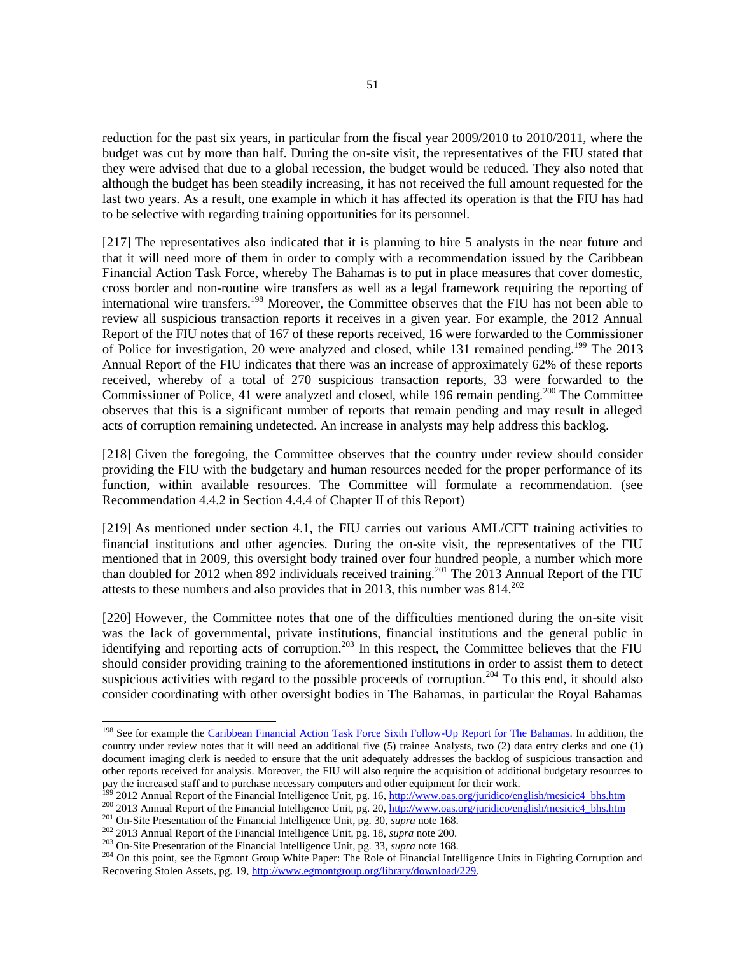reduction for the past six years, in particular from the fiscal year 2009/2010 to 2010/2011, where the budget was cut by more than half. During the on-site visit, the representatives of the FIU stated that they were advised that due to a global recession, the budget would be reduced. They also noted that although the budget has been steadily increasing, it has not received the full amount requested for the last two years. As a result, one example in which it has affected its operation is that the FIU has had to be selective with regarding training opportunities for its personnel.

[217] The representatives also indicated that it is planning to hire 5 analysts in the near future and that it will need more of them in order to comply with a recommendation issued by the Caribbean Financial Action Task Force, whereby The Bahamas is to put in place measures that cover domestic, cross border and non-routine wire transfers as well as a legal framework requiring the reporting of international wire transfers.<sup>198</sup> Moreover, the Committee observes that the FIU has not been able to review all suspicious transaction reports it receives in a given year. For example, the 2012 Annual Report of the FIU notes that of 167 of these reports received, 16 were forwarded to the Commissioner of Police for investigation, 20 were analyzed and closed, while 131 remained pending.<sup>199</sup> The 2013 Annual Report of the FIU indicates that there was an increase of approximately 62% of these reports received, whereby of a total of 270 suspicious transaction reports, 33 were forwarded to the Commissioner of Police, 41 were analyzed and closed, while 196 remain pending.<sup>200</sup> The Committee observes that this is a significant number of reports that remain pending and may result in alleged acts of corruption remaining undetected. An increase in analysts may help address this backlog.

[218] Given the foregoing, the Committee observes that the country under review should consider providing the FIU with the budgetary and human resources needed for the proper performance of its function, within available resources. The Committee will formulate a recommendation. (see Recommendation 4.4.2 in Section 4.4.4 of Chapter II of this Report)

[219] As mentioned under section 4.1, the FIU carries out various AML/CFT training activities to financial institutions and other agencies. During the on-site visit, the representatives of the FIU mentioned that in 2009, this oversight body trained over four hundred people, a number which more than doubled for 2012 when 892 individuals received training.<sup>201</sup> The  $2013$  Annual Report of the FIU attests to these numbers and also provides that in 2013, this number was  $814.^{202}$ 

[220] However, the Committee notes that one of the difficulties mentioned during the on-site visit was the lack of governmental, private institutions, financial institutions and the general public in identifying and reporting acts of corruption.<sup>203</sup> In this respect, the Committee believes that the FIU should consider providing training to the aforementioned institutions in order to assist them to detect suspicious activities with regard to the possible proceeds of corruption.<sup>204</sup> To this end, it should also consider coordinating with other oversight bodies in The Bahamas, in particular the Royal Bahamas

<sup>&</sup>lt;sup>198</sup> See for example the [Caribbean Financial Action Task Force Sixth Follow-Up Report for The Bahamas.](https://www.google.com/url?sa=t&rct=j&q=&esrc=s&source=web&cd=1&cad=rja&uact=8&ved=0CB4QFjAA&url=https%3A%2F%2Fwww.cfatf-gafic.org%2Findex.php%2Fen%2Fcfatf-documents%2Fcfatf-follow-up-reports%2Fthe-bahamas%2F2907-the-bahamas-6th-follow-up-report-1%2Ffile&ei=88d8VMuNCMzIsASqqoLYDA&usg=AFQjCNHHeGrA_dSh1GEkKFN7g4AHBkZB8w&sig2=MkB3mmjRITHSuHjVRJ1TEQ&bvm=bv.80642063,d.cWc) In addition, the country under review notes that it will need an additional five (5) trainee Analysts, two (2) data entry clerks and one (1) document imaging clerk is needed to ensure that the unit adequately addresses the backlog of suspicious transaction and other reports received for analysis. Moreover, the FIU will also require the acquisition of additional budgetary resources to pay the increased staff and to purchase necessary computers and other equipment for their work.

<sup>&</sup>lt;sup>199</sup> 2012 Annual Report of the Financial Intelligence Unit, pg. 16, [http://www.oas.org/juridico/english/mesicic4\\_bhs.htm](http://www.oas.org/juridico/english/mesicic4_bhs.htm)

<sup>&</sup>lt;sup>200</sup> 2013 Annual Report of the Financial Intelligence Unit, pg. 20, [http://www.oas.org/juridico/english/mesicic4\\_bhs.htm](http://www.oas.org/juridico/english/mesicic4_bhs.htm)

<sup>201</sup> On-Site Presentation of the Financial Intelligence Unit, pg. 30, *supra* note 168.

<sup>202</sup> 2013 Annual Report of the Financial Intelligence Unit, pg. 18, *supra* note 200.

<sup>203</sup> On-Site Presentation of the Financial Intelligence Unit, pg. 33, *supra* note 168.

<sup>&</sup>lt;sup>204</sup> On this point, see the Egmont Group White Paper: The Role of Financial Intelligence Units in Fighting Corruption and Recovering Stolen Assets, pg. 19, [http://www.egmontgroup.org/library/download/229.](http://www.egmontgroup.org/library/download/229)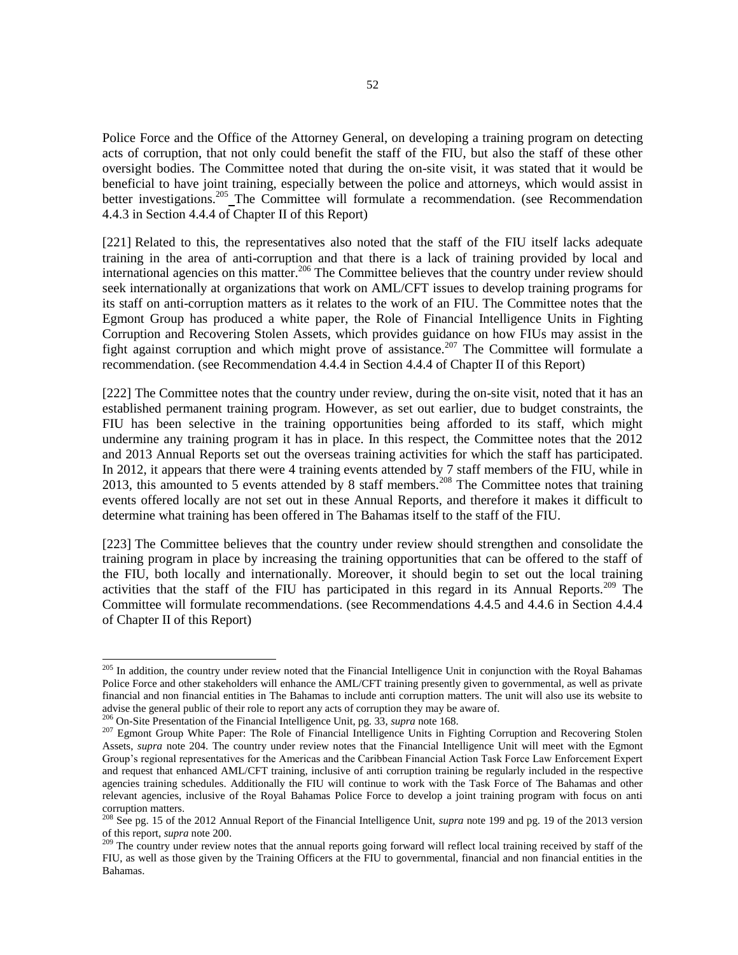Police Force and the Office of the Attorney General, on developing a training program on detecting acts of corruption, that not only could benefit the staff of the FIU, but also the staff of these other oversight bodies. The Committee noted that during the on-site visit, it was stated that it would be beneficial to have joint training, especially between the police and attorneys, which would assist in better investigations.<sup>205</sup> The Committee will formulate a recommendation. (see Recommendation 4.4.3 in Section 4.4.4 of Chapter II of this Report)

[221] Related to this, the representatives also noted that the staff of the FIU itself lacks adequate training in the area of anti-corruption and that there is a lack of training provided by local and international agencies on this matter.<sup>206</sup> The Committee believes that the country under review should seek internationally at organizations that work on AML/CFT issues to develop training programs for its staff on anti-corruption matters as it relates to the work of an FIU. The Committee notes that the Egmont Group has produced a white paper, the Role of Financial Intelligence Units in Fighting Corruption and Recovering Stolen Assets, which provides guidance on how FIUs may assist in the fight against corruption and which might prove of assistance.<sup>207</sup> The Committee will formulate a recommendation. (see Recommendation 4.4.4 in Section 4.4.4 of Chapter II of this Report)

[222] The Committee notes that the country under review, during the on-site visit, noted that it has an established permanent training program. However, as set out earlier, due to budget constraints, the FIU has been selective in the training opportunities being afforded to its staff, which might undermine any training program it has in place. In this respect, the Committee notes that the 2012 and 2013 Annual Reports set out the overseas training activities for which the staff has participated. In 2012, it appears that there were 4 training events attended by 7 staff members of the FIU, while in 2013, this amounted to 5 events attended by 8 staff members.<sup>208</sup> The Committee notes that training events offered locally are not set out in these Annual Reports, and therefore it makes it difficult to determine what training has been offered in The Bahamas itself to the staff of the FIU.

[223] The Committee believes that the country under review should strengthen and consolidate the training program in place by increasing the training opportunities that can be offered to the staff of the FIU, both locally and internationally. Moreover, it should begin to set out the local training activities that the staff of the FIU has participated in this regard in its Annual Reports.<sup>209</sup> The Committee will formulate recommendations. (see Recommendations 4.4.5 and 4.4.6 in Section 4.4.4 of Chapter II of this Report)

<sup>&</sup>lt;sup>205</sup> In addition, the country under review noted that the Financial Intelligence Unit in conjunction with the Royal Bahamas Police Force and other stakeholders will enhance the AML/CFT training presently given to governmental, as well as private financial and non financial entities in The Bahamas to include anti corruption matters. The unit will also use its website to advise the general public of their role to report any acts of corruption they may be aware of.

<sup>206</sup> On-Site Presentation of the Financial Intelligence Unit, pg. 33, *supra* note 168.

<sup>&</sup>lt;sup>207</sup> Egmont Group White Paper: The Role of Financial Intelligence Units in Fighting Corruption and Recovering Stolen Assets, *supra* note 204. The country under review notes that the Financial Intelligence Unit will meet with the Egmont Group's regional representatives for the Americas and the Caribbean Financial Action Task Force Law Enforcement Expert and request that enhanced AML/CFT training, inclusive of anti corruption training be regularly included in the respective agencies training schedules. Additionally the FIU will continue to work with the Task Force of The Bahamas and other relevant agencies, inclusive of the Royal Bahamas Police Force to develop a joint training program with focus on anti corruption matters.

<sup>208</sup> See pg. 15 of the 2012 Annual Report of the Financial Intelligence Unit, *supra* note 199 and pg. 19 of the 2013 version of this report, *supra* note 200.

<sup>&</sup>lt;sup>209</sup> The country under review notes that the annual reports going forward will reflect local training received by staff of the FIU, as well as those given by the Training Officers at the FIU to governmental, financial and non financial entities in the Bahamas.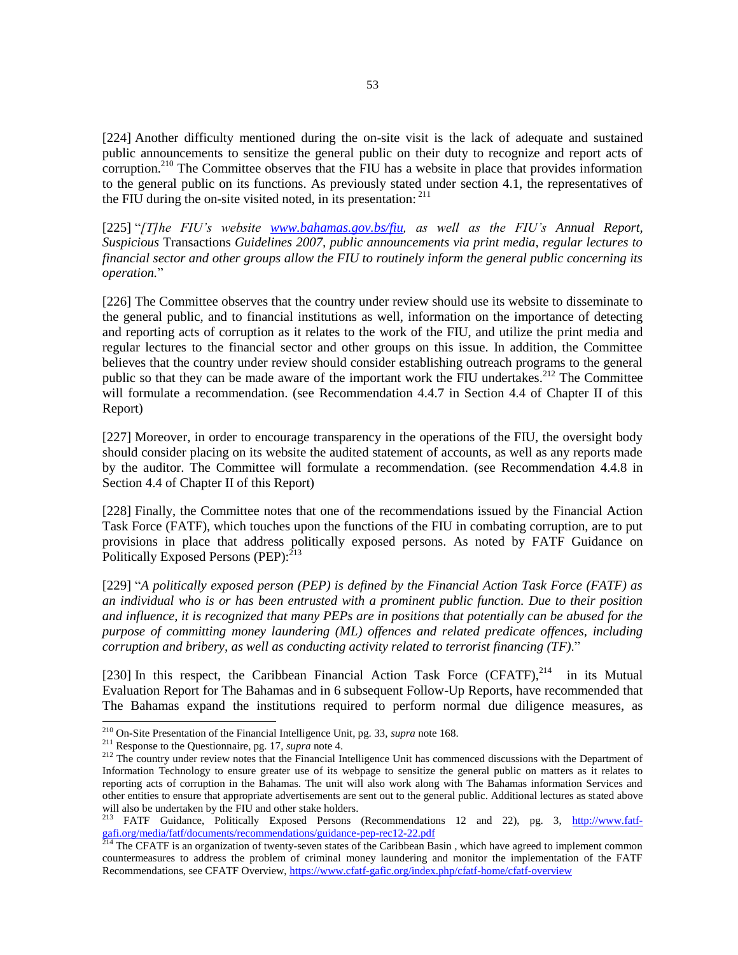[224] Another difficulty mentioned during the on-site visit is the lack of adequate and sustained public announcements to sensitize the general public on their duty to recognize and report acts of corruption.<sup>210</sup> The Committee observes that the FIU has a website in place that provides information to the general public on its functions. As previously stated under section 4.1, the representatives of the FIU during the on-site visited noted, in its presentation:  $211$ 

[225] "*[T]he FIU's website [www.bahamas.gov.bs/fiu,](http://www.bahamas.gov.bs/fiu) as well as the FIU's Annual Report, Suspicious* Transactions *Guidelines 2007, public announcements via print media, regular lectures to financial sector and other groups allow the FIU to routinely inform the general public concerning its operation.*"

[226] The Committee observes that the country under review should use its website to disseminate to the general public, and to financial institutions as well, information on the importance of detecting and reporting acts of corruption as it relates to the work of the FIU, and utilize the print media and regular lectures to the financial sector and other groups on this issue. In addition, the Committee believes that the country under review should consider establishing outreach programs to the general public so that they can be made aware of the important work the FIU undertakes.<sup>212</sup> The Committee will formulate a recommendation. (see Recommendation 4.4.7 in Section 4.4 of Chapter II of this Report)

[227] Moreover, in order to encourage transparency in the operations of the FIU, the oversight body should consider placing on its website the audited statement of accounts, as well as any reports made by the auditor. The Committee will formulate a recommendation. (see Recommendation 4.4.8 in Section 4.4 of Chapter II of this Report)

[228] Finally, the Committee notes that one of the recommendations issued by the Financial Action Task Force (FATF), which touches upon the functions of the FIU in combating corruption, are to put provisions in place that address politically exposed persons. As noted by FATF Guidance on Politically Exposed Persons (PEP):<sup>213</sup>

[229] "*A politically exposed person (PEP) is defined by the Financial Action Task Force (FATF) as an individual who is or has been entrusted with a prominent public function. Due to their position and influence, it is recognized that many PEPs are in positions that potentially can be abused for the purpose of committing money laundering (ML) offences and related predicate offences, including corruption and bribery, as well as conducting activity related to terrorist financing (TF)*."

[230] In this respect, the Caribbean Financial Action Task Force  $(CFATF)$ , <sup>214</sup> in its Mutual Evaluation Report for The Bahamas and in 6 subsequent Follow-Up Reports, have recommended that The Bahamas expand the institutions required to perform normal due diligence measures, as

<sup>210</sup> On-Site Presentation of the Financial Intelligence Unit, pg. 33, *supra* note 168.

<sup>211</sup> Response to the Questionnaire, pg. 17, *supra* note 4.

<sup>&</sup>lt;sup>212</sup> The country under review notes that the Financial Intelligence Unit has commenced discussions with the Department of Information Technology to ensure greater use of its webpage to sensitize the general public on matters as it relates to reporting acts of corruption in the Bahamas. The unit will also work along with The Bahamas information Services and other entities to ensure that appropriate advertisements are sent out to the general public. Additional lectures as stated above will also be undertaken by the FIU and other stake holders.

<sup>&</sup>lt;sup>213</sup> FATF Guidance, Politically Exposed Persons (Recommendations 12 and 22), pg. 3, [http://www.fatf](http://www.fatf-gafi.org/media/fatf/documents/recommendations/guidance-pep-rec12-22.pdf)[gafi.org/media/fatf/documents/recommendations/guidance-pep-rec12-22.pdf](http://www.fatf-gafi.org/media/fatf/documents/recommendations/guidance-pep-rec12-22.pdf)

 $^{214}$  The CFATF is an organization of twenty-seven states of the Caribbean Basin, which have agreed to implement common countermeasures to address the problem of criminal money laundering and monitor the implementation of the FATF Recommendations, see CFATF Overview,<https://www.cfatf-gafic.org/index.php/cfatf-home/cfatf-overview>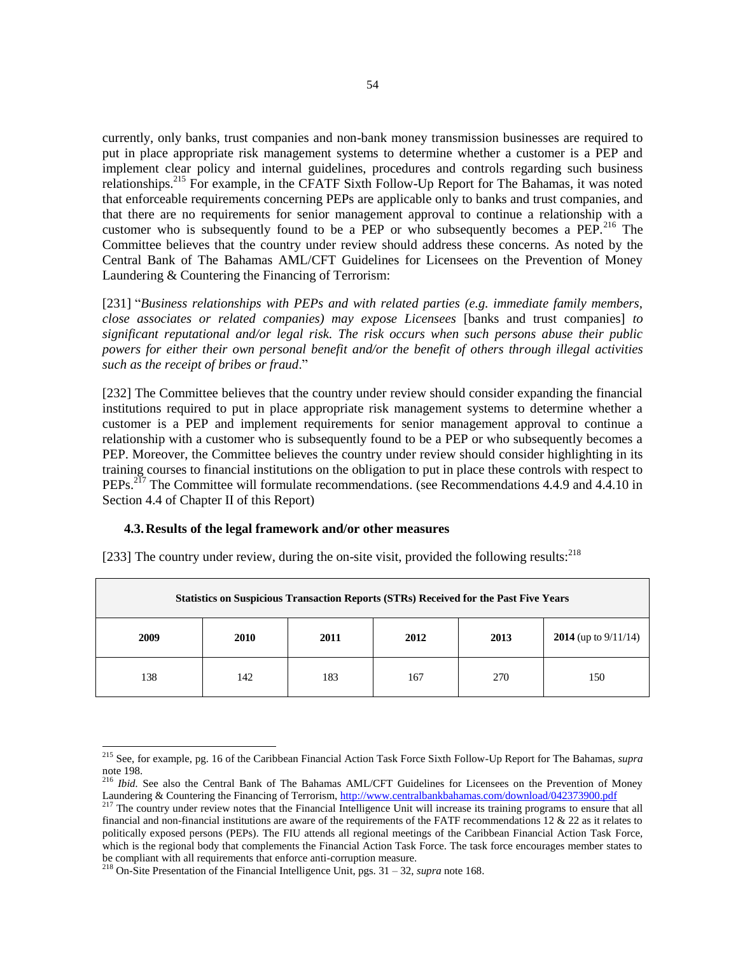currently, only banks, trust companies and non-bank money transmission businesses are required to put in place appropriate risk management systems to determine whether a customer is a PEP and implement clear policy and internal guidelines, procedures and controls regarding such business relationships.<sup>215</sup> For example, in the CFATF Sixth Follow-Up Report for The Bahamas, it was noted that enforceable requirements concerning PEPs are applicable only to banks and trust companies, and that there are no requirements for senior management approval to continue a relationship with a customer who is subsequently found to be a PEP or who subsequently becomes a PEP.<sup>216</sup> The Committee believes that the country under review should address these concerns. As noted by the Central Bank of The Bahamas AML/CFT Guidelines for Licensees on the Prevention of Money Laundering & Countering the Financing of Terrorism:

[231] "*Business relationships with PEPs and with related parties (e.g. immediate family members, close associates or related companies) may expose Licensees* [banks and trust companies] *to significant reputational and/or legal risk. The risk occurs when such persons abuse their public powers for either their own personal benefit and/or the benefit of others through illegal activities such as the receipt of bribes or fraud*."

[232] The Committee believes that the country under review should consider expanding the financial institutions required to put in place appropriate risk management systems to determine whether a customer is a PEP and implement requirements for senior management approval to continue a relationship with a customer who is subsequently found to be a PEP or who subsequently becomes a PEP. Moreover, the Committee believes the country under review should consider highlighting in its training courses to financial institutions on the obligation to put in place these controls with respect to PEPs.<sup>217</sup> The Committee will formulate recommendations. (see Recommendations 4.4.9 and 4.4.10 in Section 4.4 of Chapter II of this Report)

### **4.3.Results of the legal framework and/or other measures**

[233] The country under review, during the on-site visit, provided the following results: $^{218}$ 

| <b>Statistics on Suspicious Transaction Reports (STRs) Received for the Past Five Years</b> |      |      |      |      |                                |
|---------------------------------------------------------------------------------------------|------|------|------|------|--------------------------------|
| 2009                                                                                        | 2010 | 2011 | 2012 | 2013 | <b>2014</b> (up to $9/11/14$ ) |
| 138                                                                                         | 142  | 183  | 167  | 270  | 150                            |

<sup>215</sup> See, for example, pg. 16 of the Caribbean Financial Action Task Force Sixth Follow-Up Report for The Bahamas, *supra*  note 198.

<sup>&</sup>lt;sup>216</sup> *Ibid.* See also the Central Bank of The Bahamas AML/CFT Guidelines for Licensees on the Prevention of Money Laundering & Countering the Financing of Terrorism[, http://www.centralbankbahamas.com/download/042373900.pdf](http://www.centralbankbahamas.com/download/042373900.pdf)

<sup>&</sup>lt;sup>217</sup> The country under review notes that the Financial Intelligence Unit will increase its training programs to ensure that all financial and non-financial institutions are aware of the requirements of the FATF recommendations 12 & 22 as it relates to politically exposed persons (PEPs). The FIU attends all regional meetings of the Caribbean Financial Action Task Force, which is the regional body that complements the Financial Action Task Force. The task force encourages member states to be compliant with all requirements that enforce anti-corruption measure.

<sup>218</sup> On-Site Presentation of the Financial Intelligence Unit, pgs. 31 – 32, *supra* note 168.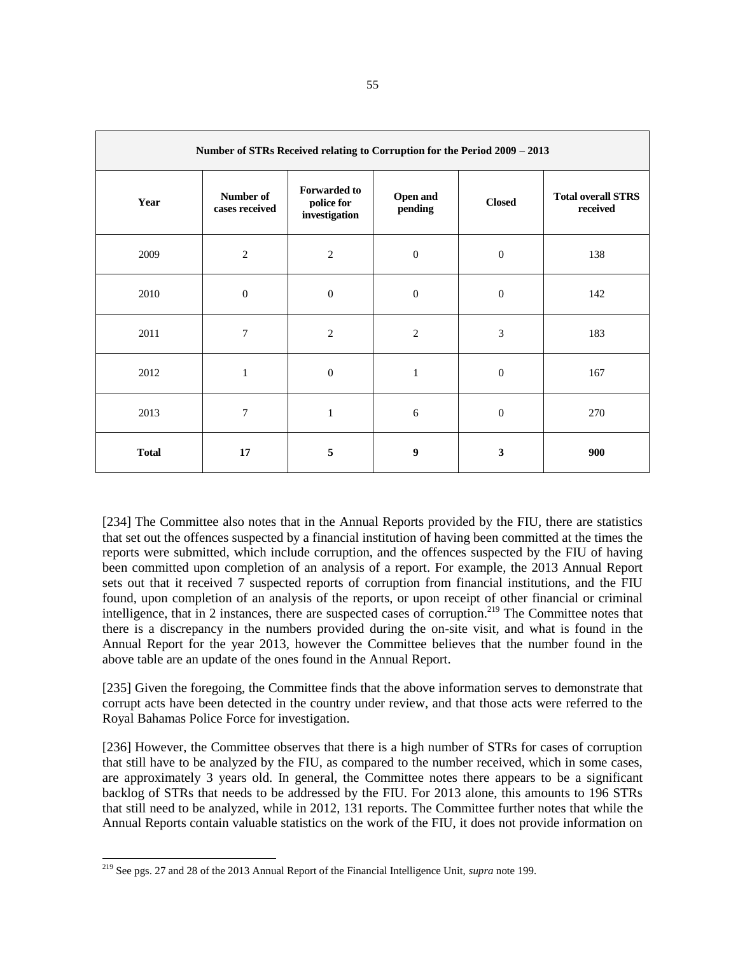| Number of STRs Received relating to Corruption for the Period 2009 - 2013 |                             |                                                    |                     |                  |                                       |
|---------------------------------------------------------------------------|-----------------------------|----------------------------------------------------|---------------------|------------------|---------------------------------------|
| Year                                                                      | Number of<br>cases received | <b>Forwarded to</b><br>police for<br>investigation | Open and<br>pending | <b>Closed</b>    | <b>Total overall STRS</b><br>received |
| 2009                                                                      | $\mathfrak{2}$              | $\mathfrak{2}$                                     | $\boldsymbol{0}$    | $\boldsymbol{0}$ | 138                                   |
| 2010                                                                      | $\boldsymbol{0}$            | $\boldsymbol{0}$                                   | $\boldsymbol{0}$    | $\boldsymbol{0}$ | 142                                   |
| 2011                                                                      | 7                           | $\mathfrak{2}$                                     | $\mathfrak{2}$      | 3                | 183                                   |
| 2012                                                                      | $\mathbf{1}$                | $\overline{0}$                                     | 1                   | $\boldsymbol{0}$ | 167                                   |
| 2013                                                                      | 7                           | $\mathbf{1}$                                       | 6                   | $\mathbf{0}$     | 270                                   |
| <b>Total</b>                                                              | 17                          | 5                                                  | 9                   | $\mathbf{3}$     | 900                                   |

[234] The Committee also notes that in the Annual Reports provided by the FIU, there are statistics that set out the offences suspected by a financial institution of having been committed at the times the reports were submitted, which include corruption, and the offences suspected by the FIU of having been committed upon completion of an analysis of a report. For example, the 2013 Annual Report sets out that it received 7 suspected reports of corruption from financial institutions, and the FIU found, upon completion of an analysis of the reports, or upon receipt of other financial or criminal intelligence, that in 2 instances, there are suspected cases of corruption.<sup>219</sup> The Committee notes that there is a discrepancy in the numbers provided during the on-site visit, and what is found in the Annual Report for the year 2013, however the Committee believes that the number found in the above table are an update of the ones found in the Annual Report.

[235] Given the foregoing, the Committee finds that the above information serves to demonstrate that corrupt acts have been detected in the country under review, and that those acts were referred to the Royal Bahamas Police Force for investigation.

[236] However, the Committee observes that there is a high number of STRs for cases of corruption that still have to be analyzed by the FIU, as compared to the number received, which in some cases, are approximately 3 years old. In general, the Committee notes there appears to be a significant backlog of STRs that needs to be addressed by the FIU. For 2013 alone, this amounts to 196 STRs that still need to be analyzed, while in 2012, 131 reports. The Committee further notes that while the Annual Reports contain valuable statistics on the work of the FIU, it does not provide information on

<sup>219</sup> See pgs. 27 and 28 of the 2013 Annual Report of the Financial Intelligence Unit, *supra* note 199.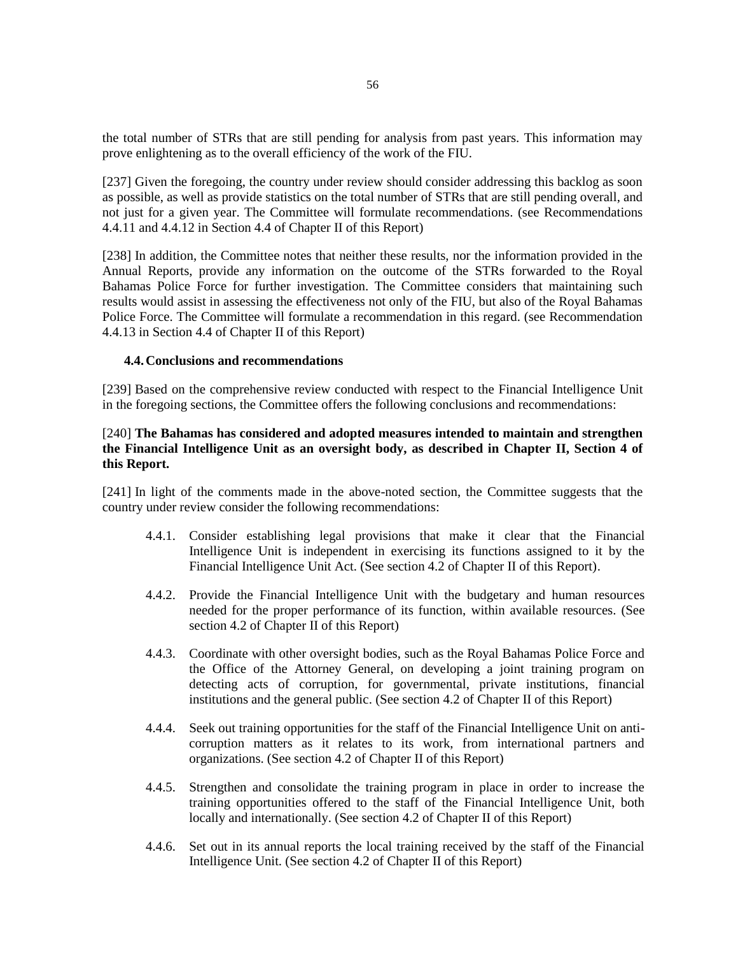the total number of STRs that are still pending for analysis from past years. This information may prove enlightening as to the overall efficiency of the work of the FIU.

[237] Given the foregoing, the country under review should consider addressing this backlog as soon as possible, as well as provide statistics on the total number of STRs that are still pending overall, and not just for a given year. The Committee will formulate recommendations. (see Recommendations 4.4.11 and 4.4.12 in Section 4.4 of Chapter II of this Report)

[238] In addition, the Committee notes that neither these results, nor the information provided in the Annual Reports, provide any information on the outcome of the STRs forwarded to the Royal Bahamas Police Force for further investigation. The Committee considers that maintaining such results would assist in assessing the effectiveness not only of the FIU, but also of the Royal Bahamas Police Force. The Committee will formulate a recommendation in this regard. (see Recommendation 4.4.13 in Section 4.4 of Chapter II of this Report)

## **4.4.Conclusions and recommendations**

[239] Based on the comprehensive review conducted with respect to the Financial Intelligence Unit in the foregoing sections, the Committee offers the following conclusions and recommendations:

# [240] **The Bahamas has considered and adopted measures intended to maintain and strengthen the Financial Intelligence Unit as an oversight body, as described in Chapter II, Section 4 of this Report.**

[241] In light of the comments made in the above-noted section, the Committee suggests that the country under review consider the following recommendations:

- 4.4.1. Consider establishing legal provisions that make it clear that the Financial Intelligence Unit is independent in exercising its functions assigned to it by the Financial Intelligence Unit Act. (See section 4.2 of Chapter II of this Report).
- 4.4.2. Provide the Financial Intelligence Unit with the budgetary and human resources needed for the proper performance of its function, within available resources. (See section 4.2 of Chapter II of this Report)
- 4.4.3. Coordinate with other oversight bodies, such as the Royal Bahamas Police Force and the Office of the Attorney General, on developing a joint training program on detecting acts of corruption, for governmental, private institutions, financial institutions and the general public. (See section 4.2 of Chapter II of this Report)
- 4.4.4. Seek out training opportunities for the staff of the Financial Intelligence Unit on anticorruption matters as it relates to its work, from international partners and organizations. (See section 4.2 of Chapter II of this Report)
- 4.4.5. Strengthen and consolidate the training program in place in order to increase the training opportunities offered to the staff of the Financial Intelligence Unit, both locally and internationally. (See section 4.2 of Chapter II of this Report)
- 4.4.6. Set out in its annual reports the local training received by the staff of the Financial Intelligence Unit. (See section 4.2 of Chapter II of this Report)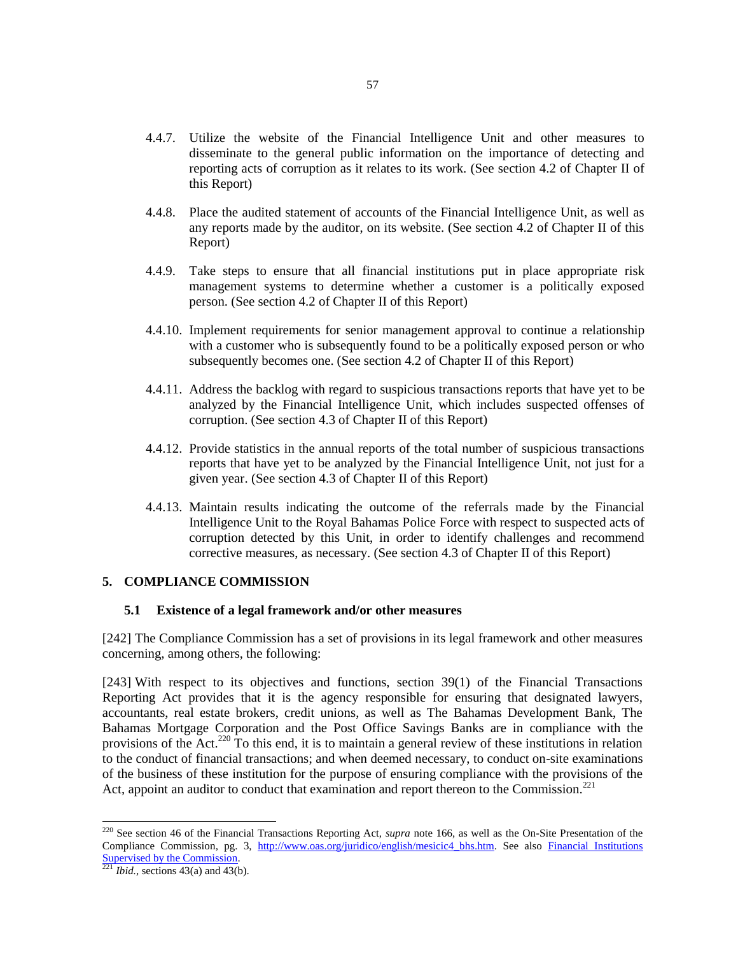- 4.4.7. Utilize the website of the Financial Intelligence Unit and other measures to disseminate to the general public information on the importance of detecting and reporting acts of corruption as it relates to its work. (See section 4.2 of Chapter II of this Report)
- 4.4.8. Place the audited statement of accounts of the Financial Intelligence Unit, as well as any reports made by the auditor, on its website. (See section 4.2 of Chapter II of this Report)
- 4.4.9. Take steps to ensure that all financial institutions put in place appropriate risk management systems to determine whether a customer is a politically exposed person. (See section 4.2 of Chapter II of this Report)
- 4.4.10. Implement requirements for senior management approval to continue a relationship with a customer who is subsequently found to be a politically exposed person or who subsequently becomes one. (See section 4.2 of Chapter II of this Report)
- 4.4.11. Address the backlog with regard to suspicious transactions reports that have yet to be analyzed by the Financial Intelligence Unit, which includes suspected offenses of corruption. (See section 4.3 of Chapter II of this Report)
- 4.4.12. Provide statistics in the annual reports of the total number of suspicious transactions reports that have yet to be analyzed by the Financial Intelligence Unit, not just for a given year. (See section 4.3 of Chapter II of this Report)
- 4.4.13. Maintain results indicating the outcome of the referrals made by the Financial Intelligence Unit to the Royal Bahamas Police Force with respect to suspected acts of corruption detected by this Unit, in order to identify challenges and recommend corrective measures, as necessary. (See section 4.3 of Chapter II of this Report)

### **5. COMPLIANCE COMMISSION**

#### **5.1 Existence of a legal framework and/or other measures**

[242] The Compliance Commission has a set of provisions in its legal framework and other measures concerning, among others, the following:

[243] With respect to its objectives and functions, section 39(1) of the Financial Transactions Reporting Act provides that it is the agency responsible for ensuring that designated lawyers, accountants, real estate brokers, credit unions, as well as The Bahamas Development Bank, The Bahamas Mortgage Corporation and the Post Office Savings Banks are in compliance with the provisions of the Act.<sup>220</sup> To this end, it is to maintain a general review of these institutions in relation to the conduct of financial transactions; and when deemed necessary, to conduct on-site examinations of the business of these institution for the purpose of ensuring compliance with the provisions of the Act, appoint an auditor to conduct that examination and report thereon to the Commission.<sup>221</sup>

<sup>220</sup> See section 46 of the Financial Transactions Reporting Act, *supra* note 166, as well as the On-Site Presentation of the Compliance Commission, pg. 3, [http://www.oas.org/juridico/english/mesicic4\\_bhs.htm.](http://www.oas.org/juridico/english/mesicic4_bhs.htm) See also [Financial Institutions](http://www.bahamas.gov.bs/wps/portal/public/Financial%20Institutions/!ut/p/b1/vZfbcqM4EIafZR4gY4mT4BIQwZwEmIMxNxTYGINNwAED4emX7M7FJFMT11bNGF0Bf9en_rulklbxKlrFL-lQFmlfNi_p5f095hJatS1XZniL5xgBaNAnGlYcWt2wi2D3LgCqJYqLQGUBB7TAMUUHrSmbAf_F_-Y3ZFfbVbTez)  [Supervised by the Commission.](http://www.bahamas.gov.bs/wps/portal/public/Financial%20Institutions/!ut/p/b1/vZfbcqM4EIafZR4gY4mT4BIQwZwEmIMxNxTYGINNwAED4emX7M7FJFMT11bNGF0Bf9en_rulklbxKlrFL-lQFmlfNi_p5f095hJatS1XZniL5xgBaNAnGlYcWt2wi2D3LgCqJYqLQGUBB7TAMUUHrSmbAf_F_-Y3ZFfbVbTez)

 $^{221}$ *Ibid.*, sections 43(a) and 43(b).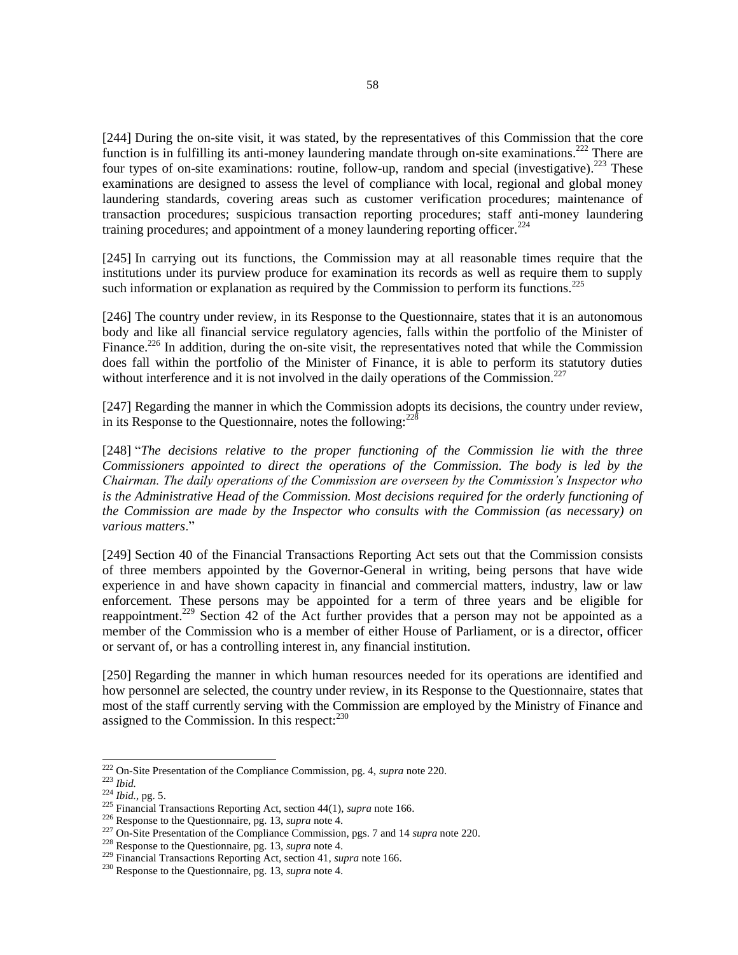[244] During the on-site visit, it was stated, by the representatives of this Commission that the core function is in fulfilling its anti-money laundering mandate through on-site examinations.<sup>222</sup> There are four types of on-site examinations: routine, follow-up, random and special (investigative).<sup>223</sup> These examinations are designed to assess the level of compliance with local, regional and global money laundering standards, covering areas such as customer verification procedures; maintenance of transaction procedures; suspicious transaction reporting procedures; staff anti-money laundering training procedures; and appointment of a money laundering reporting officer.<sup>224</sup>

[245] In carrying out its functions, the Commission may at all reasonable times require that the institutions under its purview produce for examination its records as well as require them to supply such information or explanation as required by the Commission to perform its functions.<sup>225</sup>

[246] The country under review, in its Response to the Questionnaire, states that it is an autonomous body and like all financial service regulatory agencies, falls within the portfolio of the Minister of Finance.<sup>226</sup> In addition, during the on-site visit, the representatives noted that while the Commission does fall within the portfolio of the Minister of Finance, it is able to perform its statutory duties without interference and it is not involved in the daily operations of the Commission.<sup>227</sup>

[247] Regarding the manner in which the Commission adopts its decisions, the country under review, in its Response to the Questionnaire, notes the following: $^{228}$ 

[248] "*The decisions relative to the proper functioning of the Commission lie with the three Commissioners appointed to direct the operations of the Commission. The body is led by the Chairman. The daily operations of the Commission are overseen by the Commission's Inspector who is the Administrative Head of the Commission. Most decisions required for the orderly functioning of the Commission are made by the Inspector who consults with the Commission (as necessary) on various matters*."

[249] Section 40 of the Financial Transactions Reporting Act sets out that the Commission consists of three members appointed by the Governor-General in writing, being persons that have wide experience in and have shown capacity in financial and commercial matters, industry, law or law enforcement. These persons may be appointed for a term of three years and be eligible for reappointment.<sup>229</sup> Section 42 of the Act further provides that a person may not be appointed as a member of the Commission who is a member of either House of Parliament, or is a director, officer or servant of, or has a controlling interest in, any financial institution.

[250] Regarding the manner in which human resources needed for its operations are identified and how personnel are selected, the country under review, in its Response to the Questionnaire, states that most of the staff currently serving with the Commission are employed by the Ministry of Finance and assigned to the Commission. In this respect: $230$ 

<sup>222</sup> On-Site Presentation of the Compliance Commission, pg. 4, *supra* note 220.

<sup>223</sup> *Ibid.*

<sup>224</sup> *Ibid.,* pg. 5.

<sup>225</sup> Financial Transactions Reporting Act, section 44(1), *supra* note 166.

<sup>226</sup> Response to the Questionnaire, pg. 13, *supra* note 4.

<sup>227</sup> On-Site Presentation of the Compliance Commission, pgs. 7 and 14 *supra* note 220.

<sup>228</sup> Response to the Questionnaire, pg. 13, *supra* note 4.

<sup>229</sup> Financial Transactions Reporting Act, section 41, *supra* note 166.

<sup>230</sup> Response to the Questionnaire, pg. 13, *supra* note 4.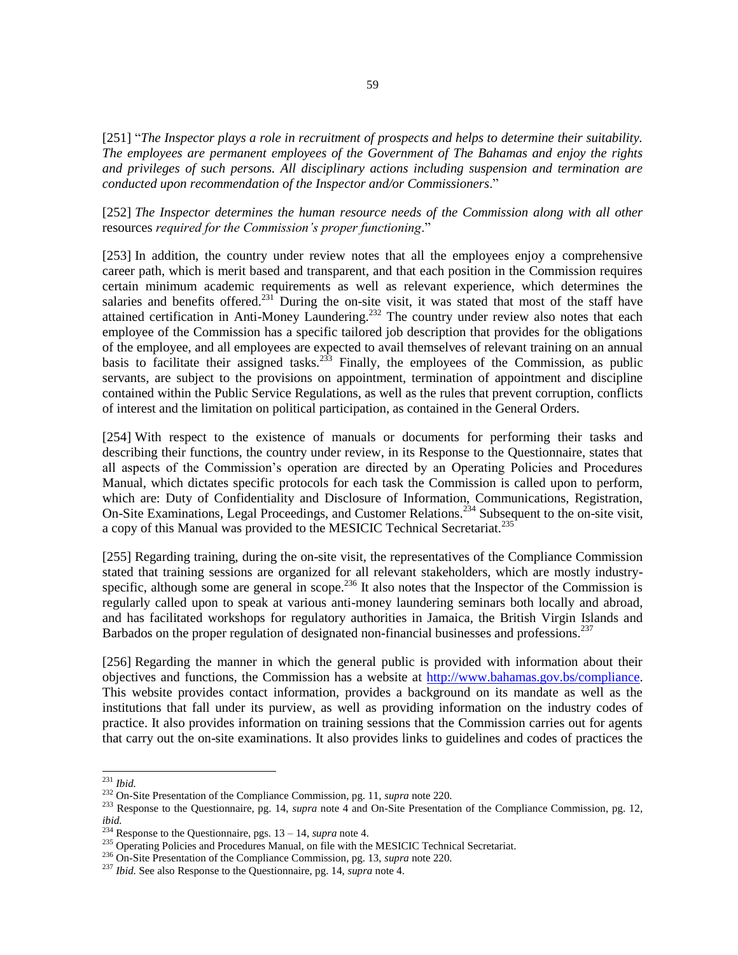[251] "*The Inspector plays a role in recruitment of prospects and helps to determine their suitability. The employees are permanent employees of the Government of The Bahamas and enjoy the rights and privileges of such persons. All disciplinary actions including suspension and termination are conducted upon recommendation of the Inspector and/or Commissioners*."

[252] *The Inspector determines the human resource needs of the Commission along with all other* resources *required for the Commission's proper functioning*."

[253] In addition, the country under review notes that all the employees enjoy a comprehensive career path, which is merit based and transparent, and that each position in the Commission requires certain minimum academic requirements as well as relevant experience, which determines the salaries and benefits offered.<sup>231</sup> During the on-site visit, it was stated that most of the staff have attained certification in Anti-Money Laundering.<sup>232</sup> The country under review also notes that each employee of the Commission has a specific tailored job description that provides for the obligations of the employee, and all employees are expected to avail themselves of relevant training on an annual basis to facilitate their assigned tasks.<sup>233</sup> Finally, the employees of the Commission, as public servants, are subject to the provisions on appointment, termination of appointment and discipline contained within the Public Service Regulations, as well as the rules that prevent corruption, conflicts of interest and the limitation on political participation, as contained in the General Orders.

[254] With respect to the existence of manuals or documents for performing their tasks and describing their functions, the country under review, in its Response to the Questionnaire, states that all aspects of the Commission's operation are directed by an Operating Policies and Procedures Manual, which dictates specific protocols for each task the Commission is called upon to perform, which are: Duty of Confidentiality and Disclosure of Information, Communications, Registration, On-Site Examinations, Legal Proceedings, and Customer Relations.<sup>234</sup> Subsequent to the on-site visit, a copy of this Manual was provided to the MESICIC Technical Secretariat.<sup>235</sup>

[255] Regarding training, during the on-site visit, the representatives of the Compliance Commission stated that training sessions are organized for all relevant stakeholders, which are mostly industryspecific, although some are general in scope.<sup>236</sup> It also notes that the Inspector of the Commission is regularly called upon to speak at various anti-money laundering seminars both locally and abroad, and has facilitated workshops for regulatory authorities in Jamaica, the British Virgin Islands and Barbados on the proper regulation of designated non-financial businesses and professions.<sup>237</sup>

[256] Regarding the manner in which the general public is provided with information about their objectives and functions, the Commission has a website at [http://www.bahamas.gov.bs/compliance.](http://www.bahamas.gov.bs/wps/portal/public/About%20Us/Areas%20of%20Responsibility/Compliance%20Commission/!ut/p/b1/vZHLkpswFES_JR_AIBAgsQSMDJiXQGBg48J4bIMH4xce4OvjqUySSlJJNsnorlTqvkfVzRd8xhfH8l7vylvdHcuXt3uhrOA88KghYQ8rkgpsgfn2zAzhPJIfgvwhAL85) This website provides contact information, provides a background on its mandate as well as the institutions that fall under its purview, as well as providing information on the industry codes of practice. It also provides information on training sessions that the Commission carries out for agents that carry out the on-site examinations. It also provides links to guidelines and codes of practices the

l <sup>231</sup> *Ibid.*

<sup>232</sup> On-Site Presentation of the Compliance Commission, pg. 11, *supra* note 220.

<sup>&</sup>lt;sup>233</sup> Response to the Questionnaire, pg. 14, *supra* note 4 and On-Site Presentation of the Compliance Commission, pg. 12, *ibid.*

<sup>234</sup> Response to the Questionnaire, pgs. 13 – 14, *supra* note 4.

<sup>&</sup>lt;sup>235</sup> Operating Policies and Procedures Manual, on file with the MESICIC Technical Secretariat.

<sup>236</sup> On-Site Presentation of the Compliance Commission, pg. 13, *supra* note 220.

<sup>237</sup> *Ibid.* See also Response to the Questionnaire, pg. 14, *supra* note 4.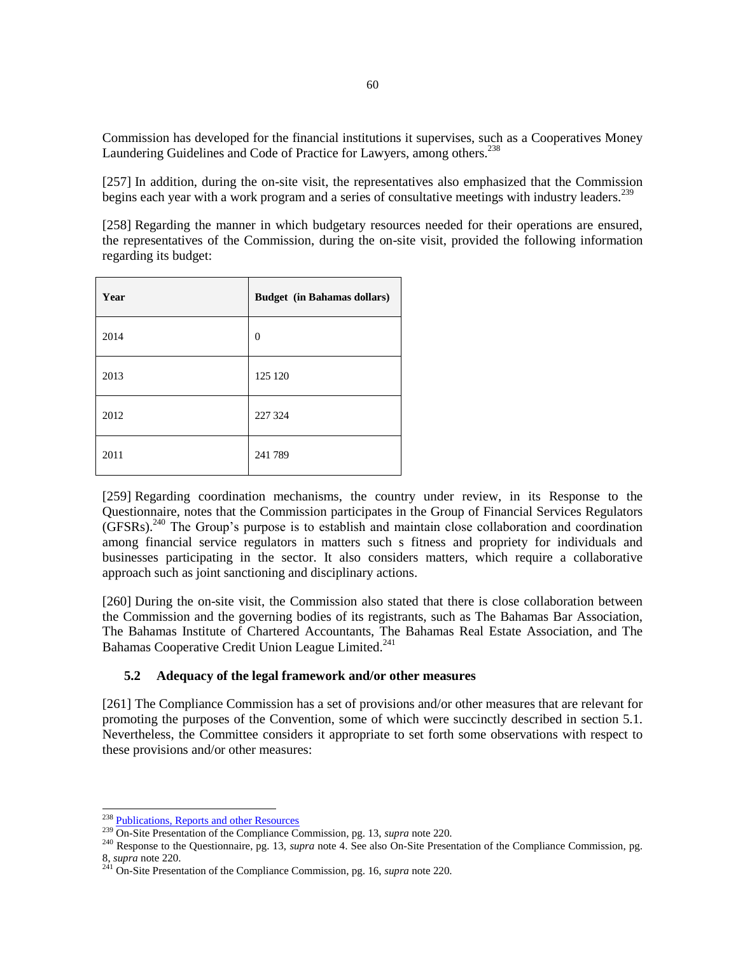Commission has developed for the financial institutions it supervises, such as a Cooperatives Money Laundering Guidelines and Code of Practice for Lawyers, among others.<sup>238</sup>

[257] In addition, during the on-site visit, the representatives also emphasized that the Commission begins each year with a work program and a series of consultative meetings with industry leaders.<sup>239</sup>

[258] Regarding the manner in which budgetary resources needed for their operations are ensured, the representatives of the Commission, during the on-site visit, provided the following information regarding its budget:

| Year | <b>Budget</b> (in Bahamas dollars) |
|------|------------------------------------|
| 2014 | $\overline{0}$                     |
| 2013 | 125 120                            |
| 2012 | 227 324                            |
| 2011 | 241 789                            |

[259] Regarding coordination mechanisms, the country under review, in its Response to the Questionnaire, notes that the Commission participates in the Group of Financial Services Regulators  $(GFSRs).$ <sup>240</sup> The Group's purpose is to establish and maintain close collaboration and coordination among financial service regulators in matters such s fitness and propriety for individuals and businesses participating in the sector. It also considers matters, which require a collaborative approach such as joint sanctioning and disciplinary actions.

[260] During the on-site visit, the Commission also stated that there is close collaboration between the Commission and the governing bodies of its registrants, such as The Bahamas Bar Association, The Bahamas Institute of Chartered Accountants, The Bahamas Real Estate Association, and The Bahamas Cooperative Credit Union League Limited.<sup>241</sup>

## **5.2 Adequacy of the legal framework and/or other measures**

[261] The Compliance Commission has a set of provisions and/or other measures that are relevant for promoting the purposes of the Convention, some of which were succinctly described in section 5.1. Nevertheless, the Committee considers it appropriate to set forth some observations with respect to these provisions and/or other measures:

<sup>&</sup>lt;sup>238</sup> [Publications, Reports and other Resources](http://www.bahamas.gov.bs/wps/portal/public/Resources/!ut/p/b1/vZTXjqMwGEafJQ-wg2nGXNJCN4QauEGQQoB0CAw8_SZbtSPNZC92x76ydD6dv0gmUmJJpMe8r8q8q07HfP94pzCjVcdeSAyyEWR4oJMB1mXFpVWPvQPJHQDvHAF8zwPVFoR7XmUBBHroWoLLaZRjUj_y7wEM-NMPolAEumabMpIQDTSOiImllvSi1OqDIsSZ0W4GaUoarYpL41VFnbdOMXXDQCHPp47voXrcILFKEtXocrqXc1eEzsRXwC9y2SmcII97VSA34yUr2pqnL5uYayNfBu4tSpu9j-DIrUJm2J2lle_KsR20XOu6lC8yHRMK2mnrQf-k77cKm-ls3RmL2exJj_ch_NWMf-UdKngAEgnNkAWWyz7Lx0T64RoeU_4GfLTGnxLGVh41sGj-kLCWC3kSieCt4m2R3DOAJbB2OmyI5I5x72IBTQTEEjCZX49nfWomr-b8wZfnOCjCgZwiHNRFhMOGwusNGcgLGigA2EoDgoa0_bAzg7XmriMvFAWhZa6L_omQpj5bSH62kPvvQpOi70KLtjCSSB3Snyy04T8XGkRaFYeXYXV4AS-ARYAleZKnaAoAFtAMEdUJ4CV0_5T0NJsSmiqOeVBW0GSwRzWBj7EhuTrXUPwaFWZdcn2UDW6327lMPyiL6rTHVgKCFdxcZHxjJdGxQyOfmxVrA9W3V6VRls6NbxQHykW2fW37iVpc04t0ydmu9NnX6-rYj8htbpLXwar_shvJwySPRWQ1q2bcLdfeYU3mo492jRbV-rbQdnNO43qIiytcuJiPbZU4H8KwNy3oKR7C29_XFmazryt-1KM!/dl4/d5/L2dBISEvZ0FBIS9nQSEh/)

<sup>239</sup> On-Site Presentation of the Compliance Commission, pg. 13, *supra* note 220.

<sup>240</sup> Response to the Questionnaire, pg. 13, *supra* note 4. See also On-Site Presentation of the Compliance Commission, pg. 8, *supra* note 220.

<sup>241</sup> On-Site Presentation of the Compliance Commission, pg. 16, *supra* note 220.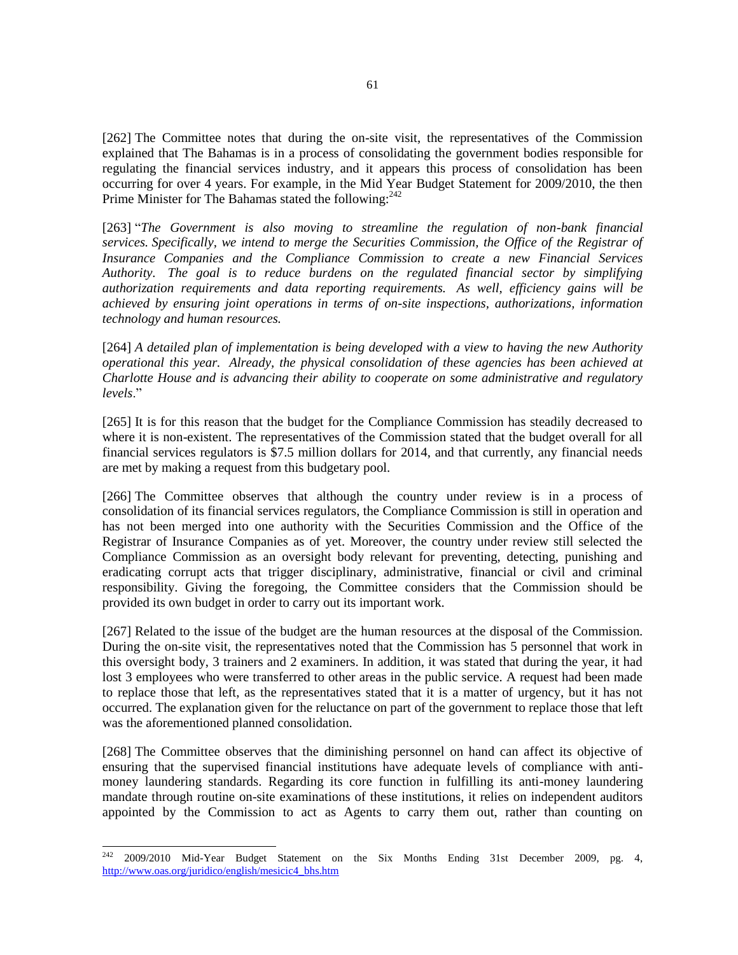[262] The Committee notes that during the on-site visit, the representatives of the Commission explained that The Bahamas is in a process of consolidating the government bodies responsible for regulating the financial services industry, and it appears this process of consolidation has been occurring for over 4 years. For example, in the Mid Year Budget Statement for 2009/2010, the then Prime Minister for The Bahamas stated the following: $242$ 

[263] "*The Government is also moving to streamline the regulation of non-bank financial services. Specifically, we intend to merge the Securities Commission, the Office of the Registrar of Insurance Companies and the Compliance Commission to create a new Financial Services Authority. The goal is to reduce burdens on the regulated financial sector by simplifying authorization requirements and data reporting requirements. As well, efficiency gains will be achieved by ensuring joint operations in terms of on-site inspections, authorizations, information technology and human resources.*

[264] *A detailed plan of implementation is being developed with a view to having the new Authority operational this year. Already, the physical consolidation of these agencies has been achieved at Charlotte House and is advancing their ability to cooperate on some administrative and regulatory levels*."

[265] It is for this reason that the budget for the Compliance Commission has steadily decreased to where it is non-existent. The representatives of the Commission stated that the budget overall for all financial services regulators is \$7.5 million dollars for 2014, and that currently, any financial needs are met by making a request from this budgetary pool.

[266] The Committee observes that although the country under review is in a process of consolidation of its financial services regulators, the Compliance Commission is still in operation and has not been merged into one authority with the Securities Commission and the Office of the Registrar of Insurance Companies as of yet. Moreover, the country under review still selected the Compliance Commission as an oversight body relevant for preventing, detecting, punishing and eradicating corrupt acts that trigger disciplinary, administrative, financial or civil and criminal responsibility. Giving the foregoing, the Committee considers that the Commission should be provided its own budget in order to carry out its important work.

[267] Related to the issue of the budget are the human resources at the disposal of the Commission. During the on-site visit, the representatives noted that the Commission has 5 personnel that work in this oversight body, 3 trainers and 2 examiners. In addition, it was stated that during the year, it had lost 3 employees who were transferred to other areas in the public service. A request had been made to replace those that left, as the representatives stated that it is a matter of urgency, but it has not occurred. The explanation given for the reluctance on part of the government to replace those that left was the aforementioned planned consolidation.

[268] The Committee observes that the diminishing personnel on hand can affect its objective of ensuring that the supervised financial institutions have adequate levels of compliance with antimoney laundering standards. Regarding its core function in fulfilling its anti-money laundering mandate through routine on-site examinations of these institutions, it relies on independent auditors appointed by the Commission to act as Agents to carry them out, rather than counting on

 $242$  2009/2010 Mid-Year Budget Statement on the Six Months Ending 31st December 2009, pg. 4, [http://www.oas.org/juridico/english/mesicic4\\_bhs.htm](http://www.oas.org/juridico/english/mesicic4_bhs.htm)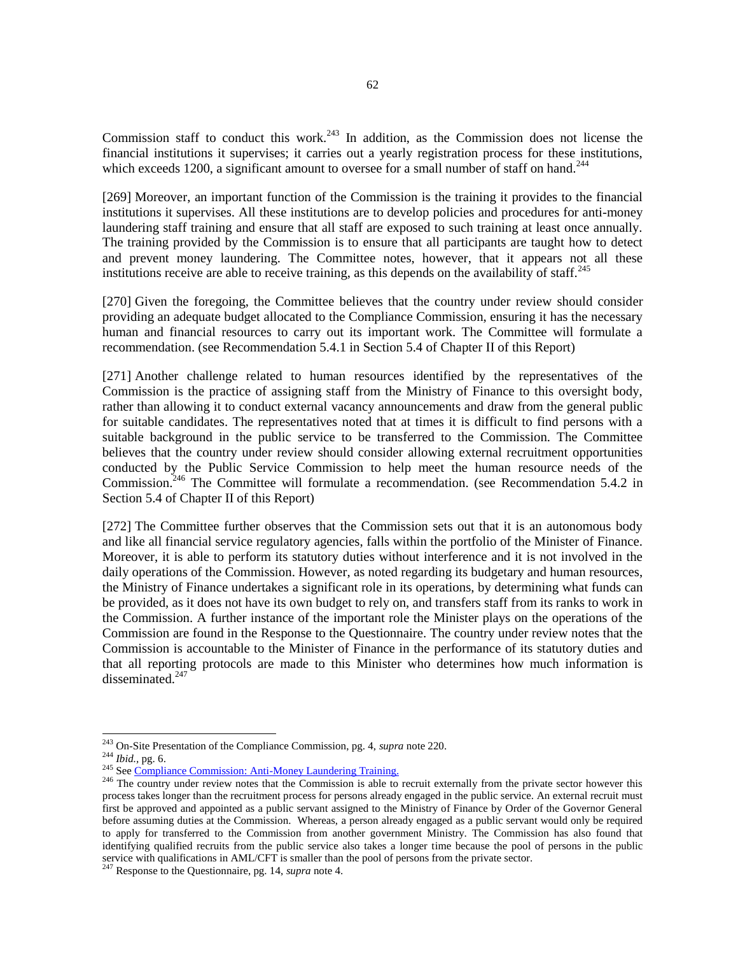Commission staff to conduct this work.<sup>243</sup> In addition, as the Commission does not license the financial institutions it supervises; it carries out a yearly registration process for these institutions, which exceeds 1200, a significant amount to oversee for a small number of staff on hand.<sup>244</sup>

[269] Moreover, an important function of the Commission is the training it provides to the financial institutions it supervises. All these institutions are to develop policies and procedures for anti-money laundering staff training and ensure that all staff are exposed to such training at least once annually. The training provided by the Commission is to ensure that all participants are taught how to detect and prevent money laundering. The Committee notes, however, that it appears not all these institutions receive are able to receive training, as this depends on the availability of staff.<sup>245</sup>

[270] Given the foregoing, the Committee believes that the country under review should consider providing an adequate budget allocated to the Compliance Commission, ensuring it has the necessary human and financial resources to carry out its important work. The Committee will formulate a recommendation. (see Recommendation 5.4.1 in Section 5.4 of Chapter II of this Report)

[271] Another challenge related to human resources identified by the representatives of the Commission is the practice of assigning staff from the Ministry of Finance to this oversight body, rather than allowing it to conduct external vacancy announcements and draw from the general public for suitable candidates. The representatives noted that at times it is difficult to find persons with a suitable background in the public service to be transferred to the Commission. The Committee believes that the country under review should consider allowing external recruitment opportunities conducted by the Public Service Commission to help meet the human resource needs of the Commission.<sup>246</sup> The Committee will formulate a recommendation. (see Recommendation 5.4.2 in Section 5.4 of Chapter II of this Report)

[272] The Committee further observes that the Commission sets out that it is an autonomous body and like all financial service regulatory agencies, falls within the portfolio of the Minister of Finance. Moreover, it is able to perform its statutory duties without interference and it is not involved in the daily operations of the Commission. However, as noted regarding its budgetary and human resources, the Ministry of Finance undertakes a significant role in its operations, by determining what funds can be provided, as it does not have its own budget to rely on, and transfers staff from its ranks to work in the Commission. A further instance of the important role the Minister plays on the operations of the Commission are found in the Response to the Questionnaire. The country under review notes that the Commission is accountable to the Minister of Finance in the performance of its statutory duties and that all reporting protocols are made to this Minister who determines how much information is disseminated.<sup>247</sup>

<sup>243</sup> On-Site Presentation of the Compliance Commission, pg. 4, *supra* note 220.

<sup>244</sup> *Ibid.,* pg. 6.

<sup>&</sup>lt;sup>245</sup> Se[e Compliance Commission: Anti-Money Laundering Training.](http://www.bahamas.gov.bs/wps/portal/public/gov/government/services/anti-money%20laundering%20training/!ut/p/b1/vZTZcqM4GIWfJQ_gRiwCcQlmX8RuDDcuMN4wYMdgDDz9kJlO1SQ9SeaiO3CDpHPqSD_fLyIl1kTaZP3pkHWnS5NVL-OU3dBAtQWBQbYKAQv0yLUEl9MohMlZkMwC8MEjgM_8jkn99H8kYH76Vcf2lvMyWEUi0DXblNAS0UDjiJhYa8kgSq1-kOW4B2dqncpXkRoZ3r-1g8A8mOsRZJ6Ie2vS4LjuekSp0hS1PDu48b4sA2bBhivDyiR-TI7p7dg3OwVdtny1SruoOhfBrsy5_Sn2jHNVlFEZDPjSjIW6rDxmvCEkkqdiieDWJz3GutxHL-Kfu4q53Txyx0lBDuIDA7t9JzJiE5fnpy_OPBflTc3mCRropEVbGC1JPQLv_Q4V8rNgSbJmBIHlwrc1QyzzshxiXZJdWvXhL_5fAv6f_2PBF8zERPopFi9__W_BZ1i9bpKx5ZczQKS87AFaLsuTSATvI94XiftKAAmsXeodkcwy7kNZSBMhsQbMJijHqz6dJ78Eg4NLbAdT_ABSNNihtMK5CmxsYPt8GcAUTVg-GsGUkPYUz_OhW6z8SBSk7T64WV8E0tR3B5LfHcj98cC3wLP0Nwfa7G8PNIj0lNc_Htv6B_gBIAKQ5EmeoikAIKAZYlUmFDdfkg9JjjfDySHTKY2WfuIJoL8eOit6NrSxVaywslBj1kZzP22u2n16uM-NqR1OlwqbjB56lJgJ5EI6SEHElEAtI1Zpk9HMLpq45qZsNLVCqnbNCOiB01dbyn-muvyi4Cw73PLt3UGO3ZOKuyiVI6zr8Li-mUE7VAUvFTC1i1pW1-3g3Mntfpm3-_v-Um3co7AYh8UCPL09JaIommEAxSKWp3nIESsjGbllawiKHGyMbQzuKze36kN1qGJwTo9FsdQ43aoZtFvwg3pzGl31v)

<sup>&</sup>lt;sup>246</sup> The country under review notes that the Commission is able to recruit externally from the private sector however this process takes longer than the recruitment process for persons already engaged in the public service. An external recruit must first be approved and appointed as a public servant assigned to the Ministry of Finance by Order of the Governor General before assuming duties at the Commission. Whereas, a person already engaged as a public servant would only be required to apply for transferred to the Commission from another government Ministry. The Commission has also found that identifying qualified recruits from the public service also takes a longer time because the pool of persons in the public service with qualifications in AML/CFT is smaller than the pool of persons from the private sector.

<sup>247</sup> Response to the Questionnaire, pg. 14, *supra* note 4.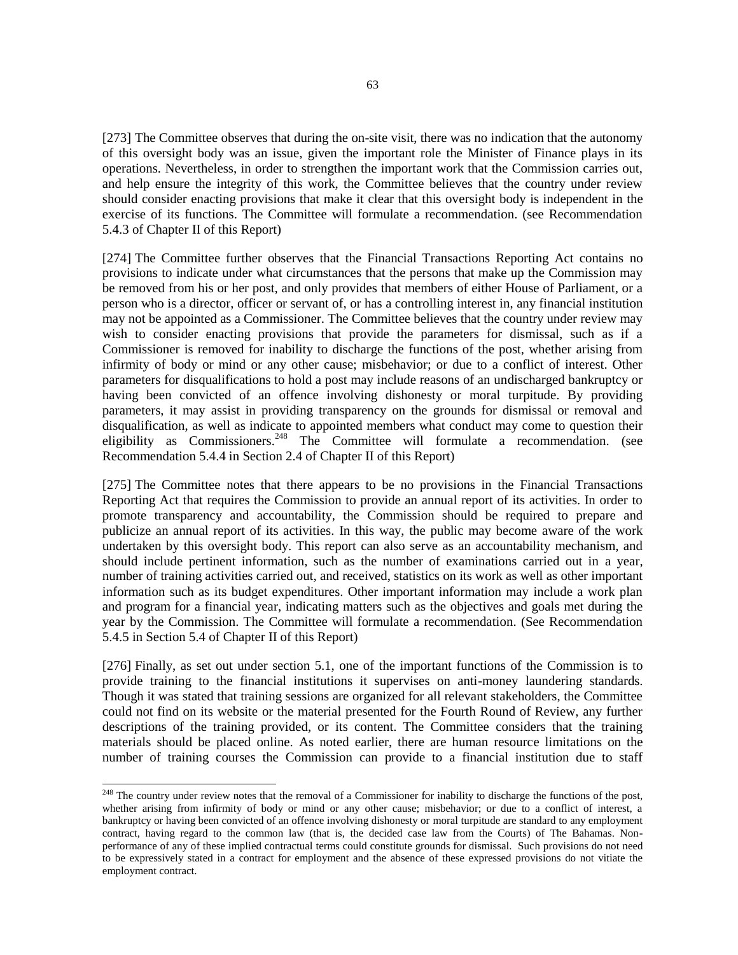[273] The Committee observes that during the on-site visit, there was no indication that the autonomy of this oversight body was an issue, given the important role the Minister of Finance plays in its operations. Nevertheless, in order to strengthen the important work that the Commission carries out, and help ensure the integrity of this work, the Committee believes that the country under review should consider enacting provisions that make it clear that this oversight body is independent in the exercise of its functions. The Committee will formulate a recommendation. (see Recommendation 5.4.3 of Chapter II of this Report)

[274] The Committee further observes that the Financial Transactions Reporting Act contains no provisions to indicate under what circumstances that the persons that make up the Commission may be removed from his or her post, and only provides that members of either House of Parliament, or a person who is a director, officer or servant of, or has a controlling interest in, any financial institution may not be appointed as a Commissioner. The Committee believes that the country under review may wish to consider enacting provisions that provide the parameters for dismissal, such as if a Commissioner is removed for inability to discharge the functions of the post, whether arising from infirmity of body or mind or any other cause; misbehavior; or due to a conflict of interest. Other parameters for disqualifications to hold a post may include reasons of an undischarged bankruptcy or having been convicted of an offence involving dishonesty or moral turpitude. By providing parameters, it may assist in providing transparency on the grounds for dismissal or removal and disqualification, as well as indicate to appointed members what conduct may come to question their eligibility as Commissioners.<sup>248</sup> The Committee will formulate a recommendation. (see Recommendation 5.4.4 in Section 2.4 of Chapter II of this Report)

[275] The Committee notes that there appears to be no provisions in the Financial Transactions Reporting Act that requires the Commission to provide an annual report of its activities. In order to promote transparency and accountability, the Commission should be required to prepare and publicize an annual report of its activities. In this way, the public may become aware of the work undertaken by this oversight body. This report can also serve as an accountability mechanism, and should include pertinent information, such as the number of examinations carried out in a year, number of training activities carried out, and received, statistics on its work as well as other important information such as its budget expenditures. Other important information may include a work plan and program for a financial year, indicating matters such as the objectives and goals met during the year by the Commission. The Committee will formulate a recommendation. (See Recommendation 5.4.5 in Section 5.4 of Chapter II of this Report)

[276] Finally, as set out under section 5.1, one of the important functions of the Commission is to provide training to the financial institutions it supervises on anti-money laundering standards. Though it was stated that training sessions are organized for all relevant stakeholders, the Committee could not find on its website or the material presented for the Fourth Round of Review, any further descriptions of the training provided, or its content. The Committee considers that the training materials should be placed online. As noted earlier, there are human resource limitations on the number of training courses the Commission can provide to a financial institution due to staff

<sup>&</sup>lt;sup>248</sup> The country under review notes that the removal of a Commissioner for inability to discharge the functions of the post, whether arising from infirmity of body or mind or any other cause; misbehavior; or due to a conflict of interest, a bankruptcy or having been convicted of an offence involving dishonesty or moral turpitude are standard to any employment contract, having regard to the common law (that is, the decided case law from the Courts) of The Bahamas. Nonperformance of any of these implied contractual terms could constitute grounds for dismissal. Such provisions do not need to be expressively stated in a contract for employment and the absence of these expressed provisions do not vitiate the employment contract.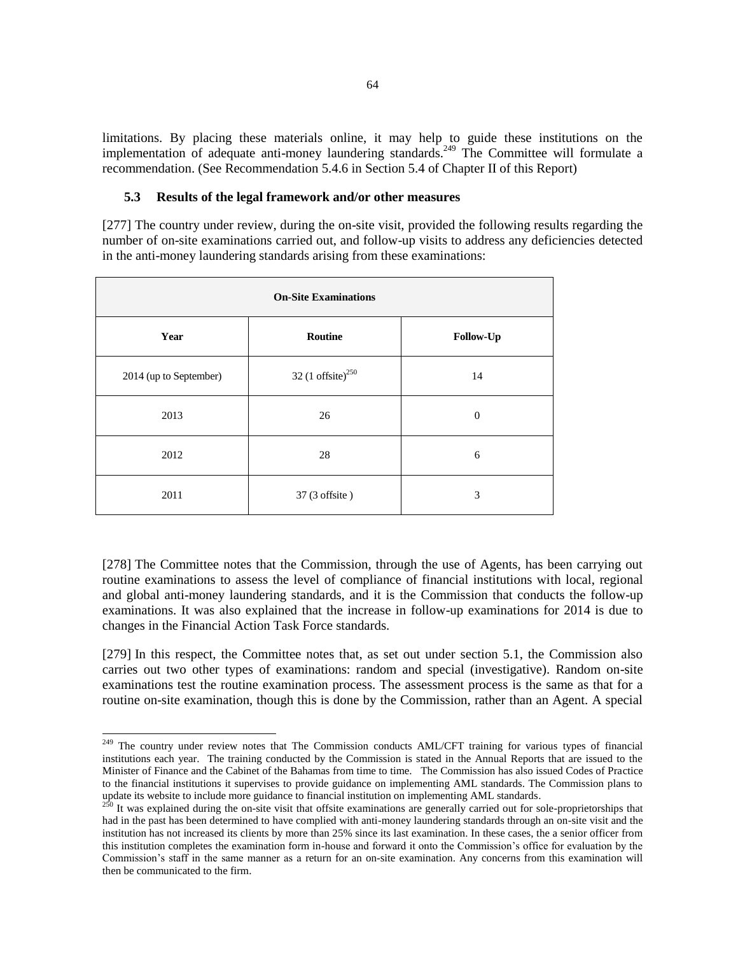limitations. By placing these materials online, it may help to guide these institutions on the implementation of adequate anti-money laundering standards.<sup>249</sup> The Committee will formulate a recommendation. (See Recommendation 5.4.6 in Section 5.4 of Chapter II of this Report)

#### **5.3 Results of the legal framework and/or other measures**

[277] The country under review, during the on-site visit, provided the following results regarding the number of on-site examinations carried out, and follow-up visits to address any deficiencies detected in the anti-money laundering standards arising from these examinations:

| <b>On-Site Examinations</b> |                               |           |  |
|-----------------------------|-------------------------------|-----------|--|
| Year                        | Routine                       | Follow-Up |  |
| 2014 (up to September)      | 32 (1 offsite) <sup>250</sup> | 14        |  |
| 2013                        | 26                            | 0         |  |
| 2012                        | 28                            | 6         |  |
| 2011                        | 37 (3 offsite)                | 3         |  |

[278] The Committee notes that the Commission, through the use of Agents, has been carrying out routine examinations to assess the level of compliance of financial institutions with local, regional and global anti-money laundering standards, and it is the Commission that conducts the follow-up examinations. It was also explained that the increase in follow-up examinations for 2014 is due to changes in the Financial Action Task Force standards.

[279] In this respect, the Committee notes that, as set out under section 5.1, the Commission also carries out two other types of examinations: random and special (investigative). Random on-site examinations test the routine examination process. The assessment process is the same as that for a routine on-site examination, though this is done by the Commission, rather than an Agent. A special

<sup>&</sup>lt;sup>249</sup> The country under review notes that The Commission conducts AML/CFT training for various types of financial institutions each year. The training conducted by the Commission is stated in the Annual Reports that are issued to the Minister of Finance and the Cabinet of the Bahamas from time to time. The Commission has also issued Codes of Practice to the financial institutions it supervises to provide guidance on implementing AML standards. The Commission plans to update its website to include more guidance to financial institution on implementing AML standards.

<sup>&</sup>lt;sup>250</sup> It was explained during the on-site visit that offsite examinations are generally carried out for sole-proprietorships that had in the past has been determined to have complied with anti-money laundering standards through an on-site visit and the institution has not increased its clients by more than 25% since its last examination. In these cases, the a senior officer from this institution completes the examination form in-house and forward it onto the Commission's office for evaluation by the Commission's staff in the same manner as a return for an on-site examination. Any concerns from this examination will then be communicated to the firm.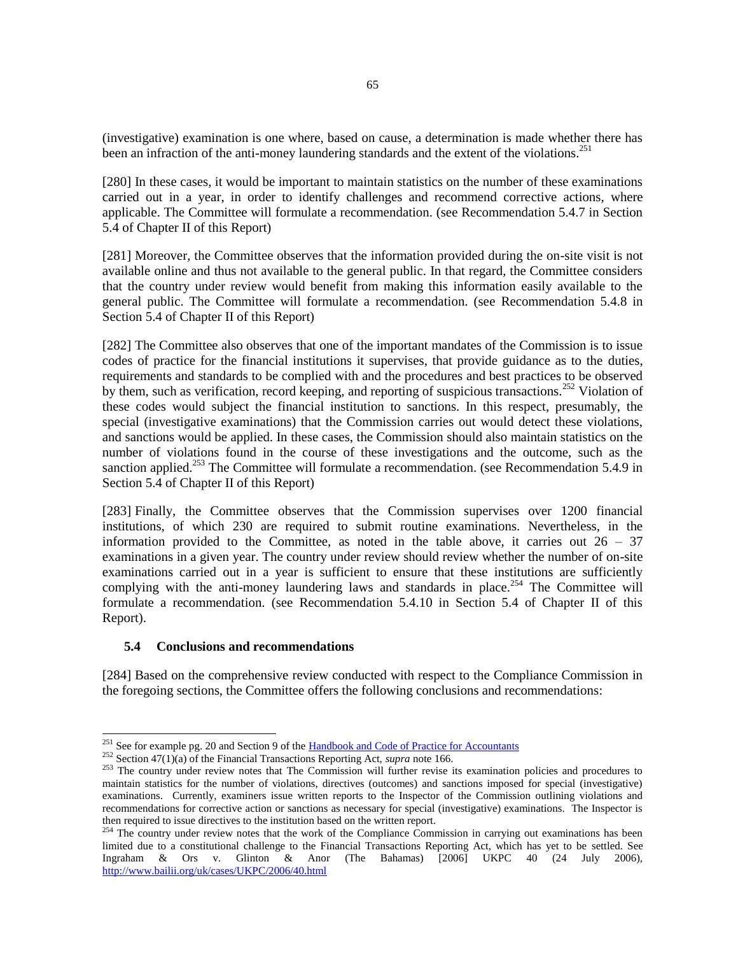(investigative) examination is one where, based on cause, a determination is made whether there has been an infraction of the anti-money laundering standards and the extent of the violations.<sup>251</sup>

[280] In these cases, it would be important to maintain statistics on the number of these examinations carried out in a year, in order to identify challenges and recommend corrective actions, where applicable. The Committee will formulate a recommendation. (see Recommendation 5.4.7 in Section 5.4 of Chapter II of this Report)

[281] Moreover, the Committee observes that the information provided during the on-site visit is not available online and thus not available to the general public. In that regard, the Committee considers that the country under review would benefit from making this information easily available to the general public. The Committee will formulate a recommendation. (see Recommendation 5.4.8 in Section 5.4 of Chapter II of this Report)

[282] The Committee also observes that one of the important mandates of the Commission is to issue codes of practice for the financial institutions it supervises, that provide guidance as to the duties, requirements and standards to be complied with and the procedures and best practices to be observed by them, such as verification, record keeping, and reporting of suspicious transactions.<sup>252</sup> Violation of these codes would subject the financial institution to sanctions. In this respect, presumably, the special (investigative examinations) that the Commission carries out would detect these violations, and sanctions would be applied. In these cases, the Commission should also maintain statistics on the number of violations found in the course of these investigations and the outcome, such as the sanction applied.<sup>253</sup> The Committee will formulate a recommendation. (see Recommendation 5.4.9 in Section 5.4 of Chapter II of this Report)

[283] Finally, the Committee observes that the Commission supervises over 1200 financial institutions, of which 230 are required to submit routine examinations. Nevertheless, in the information provided to the Committee, as noted in the table above, it carries out  $26 - 37$ examinations in a given year. The country under review should review whether the number of on-site examinations carried out in a year is sufficient to ensure that these institutions are sufficiently complying with the anti-money laundering laws and standards in place.<sup>254</sup> The Committee will formulate a recommendation. (see Recommendation 5.4.10 in Section 5.4 of Chapter II of this Report).

# **5.4 Conclusions and recommendations**

l

[284] Based on the comprehensive review conducted with respect to the Compliance Commission in the foregoing sections, the Committee offers the following conclusions and recommendations:

<sup>&</sup>lt;sup>251</sup> See for example pg. 20 and Section 9 of the [Handbook and Code of Practice for Accountants](http://www.bahamas.gov.bs/wps/wcm/connect/f1e54d73-f3cc-441c-8773-be8d31259205/Codes+of+Practice+-+Accountants+Revised0709.pdf?MOD=AJPERES&CONVERT_TO=url&CACHEID=f1e54d73-f3cc-441c-8773-be8d31259205)

<sup>252</sup> Section 47(1)(a) of the Financial Transactions Reporting Act, *supra* note 166.

<sup>&</sup>lt;sup>253</sup> The country under review notes that The Commission will further revise its examination policies and procedures to maintain statistics for the number of violations, directives (outcomes) and sanctions imposed for special (investigative) examinations. Currently, examiners issue written reports to the Inspector of the Commission outlining violations and recommendations for corrective action or sanctions as necessary for special (investigative) examinations. The Inspector is then required to issue directives to the institution based on the written report.

 $254$  The country under review notes that the work of the Compliance Commission in carrying out examinations has been limited due to a constitutional challenge to the Financial Transactions Reporting Act, which has yet to be settled. See Ingraham & Ors v. Glinton & Anor (The Bahamas) [2006] UKPC 40 (24 July 2006), <http://www.bailii.org/uk/cases/UKPC/2006/40.html>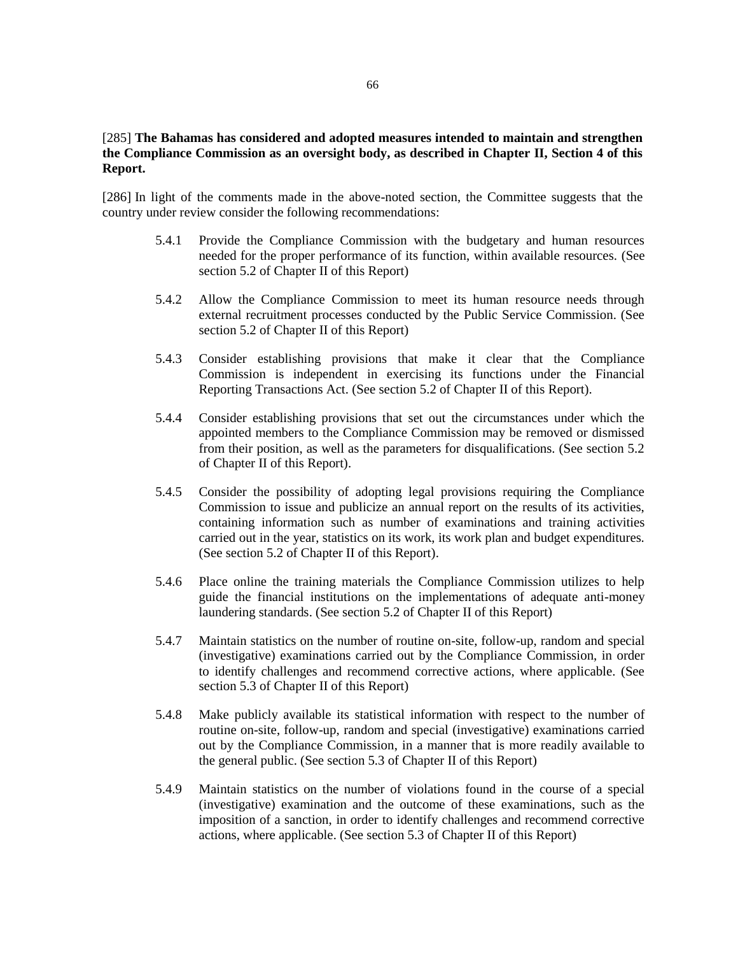## [285] **The Bahamas has considered and adopted measures intended to maintain and strengthen the Compliance Commission as an oversight body, as described in Chapter II, Section 4 of this Report.**

[286] In light of the comments made in the above-noted section, the Committee suggests that the country under review consider the following recommendations:

- 5.4.1 Provide the Compliance Commission with the budgetary and human resources needed for the proper performance of its function, within available resources. (See section 5.2 of Chapter II of this Report)
- 5.4.2 Allow the Compliance Commission to meet its human resource needs through external recruitment processes conducted by the Public Service Commission. (See section 5.2 of Chapter II of this Report)
- 5.4.3 Consider establishing provisions that make it clear that the Compliance Commission is independent in exercising its functions under the Financial Reporting Transactions Act. (See section 5.2 of Chapter II of this Report).
- 5.4.4 Consider establishing provisions that set out the circumstances under which the appointed members to the Compliance Commission may be removed or dismissed from their position, as well as the parameters for disqualifications. (See section 5.2 of Chapter II of this Report).
- 5.4.5 Consider the possibility of adopting legal provisions requiring the Compliance Commission to issue and publicize an annual report on the results of its activities, containing information such as number of examinations and training activities carried out in the year, statistics on its work, its work plan and budget expenditures. (See section 5.2 of Chapter II of this Report).
- 5.4.6 Place online the training materials the Compliance Commission utilizes to help guide the financial institutions on the implementations of adequate anti-money laundering standards. (See section 5.2 of Chapter II of this Report)
- 5.4.7 Maintain statistics on the number of routine on-site, follow-up, random and special (investigative) examinations carried out by the Compliance Commission, in order to identify challenges and recommend corrective actions, where applicable. (See section 5.3 of Chapter II of this Report)
- 5.4.8 Make publicly available its statistical information with respect to the number of routine on-site, follow-up, random and special (investigative) examinations carried out by the Compliance Commission, in a manner that is more readily available to the general public. (See section 5.3 of Chapter II of this Report)
- 5.4.9 Maintain statistics on the number of violations found in the course of a special (investigative) examination and the outcome of these examinations, such as the imposition of a sanction, in order to identify challenges and recommend corrective actions, where applicable. (See section 5.3 of Chapter II of this Report)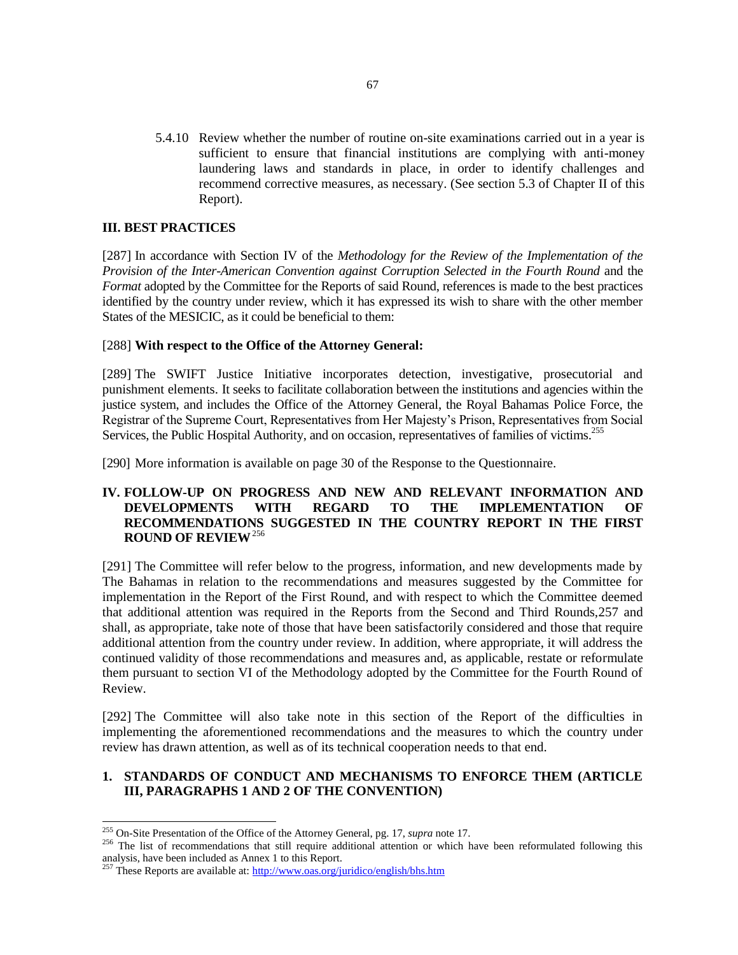5.4.10 Review whether the number of routine on-site examinations carried out in a year is sufficient to ensure that financial institutions are complying with anti-money laundering laws and standards in place, in order to identify challenges and recommend corrective measures, as necessary. (See section 5.3 of Chapter II of this Report).

## **III. BEST PRACTICES**

[287] In accordance with Section IV of the *Methodology for the Review of the Implementation of the Provision of the Inter-American Convention against Corruption Selected in the Fourth Round* and the *Format* adopted by the Committee for the Reports of said Round, references is made to the best practices identified by the country under review, which it has expressed its wish to share with the other member States of the MESICIC, as it could be beneficial to them:

## [288] **With respect to the Office of the Attorney General:**

[289] The SWIFT Justice Initiative incorporates detection, investigative, prosecutorial and punishment elements. It seeks to facilitate collaboration between the institutions and agencies within the justice system, and includes the Office of the Attorney General, the Royal Bahamas Police Force, the Registrar of the Supreme Court, Representatives from Her Majesty's Prison, Representatives from Social Services, the Public Hospital Authority, and on occasion, representatives of families of victims.<sup>255</sup>

[290] More information is available on page 30 of the Response to the Questionnaire.

# **IV. FOLLOW-UP ON PROGRESS AND NEW AND RELEVANT INFORMATION AND DEVELOPMENTS WITH REGARD TO THE IMPLEMENTATION OF RECOMMENDATIONS SUGGESTED IN THE COUNTRY REPORT IN THE FIRST ROUND OF REVIEW**<sup>256</sup>

[291] The Committee will refer below to the progress, information, and new developments made by The Bahamas in relation to the recommendations and measures suggested by the Committee for implementation in the Report of the First Round, and with respect to which the Committee deemed that additional attention was required in the Reports from the Second and Third Rounds,257 and shall, as appropriate, take note of those that have been satisfactorily considered and those that require additional attention from the country under review. In addition, where appropriate, it will address the continued validity of those recommendations and measures and, as applicable, restate or reformulate them pursuant to section VI of the Methodology adopted by the Committee for the Fourth Round of Review.

[292] The Committee will also take note in this section of the Report of the difficulties in implementing the aforementioned recommendations and the measures to which the country under review has drawn attention, as well as of its technical cooperation needs to that end.

# **1. STANDARDS OF CONDUCT AND MECHANISMS TO ENFORCE THEM (ARTICLE III, PARAGRAPHS 1 AND 2 OF THE CONVENTION)**

<sup>255</sup> On-Site Presentation of the Office of the Attorney General, pg. 17, *supra* note 17.

<sup>&</sup>lt;sup>256</sup> The list of recommendations that still require additional attention or which have been reformulated following this analysis, have been included as Annex 1 to this Report.

<sup>&</sup>lt;sup>257</sup> These Reports are available at[: http://www.oas.org/juridico/english/bhs.htm](http://www.oas.org/juridico/english/bhs.htm)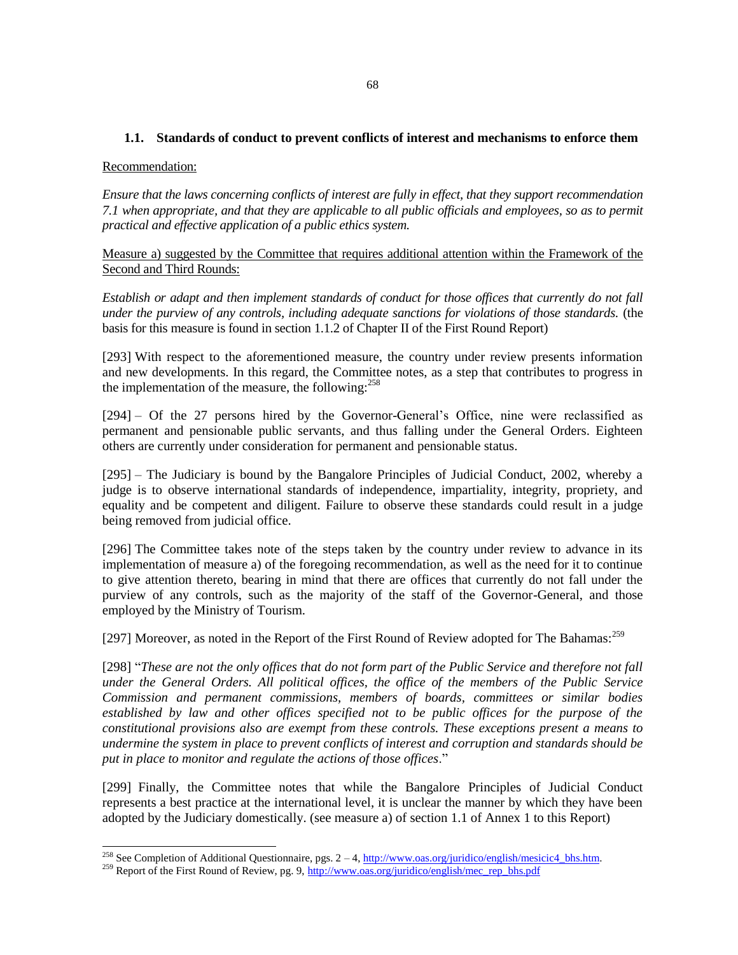## **1.1. Standards of conduct to prevent conflicts of interest and mechanisms to enforce them**

### Recommendation:

l

*Ensure that the laws concerning conflicts of interest are fully in effect, that they support recommendation 7.1 when appropriate, and that they are applicable to all public officials and employees, so as to permit practical and effective application of a public ethics system.*

Measure a) suggested by the Committee that requires additional attention within the Framework of the Second and Third Rounds:

*Establish or adapt and then implement standards of conduct for those offices that currently do not fall under the purview of any controls, including adequate sanctions for violations of those standards.* (the basis for this measure is found in section 1.1.2 of Chapter II of the First Round Report)

[293] With respect to the aforementioned measure, the country under review presents information and new developments. In this regard, the Committee notes, as a step that contributes to progress in the implementation of the measure, the following:  $258$ 

[294] – Of the 27 persons hired by the Governor-General's Office, nine were reclassified as permanent and pensionable public servants, and thus falling under the General Orders. Eighteen others are currently under consideration for permanent and pensionable status.

[295] – The Judiciary is bound by the Bangalore Principles of Judicial Conduct, 2002, whereby a judge is to observe international standards of independence, impartiality, integrity, propriety, and equality and be competent and diligent. Failure to observe these standards could result in a judge being removed from judicial office.

[296] The Committee takes note of the steps taken by the country under review to advance in its implementation of measure a) of the foregoing recommendation, as well as the need for it to continue to give attention thereto, bearing in mind that there are offices that currently do not fall under the purview of any controls, such as the majority of the staff of the Governor-General, and those employed by the Ministry of Tourism.

[297] Moreover, as noted in the Report of the First Round of Review adopted for The Bahamas:<sup>259</sup>

[298] "*These are not the only offices that do not form part of the Public Service and therefore not fall under the General Orders. All political offices, the office of the members of the Public Service Commission and permanent commissions, members of boards, committees or similar bodies established by law and other offices specified not to be public offices for the purpose of the constitutional provisions also are exempt from these controls. These exceptions present a means to undermine the system in place to prevent conflicts of interest and corruption and standards should be put in place to monitor and regulate the actions of those offices*."

[299] Finally, the Committee notes that while the Bangalore Principles of Judicial Conduct represents a best practice at the international level, it is unclear the manner by which they have been adopted by the Judiciary domestically. (see measure a) of section 1.1 of Annex 1 to this Report)

<sup>&</sup>lt;sup>258</sup> See Completion of Additional Questionnaire, pgs.  $2-4$ ,  $\frac{http://www.oas.org/juridico/english/mesicic4-bhs.htm.$ 

<sup>&</sup>lt;sup>259</sup> Report of the First Round of Review, pg. 9, [http://www.oas.org/juridico/english/mec\\_rep\\_bhs.pdf](http://www.oas.org/juridico/english/mec_rep_bhs.pdf)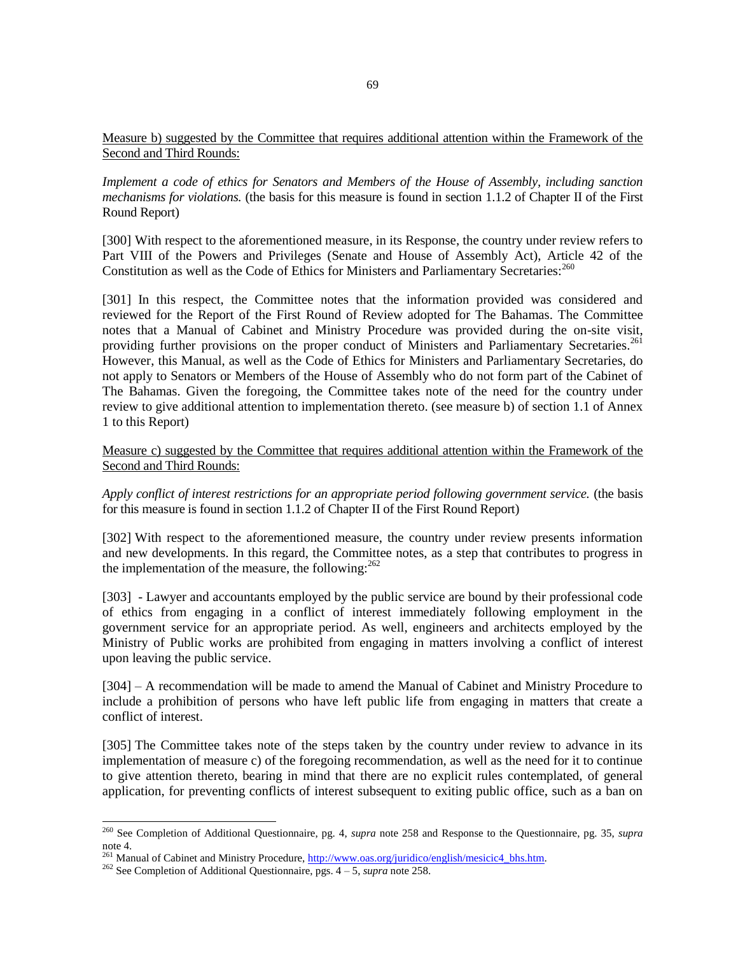## Measure b) suggested by the Committee that requires additional attention within the Framework of the Second and Third Rounds:

*Implement a code of ethics for Senators and Members of the House of Assembly, including sanction mechanisms for violations.* (the basis for this measure is found in section 1.1.2 of Chapter II of the First Round Report)

[300] With respect to the aforementioned measure, in its Response, the country under review refers to Part VIII of the Powers and Privileges (Senate and House of Assembly Act), Article 42 of the Constitution as well as the Code of Ethics for Ministers and Parliamentary Secretaries:<sup>260</sup>

[301] In this respect, the Committee notes that the information provided was considered and reviewed for the Report of the First Round of Review adopted for The Bahamas. The Committee notes that a Manual of Cabinet and Ministry Procedure was provided during the on-site visit, providing further provisions on the proper conduct of Ministers and Parliamentary Secretaries.<sup>261</sup> However, this Manual, as well as the Code of Ethics for Ministers and Parliamentary Secretaries, do not apply to Senators or Members of the House of Assembly who do not form part of the Cabinet of The Bahamas. Given the foregoing, the Committee takes note of the need for the country under review to give additional attention to implementation thereto. (see measure b) of section 1.1 of Annex 1 to this Report)

Measure c) suggested by the Committee that requires additional attention within the Framework of the Second and Third Rounds:

*Apply conflict of interest restrictions for an appropriate period following government service.* (the basis for this measure is found in section 1.1.2 of Chapter II of the First Round Report)

[302] With respect to the aforementioned measure, the country under review presents information and new developments. In this regard, the Committee notes, as a step that contributes to progress in the implementation of the measure, the following:  $262$ 

[303] - Lawyer and accountants employed by the public service are bound by their professional code of ethics from engaging in a conflict of interest immediately following employment in the government service for an appropriate period. As well, engineers and architects employed by the Ministry of Public works are prohibited from engaging in matters involving a conflict of interest upon leaving the public service.

[304] – A recommendation will be made to amend the Manual of Cabinet and Ministry Procedure to include a prohibition of persons who have left public life from engaging in matters that create a conflict of interest.

[305] The Committee takes note of the steps taken by the country under review to advance in its implementation of measure c) of the foregoing recommendation, as well as the need for it to continue to give attention thereto, bearing in mind that there are no explicit rules contemplated, of general application, for preventing conflicts of interest subsequent to exiting public office, such as a ban on

<sup>260</sup> See Completion of Additional Questionnaire, pg. 4, *supra* note 258 and Response to the Questionnaire, pg. 35, *supra*  note 4.

<sup>&</sup>lt;sup>261</sup> Manual of Cabinet and Ministry Procedure[, http://www.oas.org/juridico/english/mesicic4\\_bhs.htm.](http://www.oas.org/juridico/english/mesicic4_bhs.htm)

<sup>262</sup> See Completion of Additional Questionnaire, pgs. 4 – 5, *supra* note 258.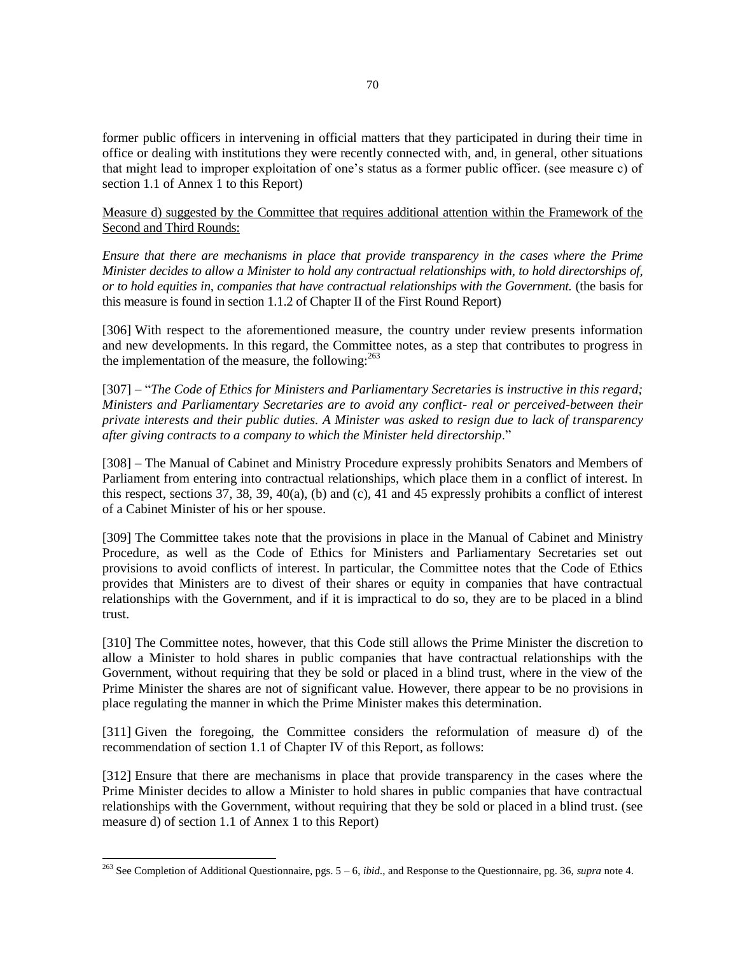former public officers in intervening in official matters that they participated in during their time in office or dealing with institutions they were recently connected with, and, in general, other situations that might lead to improper exploitation of one's status as a former public officer. (see measure c) of section 1.1 of Annex 1 to this Report)

Measure d) suggested by the Committee that requires additional attention within the Framework of the Second and Third Rounds:

*Ensure that there are mechanisms in place that provide transparency in the cases where the Prime Minister decides to allow a Minister to hold any contractual relationships with, to hold directorships of, or to hold equities in, companies that have contractual relationships with the Government.* (the basis for this measure is found in section 1.1.2 of Chapter II of the First Round Report)

[306] With respect to the aforementioned measure, the country under review presents information and new developments. In this regard, the Committee notes, as a step that contributes to progress in the implementation of the measure, the following: $^{263}$ 

[307] – "*The Code of Ethics for Ministers and Parliamentary Secretaries is instructive in this regard; Ministers and Parliamentary Secretaries are to avoid any conflict- real or perceived-between their private interests and their public duties. A Minister was asked to resign due to lack of transparency after giving contracts to a company to which the Minister held directorship*."

[308] – The Manual of Cabinet and Ministry Procedure expressly prohibits Senators and Members of Parliament from entering into contractual relationships, which place them in a conflict of interest. In this respect, sections 37, 38, 39, 40(a), (b) and (c), 41 and 45 expressly prohibits a conflict of interest of a Cabinet Minister of his or her spouse.

[309] The Committee takes note that the provisions in place in the Manual of Cabinet and Ministry Procedure, as well as the Code of Ethics for Ministers and Parliamentary Secretaries set out provisions to avoid conflicts of interest. In particular, the Committee notes that the Code of Ethics provides that Ministers are to divest of their shares or equity in companies that have contractual relationships with the Government, and if it is impractical to do so, they are to be placed in a blind trust.

[310] The Committee notes, however, that this Code still allows the Prime Minister the discretion to allow a Minister to hold shares in public companies that have contractual relationships with the Government, without requiring that they be sold or placed in a blind trust, where in the view of the Prime Minister the shares are not of significant value. However, there appear to be no provisions in place regulating the manner in which the Prime Minister makes this determination.

[311] Given the foregoing, the Committee considers the reformulation of measure d) of the recommendation of section 1.1 of Chapter IV of this Report, as follows:

[312] Ensure that there are mechanisms in place that provide transparency in the cases where the Prime Minister decides to allow a Minister to hold shares in public companies that have contractual relationships with the Government, without requiring that they be sold or placed in a blind trust. (see measure d) of section 1.1 of Annex 1 to this Report)

<sup>263</sup> See Completion of Additional Questionnaire, pgs. 5 – 6, *ibid.*, and Response to the Questionnaire, pg. 36, *supra* note 4.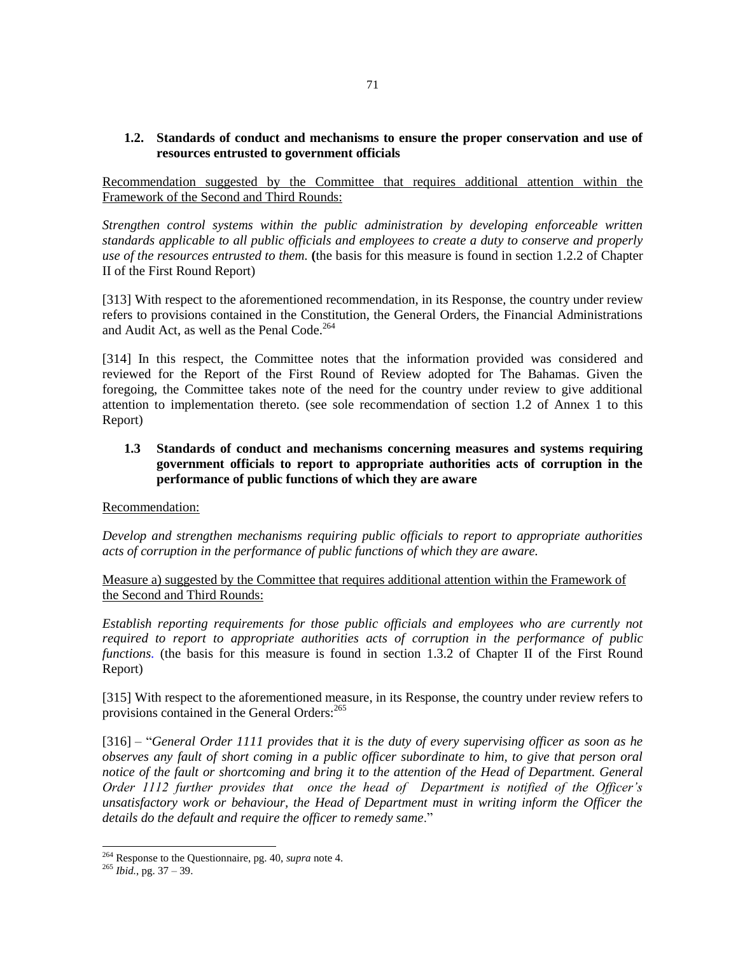**1.2. Standards of conduct and mechanisms to ensure the proper conservation and use of resources entrusted to government officials**

Recommendation suggested by the Committee that requires additional attention within the Framework of the Second and Third Rounds:

*Strengthen control systems within the public administration by developing enforceable written standards applicable to all public officials and employees to create a duty to conserve and properly use of the resources entrusted to them.* **(**the basis for this measure is found in section 1.2.2 of Chapter II of the First Round Report)

[313] With respect to the aforementioned recommendation, in its Response, the country under review refers to provisions contained in the Constitution, the General Orders, the Financial Administrations and Audit Act, as well as the Penal Code.<sup>264</sup>

[314] In this respect, the Committee notes that the information provided was considered and reviewed for the Report of the First Round of Review adopted for The Bahamas. Given the foregoing, the Committee takes note of the need for the country under review to give additional attention to implementation thereto. (see sole recommendation of section 1.2 of Annex 1 to this Report)

## **1.3 Standards of conduct and mechanisms concerning measures and systems requiring government officials to report to appropriate authorities acts of corruption in the performance of public functions of which they are aware**

Recommendation:

*Develop and strengthen mechanisms requiring public officials to report to appropriate authorities acts of corruption in the performance of public functions of which they are aware.*

Measure a) suggested by the Committee that requires additional attention within the Framework of the Second and Third Rounds:

*Establish reporting requirements for those public officials and employees who are currently not required to report to appropriate authorities acts of corruption in the performance of public functions.* (the basis for this measure is found in section 1.3.2 of Chapter II of the First Round Report)

[315] With respect to the aforementioned measure, in its Response, the country under review refers to provisions contained in the General Orders:<sup>265</sup>

[316] – "*General Order 1111 provides that it is the duty of every supervising officer as soon as he observes any fault of short coming in a public officer subordinate to him, to give that person oral notice of the fault or shortcoming and bring it to the attention of the Head of Department. General Order 1112 further provides that once the head of Department is notified of the Officer's unsatisfactory work or behaviour, the Head of Department must in writing inform the Officer the details do the default and require the officer to remedy same*."

<sup>264</sup> Response to the Questionnaire, pg. 40, *supra* note 4.

 $^{265}$  *Ibid.*, pg. 37 – 39.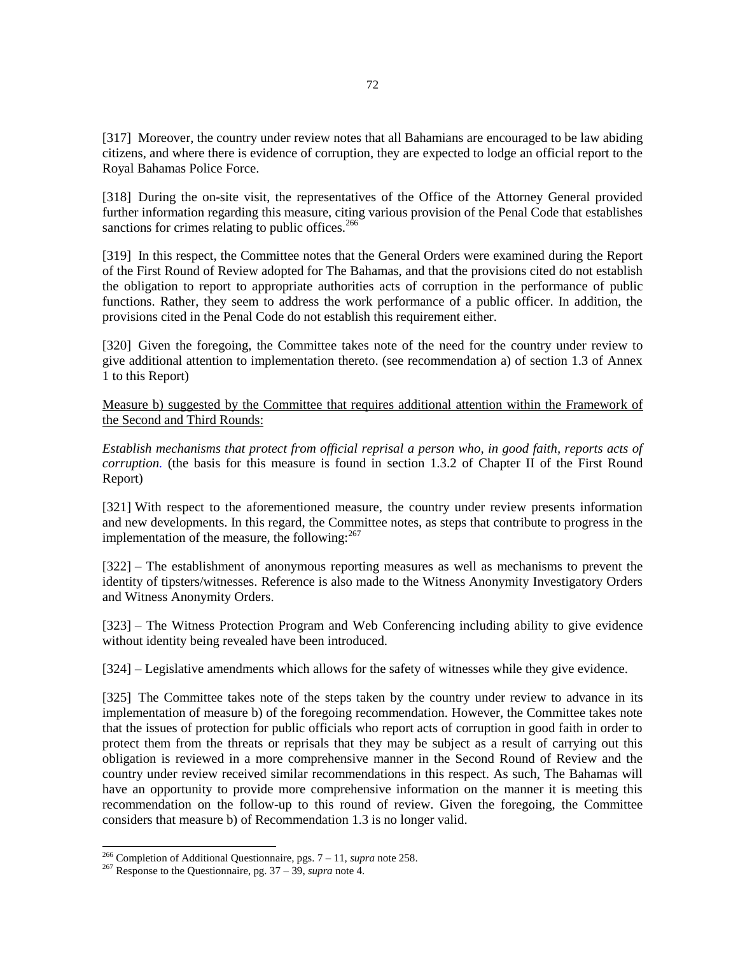[317] Moreover, the country under review notes that all Bahamians are encouraged to be law abiding citizens, and where there is evidence of corruption, they are expected to lodge an official report to the Royal Bahamas Police Force.

[318] During the on-site visit, the representatives of the Office of the Attorney General provided further information regarding this measure, citing various provision of the Penal Code that establishes sanctions for crimes relating to public offices. $266$ 

[319] In this respect, the Committee notes that the General Orders were examined during the Report of the First Round of Review adopted for The Bahamas, and that the provisions cited do not establish the obligation to report to appropriate authorities acts of corruption in the performance of public functions. Rather, they seem to address the work performance of a public officer. In addition, the provisions cited in the Penal Code do not establish this requirement either.

[320] Given the foregoing, the Committee takes note of the need for the country under review to give additional attention to implementation thereto. (see recommendation a) of section 1.3 of Annex 1 to this Report)

Measure b) suggested by the Committee that requires additional attention within the Framework of the Second and Third Rounds:

*Establish mechanisms that protect from official reprisal a person who, in good faith, reports acts of corruption.* (the basis for this measure is found in section 1.3.2 of Chapter II of the First Round Report)

[321] With respect to the aforementioned measure, the country under review presents information and new developments. In this regard, the Committee notes, as steps that contribute to progress in the implementation of the measure, the following: $267$ 

[322] – The establishment of anonymous reporting measures as well as mechanisms to prevent the identity of tipsters/witnesses. Reference is also made to the Witness Anonymity Investigatory Orders and Witness Anonymity Orders.

[323] – The Witness Protection Program and Web Conferencing including ability to give evidence without identity being revealed have been introduced.

[324] – Legislative amendments which allows for the safety of witnesses while they give evidence.

[325] The Committee takes note of the steps taken by the country under review to advance in its implementation of measure b) of the foregoing recommendation. However, the Committee takes note that the issues of protection for public officials who report acts of corruption in good faith in order to protect them from the threats or reprisals that they may be subject as a result of carrying out this obligation is reviewed in a more comprehensive manner in the Second Round of Review and the country under review received similar recommendations in this respect. As such, The Bahamas will have an opportunity to provide more comprehensive information on the manner it is meeting this recommendation on the follow-up to this round of review. Given the foregoing, the Committee considers that measure b) of Recommendation 1.3 is no longer valid.

<sup>266</sup> Completion of Additional Questionnaire, pgs. 7 – 11, *supra* note 258.

<sup>267</sup> Response to the Questionnaire, pg. 37 – 39, *supra* note 4.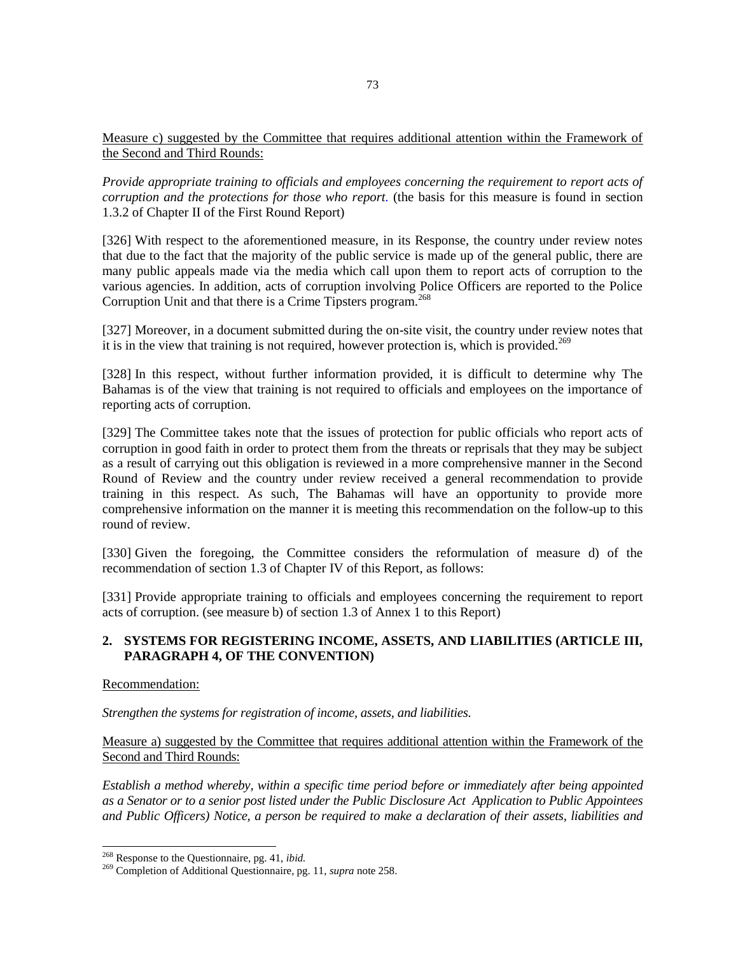### Measure c) suggested by the Committee that requires additional attention within the Framework of the Second and Third Rounds:

*Provide appropriate training to officials and employees concerning the requirement to report acts of corruption and the protections for those who report.* (the basis for this measure is found in section 1.3.2 of Chapter II of the First Round Report)

[326] With respect to the aforementioned measure, in its Response, the country under review notes that due to the fact that the majority of the public service is made up of the general public, there are many public appeals made via the media which call upon them to report acts of corruption to the various agencies. In addition, acts of corruption involving Police Officers are reported to the Police Corruption Unit and that there is a Crime Tipsters program.<sup>268</sup>

[327] Moreover, in a document submitted during the on-site visit, the country under review notes that it is in the view that training is not required, however protection is, which is provided.<sup>269</sup>

[328] In this respect, without further information provided, it is difficult to determine why The Bahamas is of the view that training is not required to officials and employees on the importance of reporting acts of corruption.

[329] The Committee takes note that the issues of protection for public officials who report acts of corruption in good faith in order to protect them from the threats or reprisals that they may be subject as a result of carrying out this obligation is reviewed in a more comprehensive manner in the Second Round of Review and the country under review received a general recommendation to provide training in this respect. As such, The Bahamas will have an opportunity to provide more comprehensive information on the manner it is meeting this recommendation on the follow-up to this round of review.

[330] Given the foregoing, the Committee considers the reformulation of measure d) of the recommendation of section 1.3 of Chapter IV of this Report, as follows:

[331] Provide appropriate training to officials and employees concerning the requirement to report acts of corruption. (see measure b) of section 1.3 of Annex 1 to this Report)

## **2. SYSTEMS FOR REGISTERING INCOME, ASSETS, AND LIABILITIES (ARTICLE III, PARAGRAPH 4, OF THE CONVENTION)**

## Recommendation:

l

*Strengthen the systems for registration of income, assets, and liabilities.*

## Measure a) suggested by the Committee that requires additional attention within the Framework of the Second and Third Rounds:

*Establish a method whereby, within a specific time period before or immediately after being appointed as a Senator or to a senior post listed under the Public Disclosure Act Application to Public Appointees and Public Officers) Notice, a person be required to make a declaration of their assets, liabilities and* 

<sup>268</sup> Response to the Questionnaire, pg. 41, *ibid.*

<sup>269</sup> Completion of Additional Questionnaire, pg. 11, *supra* note 258.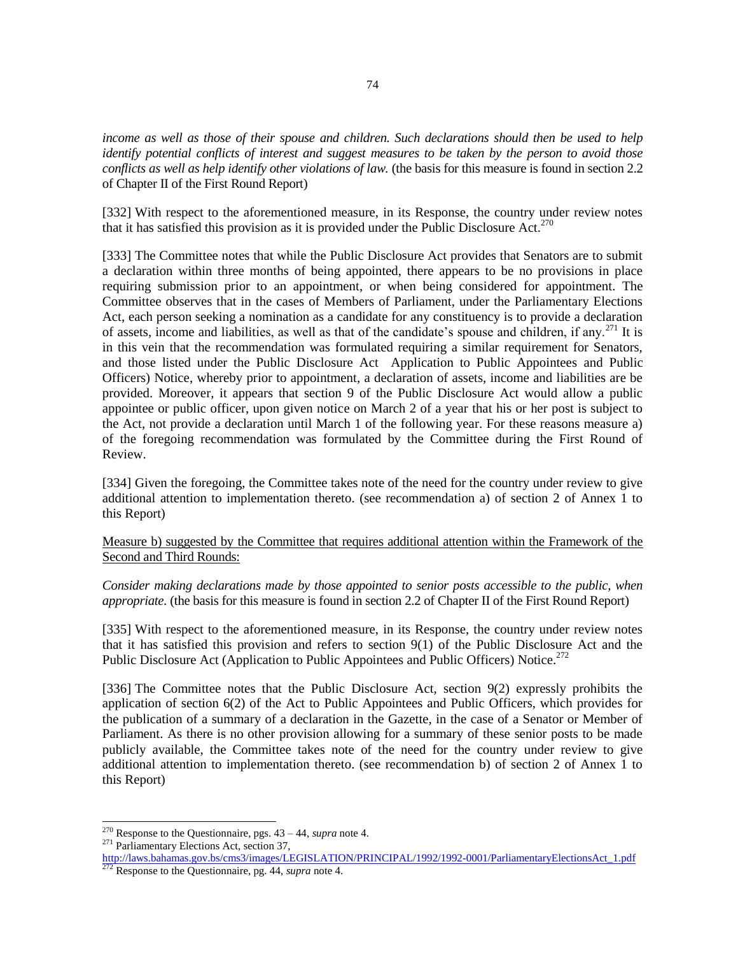*income as well as those of their spouse and children. Such declarations should then be used to help identify potential conflicts of interest and suggest measures to be taken by the person to avoid those conflicts as well as help identify other violations of law.* (the basis for this measure is found in section 2.2 of Chapter II of the First Round Report)

[332] With respect to the aforementioned measure, in its Response, the country under review notes that it has satisfied this provision as it is provided under the Public Disclosure Act.<sup>270</sup>

[333] The Committee notes that while the Public Disclosure Act provides that Senators are to submit a declaration within three months of being appointed, there appears to be no provisions in place requiring submission prior to an appointment, or when being considered for appointment. The Committee observes that in the cases of Members of Parliament, under the Parliamentary Elections Act, each person seeking a nomination as a candidate for any constituency is to provide a declaration of assets, income and liabilities, as well as that of the candidate's spouse and children, if any.<sup>271</sup> It is in this vein that the recommendation was formulated requiring a similar requirement for Senators, and those listed under the Public Disclosure Act Application to Public Appointees and Public Officers) Notice, whereby prior to appointment, a declaration of assets, income and liabilities are be provided. Moreover, it appears that section 9 of the Public Disclosure Act would allow a public appointee or public officer, upon given notice on March 2 of a year that his or her post is subject to the Act, not provide a declaration until March 1 of the following year. For these reasons measure a) of the foregoing recommendation was formulated by the Committee during the First Round of Review.

[334] Given the foregoing, the Committee takes note of the need for the country under review to give additional attention to implementation thereto. (see recommendation a) of section 2 of Annex 1 to this Report)

Measure b) suggested by the Committee that requires additional attention within the Framework of the Second and Third Rounds:

*Consider making declarations made by those appointed to senior posts accessible to the public, when appropriate.* (the basis for this measure is found in section 2.2 of Chapter II of the First Round Report)

[335] With respect to the aforementioned measure, in its Response, the country under review notes that it has satisfied this provision and refers to section 9(1) of the Public Disclosure Act and the Public Disclosure Act (Application to Public Appointees and Public Officers) Notice.<sup>272</sup>

[336] The Committee notes that the Public Disclosure Act, section 9(2) expressly prohibits the application of section 6(2) of the Act to Public Appointees and Public Officers, which provides for the publication of a summary of a declaration in the Gazette, in the case of a Senator or Member of Parliament. As there is no other provision allowing for a summary of these senior posts to be made publicly available, the Committee takes note of the need for the country under review to give additional attention to implementation thereto. (see recommendation b) of section 2 of Annex 1 to this Report)

<sup>270</sup> Response to the Questionnaire, pgs. 43 – 44, *supra* note 4.

<sup>&</sup>lt;sup>271</sup> Parliamentary Elections Act, section 37,

[http://laws.bahamas.gov.bs/cms3/images/LEGISLATION/PRINCIPAL/1992/1992-0001/ParliamentaryElectionsAct\\_1.pdf](http://laws.bahamas.gov.bs/cms3/images/LEGISLATION/PRINCIPAL/1992/1992-0001/ParliamentaryElectionsAct_1.pdf) <sup>272</sup> Response to the Questionnaire, pg. 44, *supra* note 4.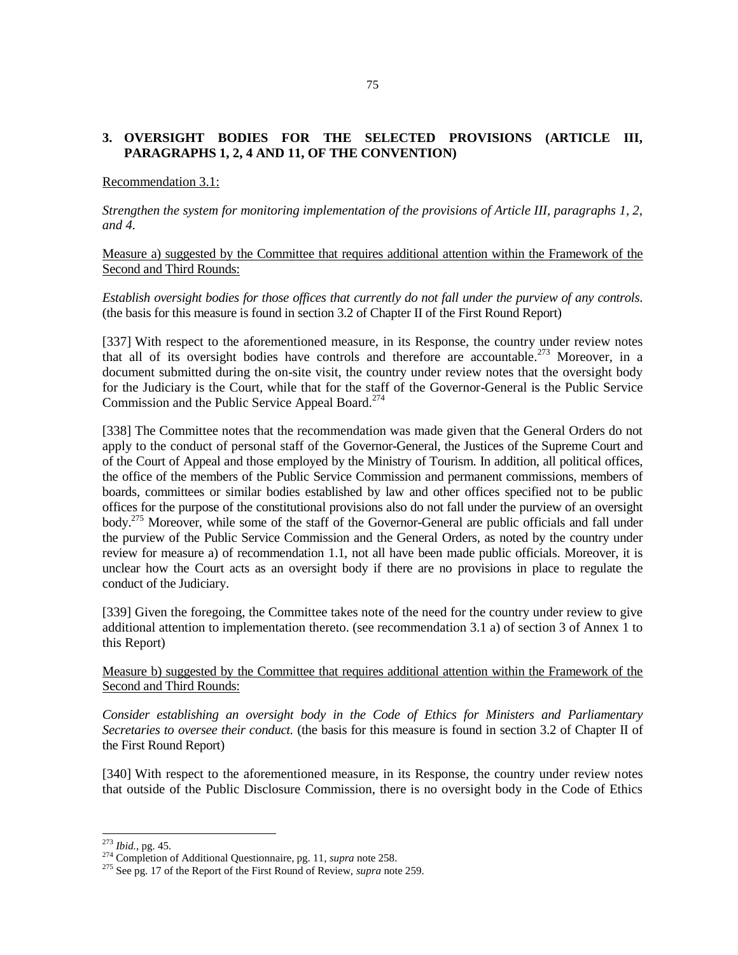## **3. OVERSIGHT BODIES FOR THE SELECTED PROVISIONS (ARTICLE III, PARAGRAPHS 1, 2, 4 AND 11, OF THE CONVENTION)**

### Recommendation 3.1:

*Strengthen the system for monitoring implementation of the provisions of Article III, paragraphs 1, 2, and 4.*

Measure a) suggested by the Committee that requires additional attention within the Framework of the Second and Third Rounds:

*Establish oversight bodies for those offices that currently do not fall under the purview of any controls.*  (the basis for this measure is found in section 3.2 of Chapter II of the First Round Report)

[337] With respect to the aforementioned measure, in its Response, the country under review notes that all of its oversight bodies have controls and therefore are accountable.<sup>273</sup> Moreover, in a document submitted during the on-site visit, the country under review notes that the oversight body for the Judiciary is the Court, while that for the staff of the Governor-General is the Public Service Commission and the Public Service Appeal Board.<sup>274</sup>

[338] The Committee notes that the recommendation was made given that the General Orders do not apply to the conduct of personal staff of the Governor-General, the Justices of the Supreme Court and of the Court of Appeal and those employed by the Ministry of Tourism. In addition, all political offices, the office of the members of the Public Service Commission and permanent commissions, members of boards, committees or similar bodies established by law and other offices specified not to be public offices for the purpose of the constitutional provisions also do not fall under the purview of an oversight body.<sup>275</sup> Moreover, while some of the staff of the Governor-General are public officials and fall under the purview of the Public Service Commission and the General Orders, as noted by the country under review for measure a) of recommendation 1.1, not all have been made public officials. Moreover, it is unclear how the Court acts as an oversight body if there are no provisions in place to regulate the conduct of the Judiciary.

[339] Given the foregoing, the Committee takes note of the need for the country under review to give additional attention to implementation thereto. (see recommendation 3.1 a) of section 3 of Annex 1 to this Report)

Measure b) suggested by the Committee that requires additional attention within the Framework of the Second and Third Rounds:

*Consider establishing an oversight body in the Code of Ethics for Ministers and Parliamentary Secretaries to oversee their conduct.* (the basis for this measure is found in section 3.2 of Chapter II of the First Round Report)

[340] With respect to the aforementioned measure, in its Response, the country under review notes that outside of the Public Disclosure Commission, there is no oversight body in the Code of Ethics

<sup>273</sup> *Ibid.*, pg. 45*.*

<sup>274</sup> Completion of Additional Questionnaire, pg. 11, *supra* note 258.

<sup>&</sup>lt;sup>275</sup> See pg. 17 of the Report of the First Round of Review, *supra* note 259.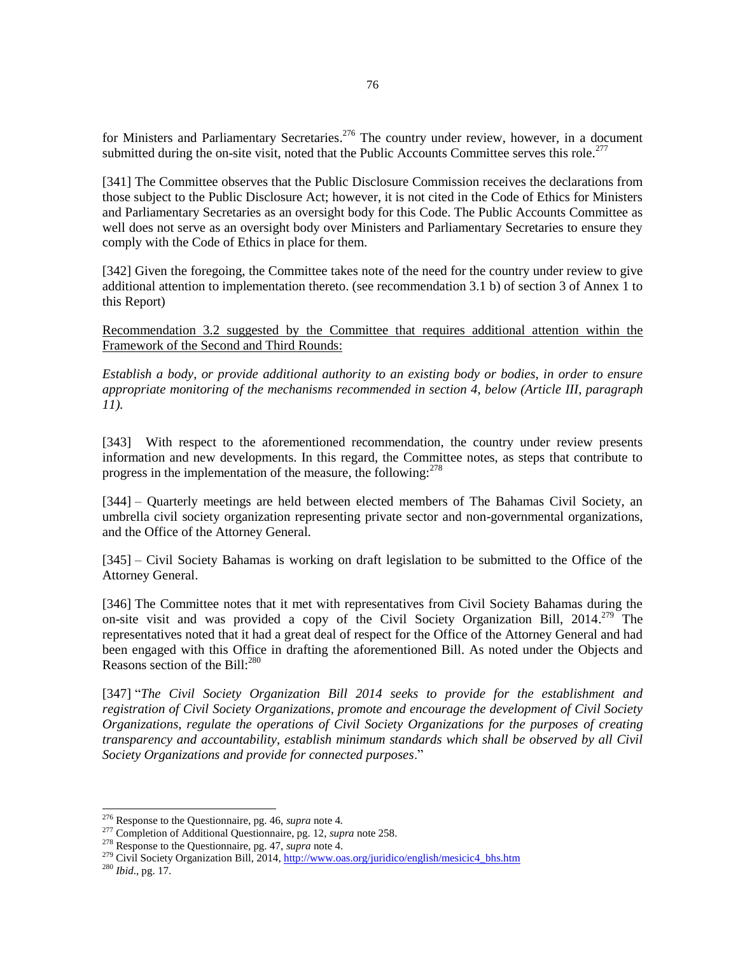for Ministers and Parliamentary Secretaries.<sup>276</sup> The country under review, however, in a document submitted during the on-site visit, noted that the Public Accounts Committee serves this role.<sup>277</sup>

[341] The Committee observes that the Public Disclosure Commission receives the declarations from those subject to the Public Disclosure Act; however, it is not cited in the Code of Ethics for Ministers and Parliamentary Secretaries as an oversight body for this Code. The Public Accounts Committee as well does not serve as an oversight body over Ministers and Parliamentary Secretaries to ensure they comply with the Code of Ethics in place for them.

[342] Given the foregoing, the Committee takes note of the need for the country under review to give additional attention to implementation thereto. (see recommendation 3.1 b) of section 3 of Annex 1 to this Report)

Recommendation 3.2 suggested by the Committee that requires additional attention within the Framework of the Second and Third Rounds:

*Establish a body, or provide additional authority to an existing body or bodies, in order to ensure appropriate monitoring of the mechanisms recommended in section 4, below (Article III, paragraph 11).*

[343] With respect to the aforementioned recommendation, the country under review presents information and new developments. In this regard, the Committee notes, as steps that contribute to progress in the implementation of the measure, the following: $278$ 

[344] – Quarterly meetings are held between elected members of The Bahamas Civil Society, an umbrella civil society organization representing private sector and non-governmental organizations, and the Office of the Attorney General.

[345] – Civil Society Bahamas is working on draft legislation to be submitted to the Office of the Attorney General.

[346] The Committee notes that it met with representatives from Civil Society Bahamas during the on-site visit and was provided a copy of the Civil Society Organization Bill,  $2014.<sup>279</sup>$  The representatives noted that it had a great deal of respect for the Office of the Attorney General and had been engaged with this Office in drafting the aforementioned Bill. As noted under the Objects and Reasons section of the Bill: $^{280}$ 

[347] "*The Civil Society Organization Bill 2014 seeks to provide for the establishment and registration of Civil Society Organizations, promote and encourage the development of Civil Society Organizations, regulate the operations of Civil Society Organizations for the purposes of creating transparency and accountability, establish minimum standards which shall be observed by all Civil Society Organizations and provide for connected purposes*."

<sup>276</sup> Response to the Questionnaire, pg. 46, *supra* note 4*.*

<sup>277</sup> Completion of Additional Questionnaire, pg. 12, *supra* note 258.

<sup>278</sup> Response to the Questionnaire, pg. 47, *supra* note 4.

<sup>&</sup>lt;sup>279</sup> Civil Society Organization Bill, 2014[, http://www.oas.org/juridico/english/mesicic4\\_bhs.htm](http://www.oas.org/juridico/english/mesicic4_bhs.htm)

<sup>280</sup> *Ibid*., pg. 17.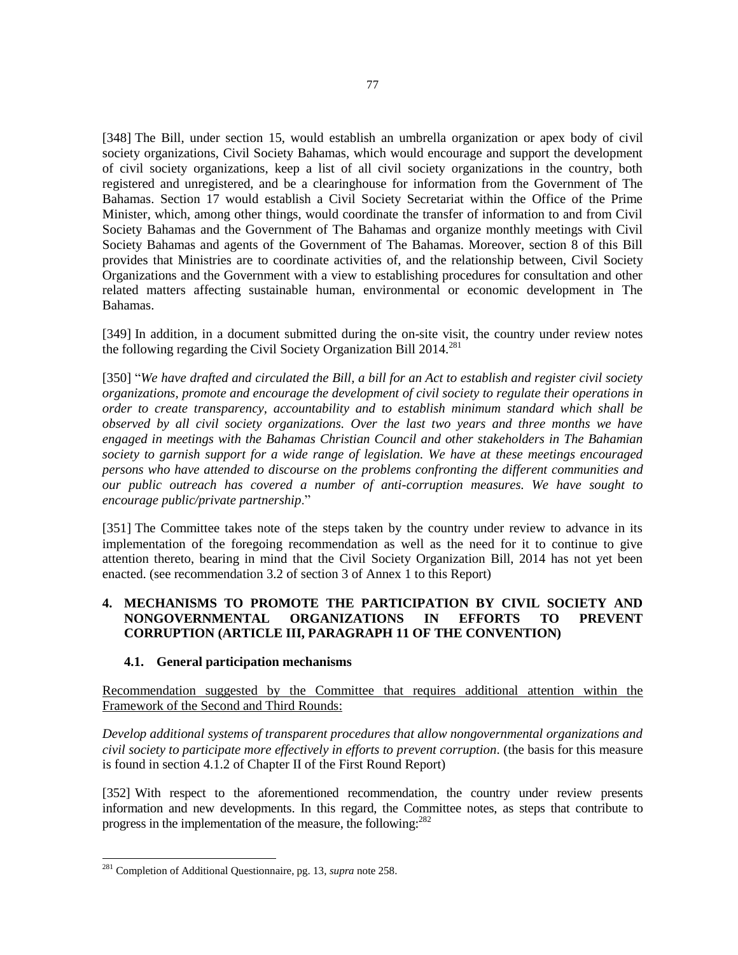[348] The Bill, under section 15, would establish an umbrella organization or apex body of civil society organizations, Civil Society Bahamas, which would encourage and support the development of civil society organizations, keep a list of all civil society organizations in the country, both registered and unregistered, and be a clearinghouse for information from the Government of The Bahamas. Section 17 would establish a Civil Society Secretariat within the Office of the Prime Minister, which, among other things, would coordinate the transfer of information to and from Civil Society Bahamas and the Government of The Bahamas and organize monthly meetings with Civil Society Bahamas and agents of the Government of The Bahamas. Moreover, section 8 of this Bill provides that Ministries are to coordinate activities of, and the relationship between, Civil Society Organizations and the Government with a view to establishing procedures for consultation and other related matters affecting sustainable human, environmental or economic development in The Bahamas.

[349] In addition, in a document submitted during the on-site visit, the country under review notes the following regarding the Civil Society Organization Bill  $2014$ <sup>281</sup>

[350] "*We have drafted and circulated the Bill, a bill for an Act to establish and register civil society organizations, promote and encourage the development of civil society to regulate their operations in order to create transparency, accountability and to establish minimum standard which shall be observed by all civil society organizations. Over the last two years and three months we have engaged in meetings with the Bahamas Christian Council and other stakeholders in The Bahamian society to garnish support for a wide range of legislation. We have at these meetings encouraged persons who have attended to discourse on the problems confronting the different communities and our public outreach has covered a number of anti-corruption measures. We have sought to encourage public/private partnership*."

[351] The Committee takes note of the steps taken by the country under review to advance in its implementation of the foregoing recommendation as well as the need for it to continue to give attention thereto, bearing in mind that the Civil Society Organization Bill, 2014 has not yet been enacted. (see recommendation 3.2 of section 3 of Annex 1 to this Report)

## **4. MECHANISMS TO PROMOTE THE PARTICIPATION BY CIVIL SOCIETY AND NONGOVERNMENTAL ORGANIZATIONS IN EFFORTS TO PREVENT CORRUPTION (ARTICLE III, PARAGRAPH 11 OF THE CONVENTION)**

### **4.1. General participation mechanisms**

Recommendation suggested by the Committee that requires additional attention within the Framework of the Second and Third Rounds:

*Develop additional systems of transparent procedures that allow nongovernmental organizations and civil society to participate more effectively in efforts to prevent corruption.* (the basis for this measure is found in section 4.1.2 of Chapter II of the First Round Report)

[352] With respect to the aforementioned recommendation, the country under review presents information and new developments. In this regard, the Committee notes, as steps that contribute to progress in the implementation of the measure, the following: $^{282}$ 

<sup>281</sup> Completion of Additional Questionnaire, pg. 13, *supra* note 258.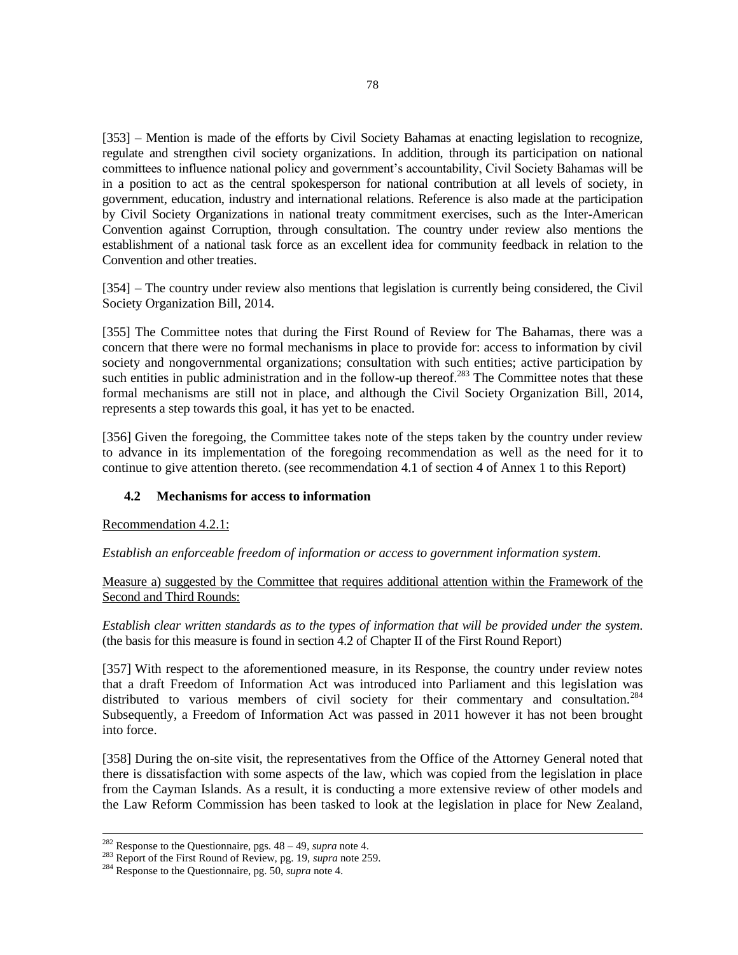[353] – Mention is made of the efforts by Civil Society Bahamas at enacting legislation to recognize, regulate and strengthen civil society organizations. In addition, through its participation on national committees to influence national policy and government's accountability, Civil Society Bahamas will be in a position to act as the central spokesperson for national contribution at all levels of society, in government, education, industry and international relations. Reference is also made at the participation by Civil Society Organizations in national treaty commitment exercises, such as the Inter-American Convention against Corruption, through consultation. The country under review also mentions the establishment of a national task force as an excellent idea for community feedback in relation to the Convention and other treaties.

[354] – The country under review also mentions that legislation is currently being considered, the Civil Society Organization Bill, 2014.

[355] The Committee notes that during the First Round of Review for The Bahamas, there was a concern that there were no formal mechanisms in place to provide for: access to information by civil society and nongovernmental organizations; consultation with such entities; active participation by such entities in public administration and in the follow-up thereof.<sup>283</sup> The Committee notes that these formal mechanisms are still not in place, and although the Civil Society Organization Bill, 2014, represents a step towards this goal, it has yet to be enacted.

[356] Given the foregoing, the Committee takes note of the steps taken by the country under review to advance in its implementation of the foregoing recommendation as well as the need for it to continue to give attention thereto. (see recommendation 4.1 of section 4 of Annex 1 to this Report)

### **4.2 Mechanisms for access to information**

Recommendation 4.2.1:

l

*Establish an enforceable freedom of information or access to government information system.* 

Measure a) suggested by the Committee that requires additional attention within the Framework of the Second and Third Rounds:

*Establish clear written standards as to the types of information that will be provided under the system.*  (the basis for this measure is found in section 4.2 of Chapter II of the First Round Report)

[357] With respect to the aforementioned measure, in its Response, the country under review notes that a draft Freedom of Information Act was introduced into Parliament and this legislation was distributed to various members of civil society for their commentary and consultation.<sup>284</sup> Subsequently, a Freedom of Information Act was passed in 2011 however it has not been brought into force.

[358] During the on-site visit, the representatives from the Office of the Attorney General noted that there is dissatisfaction with some aspects of the law, which was copied from the legislation in place from the Cayman Islands. As a result, it is conducting a more extensive review of other models and the Law Reform Commission has been tasked to look at the legislation in place for New Zealand,

<sup>282</sup> Response to the Questionnaire, pgs. 48 – 49, *supra* note 4.

<sup>283</sup> Report of the First Round of Review, pg. 19, *supra* note 259.

<sup>284</sup> Response to the Questionnaire, pg. 50, *supra* note 4.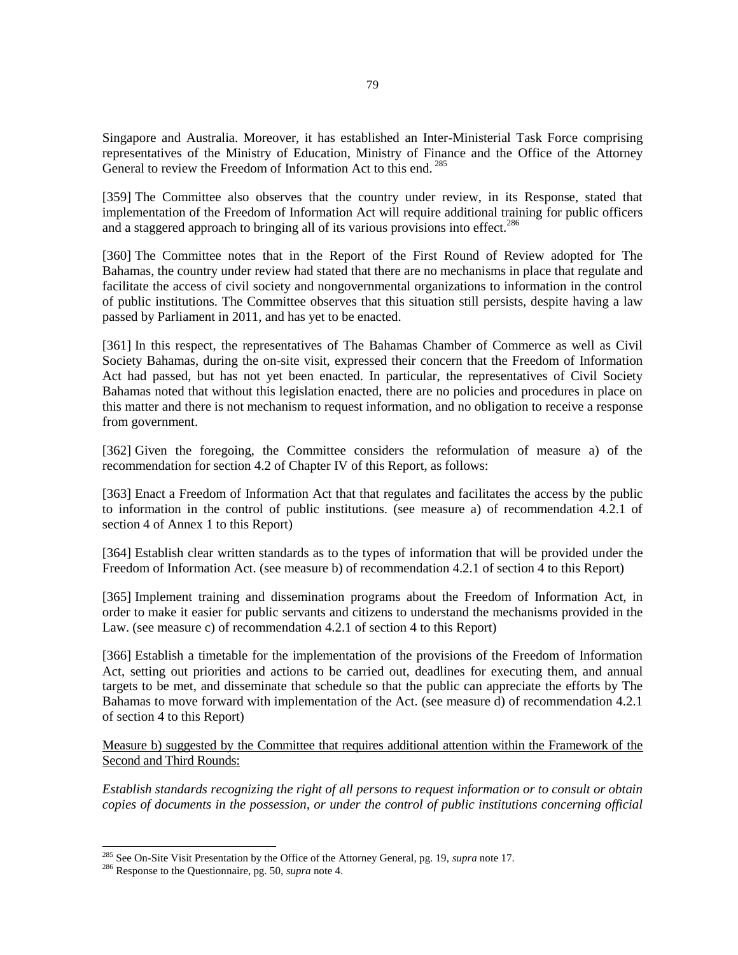Singapore and Australia. Moreover, it has established an Inter-Ministerial Task Force comprising representatives of the Ministry of Education, Ministry of Finance and the Office of the Attorney General to review the Freedom of Information Act to this end.<sup>285</sup>

[359] The Committee also observes that the country under review, in its Response, stated that implementation of the Freedom of Information Act will require additional training for public officers and a staggered approach to bringing all of its various provisions into effect.<sup>286</sup>

[360] The Committee notes that in the Report of the First Round of Review adopted for The Bahamas, the country under review had stated that there are no mechanisms in place that regulate and facilitate the access of civil society and nongovernmental organizations to information in the control of public institutions. The Committee observes that this situation still persists, despite having a law passed by Parliament in 2011, and has yet to be enacted.

[361] In this respect, the representatives of The Bahamas Chamber of Commerce as well as Civil Society Bahamas, during the on-site visit, expressed their concern that the Freedom of Information Act had passed, but has not yet been enacted. In particular, the representatives of Civil Society Bahamas noted that without this legislation enacted, there are no policies and procedures in place on this matter and there is not mechanism to request information, and no obligation to receive a response from government.

[362] Given the foregoing, the Committee considers the reformulation of measure a) of the recommendation for section 4.2 of Chapter IV of this Report, as follows:

[363] Enact a Freedom of Information Act that that regulates and facilitates the access by the public to information in the control of public institutions. (see measure a) of recommendation 4.2.1 of section 4 of Annex 1 to this Report)

[364] Establish clear written standards as to the types of information that will be provided under the Freedom of Information Act. (see measure b) of recommendation 4.2.1 of section 4 to this Report)

[365] Implement training and dissemination programs about the Freedom of Information Act, in order to make it easier for public servants and citizens to understand the mechanisms provided in the Law. (see measure c) of recommendation 4.2.1 of section 4 to this Report)

[366] Establish a timetable for the implementation of the provisions of the Freedom of Information Act, setting out priorities and actions to be carried out, deadlines for executing them, and annual targets to be met, and disseminate that schedule so that the public can appreciate the efforts by The Bahamas to move forward with implementation of the Act. (see measure d) of recommendation 4.2.1 of section 4 to this Report)

Measure b) suggested by the Committee that requires additional attention within the Framework of the Second and Third Rounds:

*Establish standards recognizing the right of all persons to request information or to consult or obtain copies of documents in the possession, or under the control of public institutions concerning official* 

<sup>285</sup> See On-Site Visit Presentation by the Office of the Attorney General, pg. 19, *supra* note 17.

<sup>286</sup> Response to the Questionnaire, pg. 50, *supra* note 4.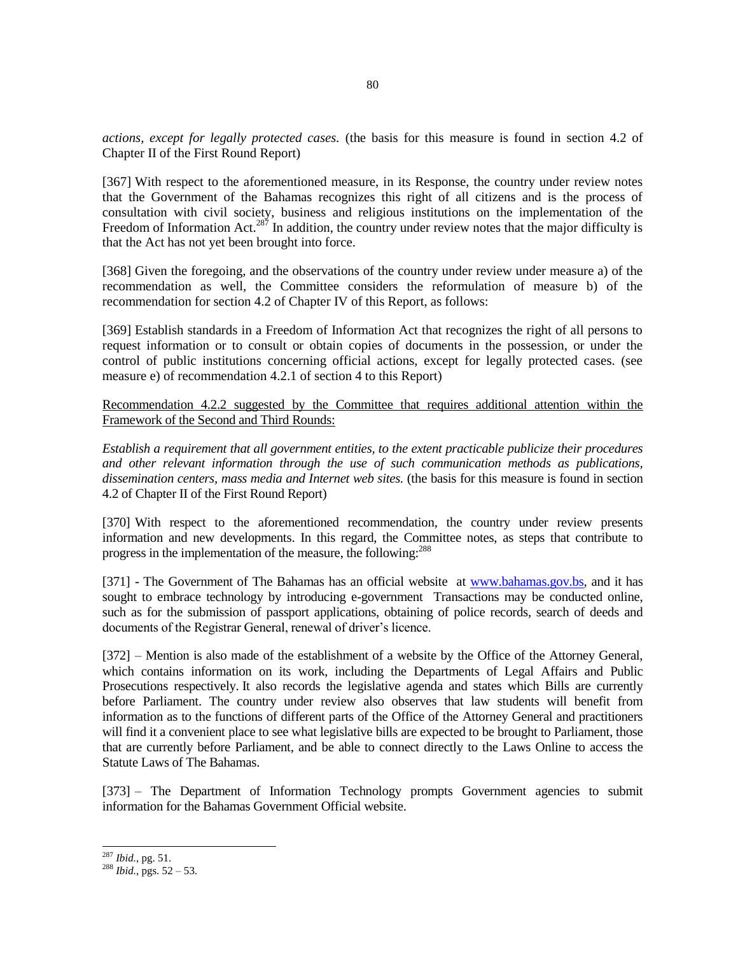*actions, except for legally protected cases.* (the basis for this measure is found in section 4.2 of Chapter II of the First Round Report)

[367] With respect to the aforementioned measure, in its Response, the country under review notes that the Government of the Bahamas recognizes this right of all citizens and is the process of consultation with civil society, business and religious institutions on the implementation of the Freedom of Information Act.<sup>287</sup> In addition, the country under review notes that the major difficulty is that the Act has not yet been brought into force.

[368] Given the foregoing, and the observations of the country under review under measure a) of the recommendation as well, the Committee considers the reformulation of measure b) of the recommendation for section 4.2 of Chapter IV of this Report, as follows:

[369] Establish standards in a Freedom of Information Act that recognizes the right of all persons to request information or to consult or obtain copies of documents in the possession, or under the control of public institutions concerning official actions, except for legally protected cases. (see measure e) of recommendation 4.2.1 of section 4 to this Report)

Recommendation 4.2.2 suggested by the Committee that requires additional attention within the Framework of the Second and Third Rounds:

*Establish a requirement that all government entities, to the extent practicable publicize their procedures and other relevant information through the use of such communication methods as publications, dissemination centers, mass media and Internet web sites.* (the basis for this measure is found in section 4.2 of Chapter II of the First Round Report)

[370] With respect to the aforementioned recommendation, the country under review presents information and new developments. In this regard, the Committee notes, as steps that contribute to progress in the implementation of the measure, the following:<sup>288</sup>

[371] - The Government of The Bahamas has an official website at [www.bahamas.gov.bs,](http://www.bahamas.gov.bs/) and it has sought to embrace technology by introducing e-government Transactions may be conducted online, such as for the submission of passport applications, obtaining of police records, search of deeds and documents of the Registrar General, renewal of driver's licence.

[372] – Mention is also made of the establishment of a website by the Office of the Attorney General, which contains information on its work, including the Departments of Legal Affairs and Public Prosecutions respectively. It also records the legislative agenda and states which Bills are currently before Parliament. The country under review also observes that law students will benefit from information as to the functions of different parts of the Office of the Attorney General and practitioners will find it a convenient place to see what legislative bills are expected to be brought to Parliament, those that are currently before Parliament, and be able to connect directly to the Laws Online to access the Statute Laws of The Bahamas.

[373] – The Department of Information Technology prompts Government agencies to submit information for the Bahamas Government Official website.

<sup>287</sup> *Ibid.*, pg. 51.

 $^{288}$  *Ibid.*, pgs. 52 – 53.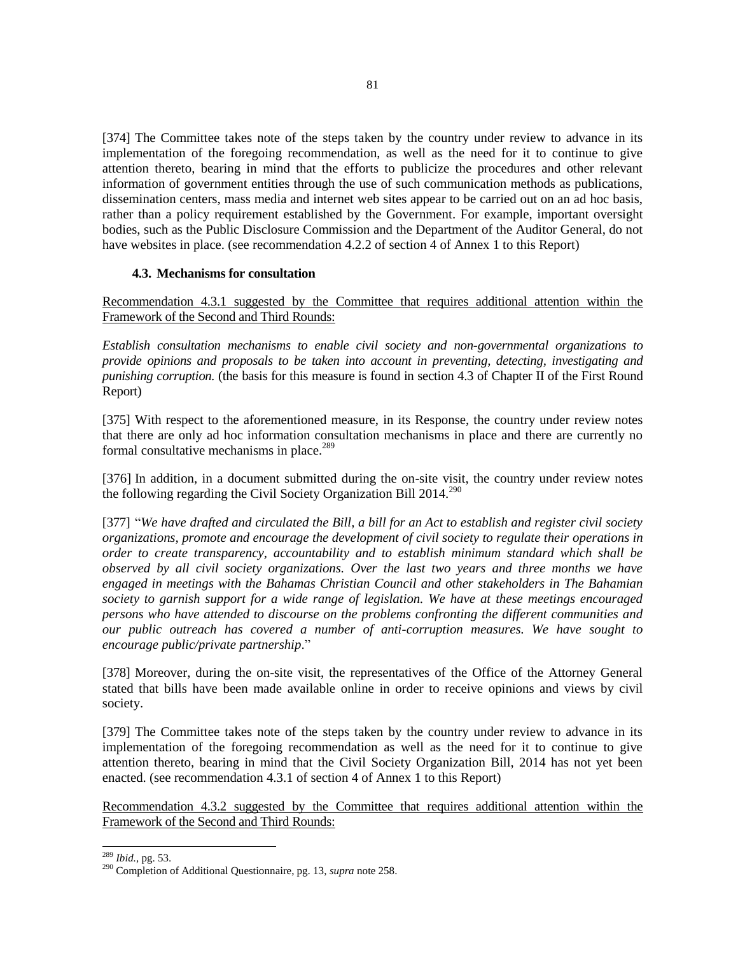[374] The Committee takes note of the steps taken by the country under review to advance in its implementation of the foregoing recommendation, as well as the need for it to continue to give attention thereto, bearing in mind that the efforts to publicize the procedures and other relevant information of government entities through the use of such communication methods as publications, dissemination centers, mass media and internet web sites appear to be carried out on an ad hoc basis, rather than a policy requirement established by the Government. For example, important oversight bodies, such as the Public Disclosure Commission and the Department of the Auditor General, do not have websites in place. (see recommendation 4.2.2 of section 4 of Annex 1 to this Report)

### **4.3. Mechanisms for consultation**

Recommendation 4.3.1 suggested by the Committee that requires additional attention within the Framework of the Second and Third Rounds:

*Establish consultation mechanisms to enable civil society and non-governmental organizations to provide opinions and proposals to be taken into account in preventing, detecting, investigating and punishing corruption.* (the basis for this measure is found in section 4.3 of Chapter II of the First Round Report)

[375] With respect to the aforementioned measure, in its Response, the country under review notes that there are only ad hoc information consultation mechanisms in place and there are currently no formal consultative mechanisms in place. $289$ 

[376] In addition, in a document submitted during the on-site visit, the country under review notes the following regarding the Civil Society Organization Bill  $2014.<sup>290</sup>$ 

[377] "*We have drafted and circulated the Bill, a bill for an Act to establish and register civil society organizations, promote and encourage the development of civil society to regulate their operations in order to create transparency, accountability and to establish minimum standard which shall be observed by all civil society organizations. Over the last two years and three months we have engaged in meetings with the Bahamas Christian Council and other stakeholders in The Bahamian society to garnish support for a wide range of legislation. We have at these meetings encouraged persons who have attended to discourse on the problems confronting the different communities and our public outreach has covered a number of anti-corruption measures. We have sought to encourage public/private partnership*."

[378] Moreover, during the on-site visit, the representatives of the Office of the Attorney General stated that bills have been made available online in order to receive opinions and views by civil society.

[379] The Committee takes note of the steps taken by the country under review to advance in its implementation of the foregoing recommendation as well as the need for it to continue to give attention thereto, bearing in mind that the Civil Society Organization Bill, 2014 has not yet been enacted. (see recommendation 4.3.1 of section 4 of Annex 1 to this Report)

Recommendation 4.3.2 suggested by the Committee that requires additional attention within the Framework of the Second and Third Rounds:

<sup>289</sup> *Ibid.*, pg. 53.

<sup>290</sup> Completion of Additional Questionnaire, pg. 13, *supra* note 258.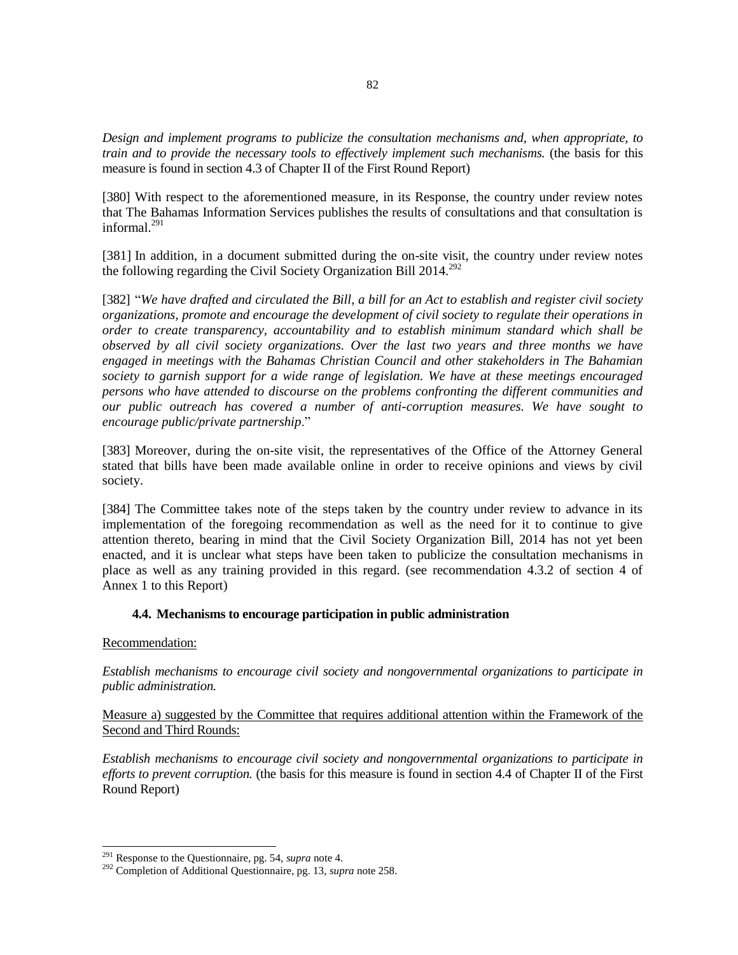*Design and implement programs to publicize the consultation mechanisms and, when appropriate, to train and to provide the necessary tools to effectively implement such mechanisms.* (the basis for this measure is found in section 4.3 of Chapter II of the First Round Report)

[380] With respect to the aforementioned measure, in its Response, the country under review notes that The Bahamas Information Services publishes the results of consultations and that consultation is informal $^{291}$ 

[381] In addition, in a document submitted during the on-site visit, the country under review notes the following regarding the Civil Society Organization Bill  $2014.^{292}$ 

[382] "*We have drafted and circulated the Bill, a bill for an Act to establish and register civil society organizations, promote and encourage the development of civil society to regulate their operations in order to create transparency, accountability and to establish minimum standard which shall be observed by all civil society organizations. Over the last two years and three months we have engaged in meetings with the Bahamas Christian Council and other stakeholders in The Bahamian society to garnish support for a wide range of legislation. We have at these meetings encouraged persons who have attended to discourse on the problems confronting the different communities and our public outreach has covered a number of anti-corruption measures. We have sought to encourage public/private partnership*."

[383] Moreover, during the on-site visit, the representatives of the Office of the Attorney General stated that bills have been made available online in order to receive opinions and views by civil society.

[384] The Committee takes note of the steps taken by the country under review to advance in its implementation of the foregoing recommendation as well as the need for it to continue to give attention thereto, bearing in mind that the Civil Society Organization Bill, 2014 has not yet been enacted, and it is unclear what steps have been taken to publicize the consultation mechanisms in place as well as any training provided in this regard. (see recommendation 4.3.2 of section 4 of Annex 1 to this Report)

### **4.4. Mechanisms to encourage participation in public administration**

#### Recommendation:

l

*Establish mechanisms to encourage civil society and nongovernmental organizations to participate in public administration.*

### Measure a) suggested by the Committee that requires additional attention within the Framework of the Second and Third Rounds:

*Establish mechanisms to encourage civil society and nongovernmental organizations to participate in efforts to prevent corruption.* (the basis for this measure is found in section 4.4 of Chapter II of the First Round Report)

<sup>291</sup> Response to the Questionnaire, pg. 54, *supra* note 4.

<sup>292</sup> Completion of Additional Questionnaire, pg. 13, *supra* note 258.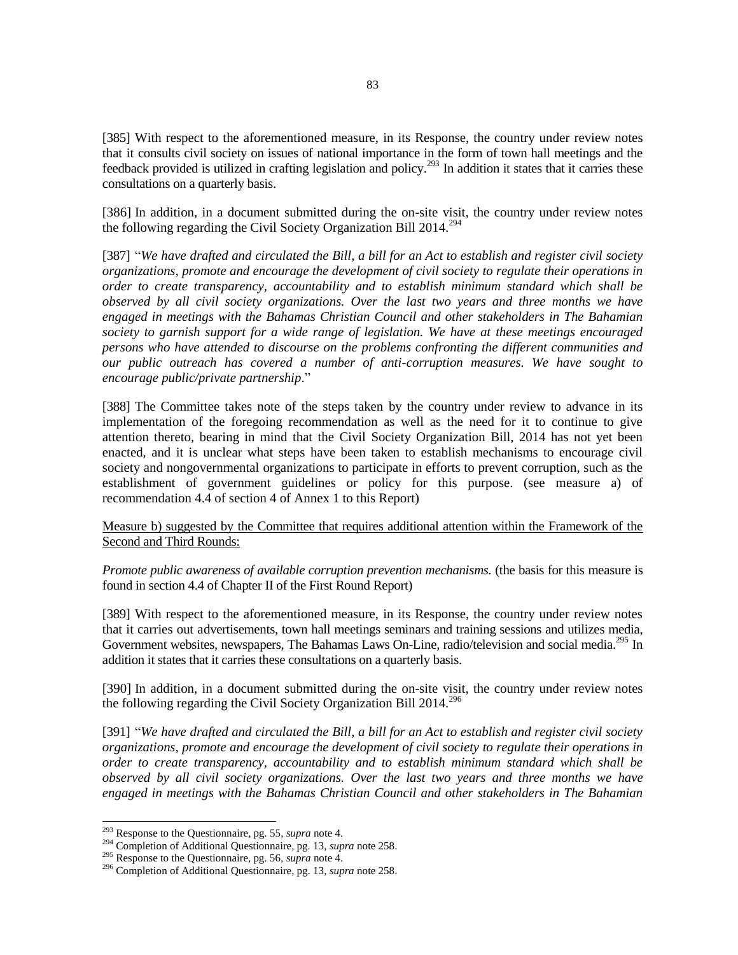[385] With respect to the aforementioned measure, in its Response, the country under review notes that it consults civil society on issues of national importance in the form of town hall meetings and the feedback provided is utilized in crafting legislation and policy.<sup>293</sup> In addition it states that it carries these consultations on a quarterly basis.

[386] In addition, in a document submitted during the on-site visit, the country under review notes the following regarding the Civil Society Organization Bill  $2014^{294}$ 

[387] "*We have drafted and circulated the Bill, a bill for an Act to establish and register civil society organizations, promote and encourage the development of civil society to regulate their operations in order to create transparency, accountability and to establish minimum standard which shall be observed by all civil society organizations. Over the last two years and three months we have engaged in meetings with the Bahamas Christian Council and other stakeholders in The Bahamian society to garnish support for a wide range of legislation. We have at these meetings encouraged persons who have attended to discourse on the problems confronting the different communities and our public outreach has covered a number of anti-corruption measures. We have sought to encourage public/private partnership*."

[388] The Committee takes note of the steps taken by the country under review to advance in its implementation of the foregoing recommendation as well as the need for it to continue to give attention thereto, bearing in mind that the Civil Society Organization Bill, 2014 has not yet been enacted, and it is unclear what steps have been taken to establish mechanisms to encourage civil society and nongovernmental organizations to participate in efforts to prevent corruption, such as the establishment of government guidelines or policy for this purpose. (see measure a) of recommendation 4.4 of section 4 of Annex 1 to this Report)

Measure b) suggested by the Committee that requires additional attention within the Framework of the Second and Third Rounds:

*Promote public awareness of available corruption prevention mechanisms.* (the basis for this measure is found in section 4.4 of Chapter II of the First Round Report)

[389] With respect to the aforementioned measure, in its Response, the country under review notes that it carries out advertisements, town hall meetings seminars and training sessions and utilizes media, Government websites, newspapers, The Bahamas Laws On-Line, radio/television and social media.<sup>295</sup> In addition it states that it carries these consultations on a quarterly basis.

[390] In addition, in a document submitted during the on-site visit, the country under review notes the following regarding the Civil Society Organization Bill  $2014$ <sup>296</sup>

[391] "*We have drafted and circulated the Bill, a bill for an Act to establish and register civil society organizations, promote and encourage the development of civil society to regulate their operations in order to create transparency, accountability and to establish minimum standard which shall be observed by all civil society organizations. Over the last two years and three months we have engaged in meetings with the Bahamas Christian Council and other stakeholders in The Bahamian* 

<sup>293</sup> Response to the Questionnaire, pg. 55, *supra* note 4.

<sup>294</sup> Completion of Additional Questionnaire, pg. 13, *supra* note 258.

<sup>295</sup> Response to the Questionnaire, pg. 56, *supra* note 4.

<sup>296</sup> Completion of Additional Questionnaire, pg. 13, *supra* note 258.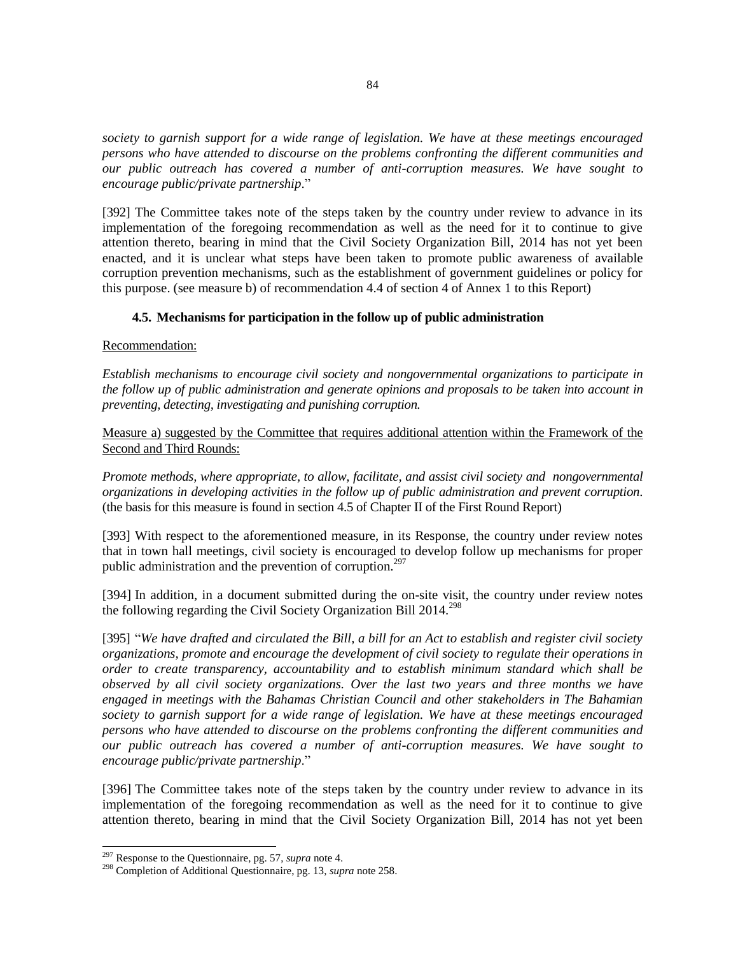*society to garnish support for a wide range of legislation. We have at these meetings encouraged persons who have attended to discourse on the problems confronting the different communities and our public outreach has covered a number of anti-corruption measures. We have sought to encourage public/private partnership*."

[392] The Committee takes note of the steps taken by the country under review to advance in its implementation of the foregoing recommendation as well as the need for it to continue to give attention thereto, bearing in mind that the Civil Society Organization Bill, 2014 has not yet been enacted, and it is unclear what steps have been taken to promote public awareness of available corruption prevention mechanisms, such as the establishment of government guidelines or policy for this purpose. (see measure b) of recommendation 4.4 of section 4 of Annex 1 to this Report)

### **4.5. Mechanisms for participation in the follow up of public administration**

Recommendation:

*Establish mechanisms to encourage civil society and nongovernmental organizations to participate in the follow up of public administration and generate opinions and proposals to be taken into account in preventing, detecting, investigating and punishing corruption.*

Measure a) suggested by the Committee that requires additional attention within the Framework of the Second and Third Rounds:

*Promote methods, where appropriate, to allow, facilitate, and assist civil society and nongovernmental organizations in developing activities in the follow up of public administration and prevent corruption.*  (the basis for this measure is found in section 4.5 of Chapter II of the First Round Report)

[393] With respect to the aforementioned measure, in its Response, the country under review notes that in town hall meetings, civil society is encouraged to develop follow up mechanisms for proper public administration and the prevention of corruption.<sup>297</sup>

[394] In addition, in a document submitted during the on-site visit, the country under review notes the following regarding the Civil Society Organization Bill  $2014.<sup>298</sup>$ 

[395] "*We have drafted and circulated the Bill, a bill for an Act to establish and register civil society organizations, promote and encourage the development of civil society to regulate their operations in order to create transparency, accountability and to establish minimum standard which shall be observed by all civil society organizations. Over the last two years and three months we have engaged in meetings with the Bahamas Christian Council and other stakeholders in The Bahamian society to garnish support for a wide range of legislation. We have at these meetings encouraged persons who have attended to discourse on the problems confronting the different communities and our public outreach has covered a number of anti-corruption measures. We have sought to encourage public/private partnership*."

[396] The Committee takes note of the steps taken by the country under review to advance in its implementation of the foregoing recommendation as well as the need for it to continue to give attention thereto, bearing in mind that the Civil Society Organization Bill, 2014 has not yet been

<sup>297</sup> Response to the Questionnaire, pg. 57, *supra* note 4.

<sup>298</sup> Completion of Additional Questionnaire, pg. 13, *supra* note 258.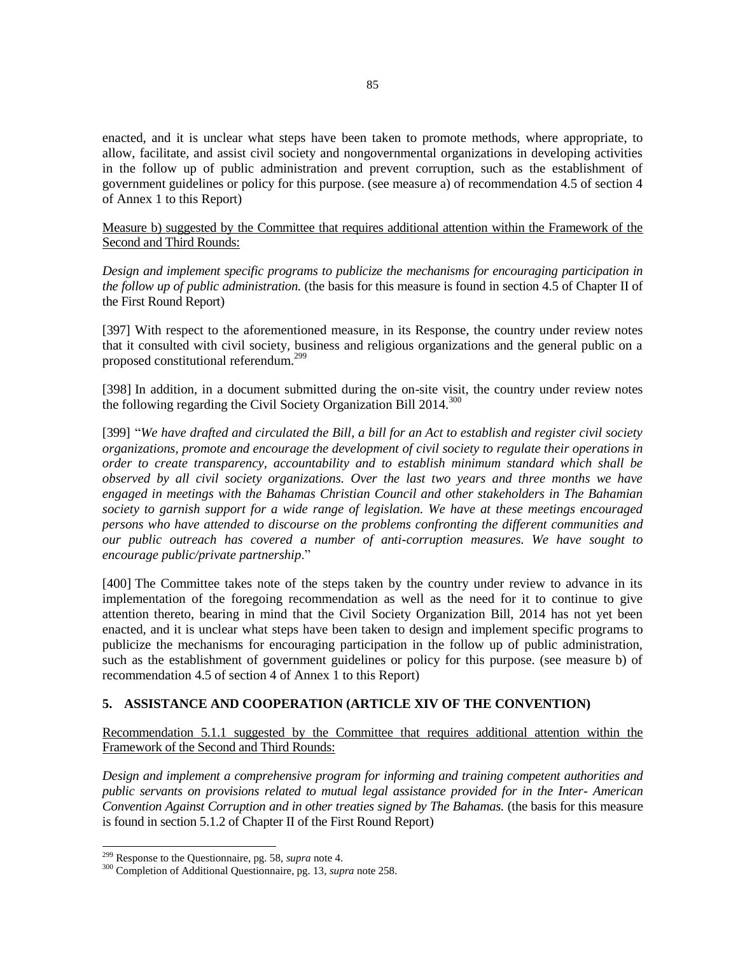enacted, and it is unclear what steps have been taken to promote methods, where appropriate, to allow, facilitate, and assist civil society and nongovernmental organizations in developing activities in the follow up of public administration and prevent corruption, such as the establishment of government guidelines or policy for this purpose. (see measure a) of recommendation 4.5 of section 4 of Annex 1 to this Report)

Measure b) suggested by the Committee that requires additional attention within the Framework of the Second and Third Rounds:

*Design and implement specific programs to publicize the mechanisms for encouraging participation in the follow up of public administration.* (the basis for this measure is found in section 4.5 of Chapter II of the First Round Report)

[397] With respect to the aforementioned measure, in its Response, the country under review notes that it consulted with civil society, business and religious organizations and the general public on a proposed constitutional referendum.<sup>299</sup>

[398] In addition, in a document submitted during the on-site visit, the country under review notes the following regarding the Civil Society Organization Bill 2014.<sup>300</sup>

[399] "*We have drafted and circulated the Bill, a bill for an Act to establish and register civil society organizations, promote and encourage the development of civil society to regulate their operations in order to create transparency, accountability and to establish minimum standard which shall be observed by all civil society organizations. Over the last two years and three months we have engaged in meetings with the Bahamas Christian Council and other stakeholders in The Bahamian society to garnish support for a wide range of legislation. We have at these meetings encouraged persons who have attended to discourse on the problems confronting the different communities and our public outreach has covered a number of anti-corruption measures. We have sought to encourage public/private partnership*."

[400] The Committee takes note of the steps taken by the country under review to advance in its implementation of the foregoing recommendation as well as the need for it to continue to give attention thereto, bearing in mind that the Civil Society Organization Bill, 2014 has not yet been enacted, and it is unclear what steps have been taken to design and implement specific programs to publicize the mechanisms for encouraging participation in the follow up of public administration, such as the establishment of government guidelines or policy for this purpose. (see measure b) of recommendation 4.5 of section 4 of Annex 1 to this Report)

### **5. ASSISTANCE AND COOPERATION (ARTICLE XIV OF THE CONVENTION)**

Recommendation 5.1.1 suggested by the Committee that requires additional attention within the Framework of the Second and Third Rounds:

*Design and implement a comprehensive program for informing and training competent authorities and public servants on provisions related to mutual legal assistance provided for in the Inter- American Convention Against Corruption and in other treaties signed by The Bahamas.* (the basis for this measure is found in section 5.1.2 of Chapter II of the First Round Report)

<sup>299</sup> Response to the Questionnaire, pg. 58, *supra* note 4.

<sup>300</sup> Completion of Additional Questionnaire, pg. 13, *supra* note 258.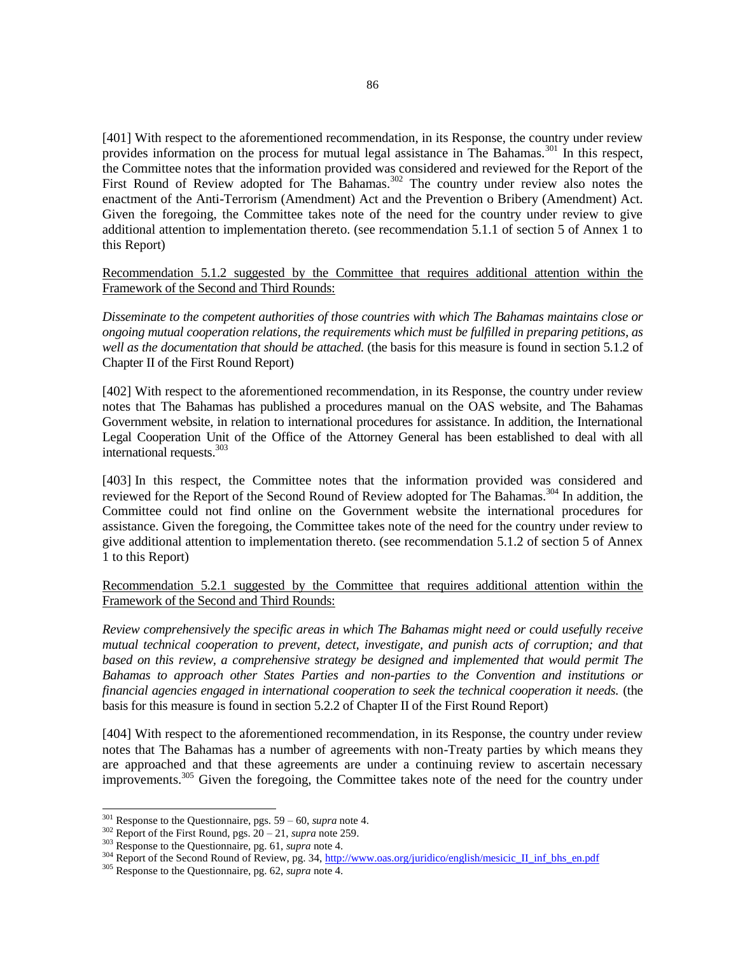[401] With respect to the aforementioned recommendation, in its Response, the country under review provides information on the process for mutual legal assistance in The Bahamas.<sup>301</sup> In this respect, the Committee notes that the information provided was considered and reviewed for the Report of the First Round of Review adopted for The Bahamas.<sup>302</sup> The country under review also notes the enactment of the Anti-Terrorism (Amendment) Act and the Prevention o Bribery (Amendment) Act. Given the foregoing, the Committee takes note of the need for the country under review to give additional attention to implementation thereto. (see recommendation 5.1.1 of section 5 of Annex 1 to this Report)

Recommendation 5.1.2 suggested by the Committee that requires additional attention within the Framework of the Second and Third Rounds:

*Disseminate to the competent authorities of those countries with which The Bahamas maintains close or ongoing mutual cooperation relations, the requirements which must be fulfilled in preparing petitions, as well as the documentation that should be attached.* (the basis for this measure is found in section 5.1.2 of Chapter II of the First Round Report)

[402] With respect to the aforementioned recommendation, in its Response, the country under review notes that The Bahamas has published a procedures manual on the OAS website, and The Bahamas Government website, in relation to international procedures for assistance. In addition, the International Legal Cooperation Unit of the Office of the Attorney General has been established to deal with all international requests. 303

[403] In this respect, the Committee notes that the information provided was considered and reviewed for the Report of the Second Round of Review adopted for The Bahamas.<sup>304</sup> In addition, the Committee could not find online on the Government website the international procedures for assistance. Given the foregoing, the Committee takes note of the need for the country under review to give additional attention to implementation thereto. (see recommendation 5.1.2 of section 5 of Annex 1 to this Report)

Recommendation 5.2.1 suggested by the Committee that requires additional attention within the Framework of the Second and Third Rounds:

*Review comprehensively the specific areas in which The Bahamas might need or could usefully receive mutual technical cooperation to prevent, detect, investigate, and punish acts of corruption; and that based on this review, a comprehensive strategy be designed and implemented that would permit The Bahamas to approach other States Parties and non-parties to the Convention and institutions or financial agencies engaged in international cooperation to seek the technical cooperation it needs.* (the basis for this measure is found in section 5.2.2 of Chapter II of the First Round Report)

[404] With respect to the aforementioned recommendation, in its Response, the country under review notes that The Bahamas has a number of agreements with non-Treaty parties by which means they are approached and that these agreements are under a continuing review to ascertain necessary improvements.<sup>305</sup> Given the foregoing, the Committee takes note of the need for the country under

<sup>301</sup> Response to the Questionnaire, pgs. 59 – 60, *supra* note 4.

<sup>302</sup> Report of the First Round, pgs. 20 – 21, *supra* note 259.

<sup>303</sup> Response to the Questionnaire, pg. 61, *supra* note 4.

<sup>&</sup>lt;sup>304</sup> Report of the Second Round of Review, pg. 34[, http://www.oas.org/juridico/english/mesicic\\_II\\_inf\\_bhs\\_en.pdf](http://www.oas.org/juridico/english/mesicic_II_inf_bhs_en.pdf)

<sup>305</sup> Response to the Questionnaire, pg. 62, *supra* note 4.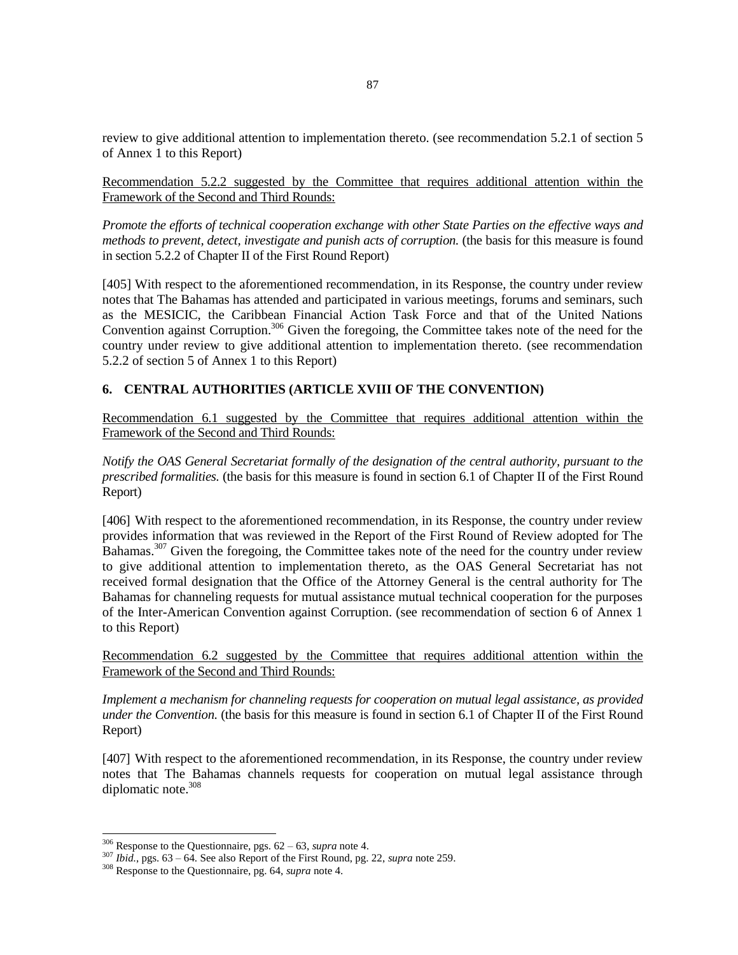review to give additional attention to implementation thereto. (see recommendation 5.2.1 of section 5 of Annex 1 to this Report)

Recommendation 5.2.2 suggested by the Committee that requires additional attention within the Framework of the Second and Third Rounds:

*Promote the efforts of technical cooperation exchange with other State Parties on the effective ways and methods to prevent, detect, investigate and punish acts of corruption.* (the basis for this measure is found in section 5.2.2 of Chapter II of the First Round Report)

[405] With respect to the aforementioned recommendation, in its Response, the country under review notes that The Bahamas has attended and participated in various meetings, forums and seminars, such as the MESICIC, the Caribbean Financial Action Task Force and that of the United Nations Convention against Corruption.<sup>306</sup> Given the foregoing, the Committee takes note of the need for the country under review to give additional attention to implementation thereto. (see recommendation 5.2.2 of section 5 of Annex 1 to this Report)

## **6. CENTRAL AUTHORITIES (ARTICLE XVIII OF THE CONVENTION)**

Recommendation 6.1 suggested by the Committee that requires additional attention within the Framework of the Second and Third Rounds:

*Notify the OAS General Secretariat formally of the designation of the central authority, pursuant to the prescribed formalities.* (the basis for this measure is found in section 6.1 of Chapter II of the First Round Report)

[406] With respect to the aforementioned recommendation, in its Response, the country under review provides information that was reviewed in the Report of the First Round of Review adopted for The Bahamas.<sup>307</sup> Given the foregoing, the Committee takes note of the need for the country under review to give additional attention to implementation thereto, as the OAS General Secretariat has not received formal designation that the Office of the Attorney General is the central authority for The Bahamas for channeling requests for mutual assistance mutual technical cooperation for the purposes of the Inter-American Convention against Corruption. (see recommendation of section 6 of Annex 1 to this Report)

Recommendation 6.2 suggested by the Committee that requires additional attention within the Framework of the Second and Third Rounds:

*Implement a mechanism for channeling requests for cooperation on mutual legal assistance, as provided under the Convention.* (the basis for this measure is found in section 6.1 of Chapter II of the First Round Report)

[407] With respect to the aforementioned recommendation, in its Response, the country under review notes that The Bahamas channels requests for cooperation on mutual legal assistance through diplomatic note.<sup>308</sup>

<sup>306</sup> Response to the Questionnaire, pgs. 62 – 63, *supra* note 4.

<sup>307</sup> *Ibid.*, pgs. 63 – 64. See also Report of the First Round, pg. 22, *supra* note 259.

<sup>308</sup> Response to the Questionnaire, pg. 64, *supra* note 4.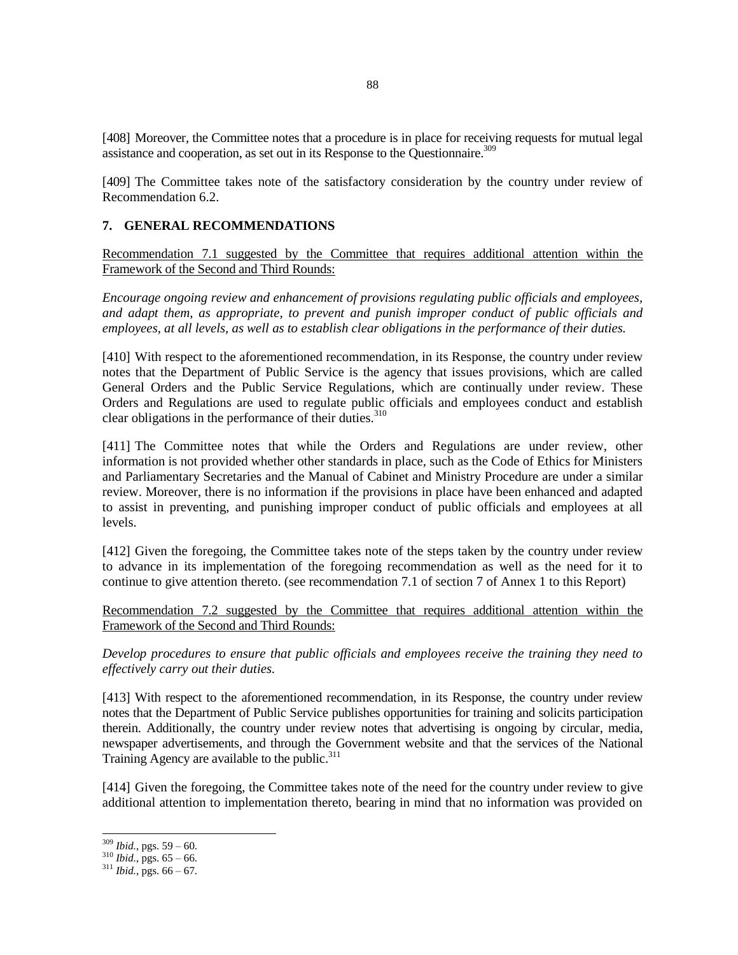[408] Moreover, the Committee notes that a procedure is in place for receiving requests for mutual legal assistance and cooperation, as set out in its Response to the Questionnaire.<sup>309</sup>

[409] The Committee takes note of the satisfactory consideration by the country under review of Recommendation 6.2.

### **7. GENERAL RECOMMENDATIONS**

Recommendation 7.1 suggested by the Committee that requires additional attention within the Framework of the Second and Third Rounds:

*Encourage ongoing review and enhancement of provisions regulating public officials and employees, and adapt them, as appropriate, to prevent and punish improper conduct of public officials and employees, at all levels, as well as to establish clear obligations in the performance of their duties.*

[410] With respect to the aforementioned recommendation, in its Response, the country under review notes that the Department of Public Service is the agency that issues provisions, which are called General Orders and the Public Service Regulations, which are continually under review. These Orders and Regulations are used to regulate public officials and employees conduct and establish clear obligations in the performance of their duties.<sup>310</sup>

[411] The Committee notes that while the Orders and Regulations are under review, other information is not provided whether other standards in place, such as the Code of Ethics for Ministers and Parliamentary Secretaries and the Manual of Cabinet and Ministry Procedure are under a similar review. Moreover, there is no information if the provisions in place have been enhanced and adapted to assist in preventing, and punishing improper conduct of public officials and employees at all levels.

[412] Given the foregoing, the Committee takes note of the steps taken by the country under review to advance in its implementation of the foregoing recommendation as well as the need for it to continue to give attention thereto. (see recommendation 7.1 of section 7 of Annex 1 to this Report)

Recommendation 7.2 suggested by the Committee that requires additional attention within the Framework of the Second and Third Rounds:

*Develop procedures to ensure that public officials and employees receive the training they need to effectively carry out their duties.*

[413] With respect to the aforementioned recommendation, in its Response, the country under review notes that the Department of Public Service publishes opportunities for training and solicits participation therein. Additionally, the country under review notes that advertising is ongoing by circular, media, newspaper advertisements, and through the Government website and that the services of the National Training Agency are available to the public.<sup>311</sup>

[414] Given the foregoing, the Committee takes note of the need for the country under review to give additional attention to implementation thereto, bearing in mind that no information was provided on

<sup>309</sup> *Ibid.*, pgs. 59 – 60.

 $310$  *Ibid.*, pgs.  $65 - 66$ .

 $311$  *Ibid.*, pgs.  $66 - 67$ .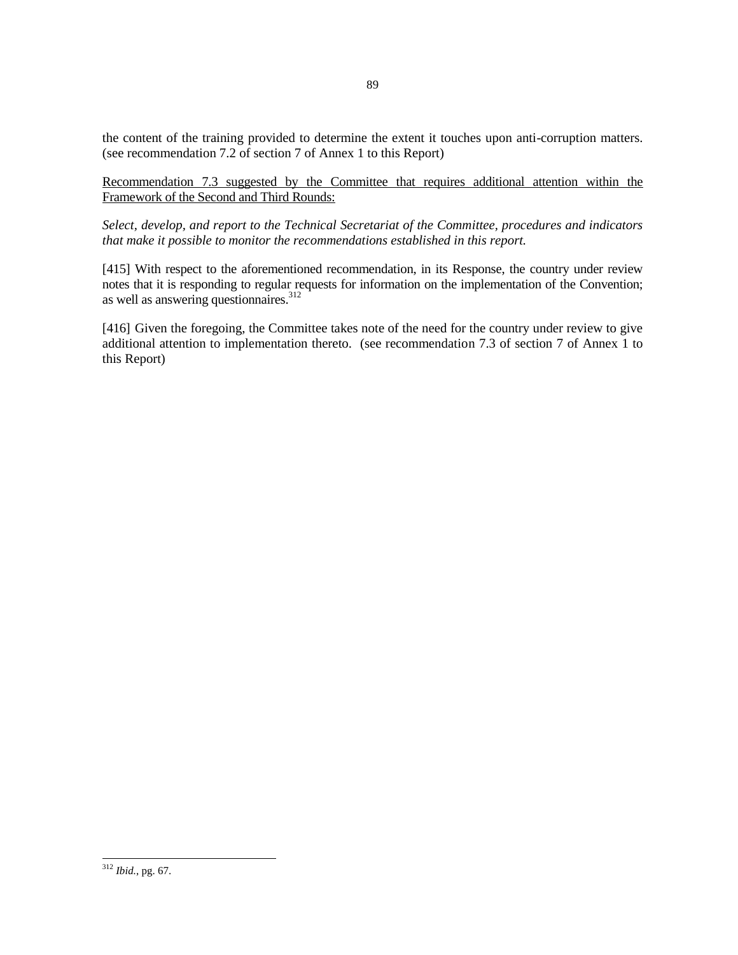the content of the training provided to determine the extent it touches upon anti-corruption matters. (see recommendation 7.2 of section 7 of Annex 1 to this Report)

Recommendation 7.3 suggested by the Committee that requires additional attention within the Framework of the Second and Third Rounds:

*Select, develop, and report to the Technical Secretariat of the Committee, procedures and indicators that make it possible to monitor the recommendations established in this report.*

[415] With respect to the aforementioned recommendation, in its Response, the country under review notes that it is responding to regular requests for information on the implementation of the Convention; as well as answering questionnaires. 312

[416] Given the foregoing, the Committee takes note of the need for the country under review to give additional attention to implementation thereto. (see recommendation 7.3 of section 7 of Annex 1 to this Report)

<sup>312</sup> *Ibid.*, pg. 67.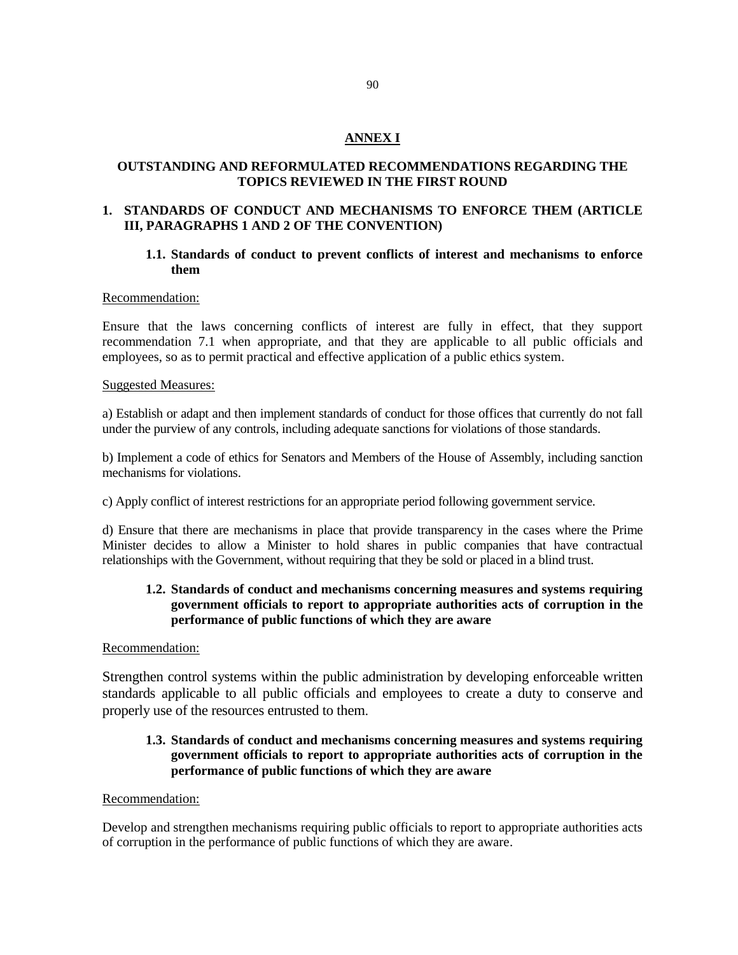## **ANNEX I**

## **OUTSTANDING AND REFORMULATED RECOMMENDATIONS REGARDING THE TOPICS REVIEWED IN THE FIRST ROUND**

### **1. STANDARDS OF CONDUCT AND MECHANISMS TO ENFORCE THEM (ARTICLE III, PARAGRAPHS 1 AND 2 OF THE CONVENTION)**

### **1.1. Standards of conduct to prevent conflicts of interest and mechanisms to enforce them**

#### Recommendation:

Ensure that the laws concerning conflicts of interest are fully in effect, that they support recommendation 7.1 when appropriate, and that they are applicable to all public officials and employees, so as to permit practical and effective application of a public ethics system.

#### Suggested Measures:

a) Establish or adapt and then implement standards of conduct for those offices that currently do not fall under the purview of any controls, including adequate sanctions for violations of those standards.

b) Implement a code of ethics for Senators and Members of the House of Assembly, including sanction mechanisms for violations.

c) Apply conflict of interest restrictions for an appropriate period following government service.

d) Ensure that there are mechanisms in place that provide transparency in the cases where the Prime Minister decides to allow a Minister to hold shares in public companies that have contractual relationships with the Government, without requiring that they be sold or placed in a blind trust.

## **1.2. Standards of conduct and mechanisms concerning measures and systems requiring government officials to report to appropriate authorities acts of corruption in the performance of public functions of which they are aware**

#### Recommendation:

Strengthen control systems within the public administration by developing enforceable written standards applicable to all public officials and employees to create a duty to conserve and properly use of the resources entrusted to them.

## **1.3. Standards of conduct and mechanisms concerning measures and systems requiring government officials to report to appropriate authorities acts of corruption in the performance of public functions of which they are aware**

### Recommendation:

Develop and strengthen mechanisms requiring public officials to report to appropriate authorities acts of corruption in the performance of public functions of which they are aware.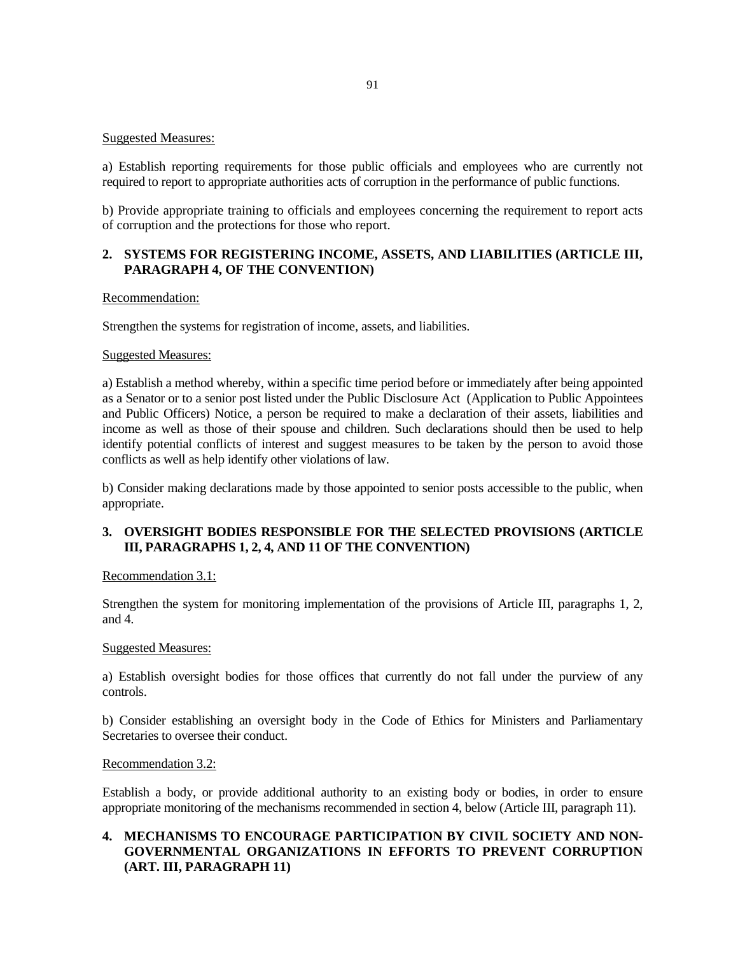### Suggested Measures:

a) Establish reporting requirements for those public officials and employees who are currently not required to report to appropriate authorities acts of corruption in the performance of public functions.

b) Provide appropriate training to officials and employees concerning the requirement to report acts of corruption and the protections for those who report.

### **2. SYSTEMS FOR REGISTERING INCOME, ASSETS, AND LIABILITIES (ARTICLE III, PARAGRAPH 4, OF THE CONVENTION)**

#### Recommendation:

Strengthen the systems for registration of income, assets, and liabilities.

#### Suggested Measures:

a) Establish a method whereby, within a specific time period before or immediately after being appointed as a Senator or to a senior post listed under the Public Disclosure Act (Application to Public Appointees and Public Officers) Notice, a person be required to make a declaration of their assets, liabilities and income as well as those of their spouse and children. Such declarations should then be used to help identify potential conflicts of interest and suggest measures to be taken by the person to avoid those conflicts as well as help identify other violations of law.

b) Consider making declarations made by those appointed to senior posts accessible to the public, when appropriate.

### **3. OVERSIGHT BODIES RESPONSIBLE FOR THE SELECTED PROVISIONS (ARTICLE III, PARAGRAPHS 1, 2, 4, AND 11 OF THE CONVENTION)**

#### Recommendation 3.1:

Strengthen the system for monitoring implementation of the provisions of Article III, paragraphs 1, 2, and 4.

#### Suggested Measures:

a) Establish oversight bodies for those offices that currently do not fall under the purview of any controls.

b) Consider establishing an oversight body in the Code of Ethics for Ministers and Parliamentary Secretaries to oversee their conduct.

#### Recommendation 3.2:

Establish a body, or provide additional authority to an existing body or bodies, in order to ensure appropriate monitoring of the mechanisms recommended in section 4, below (Article III, paragraph 11).

## **4. MECHANISMS TO ENCOURAGE PARTICIPATION BY CIVIL SOCIETY AND NON-GOVERNMENTAL ORGANIZATIONS IN EFFORTS TO PREVENT CORRUPTION (ART. III, PARAGRAPH 11)**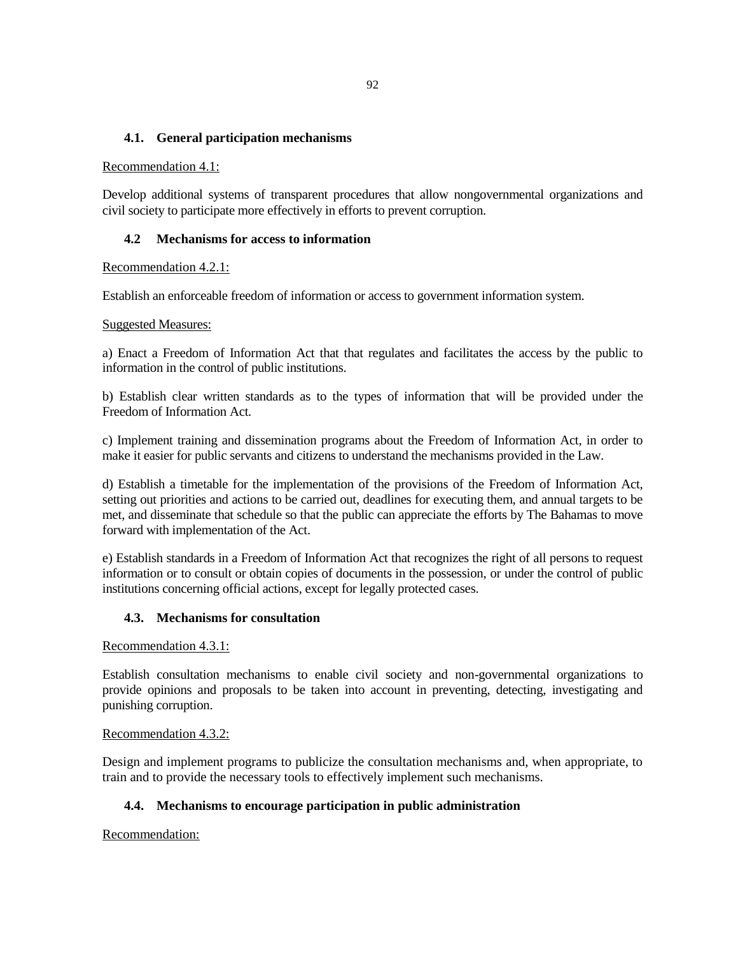### **4.1. General participation mechanisms**

#### Recommendation 4.1:

Develop additional systems of transparent procedures that allow nongovernmental organizations and civil society to participate more effectively in efforts to prevent corruption.

### **4.2 Mechanisms for access to information**

### Recommendation 4.2.1:

Establish an enforceable freedom of information or access to government information system.

### Suggested Measures:

a) Enact a Freedom of Information Act that that regulates and facilitates the access by the public to information in the control of public institutions.

b) Establish clear written standards as to the types of information that will be provided under the Freedom of Information Act.

c) Implement training and dissemination programs about the Freedom of Information Act, in order to make it easier for public servants and citizens to understand the mechanisms provided in the Law.

d) Establish a timetable for the implementation of the provisions of the Freedom of Information Act, setting out priorities and actions to be carried out, deadlines for executing them, and annual targets to be met, and disseminate that schedule so that the public can appreciate the efforts by The Bahamas to move forward with implementation of the Act.

e) Establish standards in a Freedom of Information Act that recognizes the right of all persons to request information or to consult or obtain copies of documents in the possession, or under the control of public institutions concerning official actions, except for legally protected cases.

### **4.3. Mechanisms for consultation**

### Recommendation 4.3.1:

Establish consultation mechanisms to enable civil society and non-governmental organizations to provide opinions and proposals to be taken into account in preventing, detecting, investigating and punishing corruption.

### Recommendation 4.3.2:

Design and implement programs to publicize the consultation mechanisms and, when appropriate, to train and to provide the necessary tools to effectively implement such mechanisms.

### **4.4. Mechanisms to encourage participation in public administration**

Recommendation: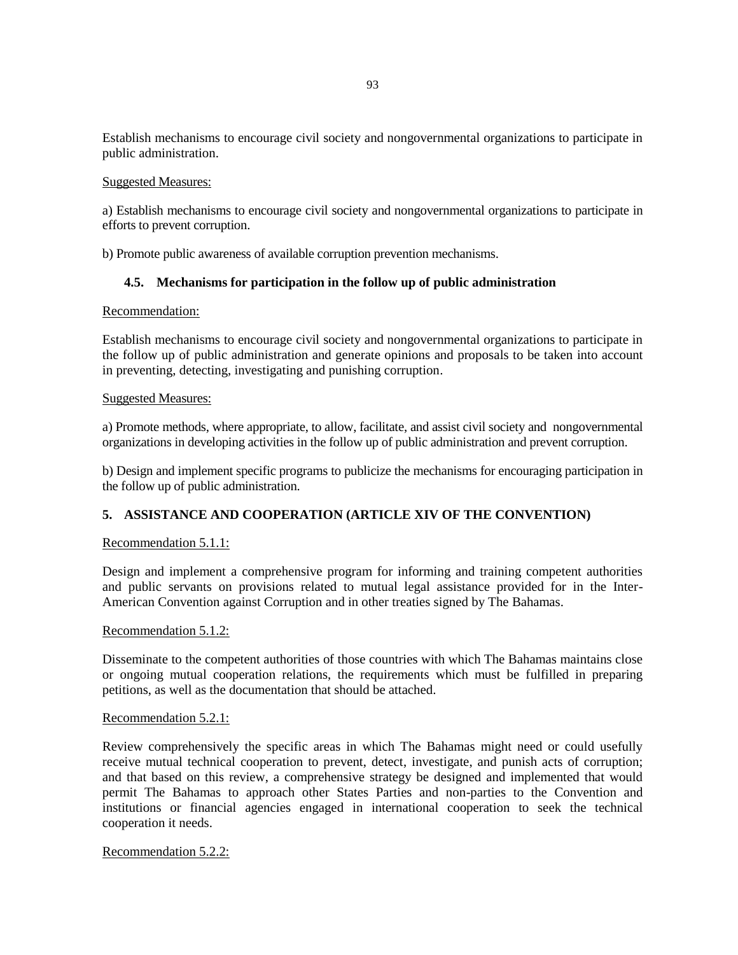Establish mechanisms to encourage civil society and nongovernmental organizations to participate in public administration.

### Suggested Measures:

a) Establish mechanisms to encourage civil society and nongovernmental organizations to participate in efforts to prevent corruption.

b) Promote public awareness of available corruption prevention mechanisms.

### **4.5. Mechanisms for participation in the follow up of public administration**

### Recommendation:

Establish mechanisms to encourage civil society and nongovernmental organizations to participate in the follow up of public administration and generate opinions and proposals to be taken into account in preventing, detecting, investigating and punishing corruption.

#### Suggested Measures:

a) Promote methods, where appropriate, to allow, facilitate, and assist civil society and nongovernmental organizations in developing activities in the follow up of public administration and prevent corruption.

b) Design and implement specific programs to publicize the mechanisms for encouraging participation in the follow up of public administration.

## **5. ASSISTANCE AND COOPERATION (ARTICLE XIV OF THE CONVENTION)**

### Recommendation 5.1.1:

Design and implement a comprehensive program for informing and training competent authorities and public servants on provisions related to mutual legal assistance provided for in the Inter-American Convention against Corruption and in other treaties signed by The Bahamas.

### Recommendation 5.1.2:

Disseminate to the competent authorities of those countries with which The Bahamas maintains close or ongoing mutual cooperation relations, the requirements which must be fulfilled in preparing petitions, as well as the documentation that should be attached.

#### Recommendation 5.2.1:

Review comprehensively the specific areas in which The Bahamas might need or could usefully receive mutual technical cooperation to prevent, detect, investigate, and punish acts of corruption; and that based on this review, a comprehensive strategy be designed and implemented that would permit The Bahamas to approach other States Parties and non-parties to the Convention and institutions or financial agencies engaged in international cooperation to seek the technical cooperation it needs.

#### Recommendation 5.2.2: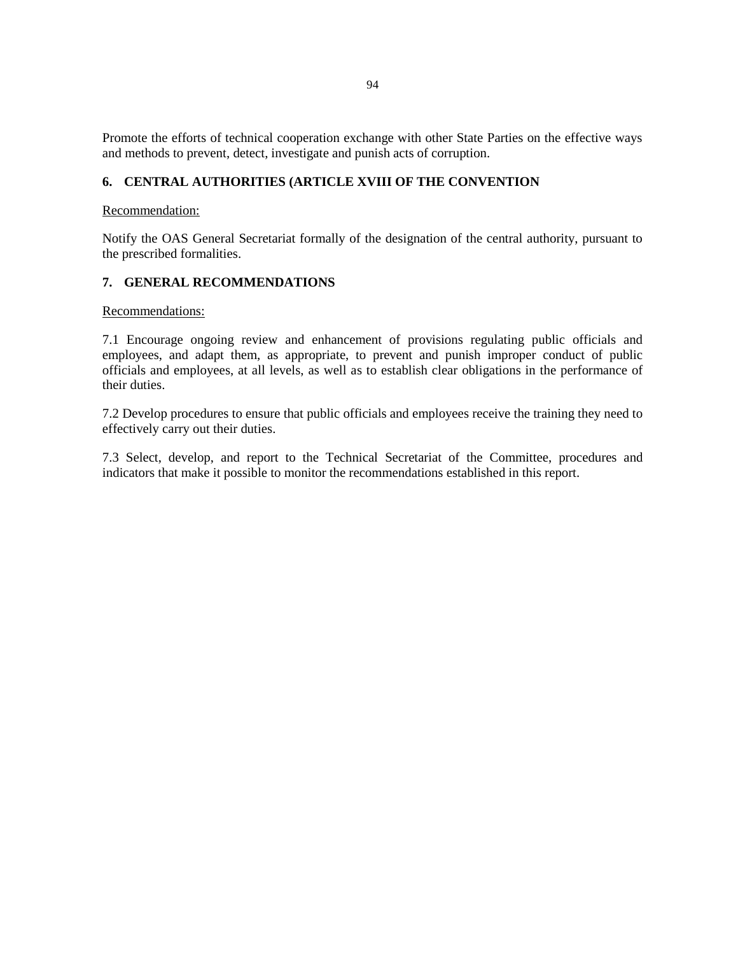Promote the efforts of technical cooperation exchange with other State Parties on the effective ways and methods to prevent, detect, investigate and punish acts of corruption.

## **6. CENTRAL AUTHORITIES (ARTICLE XVIII OF THE CONVENTION**

### Recommendation:

Notify the OAS General Secretariat formally of the designation of the central authority, pursuant to the prescribed formalities.

### **7. GENERAL RECOMMENDATIONS**

Recommendations:

7.1 Encourage ongoing review and enhancement of provisions regulating public officials and employees, and adapt them, as appropriate, to prevent and punish improper conduct of public officials and employees, at all levels, as well as to establish clear obligations in the performance of their duties.

7.2 Develop procedures to ensure that public officials and employees receive the training they need to effectively carry out their duties.

7.3 Select, develop, and report to the Technical Secretariat of the Committee, procedures and indicators that make it possible to monitor the recommendations established in this report.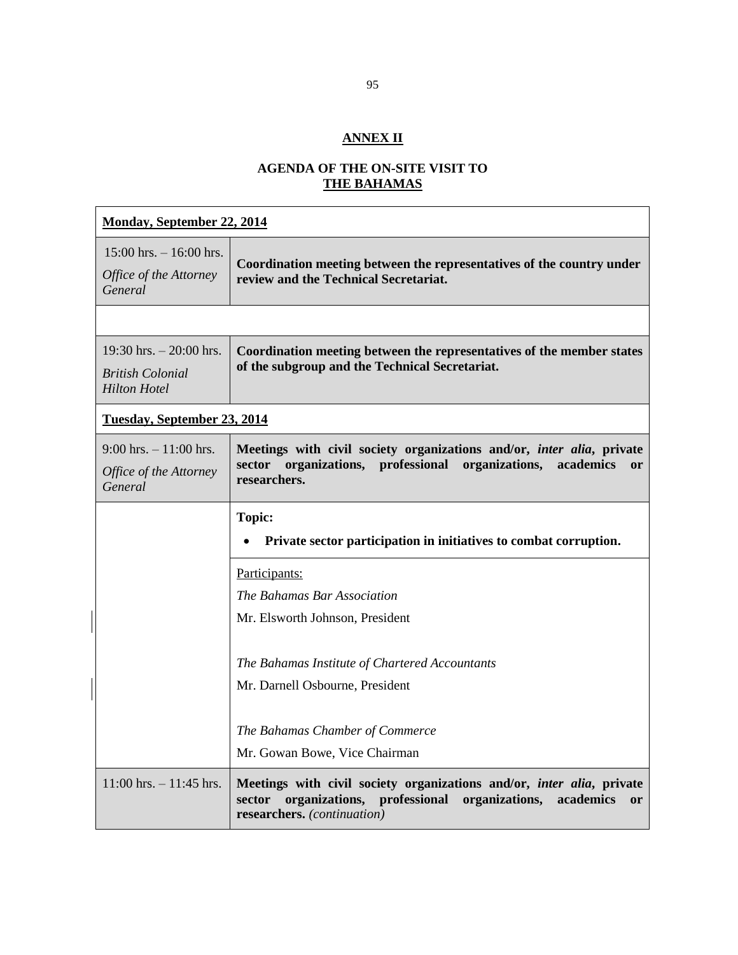# **ANNEX II**

# **AGENDA OF THE ON-SITE VISIT TO THE BAHAMAS**

| <b>Monday, September 22, 2014</b>                                          |                                                                                                                                                                                                   |
|----------------------------------------------------------------------------|---------------------------------------------------------------------------------------------------------------------------------------------------------------------------------------------------|
| $15:00$ hrs. $- 16:00$ hrs.<br>Office of the Attorney<br>General           | Coordination meeting between the representatives of the country under<br>review and the Technical Secretariat.                                                                                    |
|                                                                            |                                                                                                                                                                                                   |
| 19:30 hrs. $-20:00$ hrs.<br><b>British Colonial</b><br><b>Hilton Hotel</b> | Coordination meeting between the representatives of the member states<br>of the subgroup and the Technical Secretariat.                                                                           |
| <b>Tuesday, September 23, 2014</b>                                         |                                                                                                                                                                                                   |
| $9:00$ hrs. $-11:00$ hrs.<br>Office of the Attorney<br>General             | Meetings with civil society organizations and/or, inter alia, private<br>sector organizations, professional organizations,<br>academics<br><sub>or</sub><br>researchers.                          |
|                                                                            | <b>Topic:</b><br>Private sector participation in initiatives to combat corruption.                                                                                                                |
|                                                                            | Participants:                                                                                                                                                                                     |
|                                                                            | The Bahamas Bar Association                                                                                                                                                                       |
|                                                                            | Mr. Elsworth Johnson, President                                                                                                                                                                   |
|                                                                            | The Bahamas Institute of Chartered Accountants                                                                                                                                                    |
|                                                                            | Mr. Darnell Osbourne, President                                                                                                                                                                   |
|                                                                            | The Bahamas Chamber of Commerce                                                                                                                                                                   |
|                                                                            | Mr. Gowan Bowe, Vice Chairman                                                                                                                                                                     |
| $11:00$ hrs. $-11:45$ hrs.                                                 | Meetings with civil society organizations and/or, <i>inter alia</i> , private<br>organizations, professional<br>organizations,<br>sector<br>academics<br><b>or</b><br>researchers. (continuation) |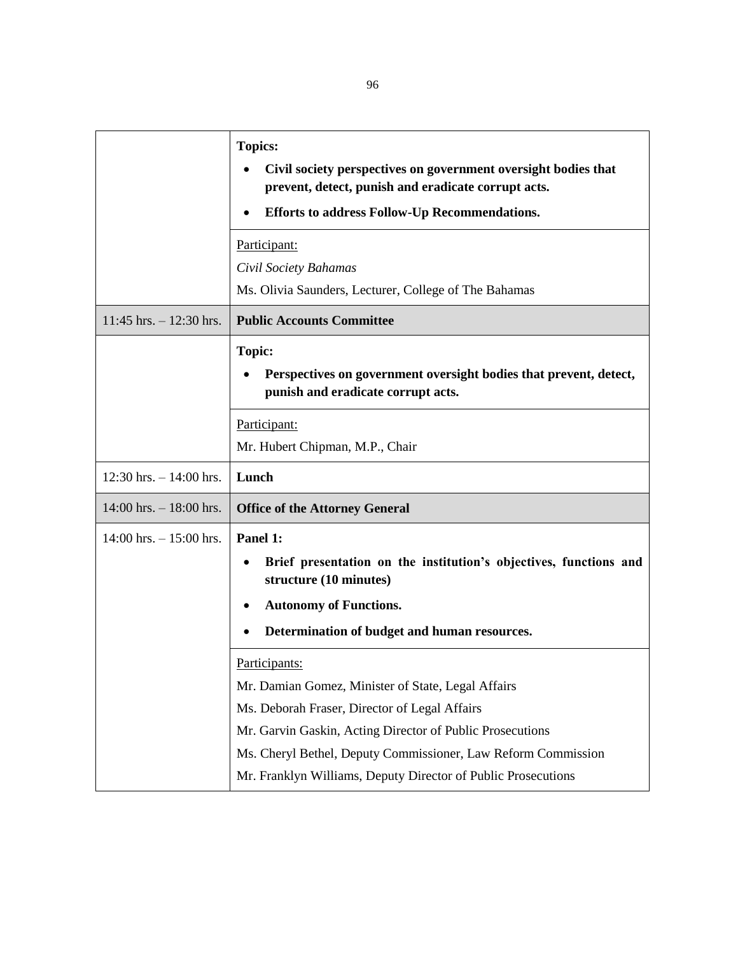|                            | <b>Topics:</b><br>Civil society perspectives on government oversight bodies that<br>prevent, detect, punish and eradicate corrupt acts.<br>Efforts to address Follow-Up Recommendations.<br>Participant:                                                  |
|----------------------------|-----------------------------------------------------------------------------------------------------------------------------------------------------------------------------------------------------------------------------------------------------------|
|                            | Civil Society Bahamas                                                                                                                                                                                                                                     |
|                            | Ms. Olivia Saunders, Lecturer, College of The Bahamas                                                                                                                                                                                                     |
| $11:45$ hrs. $-12:30$ hrs. | <b>Public Accounts Committee</b>                                                                                                                                                                                                                          |
|                            | <b>Topic:</b><br>Perspectives on government oversight bodies that prevent, detect,<br>punish and eradicate corrupt acts.                                                                                                                                  |
|                            | Participant:<br>Mr. Hubert Chipman, M.P., Chair                                                                                                                                                                                                           |
| 12:30 hrs. $- 14:00$ hrs.  | Lunch                                                                                                                                                                                                                                                     |
| $14:00$ hrs. $-18:00$ hrs. | <b>Office of the Attorney General</b>                                                                                                                                                                                                                     |
| $14:00$ hrs. $-15:00$ hrs. | Panel 1:<br>Brief presentation on the institution's objectives, functions and<br>structure (10 minutes)<br><b>Autonomy of Functions.</b><br>Determination of budget and human resources.                                                                  |
|                            | <u>Participants:</u><br>Mr. Damian Gomez, Minister of State, Legal Affairs<br>Ms. Deborah Fraser, Director of Legal Affairs<br>Mr. Garvin Gaskin, Acting Director of Public Prosecutions<br>Ms. Cheryl Bethel, Deputy Commissioner, Law Reform Commission |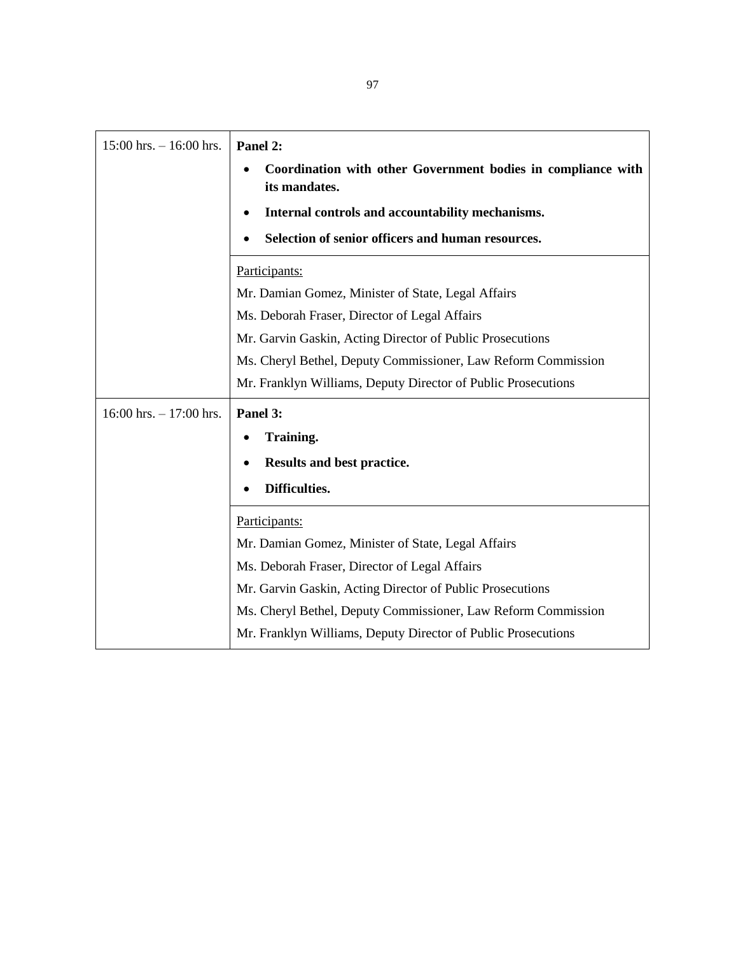| $15:00$ hrs. $-16:00$ hrs.  | Panel 2:                                                                      |
|-----------------------------|-------------------------------------------------------------------------------|
|                             | Coordination with other Government bodies in compliance with<br>its mandates. |
|                             | Internal controls and accountability mechanisms.                              |
|                             | Selection of senior officers and human resources.                             |
|                             | Participants:                                                                 |
|                             | Mr. Damian Gomez, Minister of State, Legal Affairs                            |
|                             | Ms. Deborah Fraser, Director of Legal Affairs                                 |
|                             | Mr. Garvin Gaskin, Acting Director of Public Prosecutions                     |
|                             | Ms. Cheryl Bethel, Deputy Commissioner, Law Reform Commission                 |
|                             | Mr. Franklyn Williams, Deputy Director of Public Prosecutions                 |
| $16:00$ hrs. $- 17:00$ hrs. | Panel 3:                                                                      |
|                             | Training.                                                                     |
|                             | Results and best practice.                                                    |
|                             | Difficulties.                                                                 |
|                             | Participants:                                                                 |
|                             | Mr. Damian Gomez, Minister of State, Legal Affairs                            |
|                             | Ms. Deborah Fraser, Director of Legal Affairs                                 |
|                             | Mr. Garvin Gaskin, Acting Director of Public Prosecutions                     |
|                             | Ms. Cheryl Bethel, Deputy Commissioner, Law Reform Commission                 |
|                             | Mr. Franklyn Williams, Deputy Director of Public Prosecutions                 |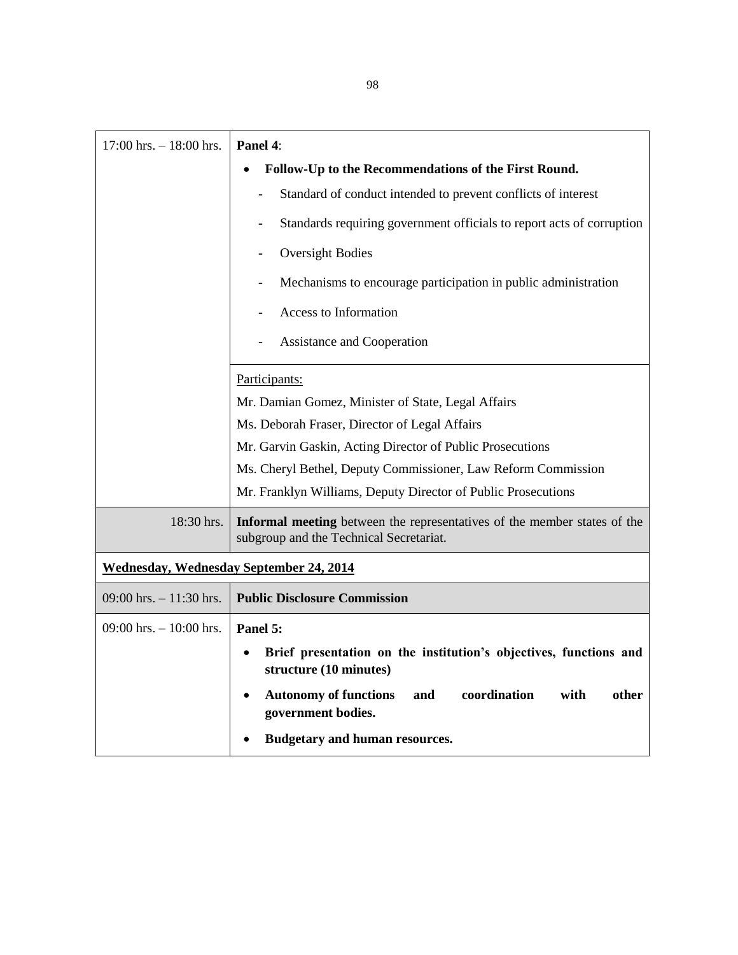| $17:00$ hrs. $-18:00$ hrs.                     | Panel 4:                                                                                                            |
|------------------------------------------------|---------------------------------------------------------------------------------------------------------------------|
|                                                | Follow-Up to the Recommendations of the First Round.                                                                |
|                                                | Standard of conduct intended to prevent conflicts of interest                                                       |
|                                                | Standards requiring government officials to report acts of corruption                                               |
|                                                | <b>Oversight Bodies</b>                                                                                             |
|                                                | Mechanisms to encourage participation in public administration                                                      |
|                                                | <b>Access to Information</b>                                                                                        |
|                                                | <b>Assistance and Cooperation</b>                                                                                   |
|                                                | Participants:                                                                                                       |
|                                                | Mr. Damian Gomez, Minister of State, Legal Affairs                                                                  |
|                                                | Ms. Deborah Fraser, Director of Legal Affairs                                                                       |
|                                                | Mr. Garvin Gaskin, Acting Director of Public Prosecutions                                                           |
|                                                | Ms. Cheryl Bethel, Deputy Commissioner, Law Reform Commission                                                       |
|                                                | Mr. Franklyn Williams, Deputy Director of Public Prosecutions                                                       |
| 18:30 hrs.                                     | Informal meeting between the representatives of the member states of the<br>subgroup and the Technical Secretariat. |
| <b>Wednesday, Wednesday September 24, 2014</b> |                                                                                                                     |
| 09:00 hrs. $-11:30$ hrs.                       | <b>Public Disclosure Commission</b>                                                                                 |
| $09:00$ hrs. $-10:00$ hrs.                     | Panel 5:                                                                                                            |
|                                                | Brief presentation on the institution's objectives, functions and<br>structure (10 minutes)                         |
|                                                | <b>Autonomy of functions</b><br>coordination<br>with<br>other<br>and<br>government bodies.                          |
|                                                | <b>Budgetary and human resources.</b>                                                                               |
|                                                |                                                                                                                     |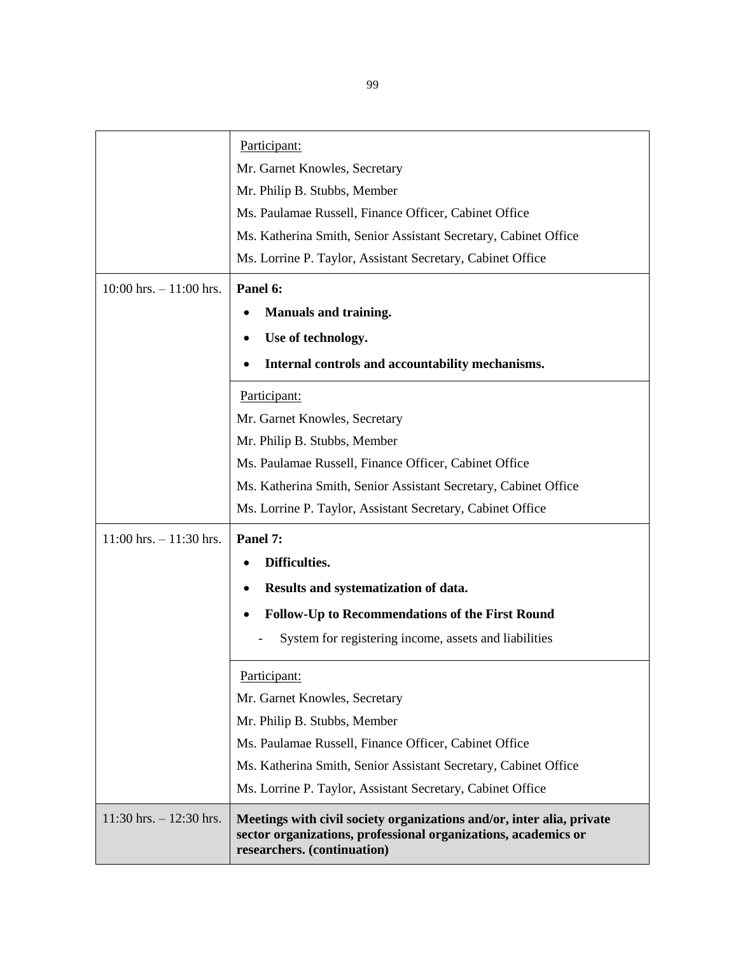|                            | Participant:                                                                                                                                                           |
|----------------------------|------------------------------------------------------------------------------------------------------------------------------------------------------------------------|
|                            | Mr. Garnet Knowles, Secretary                                                                                                                                          |
|                            | Mr. Philip B. Stubbs, Member                                                                                                                                           |
|                            | Ms. Paulamae Russell, Finance Officer, Cabinet Office                                                                                                                  |
|                            | Ms. Katherina Smith, Senior Assistant Secretary, Cabinet Office                                                                                                        |
|                            | Ms. Lorrine P. Taylor, Assistant Secretary, Cabinet Office                                                                                                             |
|                            |                                                                                                                                                                        |
| $10:00$ hrs. $-11:00$ hrs. | Panel 6:                                                                                                                                                               |
|                            | <b>Manuals and training.</b>                                                                                                                                           |
|                            | Use of technology.                                                                                                                                                     |
|                            | Internal controls and accountability mechanisms.                                                                                                                       |
|                            | Participant:                                                                                                                                                           |
|                            | Mr. Garnet Knowles, Secretary                                                                                                                                          |
|                            | Mr. Philip B. Stubbs, Member                                                                                                                                           |
|                            | Ms. Paulamae Russell, Finance Officer, Cabinet Office                                                                                                                  |
|                            | Ms. Katherina Smith, Senior Assistant Secretary, Cabinet Office                                                                                                        |
|                            | Ms. Lorrine P. Taylor, Assistant Secretary, Cabinet Office                                                                                                             |
| $11:00$ hrs. $-11:30$ hrs. | Panel 7:                                                                                                                                                               |
|                            | Difficulties.                                                                                                                                                          |
|                            | Results and systematization of data.                                                                                                                                   |
|                            | <b>Follow-Up to Recommendations of the First Round</b>                                                                                                                 |
|                            | System for registering income, assets and liabilities                                                                                                                  |
|                            | Participant:                                                                                                                                                           |
|                            | Mr. Garnet Knowles, Secretary                                                                                                                                          |
|                            | Mr. Philip B. Stubbs, Member                                                                                                                                           |
|                            | Ms. Paulamae Russell, Finance Officer, Cabinet Office                                                                                                                  |
|                            | Ms. Katherina Smith, Senior Assistant Secretary, Cabinet Office                                                                                                        |
|                            | Ms. Lorrine P. Taylor, Assistant Secretary, Cabinet Office                                                                                                             |
| $11:30$ hrs. $-12:30$ hrs. | Meetings with civil society organizations and/or, inter alia, private<br>sector organizations, professional organizations, academics or<br>researchers. (continuation) |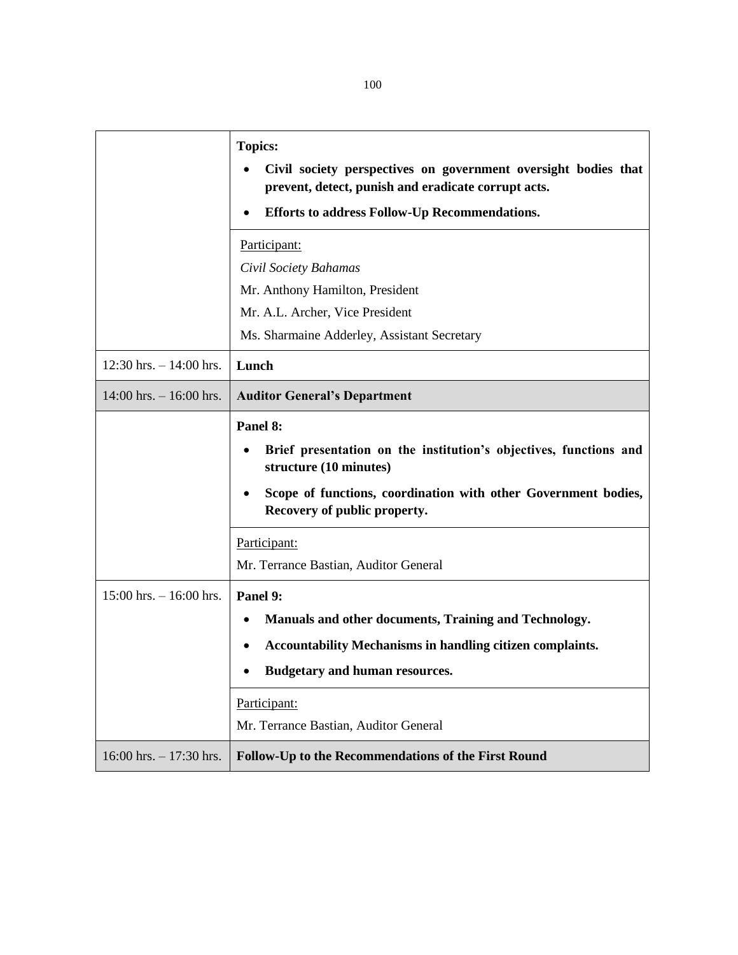|                            | <b>Topics:</b><br>Civil society perspectives on government oversight bodies that<br>prevent, detect, punish and eradicate corrupt acts.<br>Efforts to address Follow-Up Recommendations.<br>Participant:<br>Civil Society Bahamas<br>Mr. Anthony Hamilton, President<br>Mr. A.L. Archer, Vice President |
|----------------------------|---------------------------------------------------------------------------------------------------------------------------------------------------------------------------------------------------------------------------------------------------------------------------------------------------------|
| 12:30 hrs. $- 14:00$ hrs.  | Ms. Sharmaine Adderley, Assistant Secretary<br>Lunch                                                                                                                                                                                                                                                    |
|                            |                                                                                                                                                                                                                                                                                                         |
| $14:00$ hrs. $-16:00$ hrs. | <b>Auditor General's Department</b>                                                                                                                                                                                                                                                                     |
|                            | Panel 8:<br>Brief presentation on the institution's objectives, functions and<br>structure (10 minutes)<br>Scope of functions, coordination with other Government bodies,<br>Recovery of public property.                                                                                               |
|                            | Participant:<br>Mr. Terrance Bastian, Auditor General                                                                                                                                                                                                                                                   |
| $15:00$ hrs. $-16:00$ hrs. | Panel 9:<br>Manuals and other documents, Training and Technology.<br><b>Accountability Mechanisms in handling citizen complaints.</b><br><b>Budgetary and human resources.</b><br>Participant:<br>Mr. Terrance Bastian, Auditor General                                                                 |
| $16:00$ hrs. $-17:30$ hrs. | Follow-Up to the Recommendations of the First Round                                                                                                                                                                                                                                                     |

100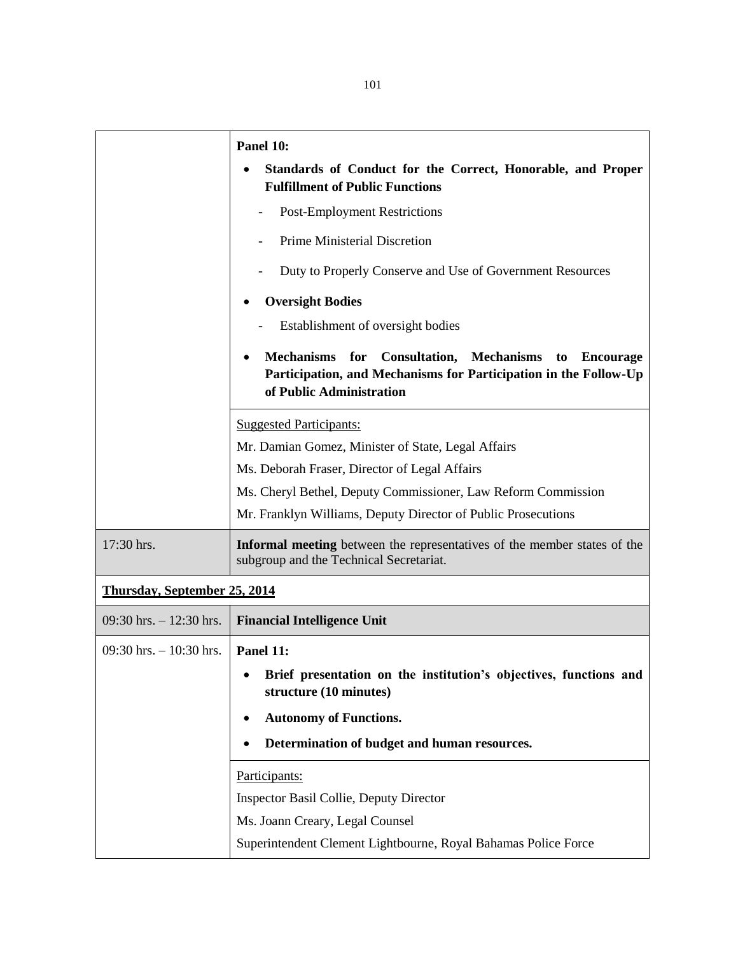|                                     | Panel 10:                                                                                                                                                                             |
|-------------------------------------|---------------------------------------------------------------------------------------------------------------------------------------------------------------------------------------|
|                                     | Standards of Conduct for the Correct, Honorable, and Proper<br><b>Fulfillment of Public Functions</b>                                                                                 |
|                                     | <b>Post-Employment Restrictions</b>                                                                                                                                                   |
|                                     | <b>Prime Ministerial Discretion</b>                                                                                                                                                   |
|                                     | Duty to Properly Conserve and Use of Government Resources                                                                                                                             |
|                                     | <b>Oversight Bodies</b>                                                                                                                                                               |
|                                     | Establishment of oversight bodies                                                                                                                                                     |
|                                     | <b>Mechanisms</b><br>for<br><b>Consultation, Mechanisms</b><br><b>Encourage</b><br>to<br>Participation, and Mechanisms for Participation in the Follow-Up<br>of Public Administration |
|                                     | <b>Suggested Participants:</b>                                                                                                                                                        |
|                                     | Mr. Damian Gomez, Minister of State, Legal Affairs                                                                                                                                    |
|                                     | Ms. Deborah Fraser, Director of Legal Affairs                                                                                                                                         |
|                                     | Ms. Cheryl Bethel, Deputy Commissioner, Law Reform Commission                                                                                                                         |
|                                     | Mr. Franklyn Williams, Deputy Director of Public Prosecutions                                                                                                                         |
| 17:30 hrs.                          | Informal meeting between the representatives of the member states of the<br>subgroup and the Technical Secretariat.                                                                   |
| <b>Thursday, September 25, 2014</b> |                                                                                                                                                                                       |
| 09:30 hrs. $-12:30$ hrs.            | <b>Financial Intelligence Unit</b>                                                                                                                                                    |
| $09:30$ hrs. $-10:30$ hrs.          | Panel 11:                                                                                                                                                                             |
|                                     | Brief presentation on the institution's objectives, functions and<br>structure (10 minutes)                                                                                           |
|                                     | <b>Autonomy of Functions.</b><br>٠                                                                                                                                                    |
|                                     | Determination of budget and human resources.                                                                                                                                          |
|                                     | Participants:                                                                                                                                                                         |
|                                     | <b>Inspector Basil Collie, Deputy Director</b>                                                                                                                                        |
|                                     | Ms. Joann Creary, Legal Counsel                                                                                                                                                       |
|                                     | Superintendent Clement Lightbourne, Royal Bahamas Police Force                                                                                                                        |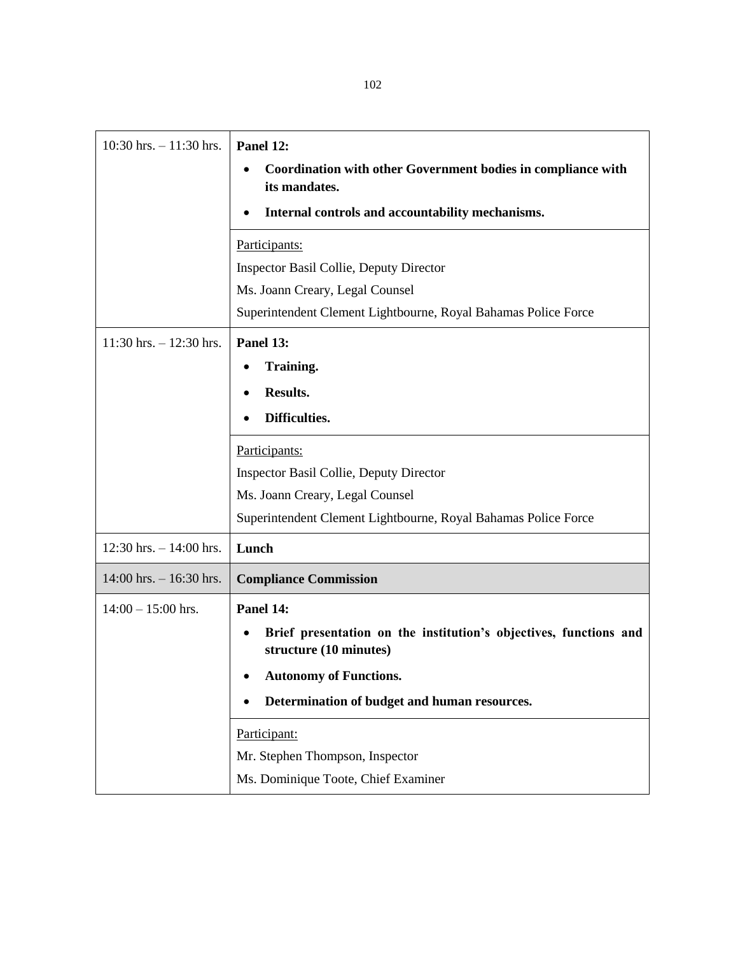| $10:30$ hrs. $-11:30$ hrs. | Panel 12:<br><b>Coordination with other Government bodies in compliance with</b><br>its mandates.<br>Internal controls and accountability mechanisms.<br>Participants:<br><b>Inspector Basil Collie, Deputy Director</b><br>Ms. Joann Creary, Legal Counsel |
|----------------------------|-------------------------------------------------------------------------------------------------------------------------------------------------------------------------------------------------------------------------------------------------------------|
|                            | Superintendent Clement Lightbourne, Royal Bahamas Police Force                                                                                                                                                                                              |
| $11:30$ hrs. $-12:30$ hrs. | Panel 13:<br>Training.<br><b>Results.</b><br>Difficulties.                                                                                                                                                                                                  |
|                            | Participants:<br><b>Inspector Basil Collie, Deputy Director</b><br>Ms. Joann Creary, Legal Counsel<br>Superintendent Clement Lightbourne, Royal Bahamas Police Force                                                                                        |
| $12:30$ hrs. $-14:00$ hrs. | Lunch                                                                                                                                                                                                                                                       |
| $14:00$ hrs. $-16:30$ hrs. | <b>Compliance Commission</b>                                                                                                                                                                                                                                |
| $14:00 - 15:00$ hrs.       | Panel 14:<br>Brief presentation on the institution's objectives, functions and<br>٠<br>structure (10 minutes)<br><b>Autonomy of Functions.</b><br>Determination of budget and human resources.<br>Participant:                                              |
|                            | Mr. Stephen Thompson, Inspector<br>Ms. Dominique Toote, Chief Examiner                                                                                                                                                                                      |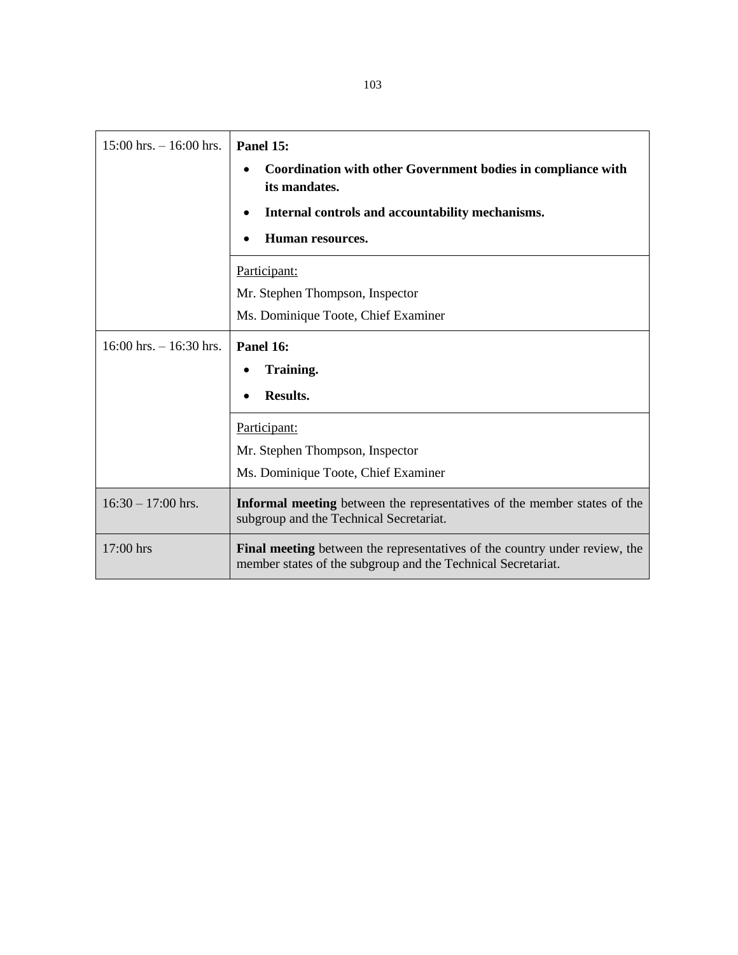| $15:00$ hrs. $-16:00$ hrs.  | Panel 15:<br>Coordination with other Government bodies in compliance with<br>٠<br>its mandates.<br>Internal controls and accountability mechanisms.<br>Human resources. |
|-----------------------------|-------------------------------------------------------------------------------------------------------------------------------------------------------------------------|
|                             | Participant:                                                                                                                                                            |
|                             | Mr. Stephen Thompson, Inspector                                                                                                                                         |
|                             | Ms. Dominique Toote, Chief Examiner                                                                                                                                     |
| $16:00$ hrs. $- 16:30$ hrs. | Panel 16:<br>Training.<br><b>Results.</b>                                                                                                                               |
|                             | Participant:                                                                                                                                                            |
|                             | Mr. Stephen Thompson, Inspector                                                                                                                                         |
|                             | Ms. Dominique Toote, Chief Examiner                                                                                                                                     |
| $16:30 - 17:00$ hrs.        | Informal meeting between the representatives of the member states of the<br>subgroup and the Technical Secretariat.                                                     |
| 17:00 hrs                   | Final meeting between the representatives of the country under review, the<br>member states of the subgroup and the Technical Secretariat.                              |